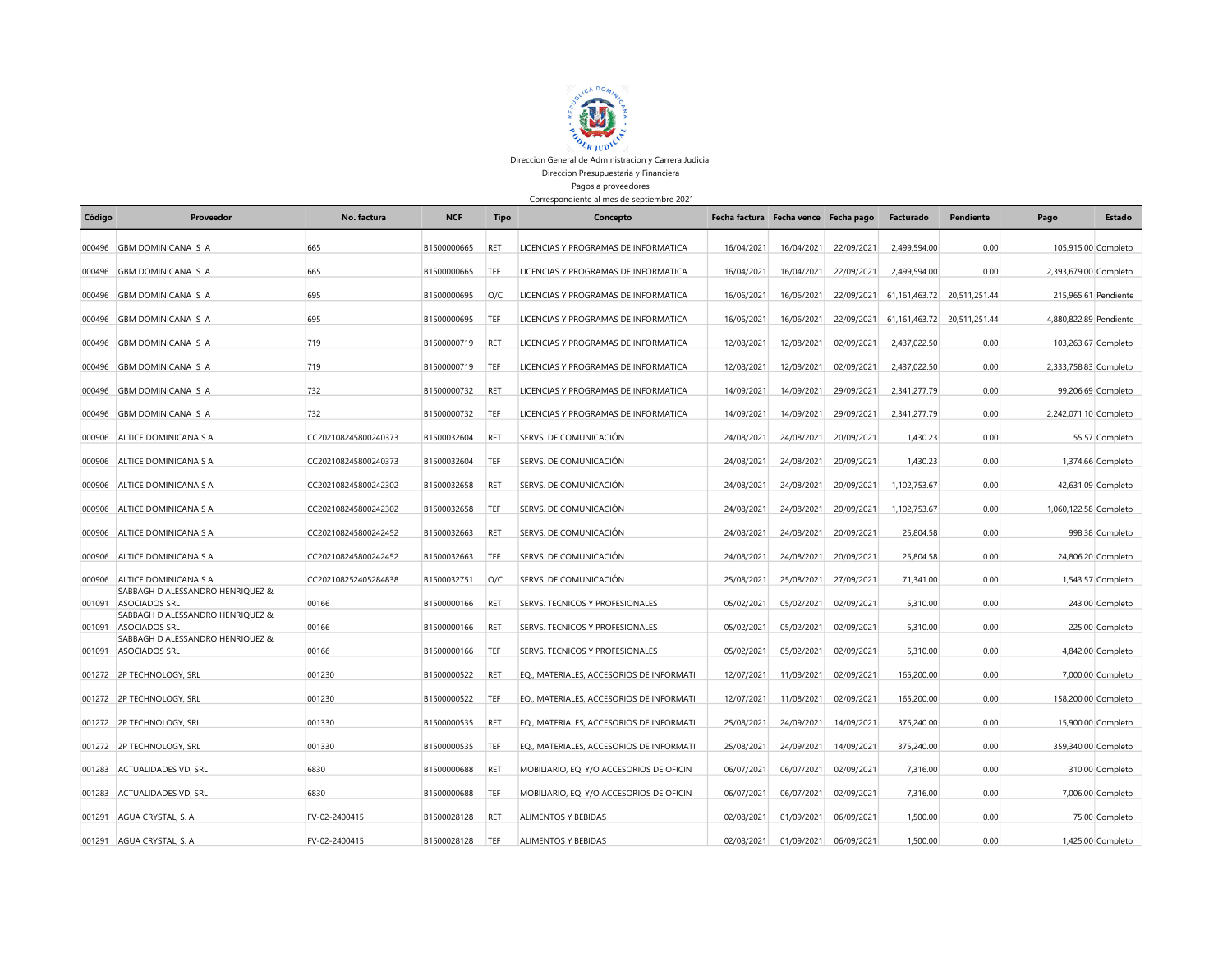

Direccion General de Administracion y Carrera Judicial Direccion Presupuestaria y Financiera Pagos a proveedores

Correspondiente al mes de septiembre 2021

| Código | Proveedor                                         | No. factura          | <b>NCF</b>  | Tipo       | Concepto                                 | Fecha factura Fecha vence Fecha pago |            |            | Facturado    | Pendiente                   | Pago                   | Estado               |
|--------|---------------------------------------------------|----------------------|-------------|------------|------------------------------------------|--------------------------------------|------------|------------|--------------|-----------------------------|------------------------|----------------------|
| 000496 | <b>GBM DOMINICANA S A</b>                         | 665                  | B1500000665 | RET        | LICENCIAS Y PROGRAMAS DE INFORMATICA     | 16/04/2021                           | 16/04/2021 | 22/09/2021 | 2,499,594.00 | 0.00                        |                        | 105,915.00 Completo  |
|        | 000496 GBM DOMINICANA S A                         | 665                  | B1500000665 | TEF        | LICENCIAS Y PROGRAMAS DE INFORMATICA     | 16/04/2021                           | 16/04/2021 | 22/09/2021 | 2,499,594.00 | 0.00                        | 2,393,679.00 Completo  |                      |
| 000496 | <b>GBM DOMINICANA S A</b>                         | 695                  | B1500000695 | O/C        | LICENCIAS Y PROGRAMAS DE INFORMATICA     | 16/06/2021                           | 16/06/2021 | 22/09/2021 |              | 61,161,463.72 20,511,251.44 |                        | 215,965.61 Pendiente |
| 000496 | <b>GBM DOMINICANA S A</b>                         | 695                  | B1500000695 | TEF        | LICENCIAS Y PROGRAMAS DE INFORMATICA     | 16/06/2021                           | 16/06/2021 | 22/09/2021 |              | 61,161,463.72 20,511,251.44 | 4,880,822.89 Pendiente |                      |
| 000496 | <b>GBM DOMINICANA S A</b>                         | 719                  | B1500000719 | RET        | LICENCIAS Y PROGRAMAS DE INFORMATICA     | 12/08/2021                           | 12/08/2021 | 02/09/2021 | 2,437,022.50 | 0.00                        |                        | 103,263.67 Completo  |
| 000496 | <b>GBM DOMINICANA S A</b>                         | 719                  | B1500000719 | TEF        | LICENCIAS Y PROGRAMAS DE INFORMATICA     | 12/08/2021                           | 12/08/2021 | 02/09/2021 | 2,437,022.50 | 0.00                        | 2,333,758.83 Completo  |                      |
|        | 000496 GBM DOMINICANA S A                         | 732                  | B1500000732 | RET        | LICENCIAS Y PROGRAMAS DE INFORMATICA     | 14/09/2021                           | 14/09/2021 | 29/09/2021 | 2.341.277.79 | 0.00                        |                        | 99,206.69 Completo   |
| 000496 | <b>GBM DOMINICANA S A</b>                         | 732                  | B1500000732 | TEF        | LICENCIAS Y PROGRAMAS DE INFORMATICA     | 14/09/2021                           | 14/09/2021 | 29/09/2021 | 2.341.277.79 | 0.00                        | 2,242,071.10 Completo  |                      |
| 000906 | ALTICE DOMINICANA S A                             | CC202108245800240373 | B1500032604 | <b>RET</b> | SERVS. DE COMUNICACIÓN                   | 24/08/2021                           | 24/08/2021 | 20/09/2021 | 1.430.23     | 0.00                        |                        | 55.57 Completo       |
| 000906 | ALTICE DOMINICANA S A                             | CC202108245800240373 | B1500032604 | TEF        | SERVS. DE COMUNICACIÓN                   | 24/08/2021                           | 24/08/2021 | 20/09/2021 | 1.430.23     | 0.00                        |                        | 1,374.66 Completo    |
| 000906 | ALTICE DOMINICANA S A                             | CC202108245800242302 | B1500032658 | <b>RET</b> | SERVS. DE COMUNICACIÓN                   | 24/08/2021                           | 24/08/2021 | 20/09/2021 | 1.102.753.67 | 0.00                        |                        | 42,631.09 Completo   |
|        | 000906 ALTICE DOMINICANA S A                      | CC202108245800242302 | B1500032658 | TEF        | SERVS. DE COMUNICACIÓN                   | 24/08/2021                           | 24/08/2021 | 20/09/2021 | 1.102.753.67 | 0.00                        | 1,060,122.58 Completo  |                      |
| 000906 | ALTICE DOMINICANA S A                             | CC202108245800242452 | B1500032663 | <b>RET</b> | SERVS. DE COMUNICACIÓN                   | 24/08/2021                           | 24/08/2021 | 20/09/2021 | 25.804.58    | 0.00                        |                        | 998.38 Completo      |
| 000906 | ALTICE DOMINICANA S A                             | CC202108245800242452 | B1500032663 | TEF        | SERVS. DE COMUNICACIÓN                   | 24/08/2021                           | 24/08/2021 | 20/09/2021 | 25.804.58    | 0.00                        |                        | 24,806.20 Completo   |
| 000906 | ALTICE DOMINICANA S A                             | CC202108252405284838 | B1500032751 | O/C        | SERVS. DE COMUNICACIÓN                   | 25/08/2021                           | 25/08/2021 | 27/09/2021 | 71.341.00    | 0.00                        |                        | 1,543.57 Completo    |
| 001091 | SABBAGH D ALESSANDRO HENRIOUEZ &<br>ASOCIADOS SRL | 00166                | B1500000166 | <b>RET</b> | <b>SERVS. TECNICOS Y PROFESIONALES</b>   | 05/02/2021                           | 05/02/2021 | 02/09/2021 | 5.310.00     | 0.00                        |                        | 243.00 Completo      |
| 001091 | SABBAGH D ALESSANDRO HENRIQUEZ &<br>ASOCIADOS SRL | 00166                | B1500000166 | RET        | <b>SERVS. TECNICOS Y PROFESIONALES</b>   | 05/02/2021                           | 05/02/2021 | 02/09/2021 | 5.310.00     | 0.00                        |                        | 225.00 Completo      |
| 001091 | SABBAGH D ALESSANDRO HENRIQUEZ &<br>ASOCIADOS SRL | 00166                | B1500000166 | TEF        | SERVS. TECNICOS Y PROFESIONALES          | 05/02/2021                           | 05/02/2021 | 02/09/2021 | 5,310.00     | 0.00                        |                        | 4,842.00 Completo    |
|        |                                                   | 001230               | B1500000522 | RET        |                                          |                                      |            |            |              |                             |                        |                      |
|        | 001272 2P TECHNOLOGY, SRL                         |                      |             |            | EQ., MATERIALES, ACCESORIOS DE INFORMATI | 12/07/2021                           | 11/08/2021 | 02/09/2021 | 165,200.00   | 0.00                        |                        | 7,000.00 Completo    |
|        | 001272 2P TECHNOLOGY, SRL                         | 001230               | B1500000522 | TEF        | EQ., MATERIALES, ACCESORIOS DE INFORMATI | 12/07/2021                           | 11/08/2021 | 02/09/2021 | 165,200.00   | 0.00                        |                        | 158,200.00 Completo  |
|        | 001272 2P TECHNOLOGY, SRL                         | 001330               | B1500000535 | RET        | EQ., MATERIALES, ACCESORIOS DE INFORMATI | 25/08/2021                           | 24/09/2021 | 14/09/2021 | 375.240.00   | 0.00                        |                        | 15,900.00 Completo   |
|        | 001272 2P TECHNOLOGY, SRL                         | 001330               | B1500000535 | TEF        | EQ., MATERIALES, ACCESORIOS DE INFORMATI | 25/08/2021                           | 24/09/2021 | 14/09/2021 | 375,240.00   | 0.00                        |                        | 359,340.00 Completo  |
| 001283 | ACTUALIDADES VD, SRL                              | 6830                 | B1500000688 | <b>RET</b> | MOBILIARIO, EQ. Y/O ACCESORIOS DE OFICIN | 06/07/2021                           | 06/07/2021 | 02/09/2021 | 7.316.00     | 0.00                        |                        | 310.00 Completo      |
| 001283 | ACTUALIDADES VD. SRL                              | 6830                 | B1500000688 | TEF        | MOBILIARIO, EQ. Y/O ACCESORIOS DE OFICIN | 06/07/2021                           | 06/07/2021 | 02/09/2021 | 7,316.00     | 0.00                        |                        | 7,006.00 Completo    |
| 001291 | AGUA CRYSTAL, S. A.                               | FV-02-2400415        | B1500028128 | RET        | ALIMENTOS Y BEBIDAS                      | 02/08/2021                           | 01/09/2021 | 06/09/2021 | 1,500.00     | 0.00                        |                        | 75.00 Completo       |
|        | 001291 AGUA CRYSTAL, S. A.                        | FV-02-2400415        | B1500028128 | TEF        | <b>ALIMENTOS Y BEBIDAS</b>               | 02/08/2021                           | 01/09/2021 | 06/09/2021 | 1,500.00     | 0.00                        |                        | 1,425.00 Completo    |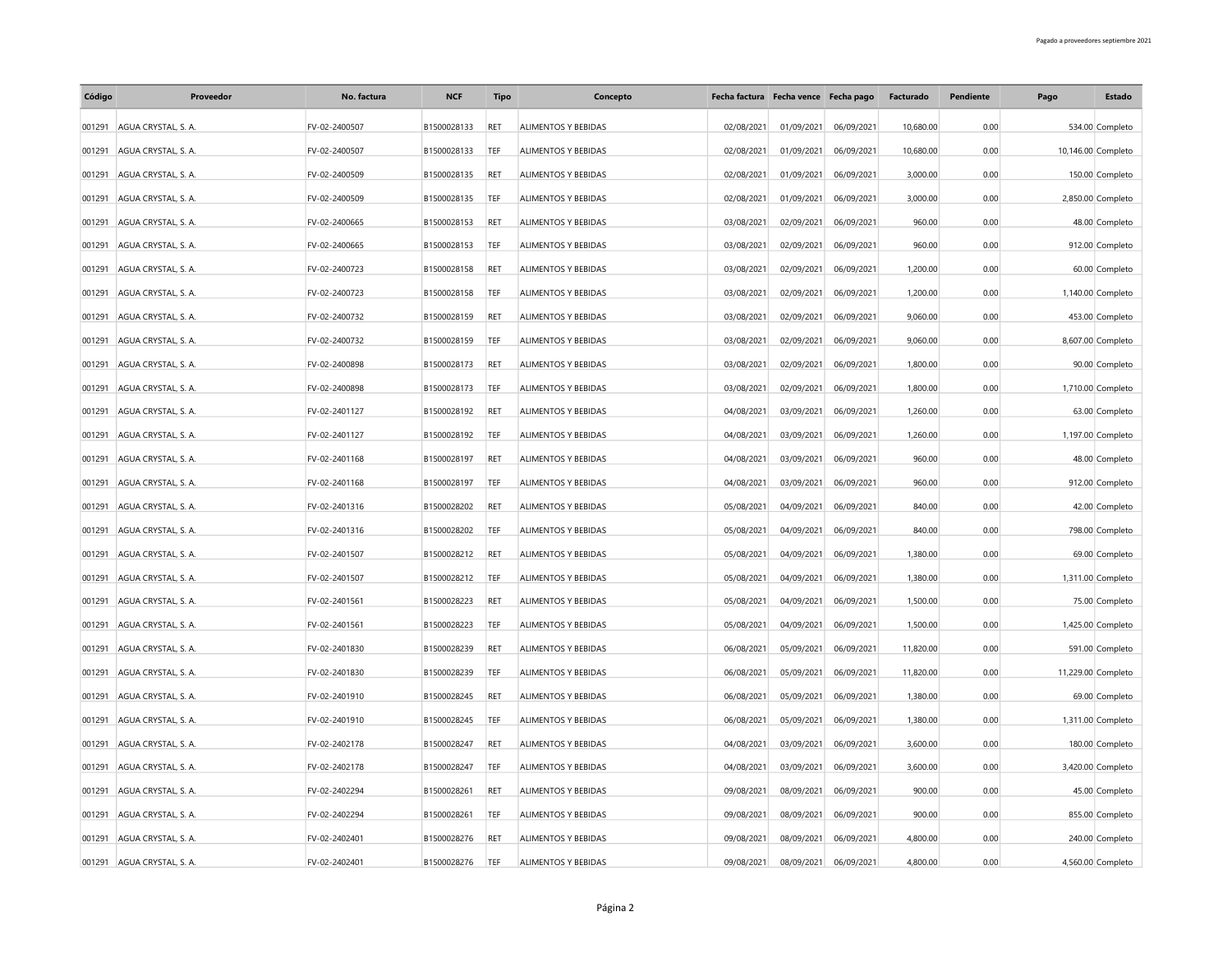| Código | Proveedor                  | No. factura   | <b>NCF</b>  | <b>Tipo</b> | Concepto                   |            | Fecha factura Fecha vence Fecha pago |            | Facturado | Pendiente | Pago | Estado             |
|--------|----------------------------|---------------|-------------|-------------|----------------------------|------------|--------------------------------------|------------|-----------|-----------|------|--------------------|
|        | 001291 AGUA CRYSTAL, S. A. | FV-02-2400507 | B1500028133 | <b>RET</b>  | ALIMENTOS Y BEBIDAS        | 02/08/2021 | 01/09/2021                           | 06/09/2021 | 10,680.00 | 0.00      |      | 534.00 Completo    |
| 001291 | AGUA CRYSTAL, S. A.        | FV-02-2400507 | B1500028133 | TEF         | ALIMENTOS Y BEBIDAS        | 02/08/2021 | 01/09/2021                           | 06/09/2021 | 10,680.00 | 0.00      |      | 10,146.00 Completo |
| 001291 | AGUA CRYSTAL, S. A.        | FV-02-2400509 | B1500028135 | RET         | ALIMENTOS Y BEBIDAS        | 02/08/2021 | 01/09/2021                           | 06/09/2021 | 3,000.00  | 0.00      |      | 150.00 Completo    |
| 001291 | AGUA CRYSTAL, S. A.        | FV-02-2400509 | B1500028135 | TEF         | ALIMENTOS Y BEBIDAS        | 02/08/2021 | 01/09/2021                           | 06/09/2021 | 3.000.00  | 0.00      |      | 2,850.00 Completo  |
|        | 001291 AGUA CRYSTAL, S. A. | FV-02-2400665 | B1500028153 | <b>RET</b>  | ALIMENTOS Y BEBIDAS        | 03/08/2021 | 02/09/2021                           | 06/09/2021 | 960.00    | 0.00      |      | 48.00 Completo     |
| 001291 | AGUA CRYSTAL, S. A.        | FV-02-2400665 | B1500028153 | TEF         | ALIMENTOS Y BEBIDAS        | 03/08/2021 | 02/09/2021                           | 06/09/2021 | 960.00    | 0.00      |      | 912.00 Completo    |
| 001291 | AGUA CRYSTAL, S. A.        | FV-02-2400723 | B1500028158 | RET         | ALIMENTOS Y BEBIDAS        | 03/08/2021 | 02/09/2021                           | 06/09/2021 | 1,200.00  | 0.00      |      | 60.00 Completo     |
| 001291 | AGUA CRYSTAL, S. A.        | FV-02-2400723 | B1500028158 | TEF         | ALIMENTOS Y BEBIDAS        | 03/08/2021 | 02/09/2021                           | 06/09/2021 | 1,200.00  | 0.00      |      | 1,140.00 Completo  |
| 001291 | AGUA CRYSTAL, S. A.        | FV-02-2400732 | B1500028159 | RET         | ALIMENTOS Y BEBIDAS        | 03/08/2021 | 02/09/2021                           | 06/09/2021 | 9,060.00  | 0.00      |      | 453.00 Completo    |
| 001291 | AGUA CRYSTAL, S. A.        | FV-02-2400732 | B1500028159 | TEF         | ALIMENTOS Y BEBIDAS        | 03/08/2021 | 02/09/2021                           | 06/09/2021 | 9,060.00  | 0.00      |      | 8,607.00 Completo  |
| 001291 | AGUA CRYSTAL, S. A.        | FV-02-2400898 | B1500028173 | RET         | ALIMENTOS Y BEBIDAS        | 03/08/2021 | 02/09/2021                           | 06/09/2021 | 1,800.00  | 0.00      |      | 90.00 Completo     |
| 001291 | AGUA CRYSTAL, S. A.        | FV-02-2400898 | B1500028173 | TEF         | ALIMENTOS Y BEBIDAS        | 03/08/2021 | 02/09/2021                           | 06/09/2021 | 1,800.00  | 0.00      |      | 1,710.00 Completo  |
| 001291 | AGUA CRYSTAL, S. A.        | FV-02-2401127 | B1500028192 | RET         | ALIMENTOS Y BEBIDAS        | 04/08/2021 | 03/09/2021                           | 06/09/2021 | 1,260.00  | 0.00      |      | 63.00 Completo     |
| 001291 | AGUA CRYSTAL, S. A.        | FV-02-2401127 | B1500028192 | TEF         | ALIMENTOS Y BEBIDAS        | 04/08/2021 | 03/09/2021                           | 06/09/2021 | 1,260.00  | 0.00      |      | 1,197.00 Completo  |
| 001291 | AGUA CRYSTAL, S. A.        | FV-02-2401168 | B1500028197 | RET         | ALIMENTOS Y BEBIDAS        | 04/08/2021 | 03/09/2021                           | 06/09/2021 | 960.00    | 0.00      |      | 48.00 Completo     |
| 001291 | AGUA CRYSTAL, S. A.        | FV-02-2401168 | B1500028197 | TEF         | ALIMENTOS Y BEBIDAS        | 04/08/2021 | 03/09/2021                           | 06/09/2021 | 960.00    | 0.00      |      | 912.00 Completo    |
| 001291 | AGUA CRYSTAL, S. A.        | FV-02-2401316 | B1500028202 | RET         | <b>ALIMENTOS Y BEBIDAS</b> | 05/08/2021 | 04/09/2021                           | 06/09/2021 | 840.00    | 0.00      |      | 42.00 Completo     |
| 001291 | AGUA CRYSTAL, S. A.        | FV-02-2401316 | B1500028202 | TEF         | ALIMENTOS Y BEBIDAS        | 05/08/2021 | 04/09/2021                           | 06/09/2021 | 840.00    | 0.00      |      | 798.00 Completo    |
| 001291 | AGUA CRYSTAL, S. A.        | FV-02-2401507 | B1500028212 | RET         | ALIMENTOS Y BEBIDAS        | 05/08/2021 | 04/09/2021                           | 06/09/2021 | 1,380.00  | 0.00      |      | 69.00 Completo     |
|        | 001291 AGUA CRYSTAL, S. A. | FV-02-2401507 | B1500028212 | TEF         | ALIMENTOS Y BEBIDAS        | 05/08/2021 | 04/09/2021                           | 06/09/2021 | 1,380.00  | 0.00      |      | 1,311.00 Completo  |
| 001291 | AGUA CRYSTAL, S. A.        | FV-02-2401561 | B1500028223 | RET         | ALIMENTOS Y BEBIDAS        | 05/08/2021 | 04/09/2021                           | 06/09/2021 | 1,500.00  | 0.00      |      | 75.00 Completo     |
| 001291 | AGUA CRYSTAL, S. A.        | FV-02-2401561 | B1500028223 | TEF         | ALIMENTOS Y BEBIDAS        | 05/08/2021 | 04/09/2021                           | 06/09/2021 | 1,500.00  | 0.00      |      | 1,425.00 Completo  |
| 001291 | AGUA CRYSTAL, S. A.        | FV-02-2401830 | B1500028239 | RET         | ALIMENTOS Y BEBIDAS        | 06/08/2021 | 05/09/2021                           | 06/09/2021 | 11,820.00 | 0.00      |      | 591.00 Completo    |
| 001291 | AGUA CRYSTAL, S. A.        | FV-02-2401830 | B1500028239 | TEF         | ALIMENTOS Y BEBIDAS        | 06/08/2021 | 05/09/2021                           | 06/09/2021 | 11,820.00 | 0.00      |      | 11,229.00 Completo |
| 001291 | AGUA CRYSTAL, S. A.        | FV-02-2401910 | B1500028245 | RET         | ALIMENTOS Y BEBIDAS        | 06/08/2021 | 05/09/2021                           | 06/09/2021 | 1,380.00  | 0.00      |      | 69.00 Completo     |
| 001291 | AGUA CRYSTAL, S. A.        | FV-02-2401910 | B1500028245 | TEF         | ALIMENTOS Y BEBIDAS        | 06/08/2021 | 05/09/2021                           | 06/09/2021 | 1,380.00  | 0.00      |      | 1,311.00 Completo  |
| 001291 | AGUA CRYSTAL, S. A.        | FV-02-2402178 | B1500028247 | RET         | ALIMENTOS Y BEBIDAS        | 04/08/2021 | 03/09/2021                           | 06/09/2021 | 3,600.00  | 0.00      |      | 180.00 Completo    |
| 001291 | AGUA CRYSTAL, S. A.        | FV-02-2402178 | B1500028247 | TEF         | ALIMENTOS Y BEBIDAS        | 04/08/2021 | 03/09/2021                           | 06/09/2021 | 3,600.00  | 0.00      |      | 3,420.00 Completo  |
| 001291 | AGUA CRYSTAL, S. A.        | FV-02-2402294 | B1500028261 | RET         | ALIMENTOS Y BEBIDAS        | 09/08/2021 | 08/09/2021                           | 06/09/2021 | 900.00    | 0.00      |      | 45.00 Completo     |
| 001291 | AGUA CRYSTAL, S. A.        | FV-02-2402294 | B1500028261 | TEF         | ALIMENTOS Y BEBIDAS        | 09/08/2021 | 08/09/2021                           | 06/09/2021 | 900.00    | 0.00      |      | 855.00 Completo    |
|        | 001291 AGUA CRYSTAL, S. A. | FV-02-2402401 | B1500028276 | RET         | ALIMENTOS Y BEBIDAS        | 09/08/2021 | 08/09/2021                           | 06/09/2021 | 4,800.00  | 0.00      |      | 240.00 Completo    |
|        | 001291 AGUA CRYSTAL, S. A. | FV-02-2402401 | B1500028276 | TEF         | ALIMENTOS Y BEBIDAS        | 09/08/2021 | 08/09/2021                           | 06/09/2021 | 4,800.00  | 0.00      |      | 4,560.00 Completo  |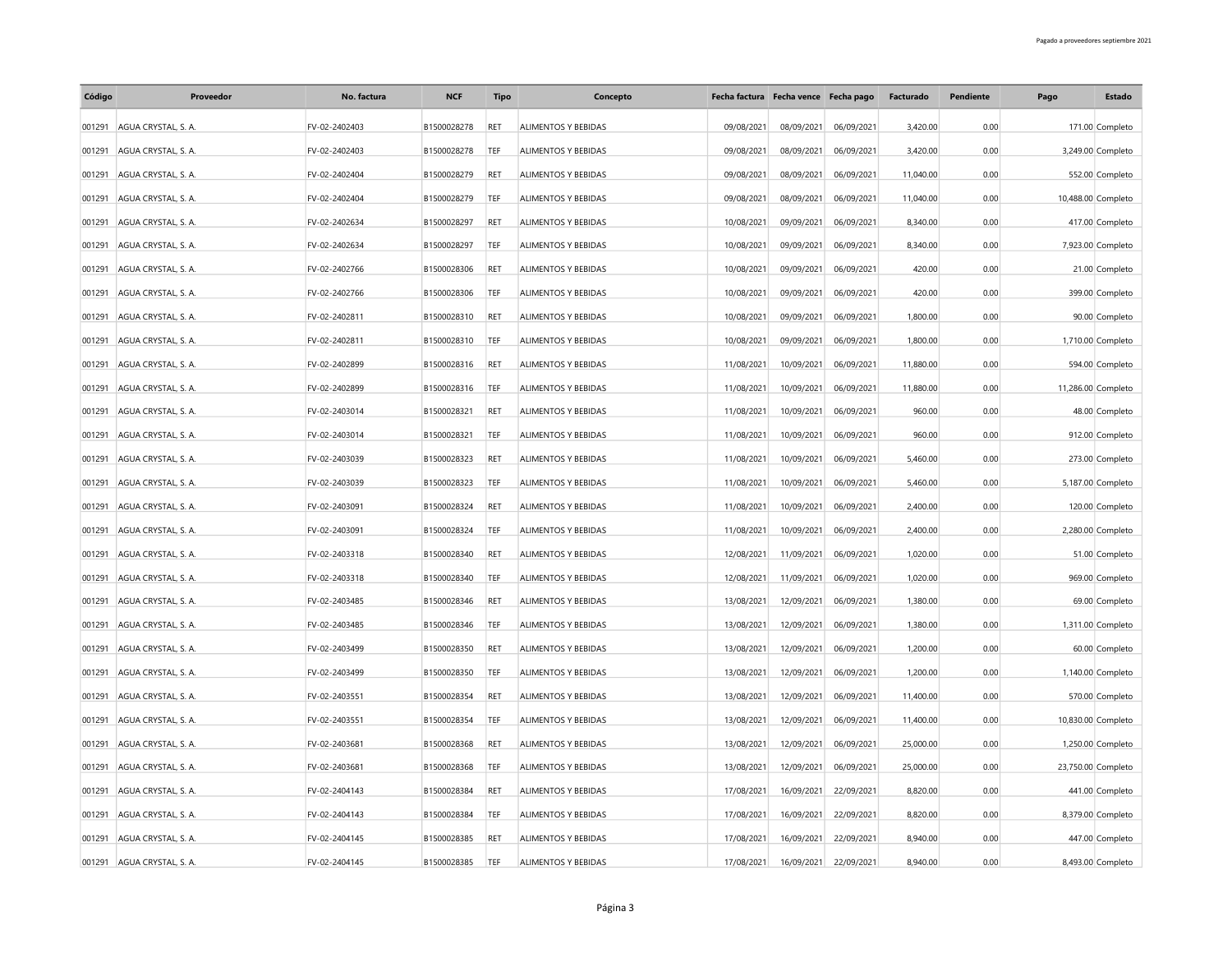| Código | Proveedor                  | No. factura   | <b>NCF</b>  | <b>Tipo</b> | Concepto                   |            | Fecha factura Fecha vence Fecha pago |            | Facturado | <b>Pendiente</b> | Pago | Estado             |
|--------|----------------------------|---------------|-------------|-------------|----------------------------|------------|--------------------------------------|------------|-----------|------------------|------|--------------------|
| 001291 | AGUA CRYSTAL, S. A.        | FV-02-2402403 | B1500028278 | RET         | ALIMENTOS Y BEBIDAS        | 09/08/2021 | 08/09/2021                           | 06/09/2021 | 3,420.00  | 0.00             |      | 171.00 Completo    |
| 001291 | AGUA CRYSTAL S. A.         | FV-02-2402403 | B1500028278 | TEF         | ALIMENTOS Y BEBIDAS        | 09/08/2021 | 08/09/2021                           | 06/09/2021 | 3,420.00  | 0.00             |      | 3,249.00 Completo  |
| 001291 | AGUA CRYSTAL, S. A.        | FV-02-2402404 | B1500028279 | RET         | ALIMENTOS Y BEBIDAS        | 09/08/2021 | 08/09/2021                           | 06/09/2021 | 11,040.00 | 0.00             |      | 552.00 Completo    |
| 001291 | AGUA CRYSTAL, S. A.        | FV-02-2402404 | B1500028279 | TEF         | <b>ALIMENTOS Y BEBIDAS</b> | 09/08/2021 | 08/09/2021                           | 06/09/2021 | 11,040.00 | 0.00             |      | 10,488.00 Completo |
| 001291 | AGUA CRYSTAL, S. A.        | FV-02-2402634 | B1500028297 | RET         | ALIMENTOS Y BEBIDAS        | 10/08/2021 | 09/09/2021                           | 06/09/2021 | 8,340.00  | 0.00             |      | 417.00 Completo    |
| 001291 | AGUA CRYSTAL, S. A.        | FV-02-2402634 | B1500028297 | TEF         | ALIMENTOS Y BEBIDAS        | 10/08/2021 | 09/09/2021                           | 06/09/2021 | 8,340.00  | 0.00             |      | 7,923.00 Completo  |
| 001291 | AGUA CRYSTAL, S. A.        | FV-02-2402766 | B1500028306 | RET         | ALIMENTOS Y BEBIDAS        | 10/08/2021 | 09/09/2021                           | 06/09/2021 | 420.00    | 0.00             |      | 21.00 Completo     |
| 001291 | AGUA CRYSTAL, S. A.        | FV-02-2402766 | B1500028306 | TEF         | ALIMENTOS Y BEBIDAS        | 10/08/2021 | 09/09/2021                           | 06/09/2021 | 420.00    | 0.00             |      | 399.00 Completo    |
| 001291 | AGUA CRYSTAL, S. A.        | FV-02-2402811 | B1500028310 | RET         | ALIMENTOS Y BEBIDAS        | 10/08/2021 | 09/09/2021                           | 06/09/2021 | 1,800.00  | 0.00             |      | 90.00 Completo     |
| 001291 | AGUA CRYSTAL, S. A.        | FV-02-2402811 | B1500028310 | TEF         | ALIMENTOS Y BEBIDAS        | 10/08/2021 | 09/09/2021                           | 06/09/2021 | 1,800.00  | 0.00             |      | 1,710.00 Completo  |
| 001291 | AGUA CRYSTAL, S. A.        | FV-02-2402899 | B1500028316 | RET         | ALIMENTOS Y BEBIDAS        | 11/08/2021 | 10/09/2021                           | 06/09/2021 | 11,880.00 | 0.00             |      | 594.00 Completo    |
| 001291 | AGUA CRYSTAL, S. A.        | FV-02-2402899 | B1500028316 | TEF         | ALIMENTOS Y BEBIDAS        | 11/08/2021 | 10/09/2021                           | 06/09/2021 | 11,880.00 | 0.00             |      | 11,286.00 Completo |
| 001291 | AGUA CRYSTAL, S. A.        | FV-02-2403014 | B1500028321 | RET         | ALIMENTOS Y BEBIDAS        | 11/08/2021 | 10/09/2021                           | 06/09/2021 | 960.00    | 0.00             |      | 48.00 Completo     |
| 001291 | AGUA CRYSTAL, S. A.        | FV-02-2403014 | B1500028321 | TEF         | ALIMENTOS Y BEBIDAS        | 11/08/2021 | 10/09/2021                           | 06/09/2021 | 960.00    | 0.00             |      | 912.00 Completo    |
| 001291 | AGUA CRYSTAL, S. A.        | FV-02-2403039 | B1500028323 | RET         | ALIMENTOS Y BEBIDAS        | 11/08/2021 | 10/09/2021                           | 06/09/2021 | 5,460.00  | 0.00             |      | 273.00 Completo    |
| 001291 | AGUA CRYSTAL, S. A.        | FV-02-2403039 | B1500028323 | TEF         | ALIMENTOS Y BEBIDAS        | 11/08/2021 | 10/09/2021                           | 06/09/2021 | 5,460.00  | 0.00             |      | 5,187.00 Completo  |
| 001291 | AGUA CRYSTAL, S. A.        | FV-02-2403091 | B1500028324 | RET         | ALIMENTOS Y BEBIDAS        | 11/08/2021 | 10/09/2021                           | 06/09/2021 | 2,400.00  | 0.00             |      | 120.00 Completo    |
| 001291 | AGUA CRYSTAL S. A.         | FV-02-2403091 | B1500028324 | TEF         | <b>ALIMENTOS Y BEBIDAS</b> | 11/08/2021 | 10/09/2021                           | 06/09/2021 | 2,400.00  | 0.00             |      | 2,280.00 Completo  |
| 001291 | AGUA CRYSTAL, S. A.        | FV-02-2403318 | B1500028340 | RET         | ALIMENTOS Y BEBIDAS        | 12/08/2021 | 11/09/2021                           | 06/09/2021 | 1,020.00  | 0.00             |      | 51.00 Completo     |
| 001291 | AGUA CRYSTAL, S. A.        | FV-02-2403318 | B1500028340 | TEF         | ALIMENTOS Y BEBIDAS        | 12/08/2021 | 11/09/2021                           | 06/09/2021 | 1,020.00  | 0.00             |      | 969.00 Completo    |
| 001291 | AGUA CRYSTAL, S. A.        | FV-02-2403485 | B1500028346 | RET         | ALIMENTOS Y BEBIDAS        | 13/08/2021 | 12/09/2021                           | 06/09/2021 | 1,380.00  | 0.00             |      | 69.00 Completo     |
| 001291 | AGUA CRYSTAL, S. A.        | FV-02-2403485 | B1500028346 | TEF         | ALIMENTOS Y BEBIDAS        | 13/08/2021 | 12/09/2021                           | 06/09/2021 | 1,380.00  | 0.00             |      | 1,311.00 Completo  |
| 001291 | AGUA CRYSTAL, S. A.        | FV-02-2403499 | B1500028350 | RET         | ALIMENTOS Y BEBIDAS        | 13/08/2021 | 12/09/2021                           | 06/09/2021 | 1,200.00  | 0.00             |      | 60.00 Completo     |
| 001291 | AGUA CRYSTAL, S. A.        | FV-02-2403499 | B1500028350 | TEF         | ALIMENTOS Y BEBIDAS        | 13/08/2021 | 12/09/2021                           | 06/09/2021 | 1,200.00  | 0.00             |      | 1,140.00 Completo  |
| 001291 | AGUA CRYSTAL, S. A.        | FV-02-2403551 | B1500028354 | RET         | ALIMENTOS Y BEBIDAS        | 13/08/2021 | 12/09/2021                           | 06/09/2021 | 11,400.00 | 0.00             |      | 570.00 Completo    |
| 001291 | AGUA CRYSTAL, S. A.        | FV-02-2403551 | B1500028354 | TEF         | ALIMENTOS Y BEBIDAS        | 13/08/2021 | 12/09/2021                           | 06/09/2021 | 11,400.00 | 0.00             |      | 10,830.00 Completo |
| 001291 | AGUA CRYSTAL, S. A.        | FV-02-2403681 | B1500028368 | RET         | ALIMENTOS Y BEBIDAS        | 13/08/2021 | 12/09/2021                           | 06/09/2021 | 25,000.00 | 0.00             |      | 1,250.00 Completo  |
| 001291 | AGUA CRYSTAL, S. A.        | FV-02-2403681 | B1500028368 | TEF         | ALIMENTOS Y BEBIDAS        | 13/08/2021 | 12/09/2021                           | 06/09/2021 | 25,000.00 | 0.00             |      | 23,750.00 Completo |
| 001291 | AGUA CRYSTAL, S. A.        | FV-02-2404143 | B1500028384 | RET         | ALIMENTOS Y BEBIDAS        | 17/08/2021 | 16/09/2021                           | 22/09/2021 | 8,820.00  | 0.00             |      | 441.00 Completo    |
| 001291 | AGUA CRYSTAL, S. A.        | FV-02-2404143 | B1500028384 | TEF         | ALIMENTOS Y BEBIDAS        | 17/08/2021 | 16/09/2021                           | 22/09/2021 | 8,820.00  | 0.00             |      | 8,379.00 Completo  |
| 001291 | AGUA CRYSTAL S. A.         | FV-02-2404145 | B1500028385 | RET         | <b>ALIMENTOS Y BEBIDAS</b> | 17/08/2021 | 16/09/2021                           | 22/09/2021 | 8.940.00  | 0.00             |      | 447.00 Completo    |
|        | 001291 AGUA CRYSTAL, S. A. | FV-02-2404145 | B1500028385 | TEF         | ALIMENTOS Y BEBIDAS        | 17/08/2021 | 16/09/2021                           | 22/09/2021 | 8,940.00  | 0.00             |      | 8,493.00 Completo  |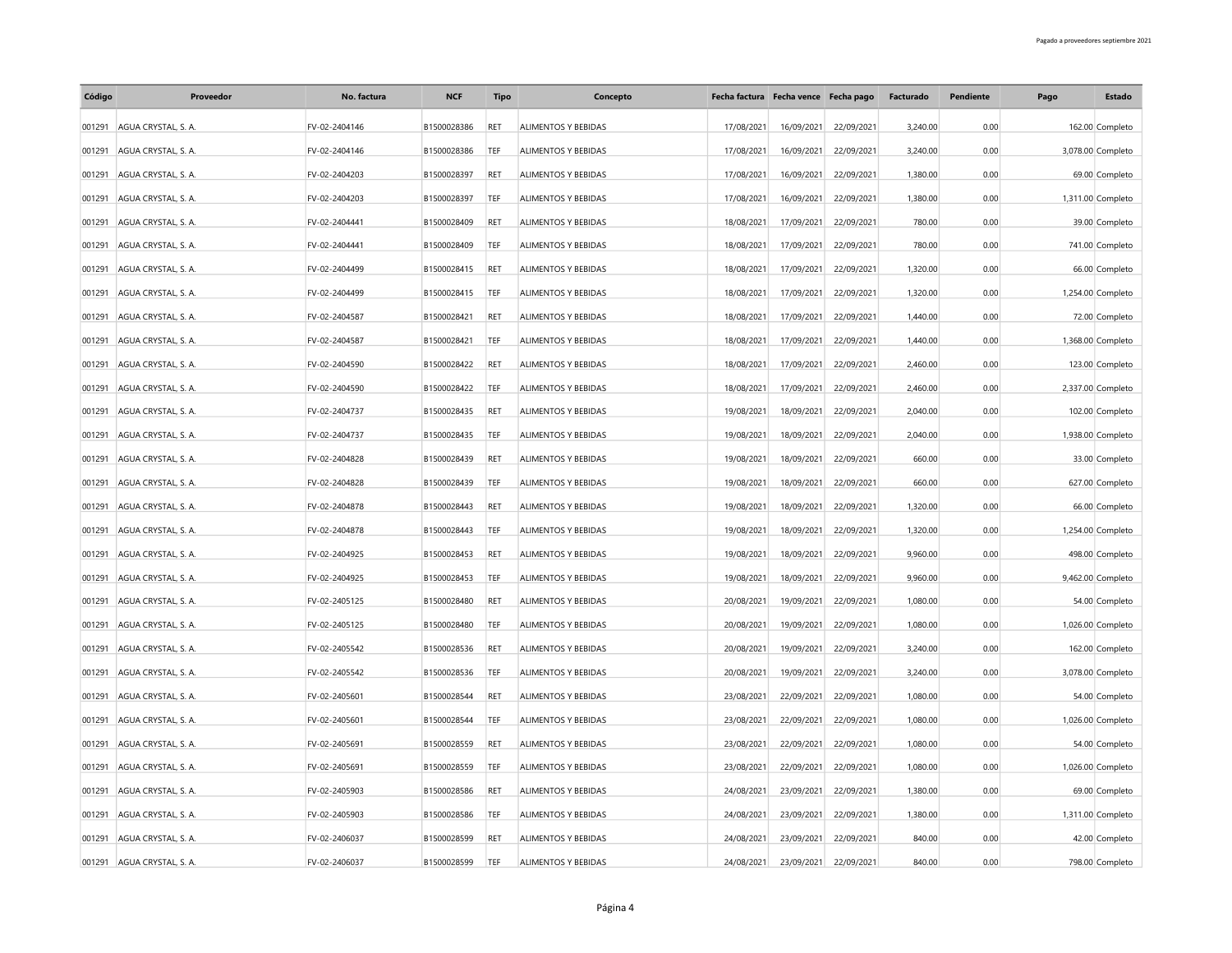| Código | Proveedor                  | No. factura   | <b>NCF</b>  | <b>Tipo</b> | Concepto                   |            | Fecha factura Fecha vence Fecha pago |            | Facturado | Pendiente | Pago | Estado            |
|--------|----------------------------|---------------|-------------|-------------|----------------------------|------------|--------------------------------------|------------|-----------|-----------|------|-------------------|
| 001291 | AGUA CRYSTAL S. A.         | FV-02-2404146 | B1500028386 | RET         | <b>ALIMENTOS Y BEBIDAS</b> | 17/08/2021 | 16/09/2021                           | 22/09/2021 | 3.240.00  | 0.00      |      | 162.00 Completo   |
| 001291 | AGUA CRYSTAL, S. A.        | FV-02-2404146 | B1500028386 | TEF         | ALIMENTOS Y BEBIDAS        | 17/08/2021 | 16/09/2021                           | 22/09/2021 | 3,240.00  | 0.00      |      | 3,078.00 Completo |
| 001291 | AGUA CRYSTAL, S. A.        | FV-02-2404203 | B1500028397 | <b>RET</b>  | ALIMENTOS Y BEBIDAS        | 17/08/2021 | 16/09/2021                           | 22/09/2021 | 1,380.00  | 0.00      |      | 69.00 Completo    |
| 001291 | AGUA CRYSTAL, S. A.        | FV-02-2404203 | B1500028397 | TEF         | ALIMENTOS Y BEBIDAS        | 17/08/2021 | 16/09/2021                           | 22/09/2021 | 1,380.00  | 0.00      |      | 1,311.00 Completo |
| 001291 | AGUA CRYSTAL, S. A.        | FV-02-2404441 | B1500028409 | <b>RET</b>  | ALIMENTOS Y BEBIDAS        | 18/08/2021 | 17/09/2021                           | 22/09/2021 | 780.00    | 0.00      |      | 39.00 Completo    |
| 001291 | AGUA CRYSTAL, S. A.        | FV-02-2404441 | B1500028409 | TEF         | ALIMENTOS Y BEBIDAS        | 18/08/2021 | 17/09/2021                           | 22/09/2021 | 780.00    | 0.00      |      | 741.00 Completo   |
| 001291 | AGUA CRYSTAL, S. A.        | FV-02-2404499 | B1500028415 | RET         | ALIMENTOS Y BEBIDAS        | 18/08/2021 | 17/09/2021                           | 22/09/2021 | 1,320.00  | 0.00      |      | 66.00 Completo    |
| 001291 | AGUA CRYSTAL, S. A.        | FV-02-2404499 | B1500028415 | TEF         | ALIMENTOS Y BEBIDAS        | 18/08/2021 | 17/09/2021                           | 22/09/2021 | 1,320.00  | 0.00      |      | 1,254.00 Completo |
| 001291 | AGUA CRYSTAL, S. A.        | FV-02-2404587 | B1500028421 | RET         | ALIMENTOS Y BEBIDAS        | 18/08/2021 | 17/09/2021                           | 22/09/2021 | 1,440.00  | 0.00      |      | 72.00 Completo    |
| 001291 | AGUA CRYSTAL, S. A.        | FV-02-2404587 | B1500028421 | TEF         | ALIMENTOS Y BEBIDAS        | 18/08/2021 | 17/09/2021                           | 22/09/2021 | 1,440.00  | 0.00      |      | 1,368.00 Completo |
| 001291 | AGUA CRYSTAL, S. A.        | FV-02-2404590 | B1500028422 | RET         | ALIMENTOS Y BEBIDAS        | 18/08/2021 | 17/09/2021                           | 22/09/2021 | 2,460.00  | 0.00      |      | 123.00 Completo   |
| 001291 | AGUA CRYSTAL, S. A.        | FV-02-2404590 | B1500028422 | TEF         | ALIMENTOS Y BEBIDAS        | 18/08/2021 | 17/09/2021                           | 22/09/2021 | 2,460.00  | 0.00      |      | 2,337.00 Completo |
| 001291 | AGUA CRYSTAL, S. A.        | FV-02-2404737 | B1500028435 | RET         | ALIMENTOS Y BEBIDAS        | 19/08/2021 | 18/09/2021                           | 22/09/2021 | 2,040.00  | 0.00      |      | 102.00 Completo   |
| 001291 | AGUA CRYSTAL, S. A.        | FV-02-2404737 | B1500028435 | TEF         | ALIMENTOS Y BEBIDAS        | 19/08/2021 | 18/09/2021                           | 22/09/2021 | 2,040.00  | 0.00      |      | 1,938.00 Completo |
| 001291 | AGUA CRYSTAL, S. A.        | FV-02-2404828 | B1500028439 | RET         | ALIMENTOS Y BEBIDAS        | 19/08/2021 | 18/09/2021                           | 22/09/2021 | 660.00    | 0.00      |      | 33.00 Completo    |
| 001291 | AGUA CRYSTAL, S. A.        | FV-02-2404828 | B1500028439 | TEF         | ALIMENTOS Y BEBIDAS        | 19/08/2021 | 18/09/2021                           | 22/09/2021 | 660.00    | 0.00      |      | 627.00 Completo   |
| 001291 | AGUA CRYSTAL, S. A.        | FV-02-2404878 | B1500028443 | RET         | ALIMENTOS Y BEBIDAS        | 19/08/2021 | 18/09/2021                           | 22/09/2021 | 1,320.00  | 0.00      |      | 66.00 Completo    |
| 001291 | AGUA CRYSTAL, S. A.        | FV-02-2404878 | B1500028443 | TEF         | ALIMENTOS Y BEBIDAS        | 19/08/2021 | 18/09/2021                           | 22/09/2021 | 1,320.00  | 0.00      |      | 1,254.00 Completo |
| 001291 | AGUA CRYSTAL, S. A.        | FV-02-2404925 | B1500028453 | RET         | ALIMENTOS Y BEBIDAS        | 19/08/2021 | 18/09/2021                           | 22/09/2021 | 9,960.00  | 0.00      |      | 498.00 Completo   |
| 001291 | AGUA CRYSTAL, S. A.        | FV-02-2404925 | B1500028453 | TEF         | ALIMENTOS Y BEBIDAS        | 19/08/2021 | 18/09/2021                           | 22/09/2021 | 9,960.00  | 0.00      |      | 9,462.00 Completo |
| 001291 | AGUA CRYSTAL, S. A.        | FV-02-2405125 | B1500028480 | RET         | ALIMENTOS Y BEBIDAS        | 20/08/2021 | 19/09/2021                           | 22/09/2021 | 1,080.00  | 0.00      |      | 54.00 Completo    |
| 001291 | AGUA CRYSTAL, S. A.        | FV-02-2405125 | B1500028480 | TEF         | ALIMENTOS Y BEBIDAS        | 20/08/2021 | 19/09/2021                           | 22/09/2021 | 1,080.00  | 0.00      |      | 1,026.00 Completo |
| 001291 | AGUA CRYSTAL, S. A.        | FV-02-2405542 | B1500028536 | RET         | ALIMENTOS Y BEBIDAS        | 20/08/2021 | 19/09/2021                           | 22/09/2021 | 3,240.00  | 0.00      |      | 162.00 Completo   |
| 001291 | AGUA CRYSTAL, S. A.        | FV-02-2405542 | B1500028536 | TEF         | ALIMENTOS Y BEBIDAS        | 20/08/2021 | 19/09/2021                           | 22/09/2021 | 3,240.00  | 0.00      |      | 3,078.00 Completo |
| 001291 | AGUA CRYSTAL, S. A.        | FV-02-2405601 | B1500028544 | RET         | ALIMENTOS Y BEBIDAS        | 23/08/2021 | 22/09/2021                           | 22/09/2021 | 1,080.00  | 0.00      |      | 54.00 Completo    |
| 001291 | AGUA CRYSTAL, S. A.        | FV-02-2405601 | B1500028544 | TEF         | ALIMENTOS Y BEBIDAS        | 23/08/2021 | 22/09/2021                           | 22/09/2021 | 1,080.00  | 0.00      |      | 1,026.00 Completo |
| 001291 | AGUA CRYSTAL, S. A.        | FV-02-2405691 | B1500028559 | RET         | ALIMENTOS Y BEBIDAS        | 23/08/2021 | 22/09/2021                           | 22/09/2021 | 1,080.00  | 0.00      |      | 54.00 Completo    |
| 001291 | AGUA CRYSTAL, S. A.        | FV-02-2405691 | B1500028559 | TEF         | ALIMENTOS Y BEBIDAS        | 23/08/2021 | 22/09/2021                           | 22/09/2021 | 1,080.00  | 0.00      |      | 1,026.00 Completo |
| 001291 | AGUA CRYSTAL, S. A.        | FV-02-2405903 | B1500028586 | RET         | ALIMENTOS Y BEBIDAS        | 24/08/2021 | 23/09/2021                           | 22/09/2021 | 1,380.00  | 0.00      |      | 69.00 Completo    |
| 001291 | AGUA CRYSTAL, S. A.        | FV-02-2405903 | B1500028586 | TEF         | ALIMENTOS Y BEBIDAS        | 24/08/2021 | 23/09/2021                           | 22/09/2021 | 1,380.00  | 0.00      |      | 1,311.00 Completo |
| 001291 | AGUA CRYSTAL, S. A.        | FV-02-2406037 | B1500028599 | RET         | ALIMENTOS Y BEBIDAS        | 24/08/2021 | 23/09/2021                           | 22/09/2021 | 840.00    | 0.00      |      | 42.00 Completo    |
|        | 001291 AGUA CRYSTAL, S. A. | FV-02-2406037 | B1500028599 | TEF         | ALIMENTOS Y BEBIDAS        | 24/08/2021 | 23/09/2021                           | 22/09/2021 | 840.00    | 0.00      |      | 798.00 Completo   |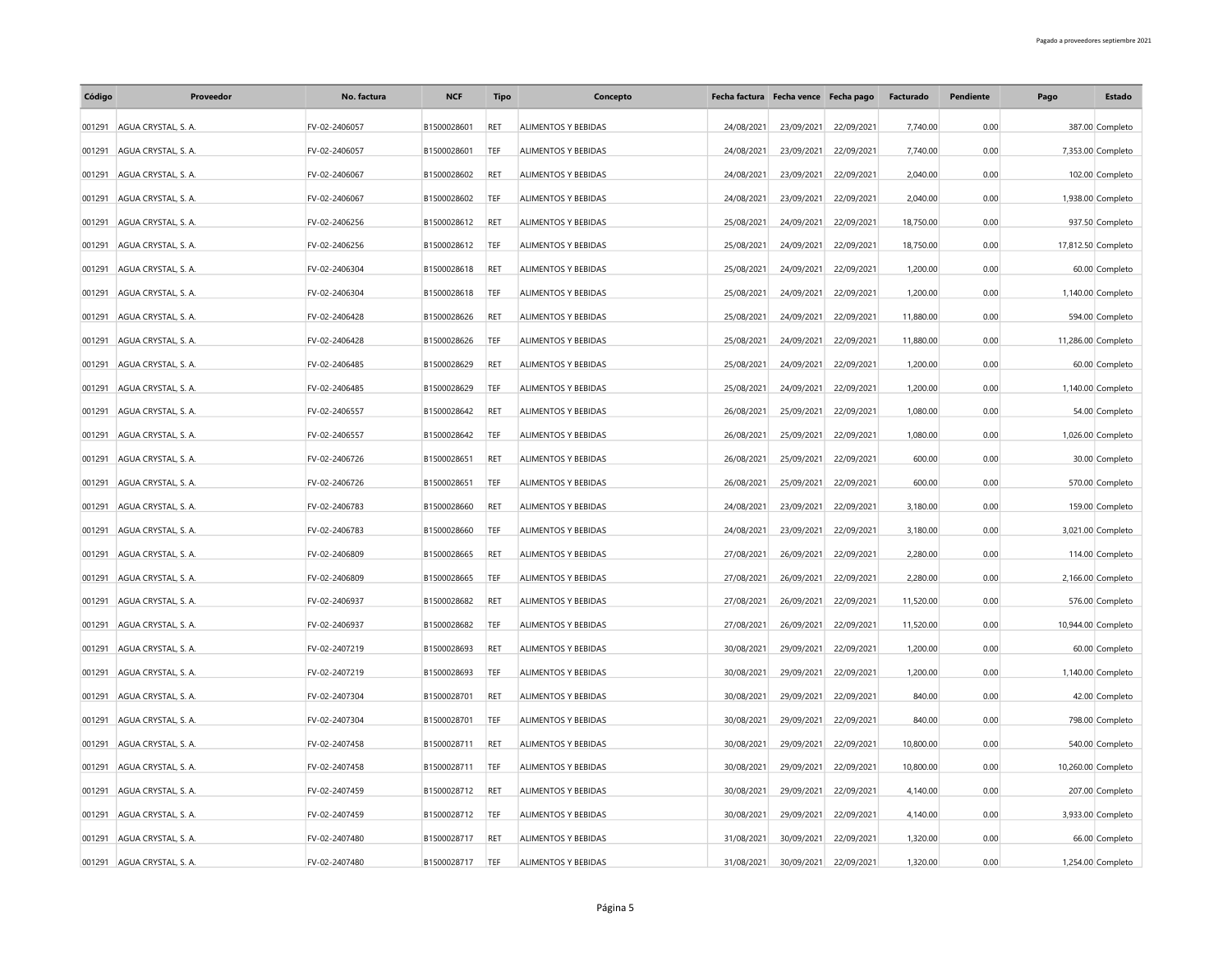| Código | Proveedor                  | No. factura   | <b>NCF</b>  | <b>Tipo</b> | Concepto            |            | Fecha factura Fecha vence Fecha pago |            | Facturado | Pendiente | Pago | Estado             |
|--------|----------------------------|---------------|-------------|-------------|---------------------|------------|--------------------------------------|------------|-----------|-----------|------|--------------------|
| 001291 | AGUA CRYSTAL S. A.         | FV-02-2406057 | B1500028601 | RET         | ALIMENTOS Y BEBIDAS | 24/08/2021 | 23/09/2021                           | 22/09/2021 | 7.740.00  | 0.00      |      | 387.00 Completo    |
| 001291 | AGUA CRYSTAL, S. A.        | FV-02-2406057 | B1500028601 | TEF         | ALIMENTOS Y BEBIDAS | 24/08/2021 | 23/09/2021                           | 22/09/2021 | 7,740.00  | 0.00      |      | 7,353.00 Completo  |
| 001291 | AGUA CRYSTAL, S. A.        | FV-02-2406067 | B1500028602 | <b>RET</b>  | ALIMENTOS Y BEBIDAS | 24/08/2021 | 23/09/2021                           | 22/09/2021 | 2,040.00  | 0.00      |      | 102.00 Completo    |
| 001291 | AGUA CRYSTAL, S. A.        | FV-02-2406067 | B1500028602 | TEF         | ALIMENTOS Y BEBIDAS | 24/08/2021 | 23/09/2021                           | 22/09/2021 | 2.040.00  | 0.00      |      | 1,938.00 Completo  |
| 001291 | AGUA CRYSTAL, S. A.        | FV-02-2406256 | B1500028612 | <b>RET</b>  | ALIMENTOS Y BEBIDAS | 25/08/2021 | 24/09/2021                           | 22/09/2021 | 18,750.00 | 0.00      |      | 937.50 Completo    |
| 001291 | AGUA CRYSTAL, S. A.        | FV-02-2406256 | B1500028612 | TEF         | ALIMENTOS Y BEBIDAS | 25/08/2021 | 24/09/2021                           | 22/09/2021 | 18,750.00 | 0.00      |      | 17,812.50 Completo |
| 001291 | AGUA CRYSTAL, S. A.        | FV-02-2406304 | B1500028618 | RET         | ALIMENTOS Y BEBIDAS | 25/08/2021 | 24/09/2021                           | 22/09/2021 | 1,200.00  | 0.00      |      | 60.00 Completo     |
| 001291 | AGUA CRYSTAL, S. A.        | FV-02-2406304 | B1500028618 | TEF         | ALIMENTOS Y BEBIDAS | 25/08/2021 | 24/09/2021                           | 22/09/2021 | 1,200.00  | 0.00      |      | 1,140.00 Completo  |
| 001291 | AGUA CRYSTAL, S. A.        | FV-02-2406428 | B1500028626 | RET         | ALIMENTOS Y BEBIDAS | 25/08/2021 | 24/09/2021                           | 22/09/2021 | 11,880.00 | 0.00      |      | 594.00 Completo    |
| 001291 | AGUA CRYSTAL, S. A.        | FV-02-2406428 | B1500028626 | TEF         | ALIMENTOS Y BEBIDAS | 25/08/2021 | 24/09/2021                           | 22/09/2021 | 11,880.00 | 0.00      |      | 11,286.00 Completo |
| 001291 | AGUA CRYSTAL, S. A.        | FV-02-2406485 | B1500028629 | RET         | ALIMENTOS Y BEBIDAS | 25/08/2021 | 24/09/2021                           | 22/09/2021 | 1,200.00  | 0.00      |      | 60.00 Completo     |
| 001291 | AGUA CRYSTAL, S. A.        | FV-02-2406485 | B1500028629 | TEF         | ALIMENTOS Y BEBIDAS | 25/08/2021 | 24/09/2021                           | 22/09/2021 | 1,200.00  | 0.00      |      | 1,140.00 Completo  |
| 001291 | AGUA CRYSTAL, S. A.        | FV-02-2406557 | B1500028642 | RET         | ALIMENTOS Y BEBIDAS | 26/08/2021 | 25/09/2021                           | 22/09/2021 | 1,080.00  | 0.00      |      | 54.00 Completo     |
| 001291 | AGUA CRYSTAL, S. A.        | FV-02-2406557 | B1500028642 | TEF         | ALIMENTOS Y BEBIDAS | 26/08/2021 | 25/09/2021                           | 22/09/2021 | 1,080.00  | 0.00      |      | 1,026.00 Completo  |
| 001291 | AGUA CRYSTAL, S. A.        | FV-02-2406726 | B1500028651 | RET         | ALIMENTOS Y BEBIDAS | 26/08/2021 | 25/09/2021                           | 22/09/2021 | 600.00    | 0.00      |      | 30.00 Completo     |
| 001291 | AGUA CRYSTAL, S. A.        | FV-02-2406726 | B1500028651 | TEF         | ALIMENTOS Y BEBIDAS | 26/08/2021 | 25/09/2021                           | 22/09/2021 | 600.00    | 0.00      |      | 570.00 Completo    |
| 001291 | AGUA CRYSTAL, S. A.        | FV-02-2406783 | B1500028660 | RET         | ALIMENTOS Y BEBIDAS | 24/08/2021 | 23/09/2021                           | 22/09/2021 | 3,180.00  | 0.00      |      | 159.00 Completo    |
| 001291 | AGUA CRYSTAL, S. A.        | FV-02-2406783 | B1500028660 | TEF         | ALIMENTOS Y BEBIDAS | 24/08/2021 | 23/09/2021                           | 22/09/2021 | 3,180.00  | 0.00      |      | 3,021.00 Completo  |
| 001291 | AGUA CRYSTAL, S. A.        | FV-02-2406809 | B1500028665 | RET         | ALIMENTOS Y BEBIDAS | 27/08/2021 | 26/09/2021                           | 22/09/2021 | 2,280.00  | 0.00      |      | 114.00 Completo    |
| 001291 | AGUA CRYSTAL, S. A.        | FV-02-2406809 | B1500028665 | TEF         | ALIMENTOS Y BEBIDAS | 27/08/2021 | 26/09/2021                           | 22/09/2021 | 2,280.00  | 0.00      |      | 2,166.00 Completo  |
| 001291 | AGUA CRYSTAL, S. A.        | FV-02-2406937 | B1500028682 | RET         | ALIMENTOS Y BEBIDAS | 27/08/2021 | 26/09/2021                           | 22/09/2021 | 11,520.00 | 0.00      |      | 576.00 Completo    |
| 001291 | AGUA CRYSTAL, S. A.        | FV-02-2406937 | B1500028682 | TEF         | ALIMENTOS Y BEBIDAS | 27/08/2021 | 26/09/2021                           | 22/09/2021 | 11,520.00 | 0.00      |      | 10,944.00 Completo |
| 001291 | AGUA CRYSTAL, S. A.        | FV-02-2407219 | B1500028693 | RET         | ALIMENTOS Y BEBIDAS | 30/08/2021 | 29/09/2021                           | 22/09/2021 | 1,200.00  | 0.00      |      | 60.00 Completo     |
| 001291 | AGUA CRYSTAL, S. A.        | FV-02-2407219 | B1500028693 | TEF         | ALIMENTOS Y BEBIDAS | 30/08/2021 | 29/09/2021                           | 22/09/2021 | 1,200.00  | 0.00      |      | 1,140.00 Completo  |
| 001291 | AGUA CRYSTAL, S. A.        | FV-02-2407304 | B1500028701 | RET         | ALIMENTOS Y BEBIDAS | 30/08/2021 | 29/09/2021                           | 22/09/2021 | 840.00    | 0.00      |      | 42.00 Completo     |
| 001291 | AGUA CRYSTAL, S. A.        | FV-02-2407304 | B1500028701 | TEF         | ALIMENTOS Y BEBIDAS | 30/08/2021 | 29/09/2021                           | 22/09/2021 | 840.00    | 0.00      |      | 798.00 Completo    |
| 001291 | AGUA CRYSTAL, S. A.        | FV-02-2407458 | B1500028711 | RET         | ALIMENTOS Y BEBIDAS | 30/08/2021 | 29/09/2021                           | 22/09/2021 | 10,800.00 | 0.00      |      | 540.00 Completo    |
| 001291 | AGUA CRYSTAL, S. A.        | FV-02-2407458 | B1500028711 | TEF         | ALIMENTOS Y BEBIDAS | 30/08/2021 | 29/09/2021                           | 22/09/2021 | 10,800.00 | 0.00      |      | 10,260.00 Completo |
| 001291 | AGUA CRYSTAL, S. A.        | FV-02-2407459 | B1500028712 | RET         | ALIMENTOS Y BEBIDAS | 30/08/2021 | 29/09/2021                           | 22/09/2021 | 4,140.00  | 0.00      |      | 207.00 Completo    |
| 001291 | AGUA CRYSTAL, S. A.        | FV-02-2407459 | B1500028712 | TEF         | ALIMENTOS Y BEBIDAS | 30/08/2021 | 29/09/2021                           | 22/09/2021 | 4,140.00  | 0.00      |      | 3,933.00 Completo  |
| 001291 | AGUA CRYSTAL, S. A.        | FV-02-2407480 | B1500028717 | RET         | ALIMENTOS Y BEBIDAS | 31/08/2021 | 30/09/2021                           | 22/09/2021 | 1,320.00  | 0.00      |      | 66.00 Completo     |
|        | 001291 AGUA CRYSTAL, S. A. | FV-02-2407480 | B1500028717 | TEF         | ALIMENTOS Y BEBIDAS | 31/08/2021 | 30/09/2021                           | 22/09/2021 | 1,320.00  | 0.00      |      | 1,254.00 Completo  |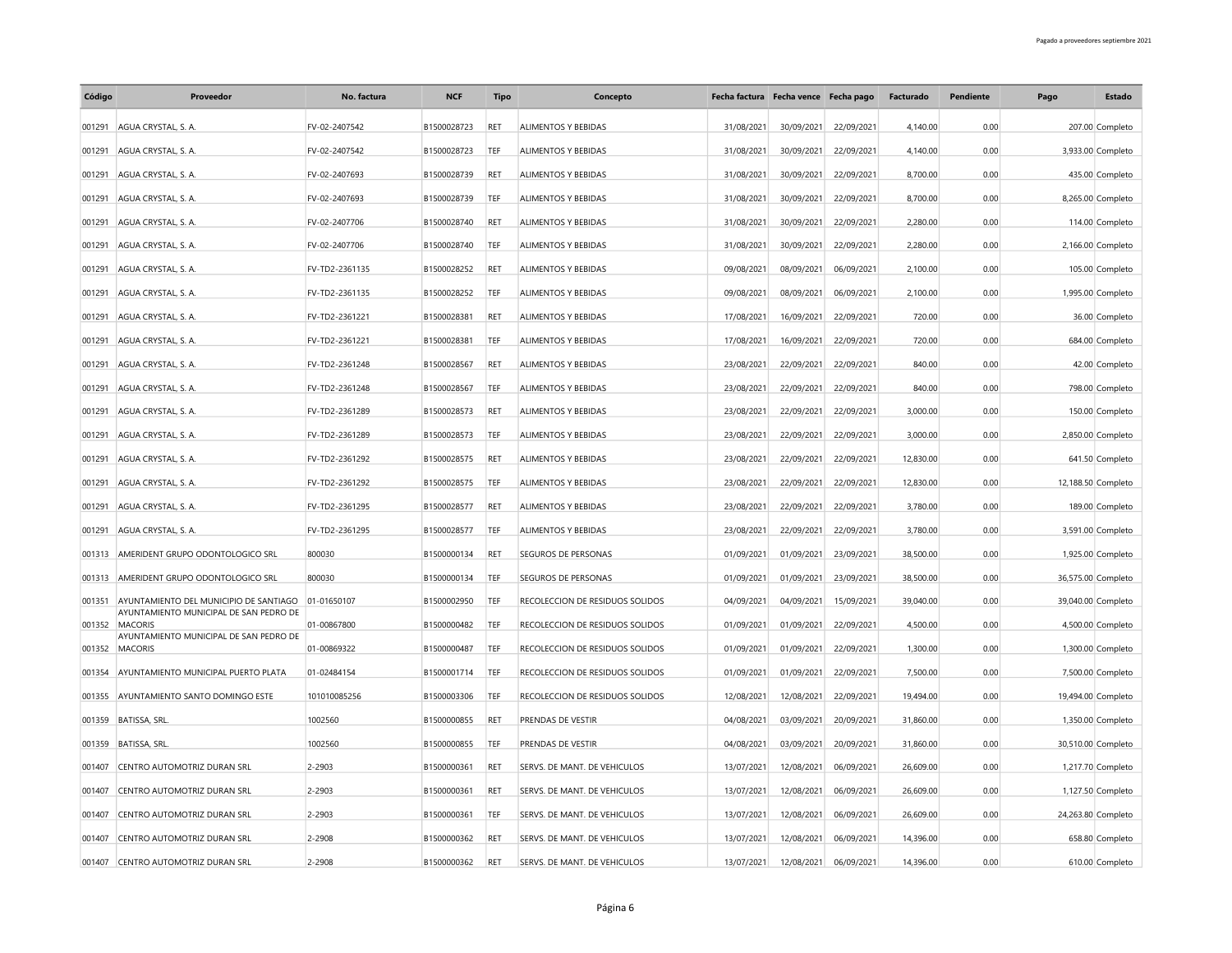| Código | Proveedor                                                                                    | No. factura    | <b>NCF</b>  | <b>Tipo</b> | Concepto                        |            | Fecha factura Fecha vence Fecha pago |            | Facturado | Pendiente | Pago | Estado             |
|--------|----------------------------------------------------------------------------------------------|----------------|-------------|-------------|---------------------------------|------------|--------------------------------------|------------|-----------|-----------|------|--------------------|
| 001291 | AGUA CRYSTAL S. A.                                                                           | FV-02-2407542  | B1500028723 | <b>RET</b>  | <b>ALIMENTOS Y BEBIDAS</b>      | 31/08/2021 | 30/09/2021                           | 22/09/2021 | 4.140.00  | 0.00      |      | 207.00 Completo    |
| 001291 | AGUA CRYSTAL, S. A.                                                                          | FV-02-2407542  | B1500028723 | TEF         | ALIMENTOS Y BEBIDAS             | 31/08/2021 | 30/09/2021                           | 22/09/2021 | 4,140.00  | 0.00      |      | 3,933.00 Completo  |
| 001291 | AGUA CRYSTAL, S. A.                                                                          | FV-02-2407693  | B1500028739 | RET         | ALIMENTOS Y BEBIDAS             | 31/08/2021 | 30/09/2021                           | 22/09/2021 | 8,700.00  | 0.00      |      | 435.00 Completo    |
| 001291 | AGUA CRYSTAL, S. A.                                                                          | FV-02-2407693  | B1500028739 | TEF         | ALIMENTOS Y BEBIDAS             | 31/08/2021 | 30/09/2021                           | 22/09/2021 | 8.700.00  | 0.00      |      | 8,265.00 Completo  |
| 001291 | AGUA CRYSTAL, S. A.                                                                          | FV-02-2407706  | B1500028740 | RET         | ALIMENTOS Y BEBIDAS             | 31/08/2021 | 30/09/2021                           | 22/09/2021 | 2,280.00  | 0.00      |      | 114.00 Completo    |
| 001291 | AGUA CRYSTAL, S. A.                                                                          | FV-02-2407706  | B1500028740 | TEF         | ALIMENTOS Y BEBIDAS             | 31/08/2021 | 30/09/2021                           | 22/09/2021 | 2,280.00  | 0.00      |      | 2,166.00 Completo  |
| 001291 | AGUA CRYSTAL, S. A.                                                                          | FV-TD2-2361135 | B1500028252 | RET         | ALIMENTOS Y BEBIDAS             | 09/08/2021 | 08/09/2021                           | 06/09/2021 | 2,100.00  | 0.00      |      | 105.00 Completo    |
| 001291 | AGUA CRYSTAL, S. A.                                                                          | FV-TD2-2361135 | B1500028252 | TEF         | ALIMENTOS Y BEBIDAS             | 09/08/2021 | 08/09/2021                           | 06/09/2021 | 2,100.00  | 0.00      |      | 1,995.00 Completo  |
| 001291 | AGUA CRYSTAL, S. A.                                                                          | FV-TD2-2361221 | B1500028381 | RET         | ALIMENTOS Y BEBIDAS             | 17/08/2021 | 16/09/2021                           | 22/09/2021 | 720.00    | 0.00      |      | 36.00 Completo     |
| 001291 | AGUA CRYSTAL, S. A.                                                                          | FV-TD2-2361221 | B1500028381 | TEF         | ALIMENTOS Y BEBIDAS             | 17/08/2021 | 16/09/2021                           | 22/09/2021 | 720.00    | 0.00      |      | 684.00 Completo    |
| 001291 | AGUA CRYSTAL, S. A.                                                                          | FV-TD2-2361248 | B1500028567 | RET         | ALIMENTOS Y BEBIDAS             | 23/08/2021 | 22/09/2021                           | 22/09/2021 | 840.00    | 0.00      |      | 42.00 Completo     |
| 001291 | AGUA CRYSTAL, S. A.                                                                          | FV-TD2-2361248 | B1500028567 | TEF         | ALIMENTOS Y BEBIDAS             | 23/08/2021 | 22/09/2021                           | 22/09/2021 | 840.00    | 0.00      |      | 798.00 Completo    |
| 001291 | AGUA CRYSTAL, S. A.                                                                          | FV-TD2-2361289 | B1500028573 | RET         | ALIMENTOS Y BEBIDAS             | 23/08/2021 | 22/09/2021                           | 22/09/2021 | 3,000.00  | 0.00      |      | 150.00 Completo    |
| 001291 | AGUA CRYSTAL, S. A.                                                                          | FV-TD2-2361289 | B1500028573 | TEF         | ALIMENTOS Y BEBIDAS             | 23/08/2021 | 22/09/2021                           | 22/09/2021 | 3,000.00  | 0.00      |      | 2,850.00 Completo  |
| 001291 | AGUA CRYSTAL, S. A.                                                                          | FV-TD2-2361292 | B1500028575 | RET         | ALIMENTOS Y BEBIDAS             | 23/08/2021 | 22/09/2021                           | 22/09/2021 | 12,830.00 | 0.00      |      | 641.50 Completo    |
| 001291 | AGUA CRYSTAL, S. A.                                                                          | FV-TD2-2361292 | B1500028575 | TEF         | ALIMENTOS Y BEBIDAS             | 23/08/2021 | 22/09/2021                           | 22/09/2021 | 12,830.00 | 0.00      |      | 12,188.50 Completo |
|        | AGUA CRYSTAL S. A.                                                                           |                |             | RET         | <b>ALIMENTOS Y BEBIDAS</b>      |            |                                      |            |           | 0.00      |      |                    |
| 001291 |                                                                                              | FV-TD2-2361295 | B1500028577 |             |                                 | 23/08/2021 | 22/09/2021                           | 22/09/2021 | 3,780.00  |           |      | 189.00 Completo    |
| 001291 | AGUA CRYSTAL, S. A.                                                                          | FV-TD2-2361295 | B1500028577 | TEF         | ALIMENTOS Y BEBIDAS             | 23/08/2021 | 22/09/2021                           | 22/09/2021 | 3,780.00  | 0.00      |      | 3,591.00 Completo  |
| 001313 | AMERIDENT GRUPO ODONTOLOGICO SRL                                                             | 800030         | B1500000134 | RET         | <b>SEGUROS DE PERSONAS</b>      | 01/09/2021 | 01/09/2021                           | 23/09/2021 | 38,500.00 | 0.00      |      | 1,925.00 Completo  |
| 001313 | AMERIDENT GRUPO ODONTOLOGICO SRL                                                             | 800030         | B1500000134 | TEF         | SEGUROS DE PERSONAS             | 01/09/2021 | 01/09/2021                           | 23/09/2021 | 38,500.00 | 0.00      |      | 36,575.00 Completo |
| 001351 | AYUNTAMIENTO DEL MUNICIPIO DE SANTIAGO 01-01650107<br>AYUNTAMIENTO MUNICIPAL DE SAN PEDRO DE |                | B1500002950 | TEF         | RECOLECCION DE RESIDUOS SOLIDOS | 04/09/2021 | 04/09/2021                           | 15/09/2021 | 39,040.00 | 0.00      |      | 39,040.00 Completo |
| 001352 | <b>MACORIS</b><br>AYUNTAMIENTO MUNICIPAL DE SAN PEDRO DE                                     | 01-00867800    | B1500000482 | TEF         | RECOLECCION DE RESIDUOS SOLIDOS | 01/09/2021 | 01/09/2021                           | 22/09/2021 | 4,500.00  | 0.00      |      | 4,500.00 Completo  |
| 001352 | <b>MACORIS</b>                                                                               | 01-00869322    | B1500000487 | TEF         | RECOLECCION DE RESIDUOS SOLIDOS | 01/09/2021 | 01/09/2021                           | 22/09/2021 | 1,300.00  | 0.00      |      | 1,300.00 Completo  |
| 001354 | AYUNTAMIENTO MUNICIPAL PUERTO PLATA                                                          | 01-02484154    | B1500001714 | TEF         | RECOLECCION DE RESIDUOS SOLIDOS | 01/09/2021 | 01/09/2021                           | 22/09/2021 | 7,500.00  | 0.00      |      | 7,500.00 Completo  |
| 001355 | AYUNTAMIENTO SANTO DOMINGO ESTE                                                              | 101010085256   | B1500003306 | TEF         | RECOLECCION DE RESIDUOS SOLIDOS | 12/08/2021 | 12/08/2021                           | 22/09/2021 | 19,494.00 | 0.00      |      | 19,494.00 Completo |
| 001359 | BATISSA, SRL.                                                                                | 1002560        | B1500000855 | RET         | PRENDAS DE VESTIR               | 04/08/2021 | 03/09/2021                           | 20/09/2021 | 31,860.00 | 0.00      |      | 1,350.00 Completo  |
| 001359 | BATISSA, SRL.                                                                                | 1002560        | B1500000855 | TEF         | PRENDAS DE VESTIR               | 04/08/2021 | 03/09/2021                           | 20/09/2021 | 31,860.00 | 0.00      |      | 30,510.00 Completo |
| 001407 | CENTRO AUTOMOTRIZ DURAN SRL                                                                  | 2-2903         | B1500000361 | RET         | SERVS. DE MANT. DE VEHICULOS    | 13/07/2021 | 12/08/2021                           | 06/09/2021 | 26,609.00 | 0.00      |      | 1,217.70 Completo  |
| 001407 | CENTRO AUTOMOTRIZ DURAN SRL                                                                  | 2-2903         | B1500000361 | RET         | SERVS. DE MANT. DE VEHICULOS    | 13/07/2021 | 12/08/2021                           | 06/09/2021 | 26,609.00 | 0.00      |      | 1,127.50 Completo  |
| 001407 | CENTRO AUTOMOTRIZ DURAN SRL                                                                  | 2-2903         | B1500000361 | TEF         | SERVS. DE MANT. DE VEHICULOS    | 13/07/2021 | 12/08/2021                           | 06/09/2021 | 26,609.00 | 0.00      |      | 24,263.80 Completo |
| 001407 | CENTRO AUTOMOTRIZ DURAN SRL                                                                  | 2-2908         | B1500000362 | RET         | SERVS. DE MANT. DE VEHICULOS    | 13/07/2021 | 12/08/2021                           | 06/09/2021 | 14,396.00 | 0.00      |      | 658.80 Completo    |
|        | 001407 CENTRO AUTOMOTRIZ DURAN SRL                                                           | 2-2908         | B1500000362 | RET         | SERVS. DE MANT. DE VEHICULOS    | 13/07/2021 | 12/08/2021                           | 06/09/2021 | 14,396.00 | 0.00      |      | 610.00 Completo    |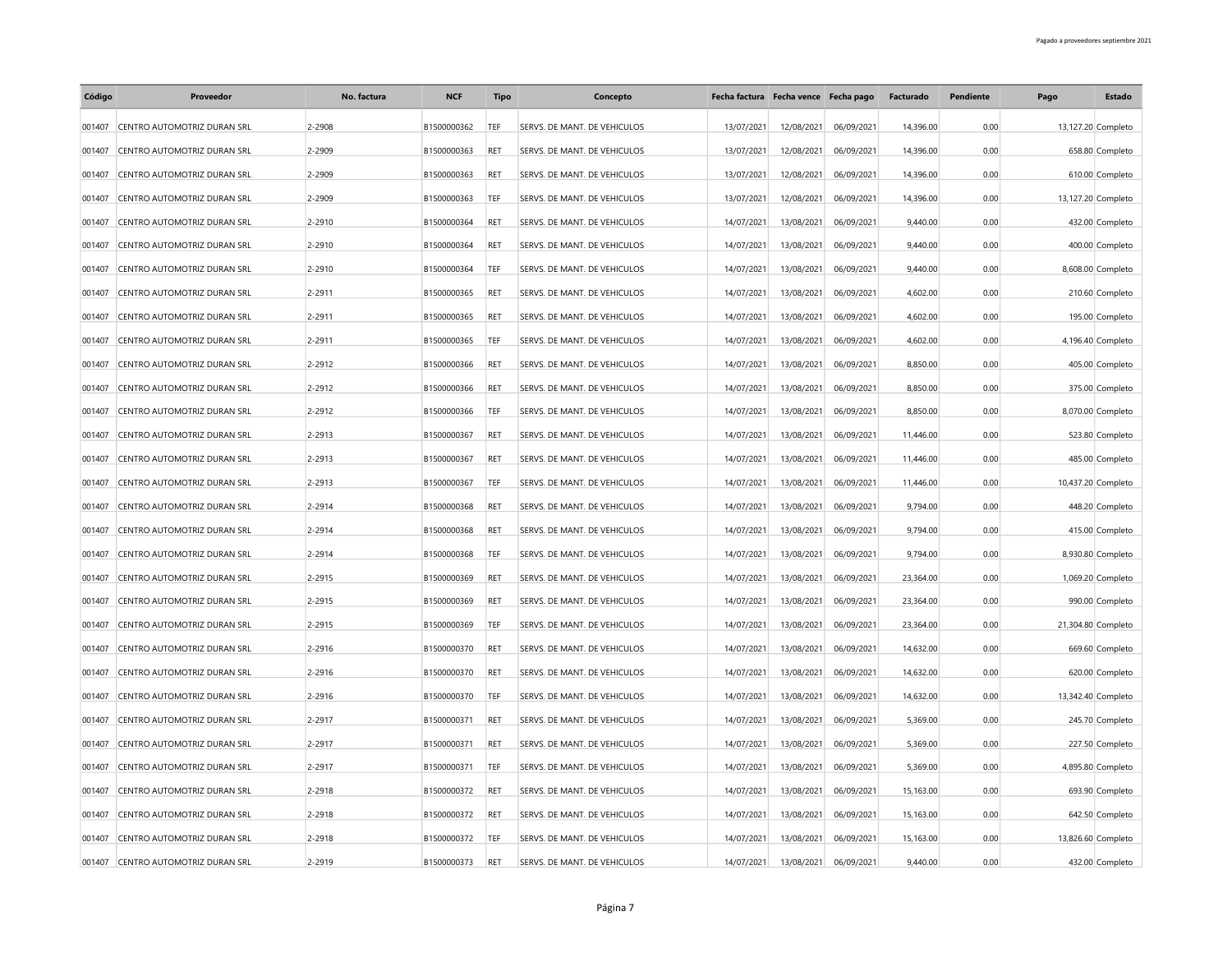| Código | Proveedor                          | No. factura | <b>NCF</b>  | Tipo       | Concepto                     |            | Fecha factura Fecha vence Fecha pago |            | Facturado | Pendiente | Pago               | Estado            |
|--------|------------------------------------|-------------|-------------|------------|------------------------------|------------|--------------------------------------|------------|-----------|-----------|--------------------|-------------------|
| 001407 | CENTRO AUTOMOTRIZ DURAN SRL        | 2-2908      | B1500000362 | TEF        | SERVS. DE MANT. DE VEHICULOS | 13/07/2021 | 12/08/2021                           | 06/09/2021 | 14,396.00 | 0.00      | 13,127.20 Completo |                   |
| 001407 | CENTRO AUTOMOTRIZ DURAN SRL        | 2-2909      | B1500000363 | RET        | SERVS. DE MANT. DE VEHICULOS | 13/07/2021 | 12/08/2021                           | 06/09/2021 | 14,396.00 | 0.00      |                    | 658.80 Completo   |
| 001407 | CENTRO AUTOMOTRIZ DURAN SRL        | 2-2909      | B1500000363 | <b>RFT</b> | SERVS. DE MANT. DE VEHICULOS | 13/07/2021 | 12/08/2021                           | 06/09/2021 | 14,396.00 | 0.00      |                    | 610.00 Completo   |
| 001407 | CENTRO AUTOMOTRIZ DURAN SRL        | 2-2909      | B1500000363 | <b>TEF</b> | SERVS. DE MANT. DE VEHICULOS | 13/07/2021 | 12/08/2021                           | 06/09/2021 | 14,396.00 | 0.00      | 13,127.20 Completo |                   |
| 001407 | CENTRO AUTOMOTRIZ DURAN SRL        | 2-2910      | B1500000364 | RFT        | SERVS. DE MANT. DE VEHICULOS | 14/07/2021 | 13/08/2021                           | 06/09/2021 | 9,440.00  | 0.00      |                    | 432.00 Completo   |
| 001407 | CENTRO AUTOMOTRIZ DURAN SRL        | 2-2910      | B1500000364 | <b>RET</b> | SERVS. DE MANT. DE VEHICULOS | 14/07/2021 | 13/08/2021                           | 06/09/2021 | 9,440.00  | 0.00      |                    | 400.00 Completo   |
| 001407 | CENTRO AUTOMOTRIZ DURAN SRL        | 2-2910      | B1500000364 | <b>TEF</b> | SERVS. DE MANT. DE VEHICULOS | 14/07/2021 | 13/08/2021                           | 06/09/2021 | 9,440.00  | 0.00      |                    | 8,608.00 Completo |
| 001407 | CENTRO AUTOMOTRIZ DURAN SRL        | 2-2911      | B1500000365 | RET        | SERVS. DE MANT. DE VEHICULOS | 14/07/2021 | 13/08/2021                           | 06/09/2021 | 4,602.00  | 0.00      |                    | 210.60 Completo   |
| 001407 | CENTRO AUTOMOTRIZ DURAN SRL        | 2-2911      | B1500000365 | <b>RFT</b> | SERVS. DE MANT. DE VEHICULOS | 14/07/2021 | 13/08/2021                           | 06/09/2021 | 4,602.00  | 0.00      |                    | 195.00 Completo   |
| 001407 | CENTRO AUTOMOTRIZ DURAN SRL        | 2-2911      | B1500000365 | TEF        | SERVS. DE MANT. DE VEHICULOS | 14/07/2021 | 13/08/2021                           | 06/09/2021 | 4,602.00  | 0.00      |                    | 4,196.40 Completo |
| 001407 | CENTRO AUTOMOTRIZ DURAN SRL        | 2-2912      | B1500000366 | <b>RET</b> | SERVS. DE MANT. DE VEHICULOS | 14/07/2021 | 13/08/2021                           | 06/09/2021 | 8,850.00  | 0.00      |                    | 405.00 Completo   |
| 001407 | CENTRO AUTOMOTRIZ DURAN SRL        | 2-2912      | B1500000366 | <b>RET</b> | SERVS. DE MANT. DE VEHICULOS | 14/07/2021 | 13/08/2021                           | 06/09/2021 | 8,850.00  | 0.00      |                    | 375.00 Completo   |
| 001407 | CENTRO AUTOMOTRIZ DURAN SRL        | 2-2912      | B1500000366 | TEF        | SERVS. DE MANT. DE VEHICULOS | 14/07/2021 | 13/08/2021                           | 06/09/2021 | 8,850.00  | 0.00      |                    | 8,070.00 Completo |
| 001407 | CENTRO AUTOMOTRIZ DURAN SRL        | 2-2913      | B1500000367 | <b>RET</b> | SERVS. DE MANT. DE VEHICULOS | 14/07/2021 | 13/08/2021                           | 06/09/2021 | 11,446.00 | 0.00      |                    | 523.80 Completo   |
| 001407 | CENTRO AUTOMOTRIZ DURAN SRL        | 2-2913      | B1500000367 | <b>RET</b> | SERVS. DE MANT. DE VEHICULOS | 14/07/2021 | 13/08/2021                           | 06/09/2021 | 11,446.00 | 0.00      |                    | 485.00 Completo   |
| 001407 | CENTRO AUTOMOTRIZ DURAN SRL        | 2-2913      | B1500000367 | TEF        | SERVS. DE MANT. DE VEHICULOS | 14/07/2021 | 13/08/2021                           | 06/09/2021 | 11,446.00 | 0.00      | 10,437.20 Completo |                   |
| 001407 | CENTRO AUTOMOTRIZ DURAN SRL        | 2-2914      | B1500000368 | <b>RET</b> | SERVS. DE MANT. DE VEHICULOS | 14/07/2021 | 13/08/2021                           | 06/09/2021 | 9,794.00  | 0.00      |                    | 448.20 Completo   |
| 001407 | CENTRO AUTOMOTRIZ DURAN SRL        | 2-2914      | B1500000368 | RET        | SERVS. DE MANT. DE VEHICULOS | 14/07/2021 | 13/08/2021                           | 06/09/2021 | 9,794.00  | 0.00      |                    | 415.00 Completo   |
| 001407 | CENTRO AUTOMOTRIZ DURAN SRL        | 2-2914      | B1500000368 | TEF        | SERVS. DE MANT. DE VEHICULOS | 14/07/2021 | 13/08/2021                           | 06/09/2021 | 9,794.00  | 0.00      |                    | 8,930.80 Completo |
| 001407 | CENTRO AUTOMOTRIZ DURAN SRL        | 2-2915      | B1500000369 | <b>RET</b> | SERVS. DE MANT. DE VEHICULOS | 14/07/2021 | 13/08/2021                           | 06/09/2021 | 23,364.00 | 0.00      |                    | 1,069.20 Completo |
| 001407 | CENTRO AUTOMOTRIZ DURAN SRL        | 2-2915      | B1500000369 | RET        | SERVS. DE MANT. DE VEHICULOS | 14/07/2021 | 13/08/2021                           | 06/09/2021 | 23,364.00 | 0.00      |                    | 990.00 Completo   |
| 001407 | CENTRO AUTOMOTRIZ DURAN SRL        | 2-2915      | B1500000369 | TEF        | SERVS. DE MANT. DE VEHICULOS | 14/07/2021 | 13/08/2021                           | 06/09/2021 | 23,364.00 | 0.00      | 21,304.80 Completo |                   |
| 001407 | CENTRO AUTOMOTRIZ DURAN SRL        | 2-2916      | B1500000370 | RET        | SERVS. DE MANT. DE VEHICULOS | 14/07/2021 | 13/08/2021                           | 06/09/2021 | 14,632.00 | 0.00      |                    | 669.60 Completo   |
| 001407 | CENTRO AUTOMOTRIZ DURAN SRL        | 2-2916      | B1500000370 | <b>RET</b> | SERVS. DE MANT. DE VEHICULOS | 14/07/2021 | 13/08/2021                           | 06/09/2021 | 14,632.00 | 0.00      |                    | 620.00 Completo   |
| 001407 | CENTRO AUTOMOTRIZ DURAN SRL        | 2-2916      | B1500000370 | TEF        | SERVS. DE MANT. DE VEHICULOS | 14/07/2021 | 13/08/2021                           | 06/09/2021 | 14,632.00 | 0.00      | 13,342.40 Completo |                   |
| 001407 | CENTRO AUTOMOTRIZ DURAN SRL        | 2-2917      | B1500000371 | RET        | SERVS. DE MANT. DE VEHICULOS | 14/07/2021 | 13/08/2021                           | 06/09/2021 | 5,369.00  | 0.00      |                    | 245.70 Completo   |
| 001407 | CENTRO AUTOMOTRIZ DURAN SRL        | 2-2917      | B1500000371 | RET        | SERVS. DE MANT. DE VEHICULOS | 14/07/2021 | 13/08/2021                           | 06/09/2021 | 5,369.00  | 0.00      |                    | 227.50 Completo   |
| 001407 | CENTRO AUTOMOTRIZ DURAN SRL        | 2-2917      | B1500000371 | <b>TEF</b> | SERVS. DE MANT. DE VEHICULOS | 14/07/2021 | 13/08/2021                           | 06/09/2021 | 5,369.00  | 0.00      |                    | 4,895.80 Completo |
| 001407 | CENTRO AUTOMOTRIZ DURAN SRL        | 2-2918      | B1500000372 | RET        | SERVS. DE MANT. DE VEHICULOS | 14/07/2021 | 13/08/2021                           | 06/09/2021 | 15,163.00 | 0.00      |                    | 693.90 Completo   |
| 001407 | CENTRO AUTOMOTRIZ DURAN SRL        | 2-2918      | B1500000372 | RET        | SERVS. DE MANT. DE VEHICULOS | 14/07/2021 | 13/08/2021                           | 06/09/2021 | 15,163.00 | 0.00      |                    | 642.50 Completo   |
| 001407 | CENTRO AUTOMOTRIZ DURAN SRL        | 2-2918      | B1500000372 | TEF        | SERVS. DE MANT. DE VEHICULOS | 14/07/2021 | 13/08/2021                           | 06/09/2021 | 15,163.00 | 0.00      | 13,826.60 Completo |                   |
|        | 001407 CENTRO AUTOMOTRIZ DURAN SRL | 2-2919      | B1500000373 | <b>RET</b> | SERVS. DE MANT. DE VEHICULOS | 14/07/2021 | 13/08/2021                           | 06/09/2021 | 9.440.00  | 0.00      |                    | 432.00 Completo   |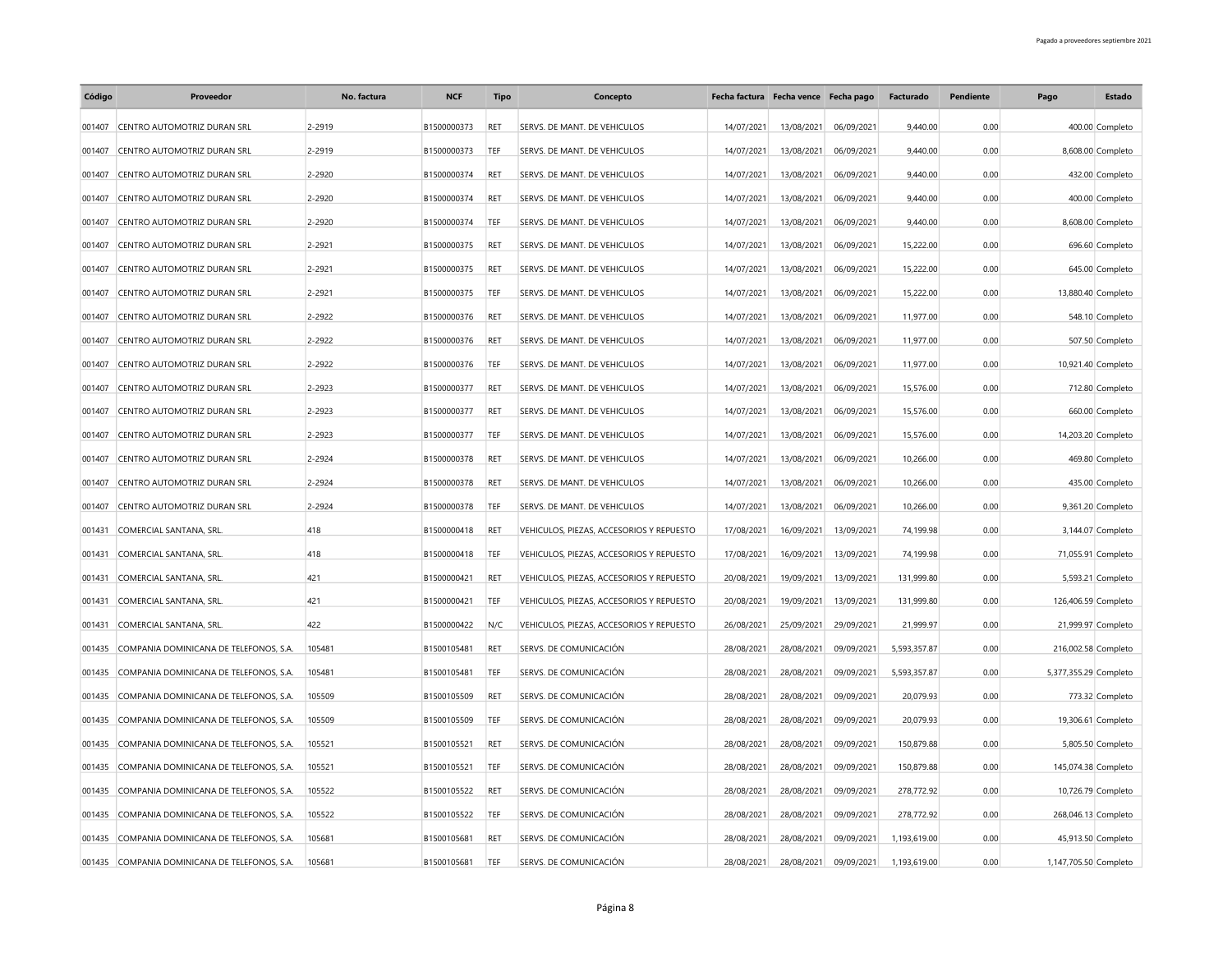| Código | Proveedor                                     | No. factura | <b>NCF</b>  | Tipo       | Concepto                                 | Fecha factura Fecha vence Fecha pago |            |            | Facturado    | Pendiente | Pago                  | Estado             |
|--------|-----------------------------------------------|-------------|-------------|------------|------------------------------------------|--------------------------------------|------------|------------|--------------|-----------|-----------------------|--------------------|
| 001407 | CENTRO AUTOMOTRIZ DURAN SRL                   | 2-2919      | B1500000373 | RET        | SERVS. DE MANT. DE VEHICULOS             | 14/07/2021                           | 13/08/2021 | 06/09/2021 | 9,440.00     | 0.00      |                       | 400.00 Completo    |
| 001407 | CENTRO AUTOMOTRIZ DURAN SRL                   | 2-2919      | B1500000373 | TEF        | SERVS. DE MANT. DE VEHICULOS             | 14/07/2021                           | 13/08/2021 | 06/09/2021 | 9,440.00     | 0.00      |                       | 8,608.00 Completo  |
| 001407 | CENTRO AUTOMOTRIZ DURAN SRL                   | 2-2920      | B1500000374 | <b>RET</b> | SERVS. DE MANT. DE VEHICULOS             | 14/07/2021                           | 13/08/2021 | 06/09/2021 | 9,440.00     | 0.00      |                       | 432.00 Completo    |
| 001407 | CENTRO AUTOMOTRIZ DURAN SRL                   | 2-2920      | B1500000374 | <b>RET</b> | SERVS. DE MANT. DE VEHICULOS             | 14/07/2021                           | 13/08/2021 | 06/09/2021 | 9,440.00     | 0.00      |                       | 400.00 Completo    |
| 001407 | CENTRO AUTOMOTRIZ DURAN SRL                   | 2-2920      | B1500000374 | TEF        | SERVS. DE MANT. DE VEHICULOS             | 14/07/2021                           | 13/08/2021 | 06/09/2021 | 9,440.00     | 0.00      |                       | 8,608.00 Completo  |
| 001407 | CENTRO AUTOMOTRIZ DURAN SRL                   | 2-2921      | B1500000375 | RET        | SERVS. DE MANT. DE VEHICULOS             | 14/07/2021                           | 13/08/2021 | 06/09/2021 | 15,222.00    | 0.00      |                       | 696.60 Completo    |
| 001407 | CENTRO AUTOMOTRIZ DURAN SRL                   | 2-2921      | B1500000375 | <b>RET</b> | SERVS. DE MANT. DE VEHICULOS             | 14/07/2021                           | 13/08/2021 | 06/09/2021 | 15,222.00    | 0.00      |                       | 645.00 Completo    |
| 001407 | CENTRO AUTOMOTRIZ DURAN SRL                   | 2-2921      | B1500000375 | TEF        | SERVS. DE MANT. DE VEHICULOS             | 14/07/2021                           | 13/08/2021 | 06/09/2021 | 15,222.00    | 0.00      |                       | 13,880.40 Completo |
| 001407 | CENTRO AUTOMOTRIZ DURAN SRL                   | 2-2922      | B1500000376 | RET        | SERVS. DE MANT. DE VEHICULOS             | 14/07/2021                           | 13/08/2021 | 06/09/2021 | 11,977.00    | 0.00      |                       | 548.10 Completo    |
| 001407 | CENTRO AUTOMOTRIZ DURAN SRL                   | 2-2922      | B1500000376 | <b>RET</b> | SERVS. DE MANT. DE VEHICULOS             | 14/07/2021                           | 13/08/2021 | 06/09/2021 | 11,977.00    | 0.00      |                       | 507.50 Completo    |
| 001407 | CENTRO AUTOMOTRIZ DURAN SRL                   | 2-2922      | B1500000376 | <b>TEF</b> | SERVS. DE MANT. DE VEHICULOS             | 14/07/2021                           | 13/08/2021 | 06/09/2021 | 11,977.00    | 0.00      |                       | 10,921.40 Completo |
| 001407 | CENTRO AUTOMOTRIZ DURAN SRL                   | 2-2923      | B1500000377 | RET        | SERVS. DE MANT. DE VEHICULOS             | 14/07/2021                           | 13/08/2021 | 06/09/2021 | 15,576.00    | 0.00      |                       | 712.80 Completo    |
| 001407 | CENTRO AUTOMOTRIZ DURAN SRL                   | 2-2923      | B1500000377 | <b>RET</b> | SERVS. DE MANT. DE VEHICULOS             | 14/07/2021                           | 13/08/2021 | 06/09/2021 | 15,576.00    | 0.00      |                       | 660.00 Completo    |
| 001407 | CENTRO AUTOMOTRIZ DURAN SRL                   | 2-2923      | B1500000377 | TEF        | SERVS. DE MANT. DE VEHICULOS             | 14/07/2021                           | 13/08/2021 | 06/09/2021 | 15,576.00    | 0.00      |                       | 14,203.20 Completo |
| 001407 | CENTRO AUTOMOTRIZ DURAN SRL                   | 2-2924      | B1500000378 | <b>RET</b> | SERVS. DE MANT. DE VEHICULOS             | 14/07/2021                           | 13/08/2021 | 06/09/2021 | 10,266.00    | 0.00      |                       | 469.80 Completo    |
| 001407 | CENTRO AUTOMOTRIZ DURAN SRL                   | 2-2924      | B1500000378 | <b>RET</b> | SERVS. DE MANT. DE VEHICULOS             | 14/07/2021                           | 13/08/2021 | 06/09/2021 | 10,266.00    | 0.00      |                       | 435.00 Completo    |
| 001407 | CENTRO AUTOMOTRIZ DURAN SRL                   | 2-2924      | B1500000378 | TEF        | SERVS. DE MANT. DE VEHICULOS             | 14/07/2021                           | 13/08/2021 | 06/09/2021 | 10,266.00    | 0.00      |                       | 9,361.20 Completo  |
| 001431 | COMERCIAL SANTANA, SRL.                       | 418         | B1500000418 | <b>RET</b> | VEHICULOS, PIEZAS, ACCESORIOS Y REPUESTO | 17/08/2021                           | 16/09/2021 | 13/09/2021 | 74,199.98    | 0.00      |                       | 3,144.07 Completo  |
| 001431 | COMERCIAL SANTANA, SRL.                       | 418         | B1500000418 | TEF        | VEHICULOS, PIEZAS, ACCESORIOS Y REPUESTO | 17/08/2021                           | 16/09/2021 | 13/09/2021 | 74,199.98    | 0.00      |                       | 71,055.91 Completo |
| 001431 | COMERCIAL SANTANA, SRL.                       | 421         | B1500000421 | RET        | VEHICULOS, PIEZAS, ACCESORIOS Y REPUESTO | 20/08/2021                           | 19/09/2021 | 13/09/2021 | 131,999.80   | 0.00      |                       | 5,593.21 Completo  |
| 001431 | COMERCIAL SANTANA, SRL.                       | 421         | B1500000421 | TEF        | VEHICULOS, PIEZAS, ACCESORIOS Y REPUESTO | 20/08/2021                           | 19/09/2021 | 13/09/2021 | 131,999.80   | 0.00      | 126,406.59 Completo   |                    |
| 001431 | COMERCIAL SANTANA, SRL.                       | 422         | B1500000422 | N/C        | VEHICULOS, PIEZAS, ACCESORIOS Y REPUESTO | 26/08/2021                           | 25/09/2021 | 29/09/2021 | 21,999.97    | 0.00      |                       | 21,999.97 Completo |
| 001435 | COMPANIA DOMINICANA DE TELEFONOS, S.A.        | 105481      | B1500105481 | RET        | SERVS. DE COMUNICACIÓN                   | 28/08/2021                           | 28/08/2021 | 09/09/2021 | 5,593,357.87 | 0.00      | 216,002.58 Completo   |                    |
| 001435 | COMPANIA DOMINICANA DE TELEFONOS, S.A.        | 105481      | B1500105481 | TEF        | SERVS. DE COMUNICACIÓN                   | 28/08/2021                           | 28/08/2021 | 09/09/2021 | 5,593,357.87 | 0.00      | 5,377,355.29 Completo |                    |
| 001435 | COMPANIA DOMINICANA DE TELEFONOS, S.A.        | 105509      | B1500105509 | <b>RET</b> | SERVS. DE COMUNICACIÓN                   | 28/08/2021                           | 28/08/2021 | 09/09/2021 | 20,079.93    | 0.00      |                       | 773.32 Completo    |
| 001435 | COMPANIA DOMINICANA DE TELEFONOS, S.A.        | 105509      | B1500105509 | TEF        | SERVS. DE COMUNICACIÓN                   | 28/08/2021                           | 28/08/2021 | 09/09/2021 | 20,079.93    | 0.00      |                       | 19,306.61 Completo |
| 001435 | COMPANIA DOMINICANA DE TELEFONOS, S.A.        | 105521      | B1500105521 | RET        | SERVS. DE COMUNICACIÓN                   | 28/08/2021                           | 28/08/2021 | 09/09/2021 | 150,879.88   | 0.00      |                       | 5,805.50 Completo  |
| 001435 | COMPANIA DOMINICANA DE TELEFONOS, S.A.        | 105521      | B1500105521 | TEF        | SERVS. DE COMUNICACIÓN                   | 28/08/2021                           | 28/08/2021 | 09/09/2021 | 150,879.88   | 0.00      | 145,074.38 Completo   |                    |
| 001435 | COMPANIA DOMINICANA DE TELEFONOS, S.A.        | 105522      | B1500105522 | RET        | SERVS. DE COMUNICACIÓN                   | 28/08/2021                           | 28/08/2021 | 09/09/2021 | 278,772.92   | 0.00      |                       | 10,726.79 Completo |
| 001435 | COMPANIA DOMINICANA DE TELEFONOS, S.A.        | 105522      | B1500105522 | TEF        | SERVS. DE COMUNICACIÓN                   | 28/08/2021                           | 28/08/2021 | 09/09/2021 | 278,772.92   | 0.00      | 268,046.13 Completo   |                    |
| 001435 | COMPANIA DOMINICANA DE TELEFONOS, S.A.        | 105681      | B1500105681 | RFT        | SERVS. DE COMUNICACIÓN                   | 28/08/2021                           | 28/08/2021 | 09/09/2021 | 1,193,619.00 | 0.00      |                       | 45,913.50 Completo |
|        | 001435 COMPANIA DOMINICANA DE TELEFONOS, S.A. | 105681      | B1500105681 | TEF        | SERVS. DE COMUNICACIÓN                   | 28/08/2021                           | 28/08/2021 | 09/09/2021 | 1.193.619.00 | 0.00      | 1,147,705.50 Completo |                    |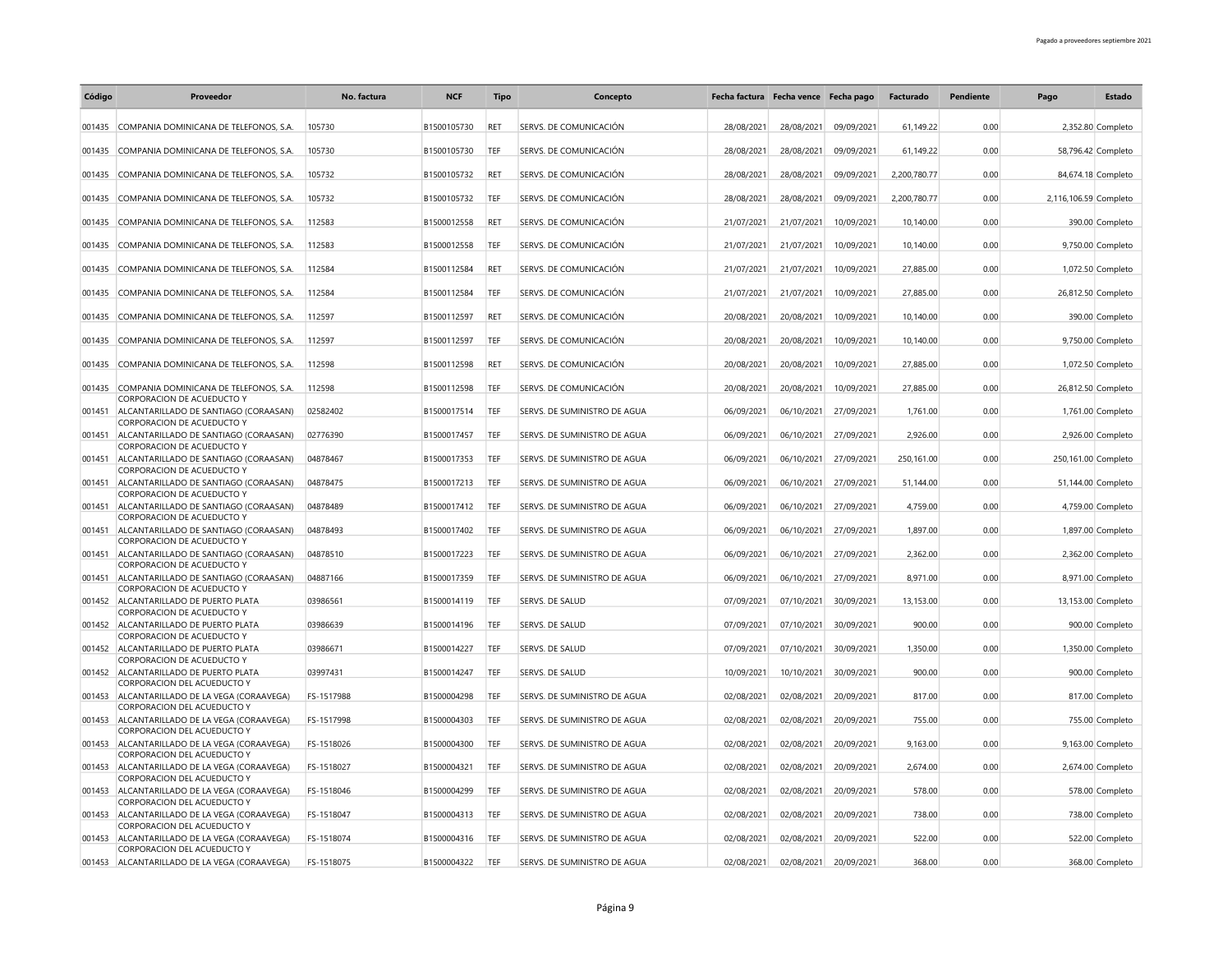| Código | Proveedor                                                            | No. factura | <b>NCF</b>  | Tipo       | Concepto                     | Fecha factura Fecha vence Fecha pago |            |            | Facturado    | Pendiente | Pago                  | Estado             |
|--------|----------------------------------------------------------------------|-------------|-------------|------------|------------------------------|--------------------------------------|------------|------------|--------------|-----------|-----------------------|--------------------|
| 001435 | COMPANIA DOMINICANA DE TELEFONOS, S.A.                               | 105730      | B1500105730 | RET        | SERVS. DE COMUNICACIÓN       | 28/08/2021                           | 28/08/2021 | 09/09/2021 | 61,149.22    | 0.00      |                       | 2,352.80 Completo  |
| 001435 | COMPANIA DOMINICANA DE TELEFONOS, S.A.                               | 105730      | B1500105730 | TEF        | SERVS. DE COMUNICACIÓN       | 28/08/2021                           | 28/08/2021 | 09/09/2021 | 61.149.22    | 0.00      |                       | 58,796.42 Completo |
| 001435 | COMPANIA DOMINICANA DE TELEFONOS, S.A.                               | 105732      | B1500105732 | RET        | SERVS. DE COMUNICACIÓN       | 28/08/2021                           | 28/08/2021 | 09/09/2021 | 2,200,780.77 | 0.00      |                       | 84,674.18 Completo |
| 001435 | COMPANIA DOMINICANA DE TELEFONOS, S.A.                               | 105732      | B1500105732 | TEF        | SERVS. DE COMUNICACIÓN       | 28/08/2021                           | 28/08/2021 | 09/09/2021 | 2.200.780.77 | 0.00      | 2,116,106.59 Completo |                    |
|        |                                                                      | 112583      | B1500012558 | RET        | SERVS. DE COMUNICACIÓN       |                                      |            |            |              | 0.00      |                       |                    |
|        | 001435 COMPANIA DOMINICANA DE TELEFONOS, S.A.                        |             |             |            |                              | 21/07/2021                           | 21/07/2021 | 10/09/2021 | 10,140.00    |           |                       | 390.00 Completo    |
| 001435 | COMPANIA DOMINICANA DE TELEFONOS, S.A.                               | 112583      | B1500012558 | TEF        | SERVS. DE COMUNICACIÓN       | 21/07/2021                           | 21/07/2021 | 10/09/2021 | 10,140.00    | 0.00      |                       | 9,750.00 Completo  |
| 001435 | COMPANIA DOMINICANA DE TELEFONOS, S.A.                               | 112584      | B1500112584 | <b>RET</b> | SERVS. DE COMUNICACIÓN       | 21/07/2021                           | 21/07/2021 | 10/09/2021 | 27,885.00    | 0.00      |                       | 1,072.50 Completo  |
| 001435 | COMPANIA DOMINICANA DE TELEFONOS, S.A.                               | 112584      | B1500112584 | TEF        | SERVS. DE COMUNICACIÓN       | 21/07/2021                           | 21/07/2021 | 10/09/2021 | 27,885.00    | 0.00      |                       | 26,812.50 Completo |
| 001435 | COMPANIA DOMINICANA DE TELEFONOS, S.A.                               | 112597      | B1500112597 | <b>RET</b> | SERVS. DE COMUNICACIÓN       | 20/08/2021                           | 20/08/2021 | 10/09/2021 | 10,140.00    | 0.00      |                       | 390.00 Completo    |
| 001435 | COMPANIA DOMINICANA DE TELEFONOS, S.A.                               | 112597      | B1500112597 | TEF        | SERVS. DE COMUNICACIÓN       | 20/08/2021                           | 20/08/2021 | 10/09/2021 | 10,140.00    | 0.00      |                       | 9,750.00 Completo  |
| 001435 | COMPANIA DOMINICANA DE TELEFONOS, S.A.                               | 112598      | B1500112598 | RET        | SERVS. DE COMUNICACIÓN       | 20/08/2021                           | 20/08/2021 | 10/09/2021 | 27,885.00    | 0.00      |                       | 1,072.50 Completo  |
| 001435 | COMPANIA DOMINICANA DE TELEFONOS, S.A.                               | 112598      | B1500112598 | TEF        | SERVS. DE COMUNICACIÓN       | 20/08/2021                           | 20/08/2021 | 10/09/2021 | 27,885.00    | 0.00      |                       | 26,812.50 Completo |
| 001451 | CORPORACION DE ACUEDUCTO Y<br>ALCANTARILLADO DE SANTIAGO (CORAASAN)  | 02582402    | B1500017514 | TEF        | SERVS. DE SUMINISTRO DE AGUA | 06/09/2021                           | 06/10/2021 | 27/09/2021 | 1,761.00     | 0.00      |                       | 1,761.00 Completo  |
| 001451 | CORPORACION DE ACUEDUCTO Y<br>ALCANTARILLADO DE SANTIAGO (CORAASAN)  | 02776390    | B1500017457 | TEF        | SERVS. DE SUMINISTRO DE AGUA | 06/09/2021                           | 06/10/2021 | 27/09/2021 | 2,926.00     | 0.00      |                       | 2,926.00 Completo  |
| 001451 | CORPORACION DE ACUEDUCTO Y<br>ALCANTARILLADO DE SANTIAGO (CORAASAN)  | 04878467    | B1500017353 | TEF        | SERVS. DE SUMINISTRO DE AGUA | 06/09/2021                           | 06/10/2021 | 27/09/2021 | 250,161.00   | 0.00      | 250,161.00 Completo   |                    |
| 001451 | CORPORACION DE ACUEDUCTO Y<br>ALCANTARILLADO DE SANTIAGO (CORAASAN)  | 04878475    | B1500017213 | TEF        | SERVS. DE SUMINISTRO DE AGUA | 06/09/2021                           | 06/10/2021 | 27/09/2021 | 51,144.00    | 0.00      |                       | 51,144.00 Completo |
|        | CORPORACION DE ACUEDUCTO Y                                           |             |             |            |                              |                                      |            |            |              |           |                       |                    |
| 001451 | ALCANTARILLADO DE SANTIAGO (CORAASAN)<br>CORPORACION DE ACUEDUCTO Y  | 04878489    | B1500017412 | TEF        | SERVS. DE SUMINISTRO DE AGUA | 06/09/2021                           | 06/10/2021 | 27/09/2021 | 4,759.00     | 0.00      |                       | 4,759.00 Completo  |
| 001451 | ALCANTARILLADO DE SANTIAGO (CORAASAN)<br>CORPORACION DE ACUEDUCTO Y  | 04878493    | B1500017402 | TEF        | SERVS. DE SUMINISTRO DE AGUA | 06/09/2021                           | 06/10/2021 | 27/09/2021 | 1.897.00     | 0.00      |                       | 1,897.00 Completo  |
| 001451 | ALCANTARILLADO DE SANTIAGO (CORAASAN)<br>CORPORACION DE ACUEDUCTO Y  | 04878510    | B1500017223 | TEF        | SERVS. DE SUMINISTRO DE AGUA | 06/09/2021                           | 06/10/2021 | 27/09/2021 | 2,362.00     | 0.00      |                       | 2,362.00 Completo  |
| 001451 | ALCANTARILLADO DE SANTIAGO (CORAASAN)<br>CORPORACION DE ACUEDUCTO Y  | 04887166    | B1500017359 | <b>TEF</b> | SERVS. DE SUMINISTRO DE AGUA | 06/09/2021                           | 06/10/2021 | 27/09/2021 | 8,971.00     | 0.00      |                       | 8,971.00 Completo  |
| 001452 | ALCANTARILLADO DE PUERTO PLATA<br>CORPORACION DE ACUEDUCTO Y         | 03986561    | B1500014119 | TEF        | SERVS. DE SALUD              | 07/09/2021                           | 07/10/2021 | 30/09/2021 | 13,153.00    | 0.00      |                       | 13,153.00 Completo |
|        | 001452 ALCANTARILLADO DE PUERTO PLATA<br>CORPORACION DE ACUEDUCTO Y  | 03986639    | B1500014196 | <b>TEF</b> | SERVS. DE SALUD              | 07/09/2021                           | 07/10/2021 | 30/09/2021 | 900.00       | 0.00      |                       | 900.00 Completo    |
| 001452 | ALCANTARILLADO DE PUERTO PLATA                                       | 03986671    | B1500014227 | TEF        | <b>SERVS. DE SALUD</b>       | 07/09/2021                           | 07/10/2021 | 30/09/2021 | 1,350.00     | 0.00      |                       | 1,350.00 Completo  |
| 001452 | CORPORACION DE ACUEDUCTO Y<br>ALCANTARILLADO DE PUERTO PLATA         | 03997431    | B1500014247 | TFF        | SERVS. DE SALUD              | 10/09/2021                           | 10/10/2021 | 30/09/2021 | 900.00       | 0.00      |                       | 900.00 Completo    |
| 001453 | CORPORACION DEL ACUEDUCTO Y<br>ALCANTARILLADO DE LA VEGA (CORAAVEGA) | FS-1517988  | B1500004298 | TEF        | SERVS. DE SUMINISTRO DE AGUA | 02/08/2021                           | 02/08/2021 | 20/09/2021 | 817.00       | 0.00      |                       | 817.00 Completo    |
| 001453 | CORPORACION DEL ACUEDUCTO Y<br>ALCANTARILLADO DE LA VEGA (CORAAVEGA) | FS-1517998  | B1500004303 | TEF        | SERVS. DE SUMINISTRO DE AGUA | 02/08/2021                           | 02/08/2021 | 20/09/2021 | 755.00       | 0.00      |                       | 755.00 Completo    |
| 001453 | CORPORACION DEL ACUEDUCTO Y<br>ALCANTARILLADO DE LA VEGA (CORAAVEGA) | FS-1518026  | B1500004300 | TEF        | SERVS. DE SUMINISTRO DE AGUA | 02/08/2021                           | 02/08/2021 | 20/09/2021 | 9,163.00     | 0.00      |                       | 9,163.00 Completo  |
| 001453 | CORPORACION DEL ACUEDUCTO Y                                          |             |             | TEF        |                              |                                      |            |            |              | 0.00      |                       |                    |
|        | ALCANTARILLADO DE LA VEGA (CORAAVEGA)<br>CORPORACION DEL ACUEDUCTO Y | FS-1518027  | B1500004321 |            | SERVS. DE SUMINISTRO DE AGUA | 02/08/2021                           | 02/08/2021 | 20/09/2021 | 2,674.00     |           |                       | 2,674.00 Completo  |
| 001453 | ALCANTARILLADO DE LA VEGA (CORAAVEGA)<br>CORPORACION DEL ACUEDUCTO Y | FS-1518046  | B1500004299 | TEF        | SERVS. DE SUMINISTRO DE AGUA | 02/08/2021                           | 02/08/2021 | 20/09/2021 | 578.00       | 0.00      |                       | 578.00 Completo    |
| 001453 | ALCANTARILLADO DE LA VEGA (CORAAVEGA)<br>CORPORACION DEL ACUEDUCTO Y | FS-1518047  | B1500004313 | TEF        | SERVS. DE SUMINISTRO DE AGUA | 02/08/2021                           | 02/08/2021 | 20/09/2021 | 738.00       | 0.00      |                       | 738.00 Completo    |
| 001453 | ALCANTARILLADO DE LA VEGA (CORAAVEGA)<br>CORPORACION DEL ACUEDUCTO Y | FS-1518074  | B1500004316 | TEF        | SERVS. DE SUMINISTRO DE AGUA | 02/08/2021                           | 02/08/2021 | 20/09/2021 | 522.00       | 0.00      |                       | 522.00 Completo    |
|        | 001453 ALCANTARILLADO DE LA VEGA (CORAAVEGA)                         | FS-1518075  | B1500004322 | TEF        | SERVS. DE SUMINISTRO DE AGUA | 02/08/2021                           | 02/08/2021 | 20/09/2021 | 368.00       | 0.00      |                       | 368.00 Completo    |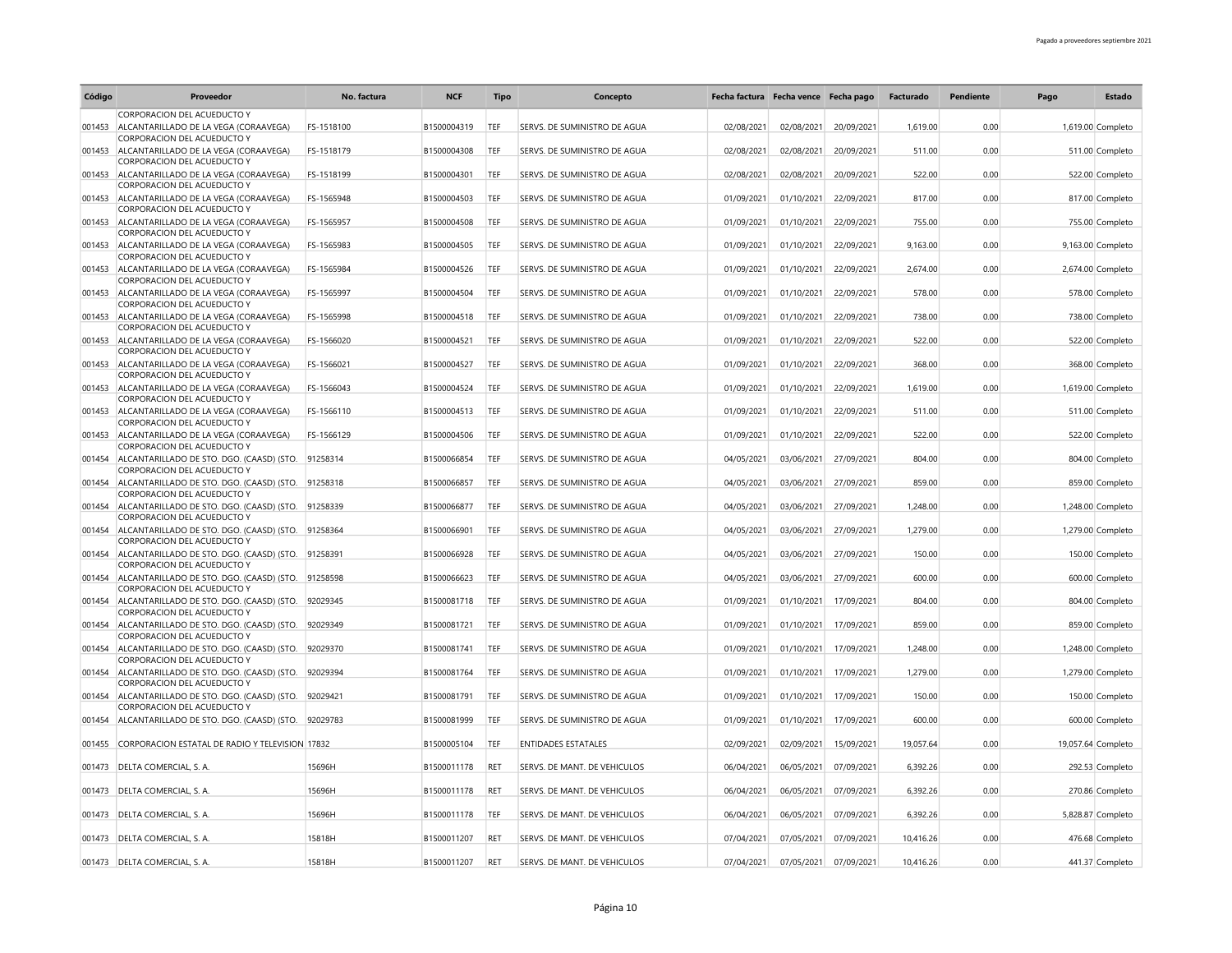| Código | Proveedor                                                                                           | No. factura | <b>NCF</b>  | <b>Tipo</b> | Concepto                     | Fecha factura Fecha vence Fecha pago |            |            | Facturado | Pendiente | Pago | <b>Estado</b>      |
|--------|-----------------------------------------------------------------------------------------------------|-------------|-------------|-------------|------------------------------|--------------------------------------|------------|------------|-----------|-----------|------|--------------------|
| 001453 | CORPORACION DEL ACUEDUCTO Y<br>ALCANTARILLADO DE LA VEGA (CORAAVEGA)                                | FS-1518100  | B1500004319 | TEF         | SERVS. DE SUMINISTRO DE AGUA | 02/08/2021                           | 02/08/2021 | 20/09/2021 | 1.619.00  | 0.00      |      | 1,619.00 Completo  |
|        | CORPORACION DEL ACUEDUCTO Y                                                                         |             |             |             |                              |                                      |            |            |           |           |      |                    |
| 001453 | ALCANTARILLADO DE LA VEGA (CORAAVEGA)<br>CORPORACION DEL ACUEDUCTO Y                                | FS-1518179  | B1500004308 | TEF         | SERVS. DE SUMINISTRO DE AGUA | 02/08/2021                           | 02/08/2021 | 20/09/2021 | 511.00    | 0.00      |      | 511.00 Completo    |
| 001453 | ALCANTARILLADO DE LA VEGA (CORAAVEGA)                                                               | FS-1518199  | B1500004301 | TEF         | SERVS. DE SUMINISTRO DE AGUA | 02/08/2021                           | 02/08/2021 | 20/09/2021 | 522.00    | 0.00      |      | 522.00 Completo    |
| 001453 | CORPORACION DEL ACUEDUCTO Y<br>ALCANTARILLADO DE LA VEGA (CORAAVEGA)<br>CORPORACION DEL ACUEDUCTO Y | FS-1565948  | B1500004503 | TEF         | SERVS. DE SUMINISTRO DE AGUA | 01/09/2021                           | 01/10/2021 | 22/09/2021 | 817.00    | 0.00      |      | 817.00 Completo    |
| 001453 | ALCANTARILLADO DE LA VEGA (CORAAVEGA)<br>CORPORACION DEL ACUEDUCTO Y                                | FS-1565957  | B1500004508 | TEF         | SERVS. DE SUMINISTRO DE AGUA | 01/09/2021                           | 01/10/2021 | 22/09/2021 | 755.00    | 0.00      |      | 755.00 Completo    |
| 001453 | ALCANTARILLADO DE LA VEGA (CORAAVEGA)<br>CORPORACION DEL ACUEDUCTO Y                                | FS-1565983  | B1500004505 | TEF         | SERVS. DE SUMINISTRO DE AGUA | 01/09/2021                           | 01/10/2021 | 22/09/2021 | 9,163.00  | 0.00      |      | 9,163.00 Completo  |
|        | 001453 ALCANTARILLADO DE LA VEGA (CORAAVEGA)<br>CORPORACION DEL ACUEDUCTO Y                         | FS-1565984  | B1500004526 | TEF         | SERVS. DE SUMINISTRO DE AGUA | 01/09/2021                           | 01/10/2021 | 22/09/2021 | 2,674.00  | 0.00      |      | 2,674.00 Completo  |
| 001453 | ALCANTARILLADO DE LA VEGA (CORAAVEGA)<br>CORPORACION DEL ACUEDUCTO Y                                | FS-1565997  | B1500004504 | TEF         | SERVS. DE SUMINISTRO DE AGUA | 01/09/2021                           | 01/10/2021 | 22/09/2021 | 578.00    | 0.00      |      | 578.00 Completo    |
| 001453 | ALCANTARILLADO DE LA VEGA (CORAAVEGA)<br>CORPORACION DEL ACUEDUCTO Y                                | FS-1565998  | B1500004518 | TEF         | SERVS. DE SUMINISTRO DE AGUA | 01/09/2021                           | 01/10/2021 | 22/09/2021 | 738.00    | 0.00      |      | 738.00 Completo    |
| 001453 | ALCANTARILLADO DE LA VEGA (CORAAVEGA)<br>CORPORACION DEL ACUEDUCTO Y                                | FS-1566020  | B1500004521 | TEF         | SERVS. DE SUMINISTRO DE AGUA | 01/09/2021                           | 01/10/2021 | 22/09/2021 | 522.00    | 0.00      |      | 522.00 Completo    |
|        | 001453 ALCANTARILLADO DE LA VEGA (CORAAVEGA)<br>CORPORACION DEL ACUEDUCTO Y                         | FS-1566021  | B1500004527 | TEF         | SERVS. DE SUMINISTRO DE AGUA | 01/09/2021                           | 01/10/2021 | 22/09/2021 | 368.00    | 0.00      |      | 368.00 Completo    |
| 001453 | ALCANTARILLADO DE LA VEGA (CORAAVEGA)<br>CORPORACION DEL ACUEDUCTO Y                                | FS-1566043  | B1500004524 | TEF         | SERVS. DE SUMINISTRO DE AGUA | 01/09/2021                           | 01/10/2021 | 22/09/2021 | 1,619.00  | 0.00      |      | 1,619.00 Completo  |
| 001453 | ALCANTARILLADO DE LA VEGA (CORAAVEGA)                                                               | FS-1566110  | B1500004513 | TEF         | SERVS. DE SUMINISTRO DE AGUA | 01/09/2021                           | 01/10/2021 | 22/09/2021 | 511.00    | 0.00      |      | 511.00 Completo    |
| 001453 | CORPORACION DEL ACUEDUCTO Y<br>ALCANTARILLADO DE LA VEGA (CORAAVEGA)                                | FS-1566129  | B1500004506 | TEF         | SERVS. DE SUMINISTRO DE AGUA | 01/09/2021                           | 01/10/2021 | 22/09/2021 | 522.00    | 0.00      |      | 522.00 Completo    |
|        | CORPORACION DEL ACUEDUCTO Y<br>001454 ALCANTARILLADO DE STO. DGO. (CAASD) (STO. 91258314            |             | B1500066854 | TFF         | SERVS. DE SUMINISTRO DE AGUA | 04/05/2021                           | 03/06/2021 | 27/09/2021 | 804.00    | 0.00      |      | 804.00 Completo    |
| 001454 | CORPORACION DEL ACUEDUCTO Y<br>ALCANTARILLADO DE STO. DGO. (CAASD) (STO. 91258318                   |             | B1500066857 | TEF         | SERVS. DE SUMINISTRO DE AGUA | 04/05/2021                           | 03/06/2021 | 27/09/2021 | 859.00    | 0.00      |      | 859.00 Completo    |
| 001454 | CORPORACION DEL ACUEDUCTO Y<br>ALCANTARILLADO DE STO. DGO. (CAASD) (STO. 91258339                   |             | B1500066877 | TEF         | SERVS. DE SUMINISTRO DE AGUA | 04/05/2021                           | 03/06/2021 | 27/09/2021 | 1,248.00  | 0.00      |      | 1,248.00 Completo  |
| 001454 | CORPORACION DEL ACUEDUCTO Y<br>ALCANTARILLADO DE STO. DGO. (CAASD) (STO. 91258364                   |             | B1500066901 | TEF         | SERVS. DE SUMINISTRO DE AGUA | 04/05/2021                           | 03/06/2021 | 27/09/2021 | 1,279.00  | 0.00      |      | 1,279.00 Completo  |
| 001454 | CORPORACION DEL ACUEDUCTO Y<br>ALCANTARILLADO DE STO. DGO. (CAASD) (STO. 91258391                   |             | B1500066928 | TEF         | SERVS. DE SUMINISTRO DE AGUA | 04/05/2021                           | 03/06/2021 | 27/09/2021 | 150.00    | 0.00      |      | 150.00 Completo    |
| 001454 | CORPORACION DEL ACUEDUCTO Y<br>ALCANTARILLADO DE STO. DGO. (CAASD) (STO. 91258598                   |             | B1500066623 | TEF         | SERVS. DE SUMINISTRO DE AGUA | 04/05/2021                           | 03/06/2021 | 27/09/2021 | 600.00    | 0.00      |      | 600.00 Completo    |
| 001454 | CORPORACION DEL ACUEDUCTO Y<br>ALCANTARILLADO DE STO. DGO. (CAASD) (STO. 92029345                   |             | B1500081718 | TEF         | SERVS. DE SUMINISTRO DE AGUA | 01/09/2021                           | 01/10/2021 | 17/09/2021 | 804.00    | 0.00      |      | 804.00 Completo    |
|        | CORPORACION DEL ACUEDUCTO Y<br>001454 ALCANTARILLADO DE STO. DGO. (CAASD) (STO. 92029349            |             | B1500081721 | TEF         | SERVS. DE SUMINISTRO DE AGUA | 01/09/2021                           | 01/10/2021 | 17/09/2021 | 859.00    | 0.00      |      | 859.00 Completo    |
| 001454 | CORPORACION DEL ACUEDUCTO Y<br>ALCANTARILLADO DE STO. DGO. (CAASD) (STO.                            | 92029370    | B1500081741 | TEF         | SERVS. DE SUMINISTRO DE AGUA | 01/09/2021                           | 01/10/2021 | 17/09/2021 | 1,248.00  | 0.00      |      | 1,248.00 Completo  |
|        | CORPORACION DEL ACUEDUCTO Y                                                                         |             |             |             |                              |                                      |            |            |           |           |      |                    |
| 001454 | ALCANTARILLADO DE STO. DGO. (CAASD) (STO. 92029394<br>CORPORACION DEL ACUEDUCTO Y                   |             | B1500081764 | TEF         | SERVS. DE SUMINISTRO DE AGUA | 01/09/2021                           | 01/10/2021 | 17/09/2021 | 1,279.00  | 0.00      |      | 1,279.00 Completo  |
| 001454 | ALCANTARILLADO DE STO. DGO. (CAASD) (STO.<br>CORPORACION DEL ACUEDUCTO Y                            | 92029421    | B1500081791 | TEF         | SERVS. DE SUMINISTRO DE AGUA | 01/09/2021                           | 01/10/2021 | 17/09/2021 | 150.00    | 0.00      |      | 150.00 Completo    |
| 001454 | ALCANTARILLADO DE STO. DGO. (CAASD) (STO. 92029783                                                  |             | B1500081999 | TEF         | SERVS. DE SUMINISTRO DE AGUA | 01/09/2021                           | 01/10/2021 | 17/09/2021 | 600.00    | 0.00      |      | 600.00 Completo    |
| 001455 | CORPORACION ESTATAL DE RADIO Y TELEVISION 17832                                                     |             | B1500005104 | TEF         | <b>ENTIDADES ESTATALES</b>   | 02/09/2021                           | 02/09/2021 | 15/09/2021 | 19,057.64 | 0.00      |      | 19,057.64 Completo |
|        | 001473 DELTA COMERCIAL, S. A.                                                                       | 15696H      | B1500011178 | <b>RET</b>  | SERVS. DE MANT. DE VEHICULOS | 06/04/2021                           | 06/05/2021 | 07/09/2021 | 6,392.26  | 0.00      |      | 292.53 Completo    |
|        | 001473 DELTA COMERCIAL, S. A.                                                                       | 15696H      | B1500011178 | RET         | SERVS. DE MANT. DE VEHICULOS | 06/04/2021                           | 06/05/2021 | 07/09/2021 | 6,392.26  | 0.00      |      | 270.86 Completo    |
|        | 001473 DELTA COMERCIAL, S. A.                                                                       | 15696H      | B1500011178 | TEF         | SERVS. DE MANT. DE VEHICULOS | 06/04/2021                           | 06/05/2021 | 07/09/2021 | 6,392.26  | 0.00      |      | 5,828.87 Completo  |
|        | 001473 DELTA COMERCIAL, S. A.                                                                       | 15818H      | B1500011207 | <b>RFT</b>  | SERVS. DE MANT. DE VEHICULOS | 07/04/2021                           | 07/05/2021 | 07/09/2021 | 10,416.26 | 0.00      |      | 476.68 Completo    |
|        | 001473 DELTA COMERCIAL, S. A.                                                                       | 15818H      | B1500011207 | RET         | SERVS. DE MANT. DE VEHICULOS | 07/04/2021                           | 07/05/2021 | 07/09/2021 | 10,416.26 | 0.00      |      | 441.37 Completo    |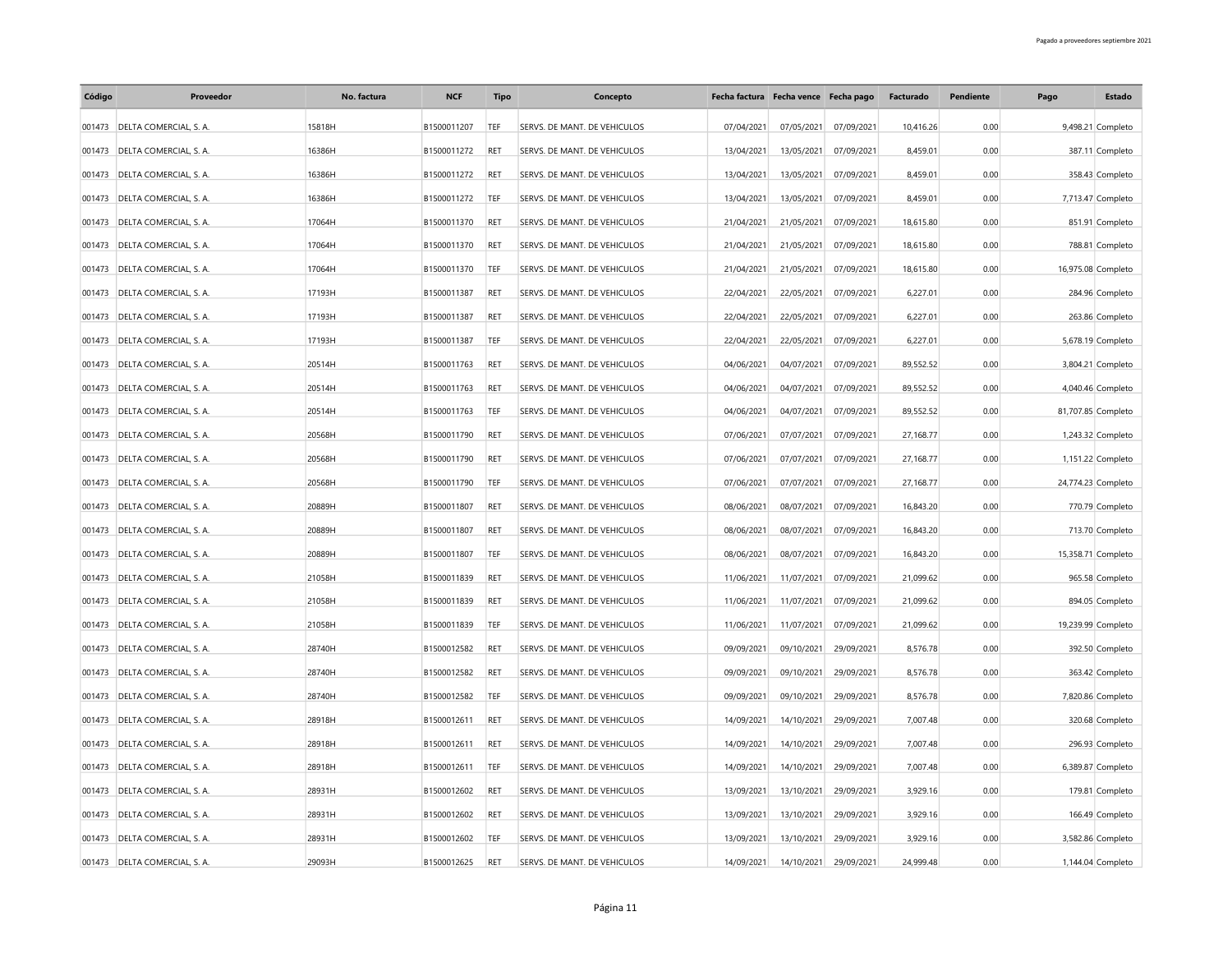| Código | Proveedor                     | No. factura | <b>NCF</b>  | <b>Tipo</b> | Concepto                     |            | Fecha factura Fecha vence Fecha pago |            | Facturado | Pendiente | Pago | <b>Estado</b>      |
|--------|-------------------------------|-------------|-------------|-------------|------------------------------|------------|--------------------------------------|------------|-----------|-----------|------|--------------------|
| 001473 | DELTA COMERCIAL, S. A.        | 15818H      | B1500011207 | TEF         | SERVS. DE MANT. DE VEHICULOS | 07/04/2021 | 07/05/2021                           | 07/09/2021 | 10,416.26 | 0.00      |      | 9,498.21 Completo  |
| 001473 | DELTA COMERCIAL, S. A.        | 16386H      | B1500011272 | <b>RET</b>  | SERVS. DE MANT. DE VEHICULOS | 13/04/2021 | 13/05/2021                           | 07/09/2021 | 8,459.01  | 0.00      |      | 387.11 Completo    |
| 001473 | DELTA COMERCIAL, S. A.        | 16386H      | B1500011272 | RET         | SERVS. DE MANT. DE VEHICULOS | 13/04/2021 | 13/05/2021                           | 07/09/2021 | 8,459.01  | 0.00      |      | 358.43 Completo    |
| 001473 | DELTA COMERCIAL, S. A.        | 16386H      | B1500011272 | TEF         | SERVS. DE MANT. DE VEHICULOS | 13/04/2021 | 13/05/2021                           | 07/09/2021 | 8,459.01  | 0.00      |      | 7,713.47 Completo  |
| 001473 | DELTA COMERCIAL, S. A.        | 17064H      | B1500011370 | RET         | SERVS. DE MANT. DE VEHICULOS | 21/04/2021 | 21/05/2021                           | 07/09/2021 | 18,615.80 | 0.00      |      | 851.91 Completo    |
| 001473 | DELTA COMERCIAL, S. A.        | 17064H      | B1500011370 | RET         | SERVS. DE MANT. DE VEHICULOS | 21/04/2021 | 21/05/2021                           | 07/09/2021 | 18,615.80 | 0.00      |      | 788.81 Completo    |
| 001473 | DELTA COMERCIAL, S. A.        | 17064H      | B1500011370 | TEF         | SERVS. DE MANT. DE VEHICULOS | 21/04/2021 | 21/05/2021                           | 07/09/2021 | 18,615.80 | 0.00      |      | 16,975.08 Completo |
| 001473 | DELTA COMERCIAL, S. A.        | 17193H      | B1500011387 | RET         | SERVS. DE MANT. DE VEHICULOS | 22/04/2021 | 22/05/2021                           | 07/09/2021 | 6,227.01  | 0.00      |      | 284.96 Completo    |
| 001473 | DELTA COMERCIAL, S. A.        | 17193H      | B1500011387 | RET         | SERVS. DE MANT. DE VEHICULOS | 22/04/2021 | 22/05/2021                           | 07/09/2021 | 6,227.01  | 0.00      |      | 263.86 Completo    |
| 001473 | DELTA COMERCIAL, S. A.        | 17193H      | B1500011387 | TEF         | SERVS. DE MANT. DE VEHICULOS | 22/04/2021 | 22/05/2021                           | 07/09/2021 | 6,227.01  | 0.00      |      | 5,678.19 Completo  |
| 001473 | DELTA COMERCIAL, S. A.        | 20514H      | B1500011763 | RET         | SERVS. DE MANT. DE VEHICULOS | 04/06/2021 | 04/07/2021                           | 07/09/2021 | 89,552.52 | 0.00      |      | 3,804.21 Completo  |
| 001473 | DELTA COMERCIAL, S. A.        | 20514H      | B1500011763 | RET         | SERVS. DE MANT. DE VEHICULOS | 04/06/2021 | 04/07/2021                           | 07/09/2021 | 89,552.52 | 0.00      |      | 4,040.46 Completo  |
| 001473 | DELTA COMERCIAL, S. A.        | 20514H      | B1500011763 | TEF         | SERVS. DE MANT. DE VEHICULOS | 04/06/2021 | 04/07/2021                           | 07/09/2021 | 89,552.52 | 0.00      |      | 81,707.85 Completo |
| 001473 | DELTA COMERCIAL, S. A.        | 20568H      | B1500011790 | RET         | SERVS. DE MANT. DE VEHICULOS | 07/06/2021 | 07/07/2021                           | 07/09/2021 | 27,168.77 | 0.00      |      | 1,243.32 Completo  |
| 001473 | DELTA COMERCIAL, S. A.        | 20568H      | B1500011790 | RET         | SERVS. DE MANT. DE VEHICULOS | 07/06/2021 | 07/07/2021                           | 07/09/2021 | 27,168.77 | 0.00      |      | 1,151.22 Completo  |
| 001473 | DELTA COMERCIAL, S. A.        | 20568H      | B1500011790 | TEF         | SERVS. DE MANT. DE VEHICULOS | 07/06/2021 | 07/07/2021                           | 07/09/2021 | 27,168.77 | 0.00      |      | 24,774.23 Completo |
| 001473 | DELTA COMERCIAL, S. A.        | 20889H      | B1500011807 | RET         | SERVS. DE MANT. DE VEHICULOS | 08/06/2021 | 08/07/2021                           | 07/09/2021 | 16,843.20 | 0.00      |      | 770.79 Completo    |
| 001473 | DELTA COMERCIAL, S. A.        | 20889H      | B1500011807 | RET         | SERVS. DE MANT. DE VEHICULOS | 08/06/2021 | 08/07/2021                           | 07/09/2021 | 16,843.20 | 0.00      |      | 713.70 Completo    |
| 001473 | DELTA COMERCIAL, S. A.        | 20889H      | B1500011807 | TEF         | SERVS. DE MANT. DE VEHICULOS | 08/06/2021 | 08/07/2021                           | 07/09/2021 | 16,843.20 | 0.00      |      | 15,358.71 Completo |
| 001473 | DELTA COMERCIAL, S. A.        | 21058H      | B1500011839 | RET         | SERVS. DE MANT. DE VEHICULOS | 11/06/2021 | 11/07/2021                           | 07/09/2021 | 21,099.62 | 0.00      |      | 965.58 Completo    |
| 001473 | DELTA COMERCIAL, S. A.        | 21058H      | B1500011839 | RET         | SERVS. DE MANT. DE VEHICULOS | 11/06/2021 | 11/07/2021                           | 07/09/2021 | 21,099.62 | 0.00      |      | 894.05 Completo    |
| 001473 | DELTA COMERCIAL, S. A.        | 21058H      | B1500011839 | TEF         | SERVS. DE MANT. DE VEHICULOS | 11/06/2021 | 11/07/2021                           | 07/09/2021 | 21,099.62 | 0.00      |      | 19,239.99 Completo |
| 001473 | DELTA COMERCIAL, S. A.        | 28740H      | B1500012582 | RET         | SERVS. DE MANT. DE VEHICULOS | 09/09/2021 | 09/10/2021                           | 29/09/2021 | 8,576.78  | 0.00      |      | 392.50 Completo    |
| 001473 | DELTA COMERCIAL, S. A.        | 28740H      | B1500012582 | RET         | SERVS. DE MANT. DE VEHICULOS | 09/09/2021 | 09/10/2021                           | 29/09/2021 | 8,576.78  | 0.00      |      | 363.42 Completo    |
| 001473 | DELTA COMERCIAL, S. A.        | 28740H      | B1500012582 | TEF         | SERVS. DE MANT. DE VEHICULOS | 09/09/2021 | 09/10/2021                           | 29/09/2021 | 8,576.78  | 0.00      |      | 7,820.86 Completo  |
| 001473 | DELTA COMERCIAL, S. A.        | 28918H      | B1500012611 | RET         | SERVS. DE MANT. DE VEHICULOS | 14/09/2021 | 14/10/2021                           | 29/09/2021 | 7,007.48  | 0.00      |      | 320.68 Completo    |
| 001473 | DELTA COMERCIAL, S. A.        | 28918H      | B1500012611 | RET         | SERVS. DE MANT. DE VEHICULOS | 14/09/2021 | 14/10/2021                           | 29/09/2021 | 7,007.48  | 0.00      |      | 296.93 Completo    |
| 001473 | DELTA COMERCIAL, S. A.        | 28918H      | B1500012611 | TEF         | SERVS. DE MANT. DE VEHICULOS | 14/09/2021 | 14/10/2021                           | 29/09/2021 | 7,007.48  | 0.00      |      | 6,389.87 Completo  |
| 001473 | DELTA COMERCIAL, S. A.        | 28931H      | B1500012602 | RET         | SERVS. DE MANT. DE VEHICULOS | 13/09/2021 | 13/10/2021                           | 29/09/2021 | 3,929.16  | 0.00      |      | 179.81 Completo    |
| 001473 | DELTA COMERCIAL, S. A.        | 28931H      | B1500012602 | RET         | SERVS. DE MANT. DE VEHICULOS | 13/09/2021 | 13/10/2021                           | 29/09/2021 | 3,929.16  | 0.00      |      | 166.49 Completo    |
| 001473 | DELTA COMERCIAL, S. A.        | 28931H      | B1500012602 | TEF         | SERVS. DE MANT. DE VEHICULOS | 13/09/2021 | 13/10/2021                           | 29/09/2021 | 3,929.16  | 0.00      |      | 3,582.86 Completo  |
|        | 001473 DELTA COMERCIAL, S. A. | 29093H      | B1500012625 | RET         | SERVS. DE MANT. DE VEHICULOS | 14/09/2021 | 14/10/2021                           | 29/09/2021 | 24.999.48 | 0.00      |      | 1,144.04 Completo  |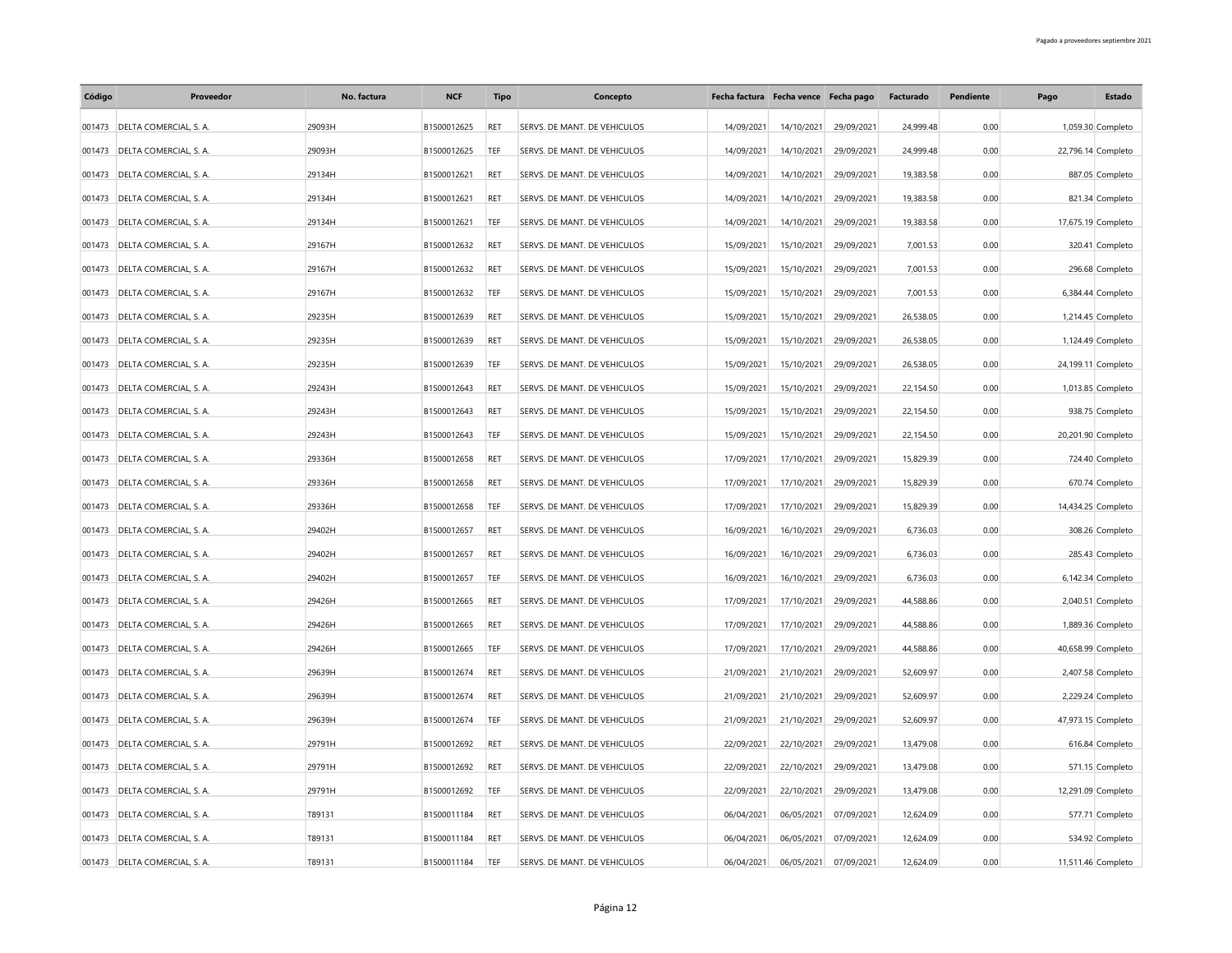| Código | Proveedor                     | No. factura | <b>NCF</b>  | <b>Tipo</b> | Concepto                     |            | Fecha factura Fecha vence Fecha pago |            | Facturado | Pendiente | Pago | <b>Estado</b>      |
|--------|-------------------------------|-------------|-------------|-------------|------------------------------|------------|--------------------------------------|------------|-----------|-----------|------|--------------------|
|        | 001473 DELTA COMERCIAL, S. A. | 29093H      | B1500012625 | <b>RET</b>  | SERVS. DE MANT. DE VEHICULOS | 14/09/2021 | 14/10/2021                           | 29/09/2021 | 24,999.48 | 0.00      |      | 1,059.30 Completo  |
| 001473 | DELTA COMERCIAL, S. A.        | 29093H      | B1500012625 | TEF         | SERVS. DE MANT. DE VEHICULOS | 14/09/2021 | 14/10/2021                           | 29/09/2021 | 24,999.48 | 0.00      |      | 22,796.14 Completo |
| 001473 | DELTA COMERCIAL, S. A.        | 29134H      | B1500012621 | RET         | SERVS. DE MANT. DE VEHICULOS | 14/09/2021 | 14/10/2021                           | 29/09/2021 | 19,383.58 | 0.00      |      | 887.05 Completo    |
| 001473 | DELTA COMERCIAL, S. A.        | 29134H      | B1500012621 | RET         | SERVS. DE MANT. DE VEHICULOS | 14/09/2021 | 14/10/2021                           | 29/09/2021 | 19,383.58 | 0.00      |      | 821.34 Completo    |
| 001473 | DELTA COMERCIAL, S. A.        | 29134H      | B1500012621 | TEF         | SERVS. DE MANT. DE VEHICULOS | 14/09/2021 | 14/10/2021                           | 29/09/2021 | 19,383.58 | 0.00      |      | 17,675.19 Completo |
| 001473 | DELTA COMERCIAL, S. A.        | 29167H      | B1500012632 | RET         | SERVS. DE MANT. DE VEHICULOS | 15/09/2021 | 15/10/2021                           | 29/09/2021 | 7,001.53  | 0.00      |      | 320.41 Completo    |
| 001473 | DELTA COMERCIAL, S. A.        | 29167H      | B1500012632 | RET         | SERVS. DE MANT. DE VEHICULOS | 15/09/2021 | 15/10/2021                           | 29/09/2021 | 7,001.53  | 0.00      |      | 296.68 Completo    |
| 001473 | DELTA COMERCIAL, S. A.        | 29167H      | B1500012632 | TEF         | SERVS. DE MANT. DE VEHICULOS | 15/09/2021 | 15/10/2021                           | 29/09/2021 | 7,001.53  | 0.00      |      | 6,384.44 Completo  |
| 001473 | DELTA COMERCIAL, S. A.        | 29235H      | B1500012639 | RET         | SERVS. DE MANT. DE VEHICULOS | 15/09/2021 | 15/10/2021                           | 29/09/2021 | 26,538.05 | 0.00      |      | 1,214.45 Completo  |
| 001473 | DELTA COMERCIAL, S. A.        | 29235H      | B1500012639 | RET         | SERVS. DE MANT. DE VEHICULOS | 15/09/2021 | 15/10/2021                           | 29/09/2021 | 26,538.05 | 0.00      |      | 1,124.49 Completo  |
| 001473 | DELTA COMERCIAL, S. A.        | 29235H      | B1500012639 | TEF         | SERVS. DE MANT. DE VEHICULOS | 15/09/2021 | 15/10/2021                           | 29/09/2021 | 26,538.05 | 0.00      |      | 24,199.11 Completo |
| 001473 | DELTA COMERCIAL, S. A.        | 29243H      | B1500012643 | RET         | SERVS. DE MANT. DE VEHICULOS | 15/09/2021 | 15/10/2021                           | 29/09/2021 | 22,154.50 | 0.00      |      | 1,013.85 Completo  |
| 001473 | DELTA COMERCIAL, S. A.        | 29243H      | B1500012643 | RET         | SERVS. DE MANT. DE VEHICULOS | 15/09/2021 | 15/10/2021                           | 29/09/2021 | 22,154.50 | 0.00      |      | 938.75 Completo    |
| 001473 | DELTA COMERCIAL, S. A.        | 29243H      | B1500012643 | TEF         | SERVS. DE MANT. DE VEHICULOS | 15/09/2021 | 15/10/2021                           | 29/09/2021 | 22,154.50 | 0.00      |      | 20,201.90 Completo |
| 001473 | DELTA COMERCIAL, S. A.        | 29336H      | B1500012658 | RET         | SERVS. DE MANT. DE VEHICULOS | 17/09/2021 | 17/10/2021                           | 29/09/2021 | 15.829.39 | 0.00      |      | 724.40 Completo    |
| 001473 | DELTA COMERCIAL, S. A.        | 29336H      | B1500012658 | RET         | SERVS. DE MANT. DE VEHICULOS | 17/09/2021 | 17/10/2021                           | 29/09/2021 | 15,829.39 | 0.00      |      | 670.74 Completo    |
| 001473 | DELTA COMERCIAL, S. A.        | 29336H      | B1500012658 | TEF         | SERVS. DE MANT. DE VEHICULOS | 17/09/2021 | 17/10/2021                           | 29/09/2021 | 15,829.39 | 0.00      |      | 14,434.25 Completo |
| 001473 | DELTA COMERCIAL, S. A.        | 29402H      | B1500012657 | RET         | SERVS. DE MANT. DE VEHICULOS | 16/09/2021 | 16/10/2021                           | 29/09/2021 | 6,736.03  | 0.00      |      | 308.26 Completo    |
| 001473 | DELTA COMERCIAL, S. A.        | 29402H      | B1500012657 | RET         | SERVS. DE MANT. DE VEHICULOS | 16/09/2021 | 16/10/2021                           | 29/09/2021 | 6,736.03  | 0.00      |      | 285.43 Completo    |
| 001473 | DELTA COMERCIAL, S. A.        | 29402H      | B1500012657 | TEF         | SERVS. DE MANT. DE VEHICULOS | 16/09/2021 | 16/10/2021                           | 29/09/2021 | 6,736.03  | 0.00      |      | 6,142.34 Completo  |
| 001473 | DELTA COMERCIAL, S. A.        | 29426H      | B1500012665 | RET         | SERVS. DE MANT. DE VEHICULOS | 17/09/2021 | 17/10/2021                           | 29/09/2021 | 44,588.86 | 0.00      |      | 2,040.51 Completo  |
| 001473 | DELTA COMERCIAL, S. A.        | 29426H      | B1500012665 | RET         | SERVS. DE MANT. DE VEHICULOS | 17/09/2021 | 17/10/2021                           | 29/09/2021 | 44,588.86 | 0.00      |      | 1,889.36 Completo  |
| 001473 | DELTA COMERCIAL, S. A.        | 29426H      | B1500012665 | TEF         | SERVS. DE MANT. DE VEHICULOS | 17/09/2021 | 17/10/2021                           | 29/09/2021 | 44,588.86 | 0.00      |      | 40,658.99 Completo |
| 001473 | DELTA COMERCIAL, S. A.        | 29639H      | B1500012674 | RET         | SERVS. DE MANT. DE VEHICULOS | 21/09/2021 | 21/10/2021                           | 29/09/2021 | 52,609.97 | 0.00      |      | 2,407.58 Completo  |
| 001473 | DELTA COMERCIAL, S. A.        | 29639H      | B1500012674 | RET         | SERVS. DE MANT. DE VEHICULOS | 21/09/2021 | 21/10/2021                           | 29/09/2021 | 52,609.97 | 0.00      |      | 2,229.24 Completo  |
| 001473 | DELTA COMERCIAL, S. A.        | 29639H      | B1500012674 | TEF         | SERVS. DE MANT. DE VEHICULOS | 21/09/2021 | 21/10/2021                           | 29/09/2021 | 52,609.97 | 0.00      |      | 47,973.15 Completo |
| 001473 | DELTA COMERCIAL, S. A.        | 29791H      | B1500012692 | RET         | SERVS. DE MANT. DE VEHICULOS | 22/09/2021 | 22/10/2021                           | 29/09/2021 | 13,479.08 | 0.00      |      | 616.84 Completo    |
| 001473 | DELTA COMERCIAL, S. A.        | 29791H      | B1500012692 | RET         | SERVS. DE MANT. DE VEHICULOS | 22/09/2021 | 22/10/2021                           | 29/09/2021 | 13,479.08 | 0.00      |      | 571.15 Completo    |
| 001473 | DELTA COMERCIAL, S. A.        | 29791H      | B1500012692 | TEF         | SERVS. DE MANT. DE VEHICULOS | 22/09/2021 | 22/10/2021                           | 29/09/2021 | 13,479.08 | 0.00      |      | 12,291.09 Completo |
| 001473 | DELTA COMERCIAL, S. A.        | T89131      | B1500011184 | RET         | SERVS. DE MANT. DE VEHICULOS | 06/04/2021 | 06/05/2021                           | 07/09/2021 | 12,624.09 | 0.00      |      | 577.71 Completo    |
| 001473 | DELTA COMERCIAL, S. A.        | T89131      | B1500011184 | RET         | SERVS. DE MANT. DE VEHICULOS | 06/04/2021 | 06/05/2021                           | 07/09/2021 | 12,624.09 | 0.00      |      | 534.92 Completo    |
|        | 001473 DELTA COMERCIAL, S. A. | T89131      | B1500011184 | TEF         | SERVS. DE MANT. DE VEHICULOS | 06/04/2021 | 06/05/2021                           | 07/09/2021 | 12,624.09 | 0.00      |      | 11,511.46 Completo |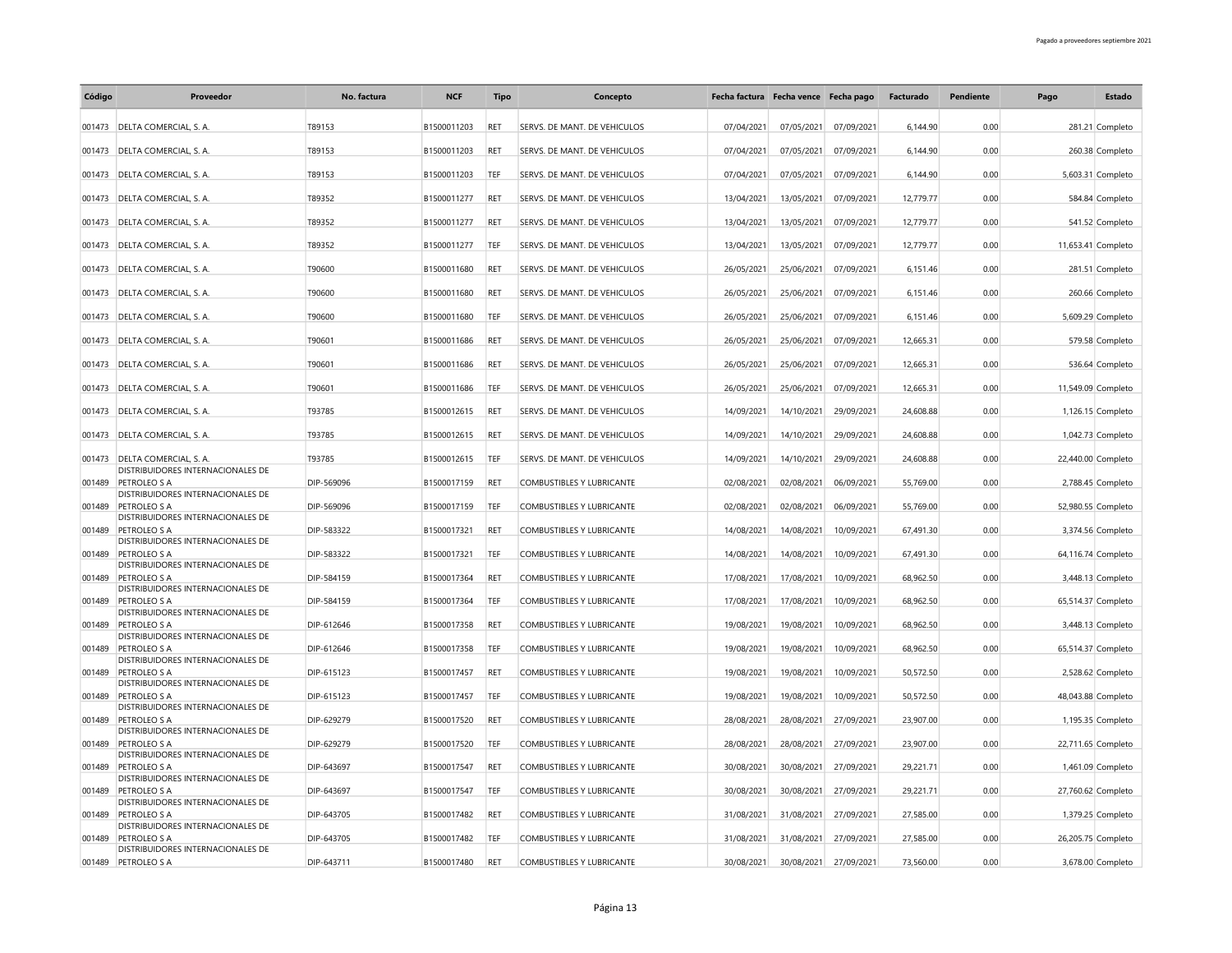| Código | Proveedor                                                   | No. factura | <b>NCF</b>  | Tipo       | Concepto                         | Fecha factura Fecha vence Fecha pago |            |            | Facturado | Pendiente | Pago | Estado             |
|--------|-------------------------------------------------------------|-------------|-------------|------------|----------------------------------|--------------------------------------|------------|------------|-----------|-----------|------|--------------------|
|        | 001473 DELTA COMERCIAL, S. A.                               | T89153      | B1500011203 | RET        | SERVS. DE MANT. DE VEHICULOS     | 07/04/2021                           | 07/05/2021 | 07/09/2021 | 6,144.90  | 0.00      |      | 281.21 Completo    |
|        | 001473 DELTA COMERCIAL, S. A.                               | T89153      | B1500011203 | <b>RET</b> | SERVS. DE MANT. DE VEHICULOS     | 07/04/2021                           | 07/05/2021 | 07/09/2021 | 6.144.90  | 0.00      |      | 260.38 Completo    |
|        |                                                             |             |             |            |                                  |                                      |            |            |           |           |      |                    |
|        | 001473 DELTA COMERCIAL, S. A.                               | T89153      | B1500011203 | TEF        | SERVS. DE MANT. DE VEHICULOS     | 07/04/2021                           | 07/05/2021 | 07/09/2021 | 6,144.90  | 0.00      |      | 5,603.31 Completo  |
|        | 001473 DELTA COMERCIAL, S. A.                               | T89352      | B1500011277 | <b>RET</b> | SERVS. DE MANT. DE VEHICULOS     | 13/04/2021                           | 13/05/2021 | 07/09/2021 | 12,779.77 | 0.00      |      | 584.84 Completo    |
|        | 001473 DELTA COMERCIAL, S. A.                               | T89352      | B1500011277 | RET        | SERVS. DE MANT. DE VEHICULOS     | 13/04/2021                           | 13/05/2021 | 07/09/2021 | 12,779.77 | 0.00      |      | 541.52 Completo    |
|        | 001473 DELTA COMERCIAL, S. A.                               | T89352      | B1500011277 | TEF        | SERVS. DE MANT. DE VEHICULOS     | 13/04/2021                           | 13/05/2021 | 07/09/2021 | 12,779.77 | 0.00      |      | 11,653.41 Completo |
|        | 001473 DELTA COMERCIAL, S. A.                               | T90600      | B1500011680 | <b>RET</b> | SERVS. DE MANT. DE VEHICULOS     | 26/05/2021                           | 25/06/2021 | 07/09/2021 | 6,151.46  | 0.00      |      | 281.51 Completo    |
|        | 001473 DELTA COMERCIAL, S. A.                               | T90600      | B1500011680 | RET        | SERVS. DE MANT. DE VEHICULOS     | 26/05/2021                           | 25/06/2021 | 07/09/2021 | 6,151.46  | 0.00      |      | 260.66 Completo    |
|        |                                                             |             |             |            |                                  |                                      |            |            |           |           |      |                    |
|        | 001473 DELTA COMERCIAL, S. A.                               | T90600      | B1500011680 | TEF        | SERVS. DE MANT. DE VEHICULOS     | 26/05/2021                           | 25/06/2021 | 07/09/2021 | 6,151.46  | 0.00      |      | 5,609.29 Completo  |
|        | 001473 DELTA COMERCIAL, S. A.                               | T90601      | B1500011686 | <b>RET</b> | SERVS. DE MANT. DE VEHICULOS     | 26/05/2021                           | 25/06/2021 | 07/09/2021 | 12,665.31 | 0.00      |      | 579.58 Completo    |
|        | 001473 DELTA COMERCIAL, S. A.                               | T90601      | B1500011686 | RET        | SERVS. DE MANT. DE VEHICULOS     | 26/05/2021                           | 25/06/2021 | 07/09/2021 | 12,665.31 | 0.00      |      | 536.64 Completo    |
|        | 001473 DELTA COMERCIAL, S. A.                               | T90601      | B1500011686 | TEF        | SERVS. DE MANT. DE VEHICULOS     | 26/05/2021                           | 25/06/2021 | 07/09/2021 | 12,665.31 | 0.00      |      | 11,549.09 Completo |
|        | 001473 DELTA COMERCIAL, S. A.                               | T93785      | B1500012615 | RET        | SERVS. DE MANT. DE VEHICULOS     | 14/09/2021                           | 14/10/2021 | 29/09/2021 | 24,608.88 | 0.00      |      | 1,126.15 Completo  |
|        | 001473 DELTA COMERCIAL, S. A.                               | T93785      | B1500012615 | <b>RET</b> | SERVS. DE MANT. DE VEHICULOS     | 14/09/2021                           | 14/10/2021 | 29/09/2021 | 24,608.88 | 0.00      |      | 1,042.73 Completo  |
|        |                                                             |             |             |            |                                  |                                      |            |            |           |           |      |                    |
| 001473 | DELTA COMERCIAL, S. A.<br>DISTRIBUIDORES INTERNACIONALES DE | T93785      | B1500012615 | TEF        | SERVS. DE MANT. DE VEHICULOS     | 14/09/2021                           | 14/10/2021 | 29/09/2021 | 24,608.88 | 0.00      |      | 22,440.00 Completo |
| 001489 | PETROLEO S A<br>DISTRIBUIDORES INTERNACIONALES DE           | DIP-569096  | B1500017159 | RET        | COMBUSTIBLES Y LUBRICANTE        | 02/08/2021                           | 02/08/2021 | 06/09/2021 | 55,769.00 | 0.00      |      | 2,788.45 Completo  |
| 001489 | <b>PETROLEO S A</b><br>DISTRIBUIDORES INTERNACIONALES DE    | DIP-569096  | B1500017159 | TEF        | <b>COMBUSTIBLES Y LUBRICANTE</b> | 02/08/2021                           | 02/08/2021 | 06/09/2021 | 55,769.00 | 0.00      |      | 52,980.55 Completo |
| 001489 | <b>PETROLEO S A</b>                                         | DIP-583322  | B1500017321 | <b>RET</b> | <b>COMBUSTIBLES Y LUBRICANTE</b> | 14/08/2021                           | 14/08/2021 | 10/09/2021 | 67,491.30 | 0.00      |      | 3.374.56 Completo  |
| 001489 | DISTRIBUIDORES INTERNACIONALES DE<br>PETROLEO S A           | DIP-583322  | B1500017321 | TEF        | <b>COMBUSTIBLES Y LUBRICANTE</b> | 14/08/2021                           | 14/08/2021 | 10/09/2021 | 67,491.30 | 0.00      |      | 64,116.74 Completo |
| 001489 | DISTRIBUIDORES INTERNACIONALES DE<br><b>PETROLEO S A</b>    |             |             | <b>RET</b> |                                  |                                      |            |            |           | 0.00      |      |                    |
|        | DISTRIBUIDORES INTERNACIONALES DE                           | DIP-584159  | B1500017364 |            | <b>COMBUSTIBLES Y LUBRICANTE</b> | 17/08/2021                           | 17/08/2021 | 10/09/2021 | 68,962.50 |           |      | 3,448.13 Completo  |
| 001489 | PETROLEO S A<br>DISTRIBUIDORES INTERNACIONALES DE           | DIP-584159  | B1500017364 | TEF        | <b>COMBUSTIBLES Y LUBRICANTE</b> | 17/08/2021                           | 17/08/2021 | 10/09/2021 | 68,962.50 | 0.00      |      | 65,514.37 Completo |
| 001489 | PETROLEO S A<br>DISTRIBUIDORES INTERNACIONALES DE           | DIP-612646  | B1500017358 | <b>RET</b> | <b>COMBUSTIBLES Y LUBRICANTE</b> | 19/08/2021                           | 19/08/2021 | 10/09/2021 | 68,962.50 | 0.00      |      | 3,448.13 Completo  |
| 001489 | <b>PETROLEO S A</b>                                         | DIP-612646  | B1500017358 | TEF        | <b>COMBUSTIBLES Y LUBRICANTE</b> | 19/08/2021                           | 19/08/2021 | 10/09/2021 | 68,962.50 | 0.00      |      | 65,514.37 Completo |
| 001489 | DISTRIBUIDORES INTERNACIONALES DE<br>PETROLEO S A           | DIP-615123  | B1500017457 | RET        | <b>COMBUSTIBLES Y LUBRICANTE</b> | 19/08/2021                           | 19/08/2021 | 10/09/2021 | 50,572.50 | 0.00      |      | 2,528.62 Completo  |
| 001489 | DISTRIBUIDORES INTERNACIONALES DE<br><b>PETROLEO S A</b>    | DIP-615123  | B1500017457 | TEF        | <b>COMBUSTIBLES Y LUBRICANTE</b> | 19/08/2021                           | 19/08/2021 | 10/09/2021 | 50,572.50 | 0.00      |      | 48,043.88 Completo |
|        | DISTRIBUIDORES INTERNACIONALES DE                           |             |             |            |                                  |                                      |            |            |           |           |      |                    |
| 001489 | PETROLEO S A<br>DISTRIBUIDORES INTERNACIONALES DE           | DIP-629279  | B1500017520 | <b>RFT</b> | <b>COMBUSTIBLES Y LUBRICANTE</b> | 28/08/2021                           | 28/08/2021 | 27/09/2021 | 23,907.00 | 0.00      |      | 1,195.35 Completo  |
| 001489 | <b>PETROLEO S A</b><br>DISTRIBUIDORES INTERNACIONALES DE    | DIP-629279  | B1500017520 | TEF        | COMBUSTIBLES Y LUBRICANTE        | 28/08/2021                           | 28/08/2021 | 27/09/2021 | 23,907.00 | 0.00      |      | 22,711.65 Completo |
| 001489 | <b>PETROLEO S A</b><br>DISTRIBUIDORES INTERNACIONALES DE    | DIP-643697  | B1500017547 | RET        | <b>COMBUSTIBLES Y LUBRICANTE</b> | 30/08/2021                           | 30/08/2021 | 27/09/2021 | 29,221.71 | 0.00      |      | 1,461.09 Completo  |
| 001489 | PETROLEO S A                                                | DIP-643697  | B1500017547 | TEF        | COMBUSTIBLES Y LUBRICANTE        | 30/08/2021                           | 30/08/2021 | 27/09/2021 | 29,221.71 | 0.00      |      | 27,760.62 Completo |
| 001489 | DISTRIBUIDORES INTERNACIONALES DE<br>PETROLEO S A           | DIP-643705  | B1500017482 | <b>RET</b> | <b>COMBUSTIBLES Y LUBRICANTE</b> | 31/08/2021                           | 31/08/2021 | 27/09/2021 | 27,585.00 | 0.00      |      | 1,379.25 Completo  |
| 001489 | DISTRIBUIDORES INTERNACIONALES DE<br>PETROLEO S A           | DIP-643705  | B1500017482 | TEF        | <b>COMBUSTIBLES Y LUBRICANTE</b> | 31/08/2021                           | 31/08/2021 | 27/09/2021 | 27,585.00 | 0.00      |      | 26,205.75 Completo |
|        | DISTRIBUIDORES INTERNACIONALES DE                           |             |             |            |                                  |                                      |            |            |           |           |      |                    |
|        | 001489 PETROLEO S A                                         | DIP-643711  | B1500017480 | RET        | <b>COMBUSTIBLES Y LUBRICANTE</b> | 30/08/2021                           | 30/08/2021 | 27/09/2021 | 73,560.00 | 0.00      |      | 3,678.00 Completo  |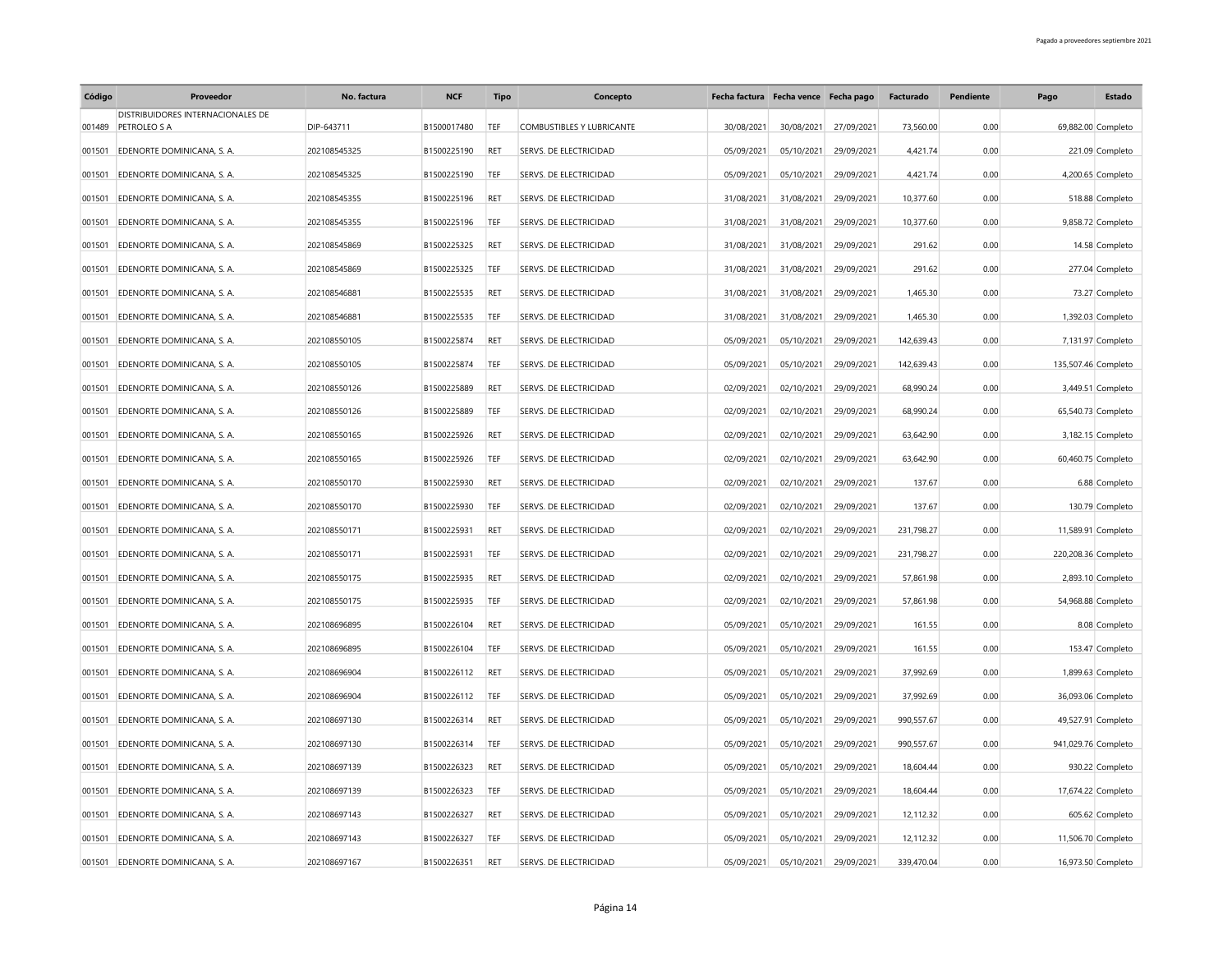| Código | Proveedor                                                | No. factura  | <b>NCF</b>  | <b>Tipo</b> | Concepto                         |            | Fecha factura Fecha vence Fecha pago |            | Facturado  | Pendiente | Pago                | <b>Estado</b>     |
|--------|----------------------------------------------------------|--------------|-------------|-------------|----------------------------------|------------|--------------------------------------|------------|------------|-----------|---------------------|-------------------|
|        | DISTRIBUIDORES INTERNACIONALES DE<br>001489 PETROLEO S A | DIP-643711   | B1500017480 | TEF         | <b>COMBUSTIBLES Y LUBRICANTE</b> | 30/08/2021 | 30/08/2021                           | 27/09/2021 | 73,560.00  | 0.00      | 69,882.00 Completo  |                   |
| 001501 | EDENORTE DOMINICANA, S. A.                               | 202108545325 | B1500225190 | RET         | SERVS. DE ELECTRICIDAD           | 05/09/2021 | 05/10/2021                           | 29/09/2021 | 4,421.74   | 0.00      |                     | 221.09 Completo   |
| 001501 | EDENORTE DOMINICANA, S. A.                               | 202108545325 | B1500225190 | TEF         | SERVS. DE ELECTRICIDAD           | 05/09/2021 | 05/10/2021                           | 29/09/2021 | 4,421.74   | 0.00      |                     | 4,200.65 Completo |
| 001501 | EDENORTE DOMINICANA, S. A.                               | 202108545355 | B1500225196 | RET         | SERVS. DE ELECTRICIDAD           | 31/08/2021 | 31/08/2021                           | 29/09/2021 | 10,377.60  | 0.00      |                     | 518.88 Completo   |
| 001501 | EDENORTE DOMINICANA, S. A.                               | 202108545355 | B1500225196 | TEF         | SERVS. DE ELECTRICIDAD           | 31/08/2021 | 31/08/2021                           | 29/09/2021 | 10,377.60  | 0.00      |                     | 9,858.72 Completo |
| 001501 | EDENORTE DOMINICANA, S. A.                               | 202108545869 | B1500225325 | <b>RET</b>  | SERVS. DE ELECTRICIDAD           | 31/08/2021 | 31/08/2021                           | 29/09/2021 | 291.62     | 0.00      |                     | 14.58 Completo    |
| 001501 | EDENORTE DOMINICANA, S. A.                               | 202108545869 | B1500225325 | TEF         | SERVS. DE ELECTRICIDAD           | 31/08/2021 | 31/08/2021                           | 29/09/2021 | 291.62     | 0.00      |                     | 277.04 Completo   |
| 001501 | EDENORTE DOMINICANA, S. A.                               | 202108546881 | B1500225535 | RET         | SERVS. DE ELECTRICIDAD           | 31/08/2021 | 31/08/2021                           | 29/09/2021 | 1,465.30   | 0.00      |                     | 73.27 Completo    |
| 001501 | EDENORTE DOMINICANA, S. A.                               | 202108546881 | B1500225535 | TEF         | SERVS. DE ELECTRICIDAD           | 31/08/2021 | 31/08/2021                           | 29/09/2021 | 1,465.30   | 0.00      |                     | 1,392.03 Completo |
| 001501 | EDENORTE DOMINICANA, S. A.                               | 202108550105 | B1500225874 | <b>RET</b>  | SERVS. DE ELECTRICIDAD           | 05/09/2021 | 05/10/2021                           | 29/09/2021 | 142,639.43 | 0.00      |                     | 7,131.97 Completo |
| 001501 | EDENORTE DOMINICANA, S. A.                               | 202108550105 | B1500225874 | <b>TEF</b>  | SERVS. DE ELECTRICIDAD           | 05/09/2021 | 05/10/2021                           | 29/09/2021 | 142.639.43 | 0.00      | 135,507.46 Completo |                   |
| 001501 | EDENORTE DOMINICANA, S. A.                               | 202108550126 | B1500225889 | RET         | SERVS. DE ELECTRICIDAD           | 02/09/2021 | 02/10/2021                           | 29/09/2021 | 68,990.24  | 0.00      |                     | 3,449.51 Completo |
|        |                                                          |              |             |             |                                  |            |                                      |            |            |           |                     |                   |
| 001501 | EDENORTE DOMINICANA, S. A.                               | 202108550126 | B1500225889 | TEF         | SERVS. DE ELECTRICIDAD           | 02/09/2021 | 02/10/2021                           | 29/09/2021 | 68,990.24  | 0.00      | 65,540.73 Completo  |                   |
| 001501 | EDENORTE DOMINICANA, S. A.                               | 202108550165 | B1500225926 | RET         | SERVS. DE ELECTRICIDAD           | 02/09/2021 | 02/10/2021                           | 29/09/2021 | 63,642.90  | 0.00      |                     | 3,182.15 Completo |
| 001501 | EDENORTE DOMINICANA, S. A.                               | 202108550165 | B1500225926 | TEF         | SERVS. DE ELECTRICIDAD           | 02/09/2021 | 02/10/2021                           | 29/09/2021 | 63,642.90  | 0.00      | 60,460.75 Completo  |                   |
| 001501 | EDENORTE DOMINICANA, S. A.                               | 202108550170 | B1500225930 | <b>RET</b>  | SERVS. DE ELECTRICIDAD           | 02/09/2021 | 02/10/2021                           | 29/09/2021 | 137.67     | 0.00      |                     | 6.88 Completo     |
| 001501 | EDENORTE DOMINICANA, S. A.                               | 202108550170 | B1500225930 | TEF         | SERVS. DE ELECTRICIDAD           | 02/09/2021 | 02/10/2021                           | 29/09/2021 | 137.67     | 0.00      |                     | 130.79 Completo   |
| 001501 | EDENORTE DOMINICANA, S. A.                               | 202108550171 | B1500225931 | <b>RET</b>  | SERVS. DE ELECTRICIDAD           | 02/09/2021 | 02/10/2021                           | 29/09/2021 | 231,798.27 | 0.00      | 11,589.91 Completo  |                   |
| 001501 | EDENORTE DOMINICANA, S. A.                               | 202108550171 | B1500225931 | TEF         | SERVS. DE ELECTRICIDAD           | 02/09/2021 | 02/10/2021                           | 29/09/2021 | 231,798.27 | 0.00      | 220,208.36 Completo |                   |
| 001501 | EDENORTE DOMINICANA, S. A.                               | 202108550175 | B1500225935 | <b>RET</b>  | SERVS. DE ELECTRICIDAD           | 02/09/2021 | 02/10/2021                           | 29/09/2021 | 57,861.98  | 0.00      |                     | 2,893.10 Completo |
| 001501 | EDENORTE DOMINICANA, S. A.                               | 202108550175 | B1500225935 | TEF         | SERVS. DE ELECTRICIDAD           | 02/09/2021 | 02/10/2021                           | 29/09/2021 | 57,861.98  | 0.00      | 54,968.88 Completo  |                   |
| 001501 | EDENORTE DOMINICANA, S. A.                               | 202108696895 | B1500226104 | <b>RET</b>  | SERVS. DE ELECTRICIDAD           | 05/09/2021 | 05/10/2021                           | 29/09/2021 | 161.55     | 0.00      |                     | 8.08 Completo     |
| 001501 | EDENORTE DOMINICANA, S. A.                               | 202108696895 | B1500226104 | TEF         | SERVS. DE ELECTRICIDAD           | 05/09/2021 | 05/10/2021                           | 29/09/2021 | 161.55     | 0.00      |                     | 153.47 Completo   |
| 001501 | EDENORTE DOMINICANA, S. A                                | 202108696904 | B1500226112 | RET         | SERVS. DE ELECTRICIDAD           | 05/09/2021 | 05/10/2021                           | 29/09/2021 | 37,992.69  | 0.00      |                     | 1,899.63 Completo |
| 001501 | EDENORTE DOMINICANA, S. A.                               | 202108696904 | B1500226112 | TEF         | SERVS. DE ELECTRICIDAD           | 05/09/2021 | 05/10/2021                           | 29/09/2021 | 37,992.69  | 0.00      | 36,093.06 Completo  |                   |
| 001501 | EDENORTE DOMINICANA, S. A.                               | 202108697130 | B1500226314 | RET         | SERVS. DE ELECTRICIDAD           | 05/09/2021 | 05/10/2021                           | 29/09/2021 | 990,557.67 | 0.00      | 49,527.91 Completo  |                   |
| 001501 | EDENORTE DOMINICANA, S. A.                               | 202108697130 | B1500226314 | TEF         | SERVS. DE ELECTRICIDAD           | 05/09/2021 | 05/10/2021                           | 29/09/2021 | 990,557.67 | 0.00      | 941,029.76 Completo |                   |
| 001501 | EDENORTE DOMINICANA, S. A.                               | 202108697139 | B1500226323 | <b>RET</b>  | SERVS. DE ELECTRICIDAD           | 05/09/2021 | 05/10/2021                           | 29/09/2021 | 18,604.44  | 0.00      |                     | 930.22 Completo   |
| 001501 | EDENORTE DOMINICANA, S. A.                               | 202108697139 | B1500226323 | TEF         | SERVS. DE ELECTRICIDAD           | 05/09/2021 | 05/10/2021                           | 29/09/2021 | 18,604.44  | 0.00      | 17,674.22 Completo  |                   |
| 001501 | EDENORTE DOMINICANA, S. A.                               | 202108697143 | B1500226327 | <b>RET</b>  | SERVS. DE ELECTRICIDAD           | 05/09/2021 | 05/10/2021                           | 29/09/2021 | 12,112.32  | 0.00      |                     | 605.62 Completo   |
| 001501 | EDENORTE DOMINICANA, S. A.                               | 202108697143 | B1500226327 | TEF         | SERVS. DE ELECTRICIDAD           | 05/09/2021 | 05/10/2021                           | 29/09/2021 | 12,112.32  | 0.00      | 11,506.70 Completo  |                   |
|        | 001501 EDENORTE DOMINICANA, S.A.                         | 202108697167 | B1500226351 | RET         | SERVS. DE ELECTRICIDAD           | 05/09/2021 | 05/10/2021                           | 29/09/2021 | 339.470.04 | 0.00      | 16,973.50 Completo  |                   |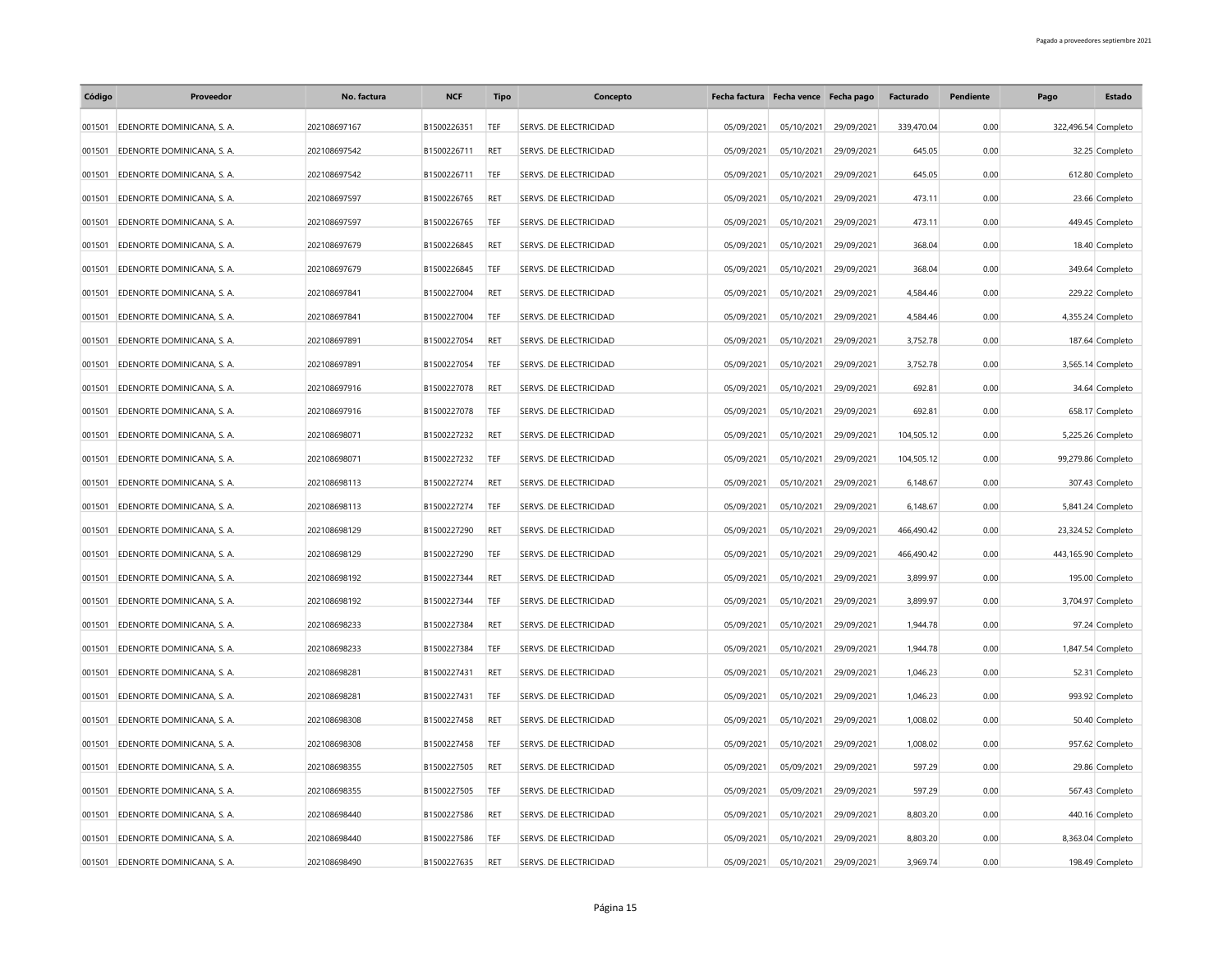| Código | Proveedor                        | No. factura  | <b>NCF</b>  | <b>Tipo</b> | Concepto               | Fecha factura Fecha vence Fecha pago |            |            | Facturado  | Pendiente | Pago                | Estado             |
|--------|----------------------------------|--------------|-------------|-------------|------------------------|--------------------------------------|------------|------------|------------|-----------|---------------------|--------------------|
| 001501 | EDENORTE DOMINICANA, S. A.       | 202108697167 | B1500226351 | TEF         | SERVS. DE ELECTRICIDAD | 05/09/2021                           | 05/10/2021 | 29/09/2021 | 339,470.04 | 0.00      | 322,496.54 Completo |                    |
| 001501 | EDENORTE DOMINICANA, S. A.       | 202108697542 | B1500226711 | <b>RET</b>  | SERVS. DE ELECTRICIDAD | 05/09/2021                           | 05/10/2021 | 29/09/2021 | 645.05     | 0.00      |                     | 32.25 Completo     |
| 001501 | EDENORTE DOMINICANA, S. A.       | 202108697542 | B1500226711 | TEF         | SERVS. DE ELECTRICIDAD | 05/09/2021                           | 05/10/2021 | 29/09/2021 | 645.05     | 0.00      |                     | 612.80 Completo    |
| 001501 | EDENORTE DOMINICANA, S. A.       | 202108697597 | B1500226765 | <b>RET</b>  | SERVS. DE ELECTRICIDAD | 05/09/2021                           | 05/10/2021 | 29/09/2021 | 473.11     | 0.00      |                     | 23.66 Completo     |
| 001501 | EDENORTE DOMINICANA, S. A.       | 202108697597 | B1500226765 | TEF         | SERVS. DE ELECTRICIDAD | 05/09/2021                           | 05/10/2021 | 29/09/2021 | 473.11     | 0.00      |                     | 449.45 Completo    |
| 001501 | EDENORTE DOMINICANA, S. A.       | 202108697679 | B1500226845 | RET         | SERVS. DE ELECTRICIDAD | 05/09/2021                           | 05/10/2021 | 29/09/2021 | 368.04     | 0.00      |                     | 18.40 Completo     |
| 001501 | EDENORTE DOMINICANA, S. A.       | 202108697679 | B1500226845 | TEF         | SERVS. DE ELECTRICIDAD | 05/09/2021                           | 05/10/2021 | 29/09/2021 | 368.04     | 0.00      |                     | 349.64 Completo    |
| 001501 | EDENORTE DOMINICANA, S. A.       | 202108697841 | B1500227004 | <b>RET</b>  | SERVS. DE ELECTRICIDAD | 05/09/2021                           | 05/10/2021 | 29/09/2021 | 4,584.46   | 0.00      |                     | 229.22 Completo    |
| 001501 | EDENORTE DOMINICANA, S. A.       | 202108697841 | B1500227004 | TEF         | SERVS. DE ELECTRICIDAD | 05/09/2021                           | 05/10/2021 | 29/09/2021 | 4,584.46   | 0.00      |                     | 4,355.24 Completo  |
| 001501 | EDENORTE DOMINICANA, S. A.       | 202108697891 | B1500227054 | <b>RET</b>  | SERVS. DE ELECTRICIDAD | 05/09/2021                           | 05/10/2021 | 29/09/2021 | 3,752.78   | 0.00      |                     | 187.64 Completo    |
| 001501 | EDENORTE DOMINICANA, S. A.       | 202108697891 | B1500227054 | TEF         | SERVS. DE ELECTRICIDAD | 05/09/2021                           | 05/10/2021 | 29/09/2021 | 3,752.78   | 0.00      |                     | 3,565.14 Completo  |
| 001501 | EDENORTE DOMINICANA, S. A.       | 202108697916 | B1500227078 | RET         | SERVS. DE ELECTRICIDAD | 05/09/2021                           | 05/10/2021 | 29/09/2021 | 692.81     | 0.00      |                     | 34.64 Completo     |
| 001501 | EDENORTE DOMINICANA, S. A.       | 202108697916 | B1500227078 | TEF         | SERVS. DE ELECTRICIDAD | 05/09/2021                           | 05/10/2021 | 29/09/2021 | 692.81     | 0.00      |                     | 658.17 Completo    |
| 001501 | EDENORTE DOMINICANA, S. A.       | 202108698071 | B1500227232 | RET         | SERVS. DE ELECTRICIDAD | 05/09/2021                           | 05/10/2021 | 29/09/2021 | 104,505.12 | 0.00      |                     | 5,225.26 Completo  |
| 001501 | EDENORTE DOMINICANA, S. A.       | 202108698071 | B1500227232 | TEF         | SERVS. DE ELECTRICIDAD | 05/09/2021                           | 05/10/2021 | 29/09/2021 | 104,505.12 | 0.00      |                     | 99,279.86 Completo |
| 001501 | EDENORTE DOMINICANA, S. A.       | 202108698113 | B1500227274 | <b>RET</b>  | SERVS. DE ELECTRICIDAD | 05/09/2021                           | 05/10/2021 | 29/09/2021 | 6,148.67   | 0.00      |                     | 307.43 Completo    |
| 001501 | EDENORTE DOMINICANA, S. A.       | 202108698113 | B1500227274 | TEF         | SERVS. DE ELECTRICIDAD | 05/09/2021                           | 05/10/2021 | 29/09/2021 | 6,148.67   | 0.00      |                     | 5,841.24 Completo  |
| 001501 | EDENORTE DOMINICANA, S. A.       | 202108698129 | B1500227290 | <b>RET</b>  | SERVS. DE ELECTRICIDAD | 05/09/2021                           | 05/10/2021 | 29/09/2021 | 466,490.42 | 0.00      |                     | 23,324.52 Completo |
| 001501 | EDENORTE DOMINICANA, S. A.       | 202108698129 | B1500227290 | <b>TEF</b>  | SERVS. DE ELECTRICIDAD | 05/09/2021                           | 05/10/2021 | 29/09/2021 | 466,490.42 | 0.00      | 443,165.90 Completo |                    |
| 001501 | EDENORTE DOMINICANA, S. A.       | 202108698192 | B1500227344 | RET         | SERVS. DE ELECTRICIDAD | 05/09/2021                           | 05/10/2021 | 29/09/2021 | 3,899.97   | 0.00      |                     | 195.00 Completo    |
| 001501 | EDENORTE DOMINICANA, S. A.       | 202108698192 | B1500227344 | TEF         | SERVS. DE ELECTRICIDAD | 05/09/2021                           | 05/10/2021 | 29/09/2021 | 3,899.97   | 0.00      |                     | 3,704.97 Completo  |
| 001501 | EDENORTE DOMINICANA, S. A.       | 202108698233 | B1500227384 | <b>RET</b>  | SERVS. DE ELECTRICIDAD | 05/09/2021                           | 05/10/2021 | 29/09/2021 | 1,944.78   | 0.00      |                     | 97.24 Completo     |
| 001501 | EDENORTE DOMINICANA, S. A.       | 202108698233 | B1500227384 | TEF         | SERVS. DE ELECTRICIDAD | 05/09/2021                           | 05/10/2021 | 29/09/2021 | 1,944.78   | 0.00      |                     | 1,847.54 Completo  |
| 001501 | EDENORTE DOMINICANA, S. A.       | 202108698281 | B1500227431 | <b>RFT</b>  | SERVS. DE ELECTRICIDAD | 05/09/2021                           | 05/10/2021 | 29/09/2021 | 1,046.23   | 0.00      |                     | 52.31 Completo     |
| 001501 | EDENORTE DOMINICANA, S. A.       | 202108698281 | B1500227431 | TEF         | SERVS. DE ELECTRICIDAD | 05/09/2021                           | 05/10/2021 | 29/09/2021 | 1,046.23   | 0.00      |                     | 993.92 Completo    |
| 001501 | EDENORTE DOMINICANA, S. A.       | 202108698308 | B1500227458 | RET         | SERVS. DE ELECTRICIDAD | 05/09/2021                           | 05/10/2021 | 29/09/2021 | 1,008.02   | 0.00      |                     | 50.40 Completo     |
| 001501 | EDENORTE DOMINICANA, S. A.       | 202108698308 | B1500227458 | TEF         | SERVS. DE ELECTRICIDAD | 05/09/2021                           | 05/10/2021 | 29/09/2021 | 1,008.02   | 0.00      |                     | 957.62 Completo    |
| 001501 | EDENORTE DOMINICANA, S. A.       | 202108698355 | B1500227505 | RET         | SERVS. DE ELECTRICIDAD | 05/09/2021                           | 05/09/2021 | 29/09/2021 | 597.29     | 0.00      |                     | 29.86 Completo     |
| 001501 | EDENORTE DOMINICANA, S. A.       | 202108698355 | B1500227505 | TEF         | SERVS. DE ELECTRICIDAD | 05/09/2021                           | 05/09/2021 | 29/09/2021 | 597.29     | 0.00      |                     | 567.43 Completo    |
| 001501 | EDENORTE DOMINICANA, S. A.       | 202108698440 | B1500227586 | RET         | SERVS. DE ELECTRICIDAD | 05/09/2021                           | 05/10/2021 | 29/09/2021 | 8,803.20   | 0.00      |                     | 440.16 Completo    |
| 001501 | EDENORTE DOMINICANA, S. A.       | 202108698440 | B1500227586 | TEF         | SERVS. DE ELECTRICIDAD | 05/09/2021                           | 05/10/2021 | 29/09/2021 | 8,803.20   | 0.00      |                     | 8,363.04 Completo  |
|        | 001501 EDENORTE DOMINICANA, S.A. | 202108698490 | B1500227635 | RET         | SERVS. DE ELECTRICIDAD | 05/09/2021                           | 05/10/2021 | 29/09/2021 | 3.969.74   | 0.00      |                     | 198.49 Completo    |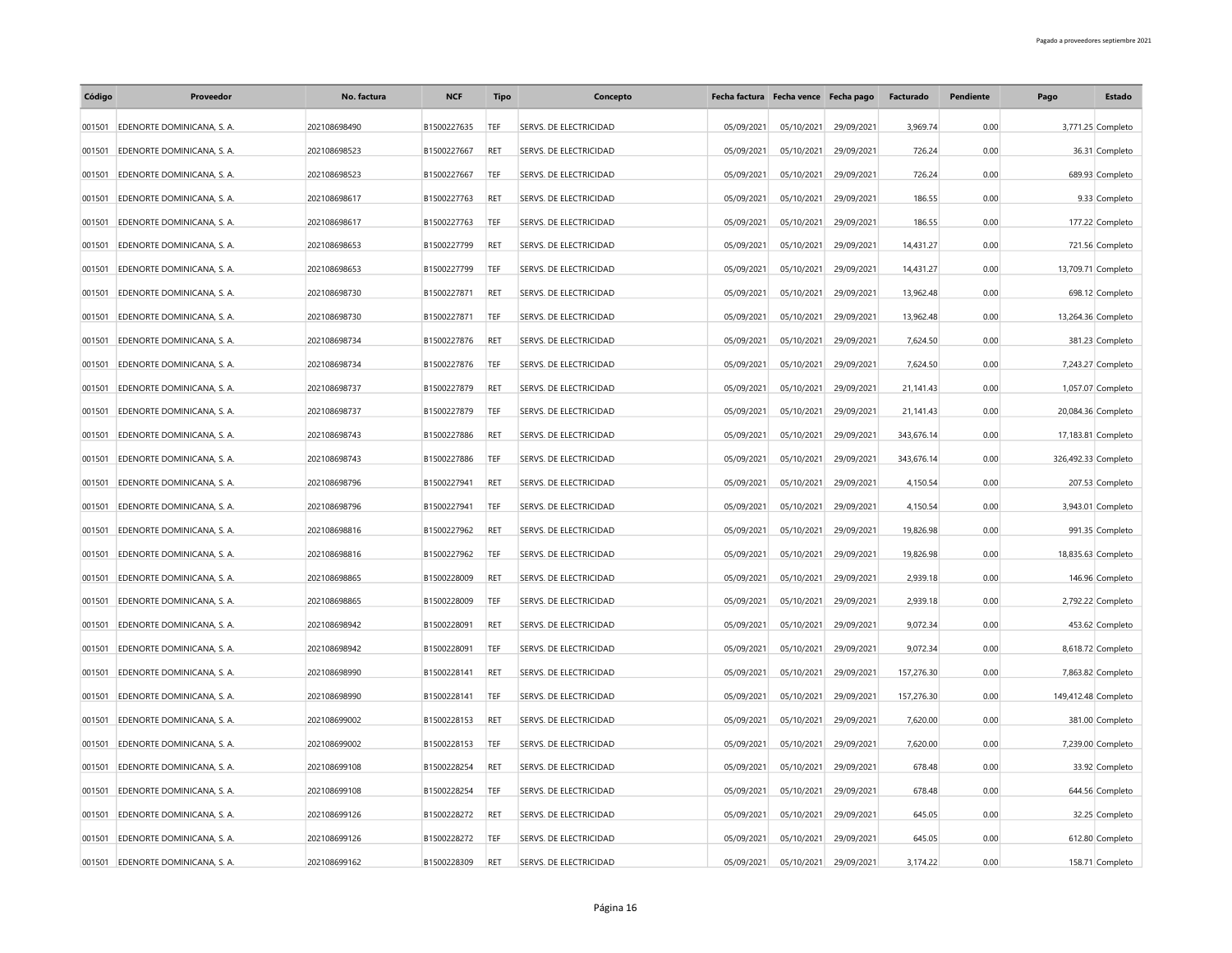| Código | Proveedor                        | No. factura  | <b>NCF</b>  | Tipo       | Concepto               |            | Fecha factura Fecha vence Fecha pago |            | Facturado  | Pendiente | Pago                | Estado             |
|--------|----------------------------------|--------------|-------------|------------|------------------------|------------|--------------------------------------|------------|------------|-----------|---------------------|--------------------|
| 001501 | EDENORTE DOMINICANA, S. A.       | 202108698490 | B1500227635 | TEF        | SERVS. DE ELECTRICIDAD | 05/09/2021 | 05/10/2021                           | 29/09/2021 | 3,969.74   | 0.00      |                     | 3,771.25 Completo  |
| 001501 | EDENORTE DOMINICANA, S. A.       | 202108698523 | B1500227667 | RET        | SERVS. DE ELECTRICIDAD | 05/09/2021 | 05/10/2021                           | 29/09/2021 | 726.24     | 0.00      |                     | 36.31 Completo     |
| 001501 | EDENORTE DOMINICANA, S. A.       | 202108698523 | B1500227667 | <b>TEF</b> | SERVS. DE ELECTRICIDAD | 05/09/2021 | 05/10/2021                           | 29/09/2021 | 726.24     | 0.00      |                     | 689.93 Completo    |
| 001501 | EDENORTE DOMINICANA, S. A.       | 202108698617 | B1500227763 | <b>RET</b> | SERVS. DE ELECTRICIDAD | 05/09/2021 | 05/10/2021                           | 29/09/2021 | 186.55     | 0.00      |                     | 9.33 Completo      |
| 001501 | EDENORTE DOMINICANA, S. A.       | 202108698617 | B1500227763 | TEF        | SERVS. DE ELECTRICIDAD | 05/09/2021 | 05/10/2021                           | 29/09/2021 | 186.55     | 0.00      |                     | 177.22 Completo    |
| 001501 | EDENORTE DOMINICANA, S. A.       | 202108698653 | B1500227799 | <b>RET</b> | SERVS. DE ELECTRICIDAD | 05/09/2021 | 05/10/2021                           | 29/09/2021 | 14,431.27  | 0.00      |                     | 721.56 Completo    |
| 001501 | EDENORTE DOMINICANA, S. A.       | 202108698653 | B1500227799 | TEF        | SERVS. DE ELECTRICIDAD | 05/09/2021 | 05/10/2021                           | 29/09/2021 | 14,431.27  | 0.00      |                     | 13,709.71 Completo |
| 001501 | EDENORTE DOMINICANA, S. A.       | 202108698730 | B1500227871 | RET        | SERVS. DE ELECTRICIDAD | 05/09/2021 | 05/10/2021                           | 29/09/2021 | 13,962.48  | 0.00      |                     | 698.12 Completo    |
| 001501 | EDENORTE DOMINICANA, S. A.       | 202108698730 | B1500227871 | TEF        | SERVS. DE ELECTRICIDAD | 05/09/2021 | 05/10/2021                           | 29/09/2021 | 13,962.48  | 0.00      |                     | 13,264.36 Completo |
| 001501 | EDENORTE DOMINICANA, S. A.       | 202108698734 | B1500227876 | <b>RET</b> | SERVS. DE ELECTRICIDAD | 05/09/2021 | 05/10/2021                           | 29/09/2021 | 7,624.50   | 0.00      |                     | 381.23 Completo    |
| 001501 | EDENORTE DOMINICANA, S. A.       | 202108698734 | B1500227876 | TEF        | SERVS. DE ELECTRICIDAD | 05/09/2021 | 05/10/2021                           | 29/09/2021 | 7,624.50   | 0.00      |                     | 7,243.27 Completo  |
| 001501 | EDENORTE DOMINICANA, S. A.       | 202108698737 | B1500227879 | <b>RET</b> | SERVS. DE ELECTRICIDAD | 05/09/2021 | 05/10/2021                           | 29/09/2021 | 21,141.43  | 0.00      |                     | 1,057.07 Completo  |
| 001501 | EDENORTE DOMINICANA, S. A.       | 202108698737 | B1500227879 | TEF        | SERVS. DE ELECTRICIDAD | 05/09/2021 | 05/10/2021                           | 29/09/2021 | 21,141.43  | 0.00      |                     | 20,084.36 Completo |
| 001501 | EDENORTE DOMINICANA, S. A.       | 202108698743 | B1500227886 | <b>RET</b> | SERVS. DE ELECTRICIDAD | 05/09/2021 | 05/10/2021                           | 29/09/2021 | 343,676.14 | 0.00      | 17,183.81 Completo  |                    |
| 001501 | EDENORTE DOMINICANA, S. A.       | 202108698743 | B1500227886 | TEF        | SERVS. DE ELECTRICIDAD | 05/09/2021 | 05/10/2021                           | 29/09/2021 | 343,676.14 | 0.00      | 326,492.33 Completo |                    |
| 001501 | EDENORTE DOMINICANA, S. A.       | 202108698796 | B1500227941 | RET        | SERVS. DE ELECTRICIDAD | 05/09/2021 | 05/10/2021                           | 29/09/2021 | 4,150.54   | 0.00      |                     | 207.53 Completo    |
| 001501 | EDENORTE DOMINICANA, S. A.       | 202108698796 | B1500227941 | TEF        | SERVS. DE ELECTRICIDAD | 05/09/2021 | 05/10/2021                           | 29/09/2021 | 4,150.54   | 0.00      |                     | 3,943.01 Completo  |
| 001501 | EDENORTE DOMINICANA, S. A.       | 202108698816 | B1500227962 | RET        | SERVS. DE ELECTRICIDAD | 05/09/2021 | 05/10/2021                           | 29/09/2021 | 19,826.98  | 0.00      |                     | 991.35 Completo    |
| 001501 | EDENORTE DOMINICANA, S. A.       | 202108698816 | B1500227962 | TEF        | SERVS. DE ELECTRICIDAD | 05/09/2021 | 05/10/2021                           | 29/09/2021 | 19,826.98  | 0.00      |                     | 18,835.63 Completo |
| 001501 | EDENORTE DOMINICANA, S. A.       | 202108698865 | B1500228009 | <b>RET</b> | SERVS. DE ELECTRICIDAD | 05/09/2021 | 05/10/2021                           | 29/09/2021 | 2,939.18   | 0.00      |                     | 146.96 Completo    |
| 001501 | EDENORTE DOMINICANA, S. A.       | 202108698865 | B1500228009 | TEF        | SERVS. DE ELECTRICIDAD | 05/09/2021 | 05/10/2021                           | 29/09/2021 | 2,939.18   | 0.00      |                     | 2,792.22 Completo  |
| 001501 | EDENORTE DOMINICANA, S. A.       | 202108698942 | B1500228091 | <b>RET</b> | SERVS. DE ELECTRICIDAD | 05/09/2021 | 05/10/2021                           | 29/09/2021 | 9,072.34   | 0.00      |                     | 453.62 Completo    |
| 001501 | EDENORTE DOMINICANA, S. A.       | 202108698942 | B1500228091 | TEF        | SERVS. DE ELECTRICIDAD | 05/09/2021 | 05/10/2021                           | 29/09/2021 | 9,072.34   | 0.00      |                     | 8,618.72 Completo  |
| 001501 | EDENORTE DOMINICANA, S. A        | 202108698990 | B1500228141 | <b>RET</b> | SERVS. DE ELECTRICIDAD | 05/09/2021 | 05/10/2021                           | 29/09/2021 | 157,276.30 | 0.00      |                     | 7,863.82 Completo  |
| 001501 | EDENORTE DOMINICANA, S. A.       | 202108698990 | B1500228141 | TEF        | SERVS. DE ELECTRICIDAD | 05/09/2021 | 05/10/2021                           | 29/09/2021 | 157,276.30 | 0.00      | 149,412.48 Completo |                    |
| 001501 | EDENORTE DOMINICANA, S. A.       | 202108699002 | B1500228153 | RET        | SERVS. DE ELECTRICIDAD | 05/09/2021 | 05/10/2021                           | 29/09/2021 | 7,620.00   | 0.00      |                     | 381.00 Completo    |
| 001501 | EDENORTE DOMINICANA, S. A.       | 202108699002 | B1500228153 | TEF        | SERVS. DE ELECTRICIDAD | 05/09/2021 | 05/10/2021                           | 29/09/2021 | 7,620.00   | 0.00      |                     | 7,239.00 Completo  |
| 001501 | EDENORTE DOMINICANA, S. A.       | 202108699108 | B1500228254 | <b>RET</b> | SERVS. DE ELECTRICIDAD | 05/09/2021 | 05/10/2021                           | 29/09/2021 | 678.48     | 0.00      |                     | 33.92 Completo     |
| 001501 | EDENORTE DOMINICANA, S. A.       | 202108699108 | B1500228254 | TEF        | SERVS. DE ELECTRICIDAD | 05/09/2021 | 05/10/2021                           | 29/09/2021 | 678.48     | 0.00      |                     | 644.56 Completo    |
| 001501 | EDENORTE DOMINICANA, S. A.       | 202108699126 | B1500228272 | <b>RET</b> | SERVS. DE ELECTRICIDAD | 05/09/2021 | 05/10/2021                           | 29/09/2021 | 645.05     | 0.00      |                     | 32.25 Completo     |
| 001501 | EDENORTE DOMINICANA, S. A.       | 202108699126 | B1500228272 | TEF        | SERVS. DE ELECTRICIDAD | 05/09/2021 | 05/10/2021                           | 29/09/2021 | 645.05     | 0.00      |                     | 612.80 Completo    |
|        | 001501 EDENORTE DOMINICANA, S.A. | 202108699162 | B1500228309 | RET        | SERVS. DE ELECTRICIDAD | 05/09/2021 | 05/10/2021                           | 29/09/2021 | 3.174.22   | 0.00      |                     | 158.71 Completo    |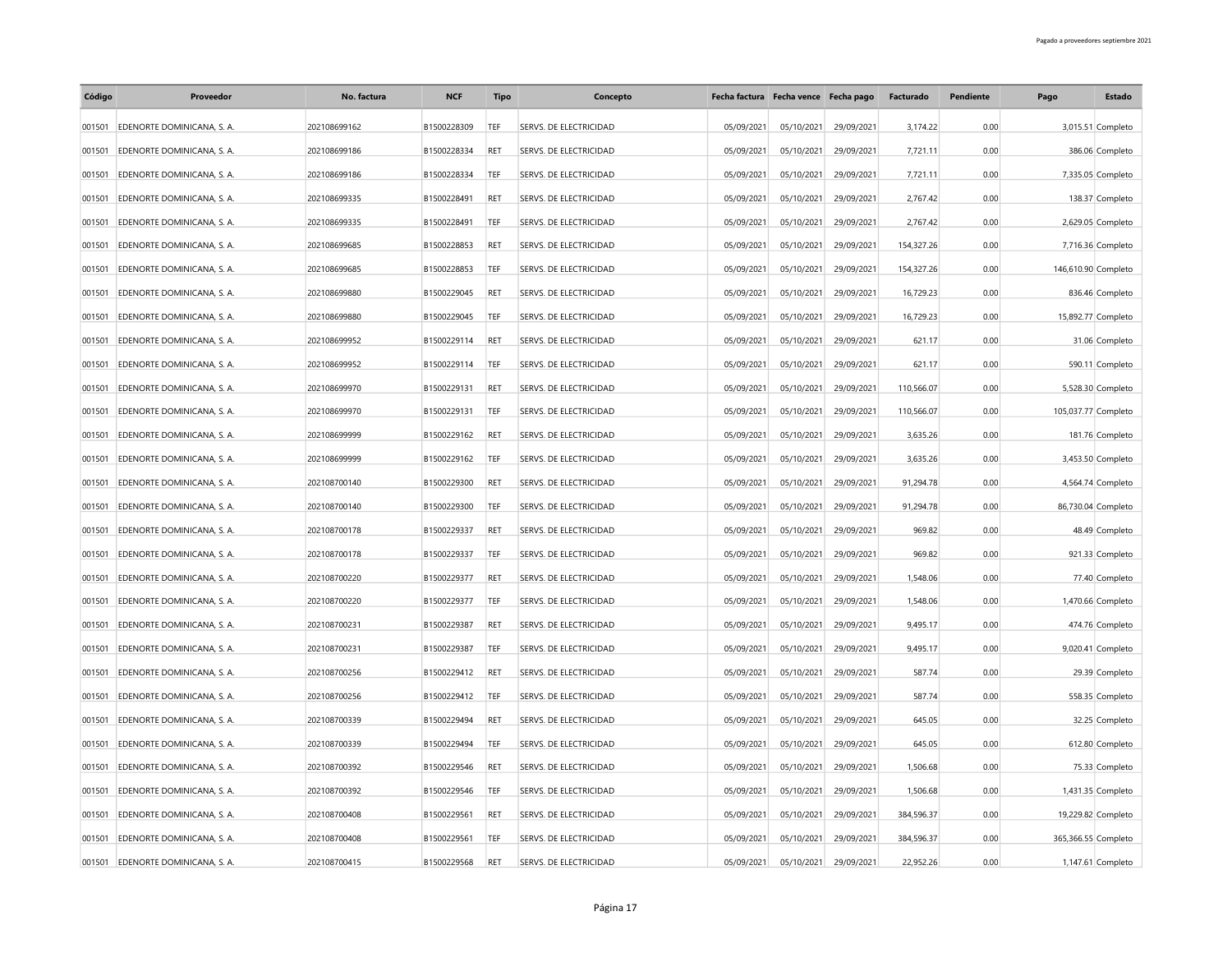| Código | Proveedor                         | No. factura  | <b>NCF</b>  | <b>Tipo</b> | Concepto               | Fecha factura Fecha vence Fecha pago |            |            | Facturado  | Pendiente | Pago                | <b>Estado</b>       |
|--------|-----------------------------------|--------------|-------------|-------------|------------------------|--------------------------------------|------------|------------|------------|-----------|---------------------|---------------------|
| 001501 | EDENORTE DOMINICANA, S. A.        | 202108699162 | B1500228309 | TEF         | SERVS. DE ELECTRICIDAD | 05/09/2021                           | 05/10/2021 | 29/09/2021 | 3.174.22   | 0.00      |                     | 3,015.51 Completo   |
| 001501 | EDENORTE DOMINICANA, S. A.        | 202108699186 | B1500228334 | RET         | SERVS. DE ELECTRICIDAD | 05/09/2021                           | 05/10/2021 | 29/09/2021 | 7,721.11   | 0.00      |                     | 386.06 Completo     |
| 001501 | EDENORTE DOMINICANA, S. A.        | 202108699186 | B1500228334 | TEF         | SERVS. DE ELECTRICIDAD | 05/09/2021                           | 05/10/2021 | 29/09/2021 | 7,721.11   | 0.00      |                     | 7,335.05 Completo   |
| 001501 | EDENORTE DOMINICANA, S. A.        | 202108699335 | B1500228491 | RET         | SERVS. DE ELECTRICIDAD | 05/09/2021                           | 05/10/2021 | 29/09/2021 | 2,767.42   | 0.00      |                     | 138.37 Completo     |
| 001501 | EDENORTE DOMINICANA, S. A.        | 202108699335 | B1500228491 | TEF         | SERVS. DE ELECTRICIDAD | 05/09/2021                           | 05/10/2021 | 29/09/2021 | 2,767.42   | 0.00      |                     | 2,629.05 Completo   |
| 001501 | EDENORTE DOMINICANA, S. A.        | 202108699685 | B1500228853 | <b>RET</b>  | SERVS. DE ELECTRICIDAD | 05/09/2021                           | 05/10/2021 | 29/09/2021 | 154,327.26 | 0.00      |                     | 7,716.36 Completo   |
| 001501 | EDENORTE DOMINICANA, S. A.        | 202108699685 | B1500228853 | TEF         | SERVS. DE ELECTRICIDAD | 05/09/2021                           | 05/10/2021 | 29/09/2021 | 154,327.26 | 0.00      | 146,610.90 Completo |                     |
| 001501 | EDENORTE DOMINICANA, S. A.        | 202108699880 | B1500229045 | RET         | SERVS. DE ELECTRICIDAD | 05/09/2021                           | 05/10/2021 | 29/09/2021 | 16,729.23  | 0.00      |                     | 836.46 Completo     |
| 001501 | EDENORTE DOMINICANA, S. A.        | 202108699880 | B1500229045 | TEF         | SERVS. DE ELECTRICIDAD | 05/09/2021                           | 05/10/2021 | 29/09/2021 | 16,729.23  | 0.00      |                     | 15,892.77 Completo  |
| 001501 | EDENORTE DOMINICANA, S. A.        | 202108699952 | B1500229114 | <b>RET</b>  | SERVS. DE ELECTRICIDAD | 05/09/2021                           | 05/10/2021 | 29/09/2021 | 621.17     | 0.00      |                     | 31.06 Completo      |
| 001501 | EDENORTE DOMINICANA, S. A.        | 202108699952 | B1500229114 | TEF         | SERVS. DE ELECTRICIDAD | 05/09/2021                           | 05/10/2021 | 29/09/2021 | 621.17     | 0.00      |                     | 590.11 Completo     |
| 001501 | EDENORTE DOMINICANA, S. A.        | 202108699970 | B1500229131 | RET         | SERVS. DE ELECTRICIDAD | 05/09/2021                           | 05/10/2021 | 29/09/2021 | 110,566.07 | 0.00      |                     | 5,528.30 Completo   |
| 001501 | EDENORTE DOMINICANA, S. A.        | 202108699970 | B1500229131 | TEF         | SERVS. DE ELECTRICIDAD | 05/09/2021                           | 05/10/2021 | 29/09/2021 | 110,566.07 | 0.00      |                     | 105,037.77 Completo |
| 001501 | EDENORTE DOMINICANA, S. A.        | 202108699999 | B1500229162 | <b>RET</b>  | SERVS. DE ELECTRICIDAD | 05/09/2021                           | 05/10/2021 | 29/09/2021 | 3,635.26   | 0.00      |                     | 181.76 Completo     |
| 001501 | EDENORTE DOMINICANA, S. A.        | 202108699999 | B1500229162 | TEF         | SERVS. DE ELECTRICIDAD | 05/09/2021                           | 05/10/2021 | 29/09/2021 | 3,635.26   | 0.00      |                     | 3,453.50 Completo   |
| 001501 | EDENORTE DOMINICANA, S. A.        | 202108700140 | B1500229300 | RET         | SERVS. DE ELECTRICIDAD | 05/09/2021                           | 05/10/2021 | 29/09/2021 | 91,294.78  | 0.00      |                     | 4,564.74 Completo   |
| 001501 | EDENORTE DOMINICANA, S. A.        | 202108700140 | B1500229300 | TEF         | SERVS. DE ELECTRICIDAD | 05/09/2021                           | 05/10/2021 | 29/09/2021 | 91,294.78  | 0.00      |                     | 86,730.04 Completo  |
| 001501 | EDENORTE DOMINICANA, S. A.        | 202108700178 | B1500229337 | RFT         | SERVS. DE ELECTRICIDAD | 05/09/2021                           | 05/10/2021 | 29/09/2021 | 969.82     | 0.00      |                     | 48.49 Completo      |
| 001501 | EDENORTE DOMINICANA, S. A.        | 202108700178 | B1500229337 | TEF         | SERVS. DE ELECTRICIDAD | 05/09/2021                           | 05/10/2021 | 29/09/2021 | 969.82     | 0.00      |                     | 921.33 Completo     |
| 001501 | EDENORTE DOMINICANA, S. A.        | 202108700220 | B1500229377 | <b>RET</b>  | SERVS. DE ELECTRICIDAD | 05/09/2021                           | 05/10/2021 | 29/09/2021 | 1,548.06   | 0.00      |                     | 77.40 Completo      |
| 001501 | EDENORTE DOMINICANA, S. A.        | 202108700220 | B1500229377 | TEF         | SERVS. DE ELECTRICIDAD | 05/09/2021                           | 05/10/2021 | 29/09/2021 | 1,548.06   | 0.00      |                     | 1,470.66 Completo   |
| 001501 | EDENORTE DOMINICANA, S. A.        | 202108700231 | B1500229387 | <b>RET</b>  | SERVS. DE ELECTRICIDAD | 05/09/2021                           | 05/10/2021 | 29/09/2021 | 9,495.17   | 0.00      |                     | 474.76 Completo     |
| 001501 | EDENORTE DOMINICANA, S. A.        | 202108700231 | B1500229387 | TEF         | SERVS. DE ELECTRICIDAD | 05/09/2021                           | 05/10/2021 | 29/09/2021 | 9,495.17   | 0.00      |                     | 9,020.41 Completo   |
| 001501 | EDENORTE DOMINICANA, S. A.        | 202108700256 | B1500229412 | <b>RET</b>  | SERVS. DE ELECTRICIDAD | 05/09/2021                           | 05/10/2021 | 29/09/2021 | 587.74     | 0.00      |                     | 29.39 Completo      |
| 001501 | EDENORTE DOMINICANA, S. A.        | 202108700256 | B1500229412 | TEF         | SERVS. DE ELECTRICIDAD | 05/09/2021                           | 05/10/2021 | 29/09/2021 | 587.74     | 0.00      |                     | 558.35 Completo     |
| 001501 | EDENORTE DOMINICANA, S. A.        | 202108700339 | B1500229494 | RET         | SERVS. DE ELECTRICIDAD | 05/09/2021                           | 05/10/2021 | 29/09/2021 | 645.05     | 0.00      |                     | 32.25 Completo      |
| 001501 | EDENORTE DOMINICANA, S. A.        | 202108700339 | B1500229494 | TEF         | SERVS. DE ELECTRICIDAD | 05/09/2021                           | 05/10/2021 | 29/09/2021 | 645.05     | 0.00      |                     | 612.80 Completo     |
| 001501 | EDENORTE DOMINICANA, S. A.        | 202108700392 | B1500229546 | <b>RET</b>  | SERVS. DE ELECTRICIDAD | 05/09/2021                           | 05/10/2021 | 29/09/2021 | 1,506.68   | 0.00      |                     | 75.33 Completo      |
| 001501 | EDENORTE DOMINICANA, S. A.        | 202108700392 | B1500229546 | TEF         | SERVS. DE ELECTRICIDAD | 05/09/2021                           | 05/10/2021 | 29/09/2021 | 1,506.68   | 0.00      |                     | 1,431.35 Completo   |
| 001501 | EDENORTE DOMINICANA, S. A.        | 202108700408 | B1500229561 | RET         | SERVS. DE ELECTRICIDAD | 05/09/2021                           | 05/10/2021 | 29/09/2021 | 384,596.37 | 0.00      |                     | 19,229.82 Completo  |
| 001501 | EDENORTE DOMINICANA, S. A.        | 202108700408 | B1500229561 | TEF         | SERVS. DE ELECTRICIDAD | 05/09/2021                           | 05/10/2021 | 29/09/2021 | 384,596.37 | 0.00      | 365,366.55 Completo |                     |
|        | 001501 EDENORTE DOMINICANA, S. A. | 202108700415 | B1500229568 | RET         | SERVS. DE ELECTRICIDAD | 05/09/2021                           | 05/10/2021 | 29/09/2021 | 22.952.26  | 0.00      |                     | 1,147.61 Completo   |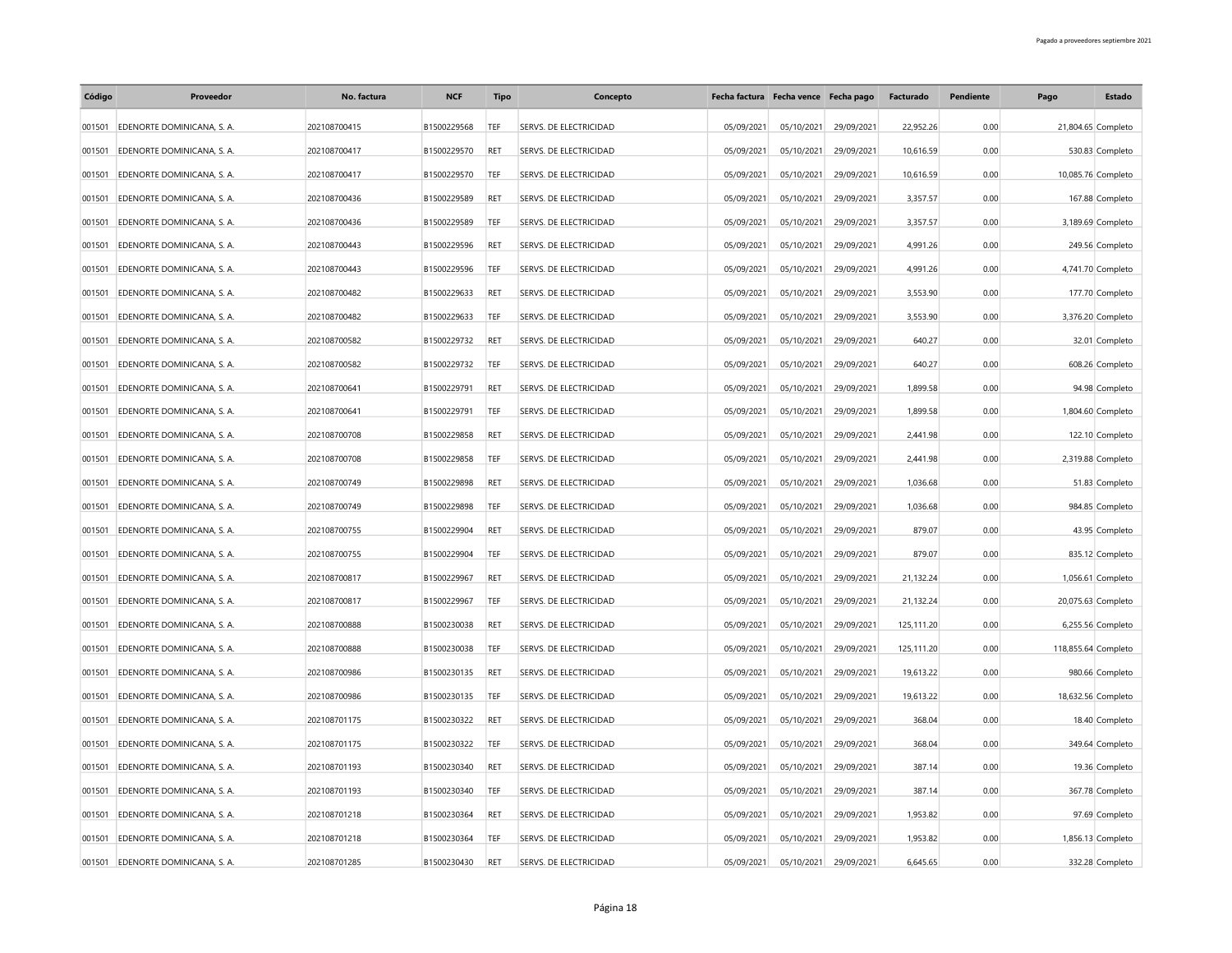| Código | Proveedor                        | No. factura  | <b>NCF</b>  | Tipo       | Concepto               |            | Fecha factura Fecha vence Fecha pago |                       | Facturado  | Pendiente | Pago                | Estado            |
|--------|----------------------------------|--------------|-------------|------------|------------------------|------------|--------------------------------------|-----------------------|------------|-----------|---------------------|-------------------|
| 001501 | EDENORTE DOMINICANA, S. A.       | 202108700415 | B1500229568 | TEF        | SERVS. DE ELECTRICIDAD | 05/09/2021 | 05/10/2021                           | 29/09/2021            | 22.952.26  | 0.00      | 21,804.65 Completo  |                   |
| 001501 | EDENORTE DOMINICANA, S. A.       | 202108700417 | B1500229570 | RET        | SERVS. DE ELECTRICIDAD | 05/09/2021 | 05/10/2021                           | 29/09/2021            | 10,616.59  | 0.00      |                     | 530.83 Completo   |
| 001501 | EDENORTE DOMINICANA, S. A.       | 202108700417 | B1500229570 | <b>TEF</b> | SERVS. DE ELECTRICIDAD | 05/09/2021 | 05/10/2021                           | 29/09/2021            | 10,616.59  | 0.00      | 10,085.76 Completo  |                   |
| 001501 | EDENORTE DOMINICANA, S. A.       | 202108700436 | B1500229589 | <b>RET</b> | SERVS. DE ELECTRICIDAD | 05/09/2021 | 05/10/2021                           | 29/09/2021            | 3,357.57   | 0.00      |                     | 167.88 Completo   |
| 001501 | EDENORTE DOMINICANA, S. A.       | 202108700436 | B1500229589 | TEF        | SERVS. DE ELECTRICIDAD | 05/09/2021 |                                      | 05/10/2021 29/09/2021 | 3,357.57   | 0.00      |                     | 3,189.69 Completo |
| 001501 | EDENORTE DOMINICANA, S. A.       | 202108700443 | B1500229596 | <b>RET</b> | SERVS. DE ELECTRICIDAD | 05/09/2021 | 05/10/2021                           | 29/09/2021            | 4,991.26   | 0.00      |                     | 249.56 Completo   |
| 001501 | EDENORTE DOMINICANA, S. A.       | 202108700443 | B1500229596 | TEF        | SERVS. DE ELECTRICIDAD | 05/09/2021 | 05/10/2021                           | 29/09/2021            | 4,991.26   | 0.00      |                     | 4,741.70 Completo |
| 001501 | EDENORTE DOMINICANA, S. A.       | 202108700482 | B1500229633 | RET        | SERVS. DE ELECTRICIDAD | 05/09/2021 | 05/10/2021                           | 29/09/2021            | 3,553.90   | 0.00      |                     | 177.70 Completo   |
| 001501 | EDENORTE DOMINICANA, S. A.       | 202108700482 | B1500229633 | TEF        | SERVS. DE ELECTRICIDAD | 05/09/2021 | 05/10/2021                           | 29/09/2021            | 3,553.90   | 0.00      |                     | 3,376.20 Completo |
| 001501 | EDENORTE DOMINICANA, S. A.       | 202108700582 | B1500229732 | <b>RET</b> | SERVS. DE ELECTRICIDAD | 05/09/2021 | 05/10/2021                           | 29/09/2021            | 640.27     | 0.00      |                     | 32.01 Completo    |
| 001501 | EDENORTE DOMINICANA, S. A.       | 202108700582 | B1500229732 | TEF        | SERVS. DE ELECTRICIDAD | 05/09/2021 | 05/10/2021                           | 29/09/2021            | 640.27     | 0.00      |                     | 608.26 Completo   |
| 001501 | EDENORTE DOMINICANA, S. A.       | 202108700641 | B1500229791 | <b>RET</b> | SERVS. DE ELECTRICIDAD | 05/09/2021 | 05/10/2021                           | 29/09/2021            | 1,899.58   | 0.00      |                     | 94.98 Completo    |
| 001501 | EDENORTE DOMINICANA, S. A.       | 202108700641 | B1500229791 | TEF        | SERVS. DE ELECTRICIDAD | 05/09/2021 | 05/10/2021                           | 29/09/2021            | 1,899.58   | 0.00      |                     | 1,804.60 Completo |
| 001501 | EDENORTE DOMINICANA, S. A.       | 202108700708 | B1500229858 | <b>RET</b> | SERVS. DE ELECTRICIDAD | 05/09/2021 | 05/10/2021                           | 29/09/2021            | 2,441.98   | 0.00      |                     | 122.10 Completo   |
| 001501 | EDENORTE DOMINICANA, S. A.       | 202108700708 | B1500229858 | TEF        | SERVS. DE ELECTRICIDAD | 05/09/2021 | 05/10/2021                           | 29/09/2021            | 2,441.98   | 0.00      |                     | 2,319.88 Completo |
| 001501 | EDENORTE DOMINICANA, S. A.       | 202108700749 | B1500229898 | RET        | SERVS. DE ELECTRICIDAD | 05/09/2021 | 05/10/2021                           | 29/09/2021            | 1,036.68   | 0.00      |                     | 51.83 Completo    |
| 001501 | EDENORTE DOMINICANA, S. A.       | 202108700749 | B1500229898 | TEF        | SERVS. DE ELECTRICIDAD | 05/09/2021 | 05/10/2021                           | 29/09/2021            | 1,036.68   | 0.00      |                     | 984.85 Completo   |
| 001501 | EDENORTE DOMINICANA, S. A.       | 202108700755 | B1500229904 | RET        | SERVS. DE ELECTRICIDAD | 05/09/2021 | 05/10/2021                           | 29/09/2021            | 879.07     | 0.00      |                     | 43.95 Completo    |
| 001501 | EDENORTE DOMINICANA, S. A.       | 202108700755 | B1500229904 | TEF        | SERVS. DE ELECTRICIDAD | 05/09/2021 | 05/10/2021                           | 29/09/2021            | 879.07     | 0.00      |                     | 835.12 Completo   |
| 001501 | EDENORTE DOMINICANA, S. A.       | 202108700817 | B1500229967 | <b>RET</b> | SERVS. DE ELECTRICIDAD | 05/09/2021 | 05/10/2021                           | 29/09/2021            | 21,132.24  | 0.00      |                     | 1,056.61 Completo |
| 001501 | EDENORTE DOMINICANA, S. A.       | 202108700817 | B1500229967 | TEF        | SERVS. DE ELECTRICIDAD | 05/09/2021 | 05/10/2021                           | 29/09/2021            | 21,132.24  | 0.00      | 20,075.63 Completo  |                   |
| 001501 | EDENORTE DOMINICANA, S. A.       | 202108700888 | B1500230038 | <b>RET</b> | SERVS. DE ELECTRICIDAD | 05/09/2021 | 05/10/2021                           | 29/09/2021            | 125,111.20 | 0.00      |                     | 6,255.56 Completo |
| 001501 | EDENORTE DOMINICANA, S. A.       | 202108700888 | B1500230038 | TEF        | SERVS. DE ELECTRICIDAD | 05/09/2021 | 05/10/2021                           | 29/09/2021            | 125,111.20 | 0.00      | 118,855.64 Completo |                   |
| 001501 | EDENORTE DOMINICANA, S. A        | 202108700986 | B1500230135 | <b>RET</b> | SERVS. DE ELECTRICIDAD | 05/09/2021 | 05/10/2021                           | 29/09/2021            | 19,613.22  | 0.00      |                     | 980.66 Completo   |
| 001501 | EDENORTE DOMINICANA, S. A.       | 202108700986 | B1500230135 | TEF        | SERVS. DE ELECTRICIDAD | 05/09/2021 | 05/10/2021                           | 29/09/2021            | 19,613.22  | 0.00      | 18,632.56 Completo  |                   |
| 001501 | EDENORTE DOMINICANA, S. A.       | 202108701175 | B1500230322 | RET        | SERVS. DE ELECTRICIDAD | 05/09/2021 | 05/10/2021                           | 29/09/2021            | 368.04     | 0.00      |                     | 18.40 Completo    |
| 001501 | EDENORTE DOMINICANA, S. A.       | 202108701175 | B1500230322 | TEF        | SERVS. DE ELECTRICIDAD | 05/09/2021 | 05/10/2021                           | 29/09/2021            | 368.04     | 0.00      |                     | 349.64 Completo   |
| 001501 | EDENORTE DOMINICANA, S. A.       | 202108701193 | B1500230340 | <b>RET</b> | SERVS. DE ELECTRICIDAD | 05/09/2021 | 05/10/2021                           | 29/09/2021            | 387.14     | 0.00      |                     | 19.36 Completo    |
| 001501 | EDENORTE DOMINICANA, S. A.       | 202108701193 | B1500230340 | TEF        | SERVS. DE ELECTRICIDAD | 05/09/2021 | 05/10/2021                           | 29/09/2021            | 387.14     | 0.00      |                     | 367.78 Completo   |
| 001501 | EDENORTE DOMINICANA, S. A.       | 202108701218 | B1500230364 | <b>RET</b> | SERVS. DE ELECTRICIDAD | 05/09/2021 | 05/10/2021                           | 29/09/2021            | 1,953.82   | 0.00      |                     | 97.69 Completo    |
| 001501 | EDENORTE DOMINICANA, S. A.       | 202108701218 | B1500230364 | TEF        | SERVS. DE ELECTRICIDAD | 05/09/2021 | 05/10/2021                           | 29/09/2021            | 1,953.82   | 0.00      |                     | 1,856.13 Completo |
|        | 001501 EDENORTE DOMINICANA, S.A. | 202108701285 | B1500230430 | <b>RET</b> | SERVS. DE ELECTRICIDAD | 05/09/2021 | 05/10/2021                           | 29/09/2021            | 6.645.65   | 0.00      |                     | 332.28 Completo   |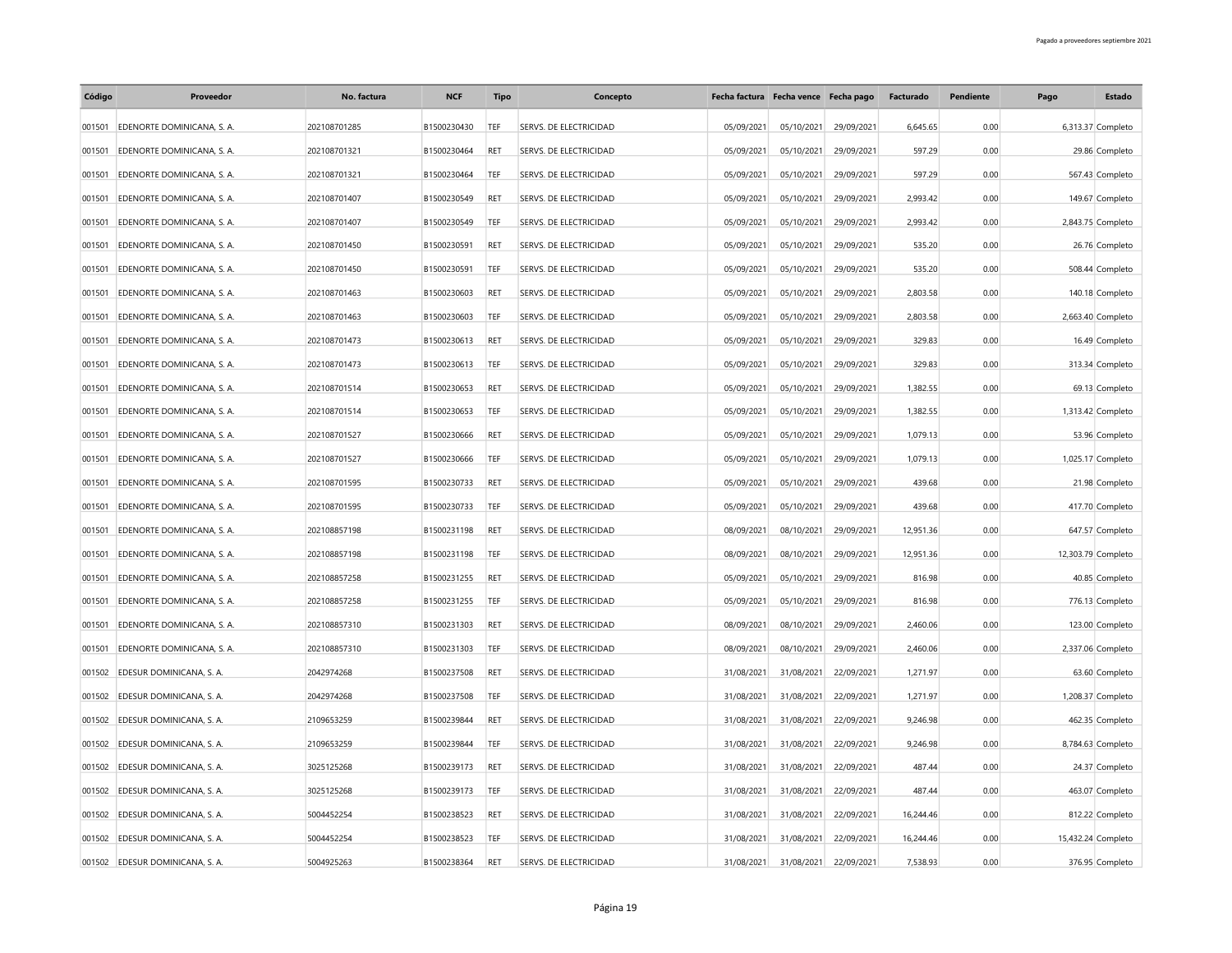| Código | Proveedor                       | No. factura  | <b>NCF</b>  | Tipo       | Concepto               |            | Fecha factura Fecha vence Fecha pago |            | Facturado | Pendiente | Pago | Estado             |
|--------|---------------------------------|--------------|-------------|------------|------------------------|------------|--------------------------------------|------------|-----------|-----------|------|--------------------|
| 001501 | EDENORTE DOMINICANA, S. A.      | 202108701285 | B1500230430 | TEF        | SERVS. DE ELECTRICIDAD | 05/09/2021 | 05/10/2021                           | 29/09/2021 | 6.645.65  | 0.00      |      | 6,313.37 Completo  |
| 001501 | EDENORTE DOMINICANA, S. A.      | 202108701321 | B1500230464 | RET        | SERVS. DE ELECTRICIDAD | 05/09/2021 | 05/10/2021                           | 29/09/2021 | 597.29    | 0.00      |      | 29.86 Completo     |
| 001501 | EDENORTE DOMINICANA, S. A.      | 202108701321 | B1500230464 | <b>TEF</b> | SERVS. DE ELECTRICIDAD | 05/09/2021 | 05/10/2021                           | 29/09/2021 | 597.29    | 0.00      |      | 567.43 Completo    |
| 001501 | EDENORTE DOMINICANA, S. A.      | 202108701407 | B1500230549 | <b>RET</b> | SERVS. DE ELECTRICIDAD | 05/09/2021 | 05/10/2021                           | 29/09/2021 | 2,993.42  | 0.00      |      | 149.67 Completo    |
| 001501 | EDENORTE DOMINICANA, S. A.      | 202108701407 | B1500230549 | TEF        | SERVS. DE ELECTRICIDAD | 05/09/2021 | 05/10/2021                           | 29/09/2021 | 2,993.42  | 0.00      |      | 2,843.75 Completo  |
| 001501 | EDENORTE DOMINICANA, S. A.      | 202108701450 | B1500230591 | <b>RET</b> | SERVS. DE ELECTRICIDAD | 05/09/2021 | 05/10/2021                           | 29/09/2021 | 535.20    | 0.00      |      | 26.76 Completo     |
| 001501 | EDENORTE DOMINICANA, S. A.      | 202108701450 | B1500230591 | <b>TEF</b> | SERVS. DE ELECTRICIDAD | 05/09/2021 | 05/10/2021                           | 29/09/2021 | 535.20    | 0.00      |      | 508.44 Completo    |
| 001501 | EDENORTE DOMINICANA, S. A.      | 202108701463 | B1500230603 | RET        | SERVS. DE ELECTRICIDAD | 05/09/2021 | 05/10/2021                           | 29/09/2021 | 2,803.58  | 0.00      |      | 140.18 Completo    |
| 001501 | EDENORTE DOMINICANA, S. A.      | 202108701463 | B1500230603 | TEF        | SERVS. DE ELECTRICIDAD | 05/09/2021 | 05/10/2021                           | 29/09/2021 | 2,803.58  | 0.00      |      | 2,663.40 Completo  |
| 001501 | EDENORTE DOMINICANA, S. A.      | 202108701473 | B1500230613 | <b>RET</b> | SERVS. DE ELECTRICIDAD | 05/09/2021 | 05/10/2021                           | 29/09/2021 | 329.83    | 0.00      |      | 16.49 Completo     |
| 001501 | EDENORTE DOMINICANA, S. A.      | 202108701473 | B1500230613 | TEF        | SERVS. DE ELECTRICIDAD | 05/09/2021 | 05/10/2021                           | 29/09/2021 | 329.83    | 0.00      |      | 313.34 Completo    |
| 001501 | EDENORTE DOMINICANA, S. A.      | 202108701514 | B1500230653 | <b>RET</b> | SERVS. DE ELECTRICIDAD | 05/09/2021 | 05/10/2021                           | 29/09/2021 | 1,382.55  | 0.00      |      | 69.13 Completo     |
| 001501 | EDENORTE DOMINICANA, S. A.      | 202108701514 | B1500230653 | TEF        | SERVS. DE ELECTRICIDAD | 05/09/2021 | 05/10/2021                           | 29/09/2021 | 1,382.55  | 0.00      |      | 1,313.42 Completo  |
| 001501 | EDENORTE DOMINICANA, S. A.      | 202108701527 | B1500230666 | <b>RET</b> | SERVS. DE ELECTRICIDAD | 05/09/2021 | 05/10/2021                           | 29/09/2021 | 1,079.13  | 0.00      |      | 53.96 Completo     |
| 001501 | EDENORTE DOMINICANA, S. A.      | 202108701527 | B1500230666 | TEF        | SERVS. DE ELECTRICIDAD | 05/09/2021 | 05/10/2021                           | 29/09/2021 | 1,079.13  | 0.00      |      | 1,025.17 Completo  |
| 001501 | EDENORTE DOMINICANA, S. A.      | 202108701595 | B1500230733 | RET        | SERVS. DE ELECTRICIDAD | 05/09/2021 | 05/10/2021                           | 29/09/2021 | 439.68    | 0.00      |      | 21.98 Completo     |
| 001501 | EDENORTE DOMINICANA, S. A.      | 202108701595 | B1500230733 | TEF        | SERVS. DE ELECTRICIDAD | 05/09/2021 | 05/10/2021                           | 29/09/2021 | 439.68    | 0.00      |      | 417.70 Completo    |
| 001501 | EDENORTE DOMINICANA, S. A.      | 202108857198 | B1500231198 | RET        | SERVS. DE ELECTRICIDAD | 08/09/2021 | 08/10/2021                           | 29/09/2021 | 12,951.36 | 0.00      |      | 647.57 Completo    |
| 001501 | EDENORTE DOMINICANA, S. A.      | 202108857198 | B1500231198 | TEF        | SERVS. DE ELECTRICIDAD | 08/09/2021 | 08/10/2021                           | 29/09/2021 | 12,951.36 | 0.00      |      | 12,303.79 Completo |
| 001501 | EDENORTE DOMINICANA, S. A.      | 202108857258 | B1500231255 | <b>RET</b> | SERVS. DE ELECTRICIDAD | 05/09/2021 | 05/10/2021                           | 29/09/2021 | 816.98    | 0.00      |      | 40.85 Completo     |
| 001501 | EDENORTE DOMINICANA, S. A.      | 202108857258 | B1500231255 | TEF        | SERVS. DE ELECTRICIDAD | 05/09/2021 | 05/10/2021                           | 29/09/2021 | 816.98    | 0.00      |      | 776.13 Completo    |
| 001501 | EDENORTE DOMINICANA, S. A.      | 202108857310 | B1500231303 | <b>RET</b> | SERVS. DE ELECTRICIDAD | 08/09/2021 | 08/10/2021                           | 29/09/2021 | 2,460.06  | 0.00      |      | 123.00 Completo    |
| 001501 | EDENORTE DOMINICANA, S. A.      | 202108857310 | B1500231303 | TEF        | SERVS. DE ELECTRICIDAD | 08/09/2021 | 08/10/2021                           | 29/09/2021 | 2,460.06  | 0.00      |      | 2,337.06 Completo  |
| 001502 | EDESUR DOMINICANA, S. A.        | 2042974268   | B1500237508 | <b>RET</b> | SERVS. DE ELECTRICIDAD | 31/08/2021 | 31/08/2021                           | 22/09/2021 | 1,271.97  | 0.00      |      | 63.60 Completo     |
| 001502 | EDESUR DOMINICANA, S. A.        | 2042974268   | B1500237508 | TEF        | SERVS. DE ELECTRICIDAD | 31/08/2021 | 31/08/2021                           | 22/09/2021 | 1,271.97  | 0.00      |      | 1,208.37 Completo  |
| 001502 | EDESUR DOMINICANA, S. A.        | 2109653259   | B1500239844 | RET        | SERVS. DE ELECTRICIDAD | 31/08/2021 | 31/08/2021                           | 22/09/2021 | 9,246.98  | 0.00      |      | 462.35 Completo    |
|        | 001502 EDESUR DOMINICANA, S. A. | 2109653259   | B1500239844 | TEF        | SERVS. DE ELECTRICIDAD | 31/08/2021 | 31/08/2021                           | 22/09/2021 | 9,246.98  | 0.00      |      | 8,784.63 Completo  |
| 001502 | EDESUR DOMINICANA, S. A.        | 3025125268   | B1500239173 | <b>RET</b> | SERVS. DE ELECTRICIDAD | 31/08/2021 | 31/08/2021                           | 22/09/2021 | 487.44    | 0.00      |      | 24.37 Completo     |
| 001502 | EDESUR DOMINICANA, S. A.        | 3025125268   | B1500239173 | TEF        | SERVS. DE ELECTRICIDAD | 31/08/2021 | 31/08/2021                           | 22/09/2021 | 487.44    | 0.00      |      | 463.07 Completo    |
| 001502 | EDESUR DOMINICANA, S. A.        | 5004452254   | B1500238523 | <b>RET</b> | SERVS. DE ELECTRICIDAD | 31/08/2021 | 31/08/2021                           | 22/09/2021 | 16.244.46 | 0.00      |      | 812.22 Completo    |
|        | 001502 EDESUR DOMINICANA, S. A. | 5004452254   | B1500238523 | TEF        | SERVS. DE ELECTRICIDAD | 31/08/2021 | 31/08/2021                           | 22/09/2021 | 16,244.46 | 0.00      |      | 15,432.24 Completo |
|        | 001502 EDESUR DOMINICANA, S. A. | 5004925263   | B1500238364 | RET        | SERVS. DE ELECTRICIDAD | 31/08/2021 | 31/08/2021                           | 22/09/2021 | 7.538.93  | 0.00      |      | 376.95 Completo    |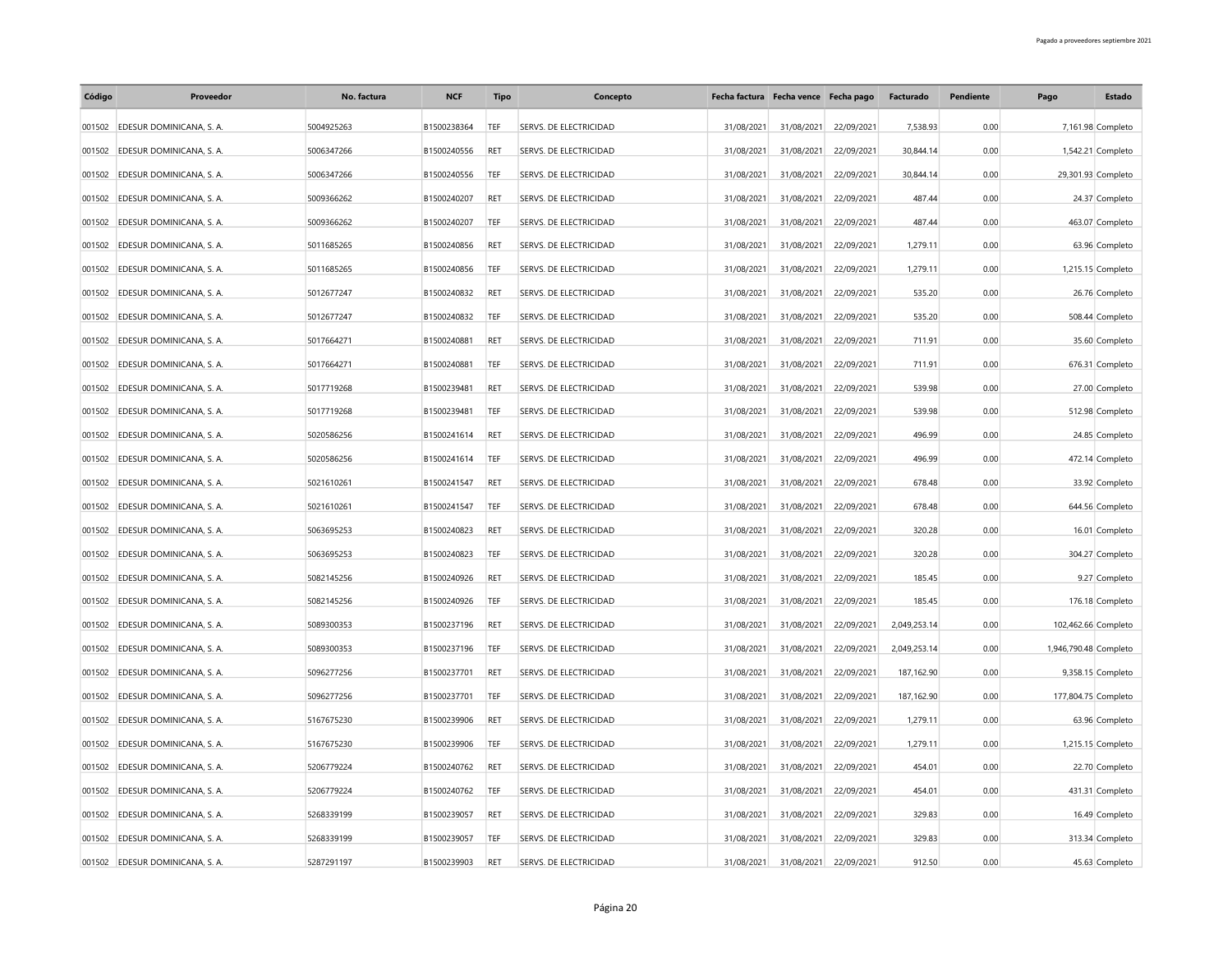| Código | Proveedor                       | No. factura | <b>NCF</b>  | <b>Tipo</b> | Concepto                      |            | Fecha factura Fecha vence Fecha pago |            | Facturado    | Pendiente | Pago                  | Estado            |
|--------|---------------------------------|-------------|-------------|-------------|-------------------------------|------------|--------------------------------------|------------|--------------|-----------|-----------------------|-------------------|
|        | 001502 EDESUR DOMINICANA, S. A. | 5004925263  | B1500238364 | <b>TEF</b>  | SERVS. DE ELECTRICIDAD        | 31/08/2021 | 31/08/2021                           | 22/09/2021 | 7,538.93     | 0.00      |                       | 7,161.98 Completo |
| 001502 | EDESUR DOMINICANA, S. A.        | 5006347266  | B1500240556 | RET         | SERVS. DE ELECTRICIDAD        | 31/08/2021 | 31/08/2021                           | 22/09/2021 | 30.844.14    | 0.00      |                       | 1,542.21 Completo |
| 001502 | EDESUR DOMINICANA, S. A.        | 5006347266  | B1500240556 | TEF         | SERVS. DE ELECTRICIDAD        | 31/08/2021 | 31/08/2021                           | 22/09/2021 | 30,844.14    | 0.00      | 29,301.93 Completo    |                   |
| 001502 | EDESUR DOMINICANA, S. A.        | 5009366262  | B1500240207 | RET         | <b>SERVS. DE ELECTRICIDAD</b> | 31/08/2021 | 31/08/2021                           | 22/09/2021 | 487.44       | 0.00      |                       | 24.37 Completo    |
|        | 001502 EDESUR DOMINICANA, S. A. | 5009366262  | B1500240207 | TEF         | SERVS. DE ELECTRICIDAD        | 31/08/2021 | 31/08/2021                           | 22/09/2021 | 487.44       | 0.00      |                       | 463.07 Completo   |
| 001502 | EDESUR DOMINICANA, S. A.        | 5011685265  | B1500240856 | RET         | SERVS. DE ELECTRICIDAD        | 31/08/2021 | 31/08/2021                           | 22/09/2021 | 1,279.11     | 0.00      |                       | 63.96 Completo    |
| 001502 | EDESUR DOMINICANA, S. A.        | 5011685265  | B1500240856 | TEF         | SERVS. DE ELECTRICIDAD        | 31/08/2021 | 31/08/2021                           | 22/09/2021 | 1,279.11     | 0.00      |                       | 1,215.15 Completo |
| 001502 | EDESUR DOMINICANA, S. A.        | 5012677247  | B1500240832 | RET         | SERVS. DE ELECTRICIDAD        | 31/08/2021 | 31/08/2021                           | 22/09/2021 | 535.20       | 0.00      |                       | 26.76 Completo    |
| 001502 | EDESUR DOMINICANA, S. A.        | 5012677247  | B1500240832 | TEF         | SERVS. DE ELECTRICIDAD        | 31/08/2021 | 31/08/2021                           | 22/09/2021 | 535.20       | 0.00      |                       | 508.44 Completo   |
| 001502 | EDESUR DOMINICANA, S. A.        | 5017664271  | B1500240881 | <b>RET</b>  | SERVS. DE ELECTRICIDAD        | 31/08/2021 | 31/08/2021                           | 22/09/2021 | 711.91       | 0.00      |                       | 35.60 Completo    |
| 001502 | EDESUR DOMINICANA, S. A.        | 5017664271  | B1500240881 | TEF         | SERVS. DE ELECTRICIDAD        | 31/08/2021 | 31/08/2021                           | 22/09/2021 | 711.91       | 0.00      |                       | 676.31 Completo   |
| 001502 | EDESUR DOMINICANA, S. A.        | 5017719268  | B1500239481 | RET         | SERVS. DE ELECTRICIDAD        | 31/08/2021 | 31/08/2021                           | 22/09/2021 | 539.98       | 0.00      |                       | 27.00 Completo    |
| 001502 | EDESUR DOMINICANA, S. A.        | 5017719268  | B1500239481 | TEF         | SERVS. DE ELECTRICIDAD        | 31/08/2021 | 31/08/2021                           | 22/09/2021 | 539.98       | 0.00      |                       | 512.98 Completo   |
| 001502 | EDESUR DOMINICANA, S. A.        | 5020586256  | B1500241614 | RET         | SERVS. DE ELECTRICIDAD        | 31/08/2021 | 31/08/2021                           | 22/09/2021 | 496.99       | 0.00      |                       | 24.85 Completo    |
| 001502 | EDESUR DOMINICANA, S. A.        | 5020586256  | B1500241614 | TEF         | SERVS. DE ELECTRICIDAD        | 31/08/2021 | 31/08/2021                           | 22/09/2021 | 496.99       | 0.00      |                       | 472.14 Completo   |
| 001502 | EDESUR DOMINICANA, S. A.        | 5021610261  | B1500241547 | RET         | SERVS. DE ELECTRICIDAD        | 31/08/2021 | 31/08/2021                           | 22/09/2021 | 678.48       | 0.00      |                       | 33.92 Completo    |
| 001502 | EDESUR DOMINICANA, S. A.        | 5021610261  | B1500241547 | TEF         | SERVS. DE ELECTRICIDAD        | 31/08/2021 | 31/08/2021                           | 22/09/2021 | 678.48       | 0.00      |                       | 644.56 Completo   |
| 001502 | EDESUR DOMINICANA, S. A.        | 5063695253  | B1500240823 | RET         | SERVS. DE ELECTRICIDAD        | 31/08/2021 | 31/08/2021                           | 22/09/2021 | 320.28       | 0.00      |                       | 16.01 Completo    |
| 001502 | EDESUR DOMINICANA, S. A.        | 5063695253  | B1500240823 | TEF         | SERVS. DE ELECTRICIDAD        | 31/08/2021 | 31/08/2021                           | 22/09/2021 | 320.28       | 0.00      |                       | 304.27 Completo   |
| 001502 | EDESUR DOMINICANA, S. A.        | 5082145256  | B1500240926 | RET         | SERVS. DE ELECTRICIDAD        | 31/08/2021 | 31/08/2021                           | 22/09/2021 | 185.45       | 0.00      |                       | 9.27 Completo     |
| 001502 | EDESUR DOMINICANA, S. A.        | 5082145256  | B1500240926 | TEF         | SERVS. DE ELECTRICIDAD        | 31/08/2021 | 31/08/2021                           | 22/09/2021 | 185.45       | 0.00      |                       | 176.18 Completo   |
| 001502 | EDESUR DOMINICANA, S. A.        | 5089300353  | B1500237196 | RET         | SERVS. DE ELECTRICIDAD        | 31/08/2021 | 31/08/2021                           | 22/09/2021 | 2,049,253.14 | 0.00      | 102,462.66 Completo   |                   |
| 001502 | EDESUR DOMINICANA, S. A.        | 5089300353  | B1500237196 | TEF         | SERVS. DE ELECTRICIDAD        | 31/08/2021 | 31/08/2021                           | 22/09/2021 | 2,049,253.14 | 0.00      | 1,946,790.48 Completo |                   |
| 001502 | EDESUR DOMINICANA, S. A.        | 5096277256  | B1500237701 | RET         | SERVS. DE ELECTRICIDAD        | 31/08/2021 | 31/08/2021                           | 22/09/2021 | 187,162.90   | 0.00      |                       | 9,358.15 Completo |
| 001502 | EDESUR DOMINICANA, S. A.        | 5096277256  | B1500237701 | TEF         | SERVS. DE ELECTRICIDAD        | 31/08/2021 | 31/08/2021                           | 22/09/2021 | 187, 162.90  | 0.00      | 177,804.75 Completo   |                   |
| 001502 | EDESUR DOMINICANA, S. A.        | 5167675230  | B1500239906 | RET         | SERVS. DE ELECTRICIDAD        | 31/08/2021 | 31/08/2021                           | 22/09/2021 | 1,279.11     | 0.00      |                       | 63.96 Completo    |
| 001502 | EDESUR DOMINICANA, S. A.        | 5167675230  | B1500239906 | TEF         | SERVS. DE ELECTRICIDAD        | 31/08/2021 | 31/08/2021                           | 22/09/2021 | 1,279.11     | 0.00      |                       | 1,215.15 Completo |
| 001502 | EDESUR DOMINICANA, S. A.        | 5206779224  | B1500240762 | RET         | SERVS. DE ELECTRICIDAD        | 31/08/2021 | 31/08/2021                           | 22/09/2021 | 454.01       | 0.00      |                       | 22.70 Completo    |
| 001502 | EDESUR DOMINICANA, S. A.        | 5206779224  | B1500240762 | TEF         | SERVS. DE ELECTRICIDAD        | 31/08/2021 | 31/08/2021                           | 22/09/2021 | 454.01       | 0.00      |                       | 431.31 Completo   |
| 001502 | EDESUR DOMINICANA, S. A.        | 5268339199  | B1500239057 | RET         | SERVS. DE ELECTRICIDAD        | 31/08/2021 | 31/08/2021                           | 22/09/2021 | 329.83       | 0.00      |                       | 16.49 Completo    |
| 001502 | EDESUR DOMINICANA, S. A.        | 5268339199  | B1500239057 | TEF         | SERVS. DE ELECTRICIDAD        | 31/08/2021 | 31/08/2021                           | 22/09/2021 | 329.83       | 0.00      |                       | 313.34 Completo   |
|        | 001502 EDESUR DOMINICANA, S. A. | 5287291197  | B1500239903 | RET         | SERVS. DE ELECTRICIDAD        | 31/08/2021 | 31/08/2021                           | 22/09/2021 | 912.50       | 0.00      |                       | 45.63 Completo    |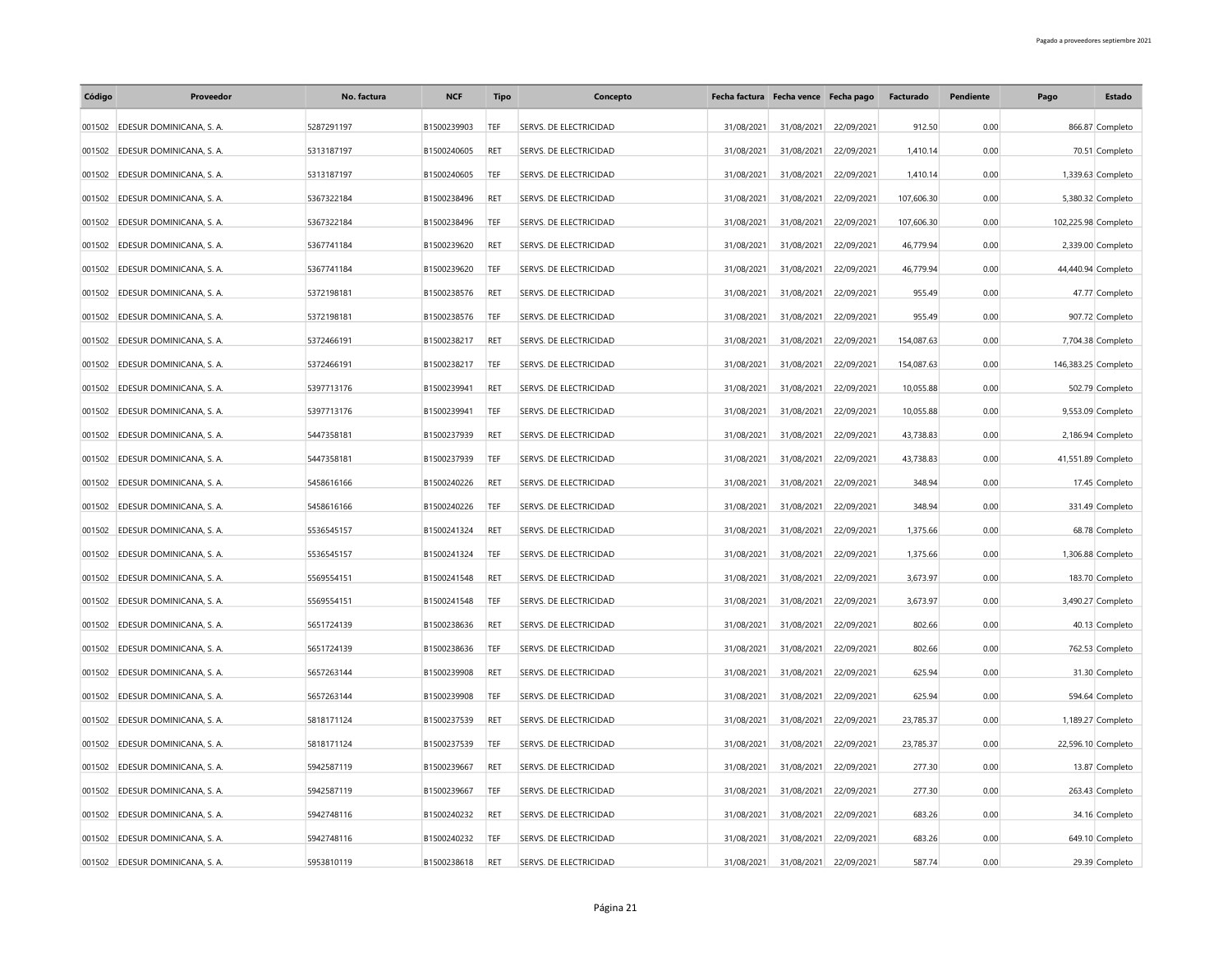| Código | Proveedor                       | No. factura | <b>NCF</b>  | <b>Tipo</b> | Concepto                      |            | Fecha factura Fecha vence Fecha pago |            | Facturado  | Pendiente | Pago                | Estado            |
|--------|---------------------------------|-------------|-------------|-------------|-------------------------------|------------|--------------------------------------|------------|------------|-----------|---------------------|-------------------|
|        | 001502 EDESUR DOMINICANA, S. A. | 5287291197  | B1500239903 | <b>TEF</b>  | SERVS. DE ELECTRICIDAD        | 31/08/2021 | 31/08/2021                           | 22/09/2021 | 912.50     | 0.00      |                     | 866.87 Completo   |
| 001502 | EDESUR DOMINICANA, S. A.        | 5313187197  | B1500240605 | RET         | SERVS. DE ELECTRICIDAD        | 31/08/2021 | 31/08/2021                           | 22/09/2021 | 1,410.14   | 0.00      |                     | 70.51 Completo    |
| 001502 | EDESUR DOMINICANA, S. A.        | 5313187197  | B1500240605 | TEF         | SERVS. DE ELECTRICIDAD        | 31/08/2021 | 31/08/2021                           | 22/09/2021 | 1,410.14   | 0.00      |                     | 1,339.63 Completo |
| 001502 | EDESUR DOMINICANA, S. A.        | 5367322184  | B1500238496 | RET         | <b>SERVS. DE ELECTRICIDAD</b> | 31/08/2021 | 31/08/2021                           | 22/09/2021 | 107,606.30 | 0.00      |                     | 5,380.32 Completo |
|        | 001502 EDESUR DOMINICANA, S. A. | 5367322184  | B1500238496 | TEF         | SERVS. DE ELECTRICIDAD        | 31/08/2021 | 31/08/2021                           | 22/09/2021 | 107,606.30 | 0.00      | 102,225.98 Completo |                   |
| 001502 | EDESUR DOMINICANA, S. A.        | 5367741184  | B1500239620 | RET         | SERVS. DE ELECTRICIDAD        | 31/08/2021 | 31/08/2021                           | 22/09/2021 | 46,779.94  | 0.00      |                     | 2,339.00 Completo |
| 001502 | EDESUR DOMINICANA, S. A.        | 5367741184  | B1500239620 | TEF         | SERVS. DE ELECTRICIDAD        | 31/08/2021 | 31/08/2021                           | 22/09/2021 | 46,779.94  | 0.00      | 44,440.94 Completo  |                   |
| 001502 | EDESUR DOMINICANA, S. A.        | 5372198181  | B1500238576 | RET         | SERVS. DE ELECTRICIDAD        | 31/08/2021 | 31/08/2021                           | 22/09/2021 | 955.49     | 0.00      |                     | 47.77 Completo    |
| 001502 | EDESUR DOMINICANA, S. A.        | 5372198181  | B1500238576 | TEF         | SERVS. DE ELECTRICIDAD        | 31/08/2021 | 31/08/2021                           | 22/09/2021 | 955.49     | 0.00      |                     | 907.72 Completo   |
| 001502 | EDESUR DOMINICANA, S. A.        | 5372466191  | B1500238217 | RET         | SERVS. DE ELECTRICIDAD        | 31/08/2021 | 31/08/2021                           | 22/09/2021 | 154,087.63 | 0.00      |                     | 7,704.38 Completo |
| 001502 | EDESUR DOMINICANA, S. A.        | 5372466191  | B1500238217 | TEF         | SERVS. DE ELECTRICIDAD        | 31/08/2021 | 31/08/2021                           | 22/09/2021 | 154,087.63 | 0.00      | 146,383.25 Completo |                   |
| 001502 | EDESUR DOMINICANA, S. A.        | 5397713176  | B1500239941 | RET         | SERVS. DE ELECTRICIDAD        | 31/08/2021 | 31/08/2021                           | 22/09/2021 | 10,055.88  | 0.00      |                     | 502.79 Completo   |
| 001502 | EDESUR DOMINICANA, S. A.        | 5397713176  | B1500239941 | TEF         | SERVS. DE ELECTRICIDAD        | 31/08/2021 | 31/08/2021                           | 22/09/2021 | 10,055.88  | 0.00      |                     | 9,553.09 Completo |
| 001502 | EDESUR DOMINICANA, S. A.        | 5447358181  | B1500237939 | RET         | SERVS. DE ELECTRICIDAD        | 31/08/2021 | 31/08/2021                           | 22/09/2021 | 43,738.83  | 0.00      |                     | 2,186.94 Completo |
| 001502 | EDESUR DOMINICANA, S. A.        | 5447358181  | B1500237939 | TEF         | SERVS. DE ELECTRICIDAD        | 31/08/2021 | 31/08/2021                           | 22/09/2021 | 43.738.83  | 0.00      | 41,551.89 Completo  |                   |
| 001502 | EDESUR DOMINICANA, S. A.        | 5458616166  | B1500240226 | RET         | SERVS. DE ELECTRICIDAD        | 31/08/2021 | 31/08/2021                           | 22/09/2021 | 348.94     | 0.00      |                     | 17.45 Completo    |
| 001502 | EDESUR DOMINICANA, S. A.        | 5458616166  | B1500240226 | TEF         | SERVS. DE ELECTRICIDAD        | 31/08/2021 | 31/08/2021                           | 22/09/2021 | 348.94     | 0.00      |                     | 331.49 Completo   |
| 001502 | EDESUR DOMINICANA, S. A.        | 5536545157  | B1500241324 | RET         | SERVS. DE ELECTRICIDAD        | 31/08/2021 | 31/08/2021                           | 22/09/2021 | 1,375.66   | 0.00      |                     | 68.78 Completo    |
| 001502 | EDESUR DOMINICANA, S. A.        | 5536545157  | B1500241324 | TEF         | SERVS. DE ELECTRICIDAD        | 31/08/2021 | 31/08/2021                           | 22/09/2021 | 1,375.66   | 0.00      |                     | 1,306.88 Completo |
| 001502 | EDESUR DOMINICANA, S. A.        | 5569554151  | B1500241548 | RET         | SERVS. DE ELECTRICIDAD        | 31/08/2021 | 31/08/2021                           | 22/09/2021 | 3,673.97   | 0.00      |                     | 183.70 Completo   |
| 001502 | EDESUR DOMINICANA, S. A.        | 5569554151  | B1500241548 | TEF         | SERVS. DE ELECTRICIDAD        | 31/08/2021 | 31/08/2021                           | 22/09/2021 | 3,673.97   | 0.00      |                     | 3,490.27 Completo |
| 001502 | EDESUR DOMINICANA, S. A.        | 5651724139  | B1500238636 | RET         | SERVS. DE ELECTRICIDAD        | 31/08/2021 | 31/08/2021                           | 22/09/2021 | 802.66     | 0.00      |                     | 40.13 Completo    |
| 001502 | EDESUR DOMINICANA, S. A.        | 5651724139  | B1500238636 | TEF         | SERVS. DE ELECTRICIDAD        | 31/08/2021 | 31/08/2021                           | 22/09/2021 | 802.66     | 0.00      |                     | 762.53 Completo   |
| 001502 | EDESUR DOMINICANA, S. A.        | 5657263144  | B1500239908 | RET         | SERVS. DE ELECTRICIDAD        | 31/08/2021 | 31/08/2021                           | 22/09/2021 | 625.94     | 0.00      |                     | 31.30 Completo    |
| 001502 | EDESUR DOMINICANA, S. A.        | 5657263144  | B1500239908 | TEF         | SERVS. DE ELECTRICIDAD        | 31/08/2021 | 31/08/2021                           | 22/09/2021 | 625.94     | 0.00      |                     | 594.64 Completo   |
| 001502 | EDESUR DOMINICANA, S. A.        | 5818171124  | B1500237539 | RET         | SERVS. DE ELECTRICIDAD        | 31/08/2021 | 31/08/2021                           | 22/09/2021 | 23,785.37  | 0.00      |                     | 1,189.27 Completo |
| 001502 | EDESUR DOMINICANA, S. A.        | 5818171124  | B1500237539 | TEF         | SERVS. DE ELECTRICIDAD        | 31/08/2021 | 31/08/2021                           | 22/09/2021 | 23,785.37  | 0.00      | 22,596.10 Completo  |                   |
| 001502 | EDESUR DOMINICANA, S. A.        | 5942587119  | B1500239667 | <b>RET</b>  | SERVS. DE ELECTRICIDAD        | 31/08/2021 | 31/08/2021                           | 22/09/2021 | 277.30     | 0.00      |                     | 13.87 Completo    |
| 001502 | EDESUR DOMINICANA, S. A.        | 5942587119  | B1500239667 | TEF         | SERVS. DE ELECTRICIDAD        | 31/08/2021 | 31/08/2021                           | 22/09/2021 | 277.30     | 0.00      |                     | 263.43 Completo   |
| 001502 | EDESUR DOMINICANA, S. A.        | 5942748116  | B1500240232 | RET         | SERVS. DE ELECTRICIDAD        | 31/08/2021 | 31/08/2021                           | 22/09/2021 | 683.26     | 0.00      |                     | 34.16 Completo    |
| 001502 | EDESUR DOMINICANA, S. A.        | 5942748116  | B1500240232 | TEF         | SERVS. DE ELECTRICIDAD        | 31/08/2021 | 31/08/2021                           | 22/09/2021 | 683.26     | 0.00      |                     | 649.10 Completo   |
|        | 001502 EDESUR DOMINICANA, S. A. | 5953810119  | B1500238618 | RET         | SERVS. DE ELECTRICIDAD        | 31/08/2021 | 31/08/2021                           | 22/09/2021 | 587.74     | 0.00      |                     | 29.39 Completo    |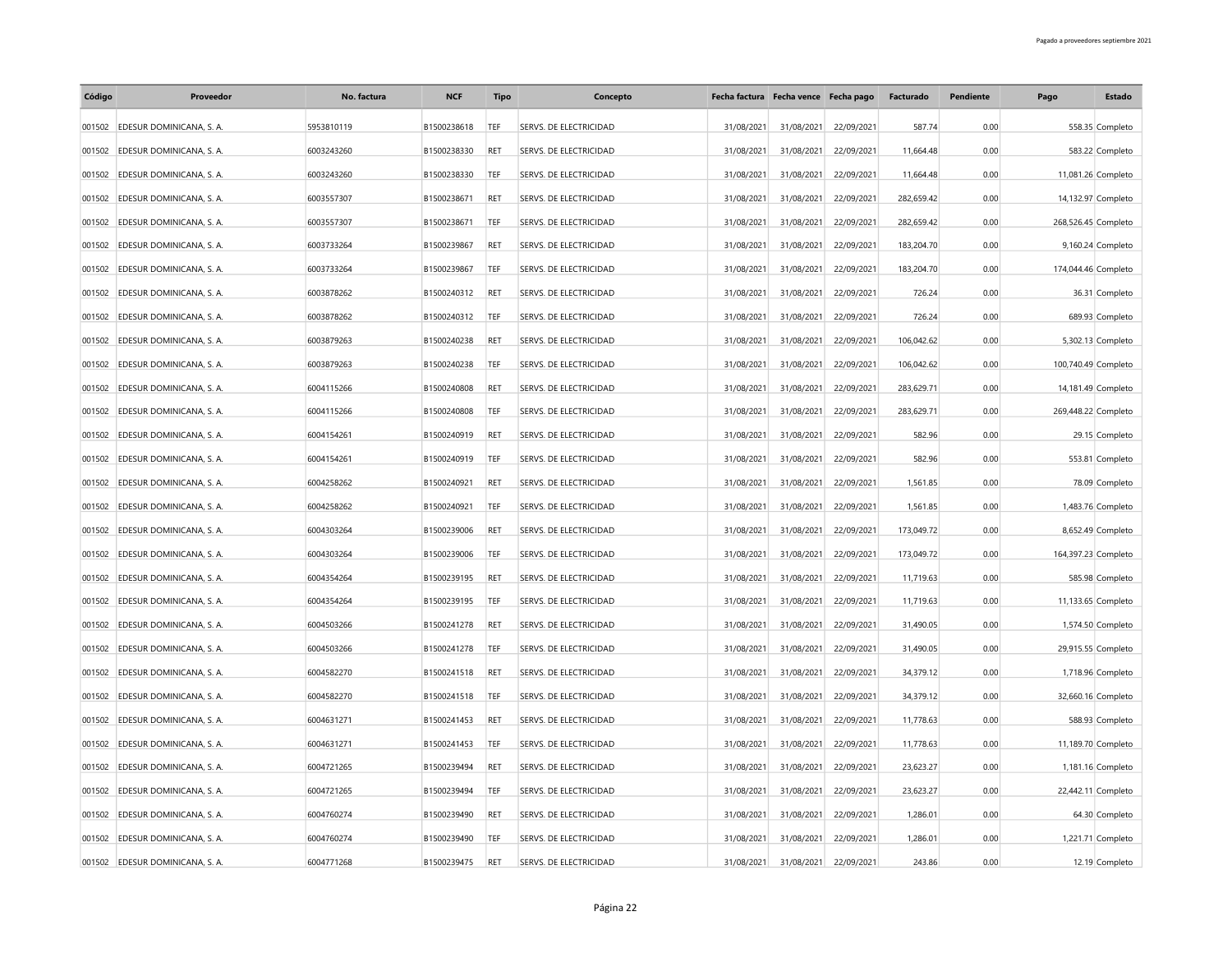| Código | Proveedor                       | No. factura | <b>NCF</b>  | <b>Tipo</b> | Concepto                      |            | Fecha factura Fecha vence Fecha pago |            | Facturado  | Pendiente | Pago                | Estado             |
|--------|---------------------------------|-------------|-------------|-------------|-------------------------------|------------|--------------------------------------|------------|------------|-----------|---------------------|--------------------|
|        | 001502 EDESUR DOMINICANA, S. A. | 5953810119  | B1500238618 | TEF         | SERVS. DE ELECTRICIDAD        | 31/08/2021 | 31/08/2021                           | 22/09/2021 | 587.74     | 0.00      |                     | 558.35 Completo    |
| 001502 | EDESUR DOMINICANA, S. A.        | 6003243260  | B1500238330 | RET         | SERVS. DE ELECTRICIDAD        | 31/08/2021 | 31/08/2021                           | 22/09/2021 | 11.664.48  | 0.00      |                     | 583.22 Completo    |
| 001502 | EDESUR DOMINICANA, S. A.        | 6003243260  | B1500238330 | TEF         | SERVS. DE ELECTRICIDAD        | 31/08/2021 | 31/08/2021                           | 22/09/2021 | 11,664.48  | 0.00      | 11,081.26 Completo  |                    |
| 001502 | EDESUR DOMINICANA, S. A.        | 6003557307  | B1500238671 | RET         | <b>SERVS. DE ELECTRICIDAD</b> | 31/08/2021 | 31/08/2021                           | 22/09/2021 | 282,659.42 | 0.00      | 14,132.97 Completo  |                    |
|        | 001502 EDESUR DOMINICANA, S. A. | 6003557307  | B1500238671 | TEF         | SERVS. DE ELECTRICIDAD        | 31/08/2021 | 31/08/2021                           | 22/09/2021 | 282,659.42 | 0.00      | 268,526.45 Completo |                    |
| 001502 | EDESUR DOMINICANA, S. A.        | 6003733264  | B1500239867 | RET         | SERVS. DE ELECTRICIDAD        | 31/08/2021 | 31/08/2021                           | 22/09/2021 | 183,204.70 | 0.00      |                     | 9,160.24 Completo  |
| 001502 | EDESUR DOMINICANA, S. A.        | 6003733264  | B1500239867 | TEF         | SERVS. DE ELECTRICIDAD        | 31/08/2021 | 31/08/2021                           | 22/09/2021 | 183,204.70 | 0.00      | 174,044.46 Completo |                    |
| 001502 | EDESUR DOMINICANA, S. A.        | 6003878262  | B1500240312 | RET         | SERVS. DE ELECTRICIDAD        | 31/08/2021 | 31/08/2021                           | 22/09/2021 | 726.24     | 0.00      |                     | 36.31 Completo     |
| 001502 | EDESUR DOMINICANA, S. A.        | 6003878262  | B1500240312 | TEF         | SERVS. DE ELECTRICIDAD        | 31/08/2021 | 31/08/2021                           | 22/09/2021 | 726.24     | 0.00      |                     | 689.93 Completo    |
| 001502 | EDESUR DOMINICANA, S. A.        | 6003879263  | B1500240238 | <b>RET</b>  | SERVS. DE ELECTRICIDAD        | 31/08/2021 | 31/08/2021                           | 22/09/2021 | 106,042.62 | 0.00      |                     | 5,302.13 Completo  |
| 001502 | EDESUR DOMINICANA, S. A.        | 6003879263  | B1500240238 | TEF         | SERVS. DE ELECTRICIDAD        | 31/08/2021 | 31/08/2021                           | 22/09/2021 | 106,042.62 | 0.00      | 100,740.49 Completo |                    |
| 001502 | EDESUR DOMINICANA, S. A.        | 6004115266  | B1500240808 | RET         | SERVS. DE ELECTRICIDAD        | 31/08/2021 | 31/08/2021                           | 22/09/2021 | 283,629.71 | 0.00      |                     | 14,181.49 Completo |
| 001502 | EDESUR DOMINICANA, S. A.        | 6004115266  | B1500240808 | TEF         | SERVS. DE ELECTRICIDAD        | 31/08/2021 | 31/08/2021                           | 22/09/2021 | 283,629.71 | 0.00      | 269,448.22 Completo |                    |
| 001502 | EDESUR DOMINICANA, S. A.        | 6004154261  | B1500240919 | RET         | SERVS. DE ELECTRICIDAD        | 31/08/2021 | 31/08/2021                           | 22/09/2021 | 582.96     | 0.00      |                     | 29.15 Completo     |
| 001502 | EDESUR DOMINICANA, S. A.        | 6004154261  | B1500240919 | TEF         | SERVS. DE ELECTRICIDAD        | 31/08/2021 | 31/08/2021                           | 22/09/2021 | 582.96     | 0.00      |                     | 553.81 Completo    |
| 001502 | EDESUR DOMINICANA, S. A.        | 6004258262  | B1500240921 | RET         | SERVS. DE ELECTRICIDAD        | 31/08/2021 | 31/08/2021                           | 22/09/2021 | 1,561.85   | 0.00      |                     | 78.09 Completo     |
| 001502 | EDESUR DOMINICANA, S. A.        | 6004258262  | B1500240921 | TEF         | SERVS. DE ELECTRICIDAD        | 31/08/2021 | 31/08/2021                           | 22/09/2021 | 1,561.85   | 0.00      |                     | 1,483.76 Completo  |
| 001502 | EDESUR DOMINICANA, S. A.        | 6004303264  | B1500239006 | RET         | SERVS. DE ELECTRICIDAD        | 31/08/2021 | 31/08/2021                           | 22/09/2021 | 173,049.72 | 0.00      |                     | 8,652.49 Completo  |
| 001502 | EDESUR DOMINICANA, S. A.        | 6004303264  | B1500239006 | TEF         | SERVS. DE ELECTRICIDAD        | 31/08/2021 | 31/08/2021                           | 22/09/2021 | 173,049.72 | 0.00      | 164,397.23 Completo |                    |
| 001502 | EDESUR DOMINICANA, S. A.        | 6004354264  | B1500239195 | RET         | SERVS. DE ELECTRICIDAD        | 31/08/2021 | 31/08/2021                           | 22/09/2021 | 11,719.63  | 0.00      |                     | 585.98 Completo    |
| 001502 | EDESUR DOMINICANA, S. A.        | 6004354264  | B1500239195 | TEF         | SERVS. DE ELECTRICIDAD        | 31/08/2021 | 31/08/2021                           | 22/09/2021 | 11,719.63  | 0.00      | 11,133.65 Completo  |                    |
| 001502 | EDESUR DOMINICANA, S. A.        | 6004503266  | B1500241278 | RET         | SERVS. DE ELECTRICIDAD        | 31/08/2021 | 31/08/2021                           | 22/09/2021 | 31,490.05  | 0.00      |                     | 1,574.50 Completo  |
| 001502 | EDESUR DOMINICANA, S. A.        | 6004503266  | B1500241278 | TEF         | SERVS. DE ELECTRICIDAD        | 31/08/2021 | 31/08/2021                           | 22/09/2021 | 31,490.05  | 0.00      | 29,915.55 Completo  |                    |
| 001502 | EDESUR DOMINICANA, S. A.        | 6004582270  | B1500241518 | RET         | SERVS. DE ELECTRICIDAD        | 31/08/2021 | 31/08/2021                           | 22/09/2021 | 34,379.12  | 0.00      |                     | 1,718.96 Completo  |
| 001502 | EDESUR DOMINICANA, S. A.        | 6004582270  | B1500241518 | TEF         | SERVS. DE ELECTRICIDAD        | 31/08/2021 | 31/08/2021                           | 22/09/2021 | 34,379.12  | 0.00      |                     | 32,660.16 Completo |
| 001502 | EDESUR DOMINICANA, S. A.        | 6004631271  | B1500241453 | RET         | SERVS. DE ELECTRICIDAD        | 31/08/2021 | 31/08/2021                           | 22/09/2021 | 11,778.63  | 0.00      |                     | 588.93 Completo    |
| 001502 | EDESUR DOMINICANA, S. A.        | 6004631271  | B1500241453 | TEF         | SERVS. DE ELECTRICIDAD        | 31/08/2021 | 31/08/2021                           | 22/09/2021 | 11,778.63  | 0.00      |                     | 11,189.70 Completo |
| 001502 | EDESUR DOMINICANA, S. A.        | 6004721265  | B1500239494 | <b>RET</b>  | SERVS. DE ELECTRICIDAD        | 31/08/2021 | 31/08/2021                           | 22/09/2021 | 23.623.27  | 0.00      |                     | 1,181.16 Completo  |
| 001502 | EDESUR DOMINICANA, S. A.        | 6004721265  | B1500239494 | TEF         | SERVS. DE ELECTRICIDAD        | 31/08/2021 | 31/08/2021                           | 22/09/2021 | 23,623.27  | 0.00      | 22,442.11 Completo  |                    |
| 001502 | EDESUR DOMINICANA, S. A.        | 6004760274  | B1500239490 | RET         | SERVS. DE ELECTRICIDAD        | 31/08/2021 | 31/08/2021                           | 22/09/2021 | 1,286.01   | 0.00      |                     | 64.30 Completo     |
| 001502 | EDESUR DOMINICANA, S. A.        | 6004760274  | B1500239490 | TEF         | SERVS. DE ELECTRICIDAD        | 31/08/2021 | 31/08/2021                           | 22/09/2021 | 1,286.01   | 0.00      |                     | 1,221.71 Completo  |
|        | 001502 EDESUR DOMINICANA, S. A. | 6004771268  | B1500239475 | RET         | SERVS. DE ELECTRICIDAD        | 31/08/2021 | 31/08/2021                           | 22/09/2021 | 243.86     | 0.00      |                     | 12.19 Completo     |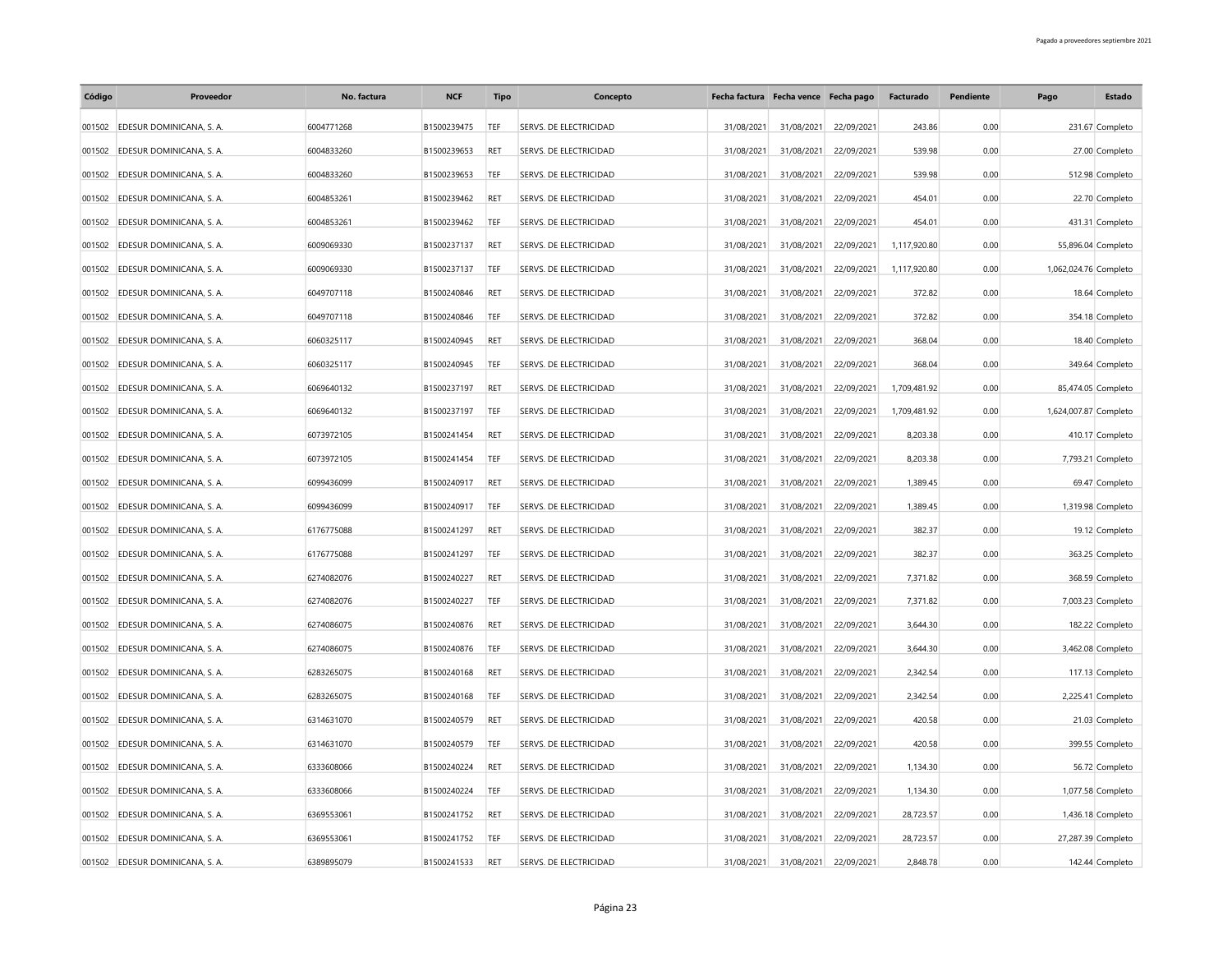| Código | Proveedor                       | No. factura | <b>NCF</b>  | <b>Tipo</b> | Concepto                      |            | Fecha factura Fecha vence Fecha pago |            | Facturado    | Pendiente | Pago                  | Estado             |
|--------|---------------------------------|-------------|-------------|-------------|-------------------------------|------------|--------------------------------------|------------|--------------|-----------|-----------------------|--------------------|
|        | 001502 EDESUR DOMINICANA, S. A. | 6004771268  | B1500239475 | TEF         | SERVS. DE ELECTRICIDAD        | 31/08/2021 | 31/08/2021                           | 22/09/2021 | 243.86       | 0.00      |                       | 231.67 Completo    |
| 001502 | EDESUR DOMINICANA, S. A.        | 6004833260  | B1500239653 | RET         | SERVS. DE ELECTRICIDAD        | 31/08/2021 | 31/08/2021                           | 22/09/2021 | 539.98       | 0.00      |                       | 27.00 Completo     |
| 001502 | EDESUR DOMINICANA, S. A.        | 6004833260  | B1500239653 | TEF         | SERVS. DE ELECTRICIDAD        | 31/08/2021 | 31/08/2021                           | 22/09/2021 | 539.98       | 0.00      |                       | 512.98 Completo    |
| 001502 | EDESUR DOMINICANA, S. A.        | 6004853261  | B1500239462 | RET         | <b>SERVS. DE ELECTRICIDAD</b> | 31/08/2021 | 31/08/2021                           | 22/09/2021 | 454.01       | 0.00      |                       | 22.70 Completo     |
|        | 001502 EDESUR DOMINICANA, S. A. | 6004853261  | B1500239462 | TEF         | SERVS. DE ELECTRICIDAD        | 31/08/2021 | 31/08/2021                           | 22/09/2021 | 454.01       | 0.00      |                       | 431.31 Completo    |
| 001502 | EDESUR DOMINICANA, S. A.        | 6009069330  | B1500237137 | RET         | SERVS. DE ELECTRICIDAD        | 31/08/2021 | 31/08/2021                           | 22/09/2021 | 1,117,920.80 | 0.00      |                       | 55,896.04 Completo |
| 001502 | EDESUR DOMINICANA, S. A.        | 6009069330  | B1500237137 | TEF         | SERVS. DE ELECTRICIDAD        | 31/08/2021 | 31/08/2021                           | 22/09/2021 | 1,117,920.80 | 0.00      | 1,062,024.76 Completo |                    |
| 001502 | EDESUR DOMINICANA, S. A.        | 6049707118  | B1500240846 | RET         | SERVS. DE ELECTRICIDAD        | 31/08/2021 | 31/08/2021                           | 22/09/2021 | 372.82       | 0.00      |                       | 18.64 Completo     |
| 001502 | EDESUR DOMINICANA, S. A.        | 6049707118  | B1500240846 | TEF         | SERVS. DE ELECTRICIDAD        | 31/08/2021 | 31/08/2021                           | 22/09/2021 | 372.82       | 0.00      |                       | 354.18 Completo    |
| 001502 | EDESUR DOMINICANA, S. A.        | 6060325117  | B1500240945 | RET         | SERVS. DE ELECTRICIDAD        | 31/08/2021 | 31/08/2021                           | 22/09/2021 | 368.04       | 0.00      |                       | 18.40 Completo     |
| 001502 | EDESUR DOMINICANA, S. A.        | 6060325117  | B1500240945 | TEF         | SERVS. DE ELECTRICIDAD        | 31/08/2021 | 31/08/2021                           | 22/09/2021 | 368.04       | 0.00      |                       | 349.64 Completo    |
| 001502 | EDESUR DOMINICANA, S. A.        | 6069640132  | B1500237197 | RET         | SERVS. DE ELECTRICIDAD        | 31/08/2021 | 31/08/2021                           | 22/09/2021 | 1,709,481.92 | 0.00      |                       | 85,474.05 Completo |
| 001502 | EDESUR DOMINICANA, S. A.        | 6069640132  | B1500237197 | TEF         | SERVS. DE ELECTRICIDAD        | 31/08/2021 | 31/08/2021                           | 22/09/2021 | 1,709,481.92 | 0.00      | 1,624,007.87 Completo |                    |
| 001502 | EDESUR DOMINICANA, S. A.        | 6073972105  | B1500241454 | RET         | SERVS. DE ELECTRICIDAD        | 31/08/2021 | 31/08/2021                           | 22/09/2021 | 8,203.38     | 0.00      |                       | 410.17 Completo    |
| 001502 | EDESUR DOMINICANA, S. A.        | 6073972105  | B1500241454 | TEF         | SERVS. DE ELECTRICIDAD        | 31/08/2021 | 31/08/2021                           | 22/09/2021 | 8,203,38     | 0.00      |                       | 7,793.21 Completo  |
| 001502 | EDESUR DOMINICANA, S. A.        | 6099436099  | B1500240917 | RET         | SERVS. DE ELECTRICIDAD        | 31/08/2021 | 31/08/2021                           | 22/09/2021 | 1,389.45     | 0.00      |                       | 69.47 Completo     |
| 001502 | EDESUR DOMINICANA, S. A.        | 6099436099  | B1500240917 | TEF         | SERVS. DE ELECTRICIDAD        | 31/08/2021 | 31/08/2021                           | 22/09/2021 | 1,389.45     | 0.00      |                       | 1,319.98 Completo  |
| 001502 | EDESUR DOMINICANA, S. A.        | 6176775088  | B1500241297 | RET         | SERVS. DE ELECTRICIDAD        | 31/08/2021 | 31/08/2021                           | 22/09/2021 | 382.37       | 0.00      |                       | 19.12 Completo     |
| 001502 | EDESUR DOMINICANA, S. A.        | 6176775088  | B1500241297 | TEF         | SERVS. DE ELECTRICIDAD        | 31/08/2021 | 31/08/2021                           | 22/09/2021 | 382.37       | 0.00      |                       | 363.25 Completo    |
| 001502 | EDESUR DOMINICANA, S. A.        | 6274082076  | B1500240227 | RET         | SERVS. DE ELECTRICIDAD        | 31/08/2021 | 31/08/2021                           | 22/09/2021 | 7,371.82     | 0.00      |                       | 368.59 Completo    |
| 001502 | EDESUR DOMINICANA, S. A.        | 6274082076  | B1500240227 | TEF         | SERVS. DE ELECTRICIDAD        | 31/08/2021 | 31/08/2021                           | 22/09/2021 | 7,371.82     | 0.00      |                       | 7,003.23 Completo  |
| 001502 | EDESUR DOMINICANA, S. A.        | 6274086075  | B1500240876 | RET         | SERVS. DE ELECTRICIDAD        | 31/08/2021 | 31/08/2021                           | 22/09/2021 | 3,644.30     | 0.00      |                       | 182.22 Completo    |
| 001502 | EDESUR DOMINICANA, S. A.        | 6274086075  | B1500240876 | TEF         | SERVS. DE ELECTRICIDAD        | 31/08/2021 | 31/08/2021                           | 22/09/2021 | 3,644.30     | 0.00      |                       | 3,462.08 Completo  |
| 001502 | EDESUR DOMINICANA, S. A.        | 6283265075  | B1500240168 | RET         | SERVS. DE ELECTRICIDAD        | 31/08/2021 | 31/08/2021                           | 22/09/2021 | 2,342.54     | 0.00      |                       | 117.13 Completo    |
| 001502 | EDESUR DOMINICANA, S. A.        | 6283265075  | B1500240168 | TEF         | SERVS. DE ELECTRICIDAD        | 31/08/2021 | 31/08/2021                           | 22/09/2021 | 2,342.54     | 0.00      |                       | 2,225.41 Completo  |
| 001502 | EDESUR DOMINICANA, S. A.        | 6314631070  | B1500240579 | RET         | SERVS. DE ELECTRICIDAD        | 31/08/2021 | 31/08/2021                           | 22/09/2021 | 420.58       | 0.00      |                       | 21.03 Completo     |
| 001502 | EDESUR DOMINICANA, S. A.        | 6314631070  | B1500240579 | TEF         | SERVS. DE ELECTRICIDAD        | 31/08/2021 | 31/08/2021                           | 22/09/2021 | 420.58       | 0.00      |                       | 399.55 Completo    |
| 001502 | EDESUR DOMINICANA, S. A.        | 6333608066  | B1500240224 | <b>RET</b>  | SERVS. DE ELECTRICIDAD        | 31/08/2021 | 31/08/2021                           | 22/09/2021 | 1.134.30     | 0.00      |                       | 56.72 Completo     |
| 001502 | EDESUR DOMINICANA, S. A.        | 6333608066  | B1500240224 | TEF         | SERVS. DE ELECTRICIDAD        | 31/08/2021 | 31/08/2021                           | 22/09/2021 | 1,134.30     | 0.00      |                       | 1,077.58 Completo  |
| 001502 | EDESUR DOMINICANA, S. A.        | 6369553061  | B1500241752 | RET         | SERVS. DE ELECTRICIDAD        | 31/08/2021 | 31/08/2021                           | 22/09/2021 | 28,723.57    | 0.00      |                       | 1,436.18 Completo  |
| 001502 | EDESUR DOMINICANA, S. A.        | 6369553061  | B1500241752 | TEF         | SERVS. DE ELECTRICIDAD        | 31/08/2021 | 31/08/2021                           | 22/09/2021 | 28,723.57    | 0.00      |                       | 27,287.39 Completo |
|        | 001502 EDESUR DOMINICANA, S. A. | 6389895079  | B1500241533 | RET         | SERVS. DE ELECTRICIDAD        | 31/08/2021 | 31/08/2021                           | 22/09/2021 | 2.848.78     | 0.00      |                       | 142.44 Completo    |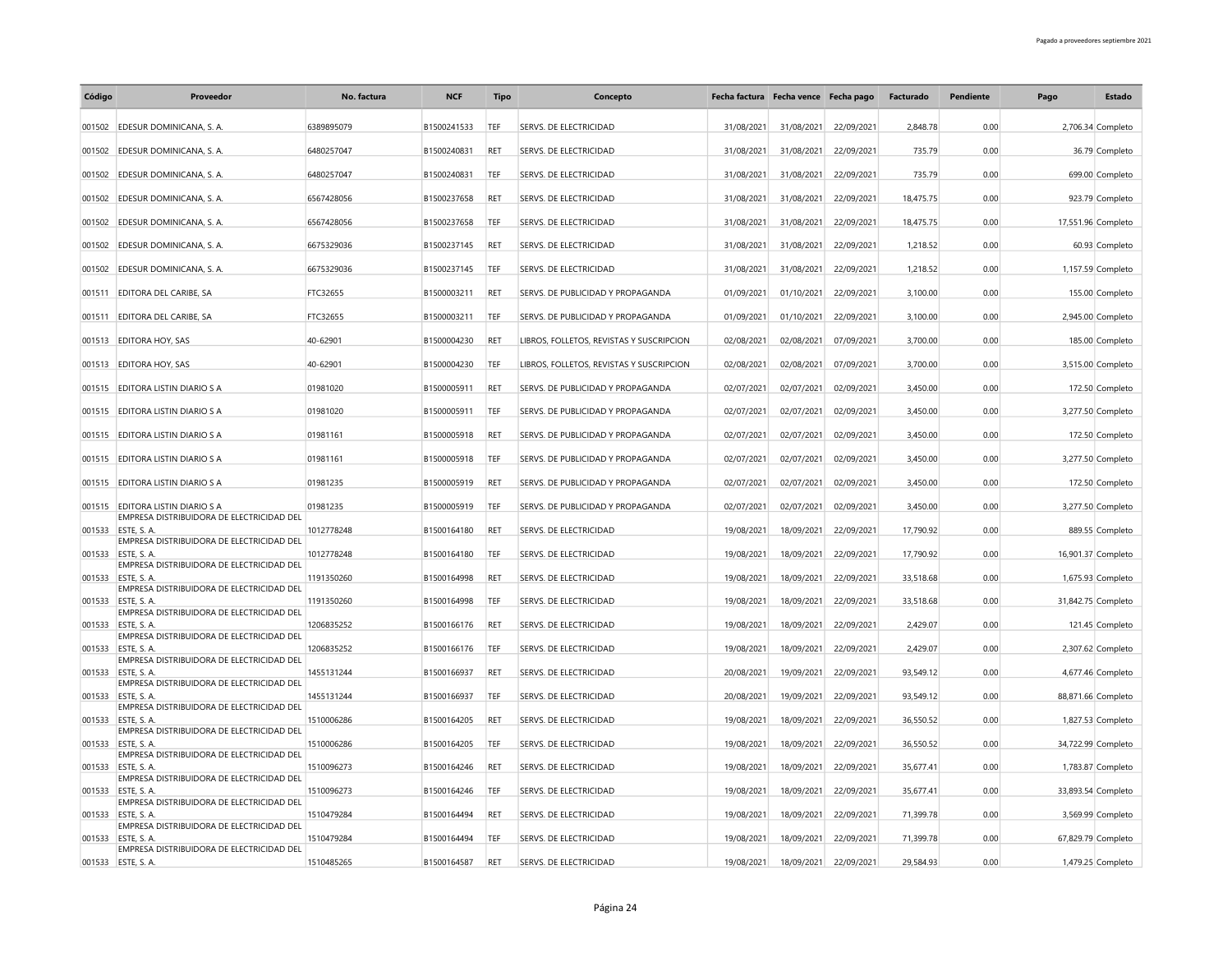| 2.848.78<br>001502 EDESUR DOMINICANA, S. A.<br>6389895079<br>B1500241533<br>TEF<br>SERVS. DE ELECTRICIDAD<br>31/08/2021<br>31/08/2021<br>22/09/2021<br>0.00<br>2,706.34 Completo<br>001502 EDESUR DOMINICANA, S. A.<br>6480257047<br>B1500240831<br>RFT<br>SERVS. DE ELECTRICIDAD<br>22/09/2021<br>735.79<br>0.00<br>31/08/2021<br>31/08/2021<br>36.79 Completo<br>001502 EDESUR DOMINICANA, S. A.<br>6480257047<br>B1500240831<br>TEF<br>SERVS. DE ELECTRICIDAD<br>31/08/2021<br>31/08/2021<br>22/09/2021<br>735.79<br>0.00<br>699.00 Completo<br>SERVS. DE ELECTRICIDAD<br>31/08/2021<br>18,475.75<br>0.00<br>EDESUR DOMINICANA, S. A.<br>6567428056<br>B1500237658<br><b>RET</b><br>31/08/2021<br>22/09/2021<br>923.79 Completo<br>001502<br>001502 EDESUR DOMINICANA, S. A.<br>6567428056<br>B1500237658<br>TEF<br>SERVS. DE ELECTRICIDAD<br>31/08/2021<br>22/09/2021<br>18,475.75<br>0.00<br>31/08/2021<br>17,551.96 Completo<br>EDESUR DOMINICANA, S. A.<br>6675329036<br>B1500237145<br><b>RET</b><br>SERVS. DE ELECTRICIDAD<br>31/08/2021<br>31/08/2021<br>22/09/2021<br>1,218.52<br>0.00<br>001502<br>60.93 Completo<br>6675329036<br>B1500237145<br>SERVS. DE ELECTRICIDAD<br>31/08/2021<br>22/09/2021<br>1,218.52<br>0.00<br>001502 EDESUR DOMINICANA, S. A.<br>TEF<br>31/08/2021<br>1,157.59 Completo<br>FTC32655<br>SERVS. DE PUBLICIDAD Y PROPAGANDA<br>01/09/2021<br>01/10/2021<br>22/09/2021<br>3,100.00<br>001511<br><b>EDITORA DEL CARIBE, SA</b><br>B1500003211<br><b>RET</b><br>0.00<br>155.00 Completo<br>SERVS. DE PUBLICIDAD Y PROPAGANDA<br>001511 EDITORA DEL CARIBE, SA<br>FTC32655<br>B1500003211<br>TEF<br>01/09/2021<br>01/10/2021<br>22/09/2021<br>3,100.00<br>0.00<br>2,945.00 Completo<br>40-62901<br>02/08/2021<br>3,700.00<br>001513 EDITORA HOY, SAS<br>B1500004230<br><b>RET</b><br>LIBROS, FOLLETOS, REVISTAS Y SUSCRIPCION<br>02/08/2021<br>07/09/2021<br>0.00<br>185.00 Completo<br>001513 EDITORA HOY, SAS<br>40-62901<br>B1500004230<br>TEF<br>LIBROS, FOLLETOS, REVISTAS Y SUSCRIPCION<br>02/08/2021<br>02/08/2021<br>07/09/2021<br>3,700.00<br>0.00<br>3,515.00 Completo<br>3,450.00<br>001515 EDITORA LISTIN DIARIO S A<br>01981020<br>B1500005911<br><b>RET</b><br>SERVS. DE PUBLICIDAD Y PROPAGANDA<br>02/07/2021<br>02/07/2021<br>02/09/2021<br>0.00<br>172.50 Completo<br>001515 EDITORA LISTIN DIARIO S A<br>01981020<br>B1500005911<br>TEF<br>SERVS. DE PUBLICIDAD Y PROPAGANDA<br>02/07/2021<br>02/07/2021<br>02/09/2021<br>3,450.00<br>0.00<br>3,277.50 Completo<br>01981161<br>B1500005918<br>SERVS. DE PUBLICIDAD Y PROPAGANDA<br>02/07/2021<br>02/09/2021<br>3,450.00<br>0.00<br>001515 EDITORA LISTIN DIARIO S A<br>RET<br>02/07/2021<br>172.50 Completo<br>001515 EDITORA LISTIN DIARIO S A<br>01981161<br>B1500005918<br>TEF<br>SERVS. DE PUBLICIDAD Y PROPAGANDA<br>02/07/2021<br>02/07/2021<br>02/09/2021<br>3,450.00<br>0.00<br>3,277.50 Completo<br>01981235<br>SERVS. DE PUBLICIDAD Y PROPAGANDA<br>3,450.00<br>0.00<br>001515 EDITORA LISTIN DIARIO S A<br>B1500005919<br>RET<br>02/07/2021<br>02/07/2021<br>02/09/2021<br>172.50 Completo<br>001515 EDITORA LISTIN DIARIO S A<br>01981235<br>B1500005919<br>TEF<br>SERVS. DE PUBLICIDAD Y PROPAGANDA<br>02/07/2021<br>02/07/2021<br>02/09/2021<br>3,450.00<br>0.00<br>3,277.50 Completo<br>EMPRESA DISTRIBUIDORA DE ELECTRICIDAD DEL<br>17,790.92<br>001533 ESTE, S. A.<br>1012778248<br>B1500164180<br>RET<br>SERVS. DE ELECTRICIDAD<br>19/08/2021<br>18/09/2021<br>22/09/2021<br>0.00<br>889.55 Completo<br>EMPRESA DISTRIBUIDORA DE ELECTRICIDAD DEL<br>ESTE, S. A.<br>1012778248<br>B1500164180<br>TEF<br>SERVS. DE ELECTRICIDAD<br>19/08/2021<br>18/09/2021<br>22/09/2021<br>17,790.92<br>0.00<br>16,901.37 Completo<br>001533<br>EMPRESA DISTRIBUIDORA DE ELECTRICIDAD DEL<br>33,518.68<br>0.00<br><b>FSTE S A</b><br>1191350260<br>B1500164998<br><b>RET</b><br>SERVS. DE ELECTRICIDAD<br>19/08/2021<br>18/09/2021<br>22/09/2021<br>001533<br>1,675.93 Completo<br>EMPRESA DISTRIBUIDORA DE ELECTRICIDAD DEL<br>001533 ESTE, S. A.<br>1191350260<br>B1500164998<br>TEF<br>SERVS. DE ELECTRICIDAD<br>19/08/2021<br>18/09/2021<br>22/09/2021<br>33,518.68<br>0.00<br>31,842.75 Completo<br>EMPRESA DISTRIBUIDORA DE ELECTRICIDAD DEL<br>2,429.07<br>0.00<br>001533 ESTE, S. A.<br>1206835252<br>B1500166176<br><b>RET</b><br>SERVS. DE ELECTRICIDAD<br>19/08/2021<br>18/09/2021<br>22/09/2021<br>121.45 Completo<br>EMPRESA DISTRIBUIDORA DE ELECTRICIDAD DEL<br>ESTE, S. A.<br>TEF<br>SERVS. DE ELECTRICIDAD<br>19/08/2021<br>18/09/2021<br>22/09/2021<br>2,429.07<br>0.00<br>001533<br>1206835252<br>B1500166176<br>2,307.62 Completo<br>EMPRESA DISTRIBUIDORA DE ELECTRICIDAD DEL<br>93,549.12<br>ESTE, S. A.<br>1455131244<br>B1500166937<br><b>RET</b><br>SERVS. DE ELECTRICIDAD<br>20/08/2021<br>19/09/2021<br>22/09/2021<br>0.00<br>001533<br>4,677.46 Completo<br>EMPRESA DISTRIBUIDORA DE ELECTRICIDAD DEL<br>93,549.12<br>001533<br>ESTE, S. A<br>1455131244<br>B1500166937<br>TEF<br>SERVS. DE ELECTRICIDAD<br>20/08/2021<br>19/09/2021<br>22/09/2021<br>0.00<br>88,871.66 Completo<br>EMPRESA DISTRIBUIDORA DE ELECTRICIDAD DEL<br>001533 ESTE, S. A.<br>1510006286<br>SERVS. DE ELECTRICIDAD<br>19/08/2021<br>18/09/2021<br>22/09/2021<br>36,550.52<br>0.00<br>B1500164205<br><b>RFT</b><br>1,827.53 Completo<br>EMPRESA DISTRIBUIDORA DE ELECTRICIDAD DEL<br>36,550.52<br>ESTE, S. A.<br>1510006286<br>B1500164205<br>TEF<br>SERVS. DE ELECTRICIDAD<br>19/08/2021<br>18/09/2021<br>22/09/2021<br>0.00<br>34,722.99 Completo<br>001533<br>EMPRESA DISTRIBUIDORA DE ELECTRICIDAD DEL<br>001533 ESTE, S. A.<br>1510096273<br>B1500164246<br><b>RET</b><br>SERVS. DE ELECTRICIDAD<br>19/08/2021<br>18/09/2021<br>22/09/2021<br>35,677.41<br>0.00<br>1,783.87 Completo<br>EMPRESA DISTRIBUIDORA DE ELECTRICIDAD DEL<br>001533 ESTE, S. A<br>1510096273<br>TEF<br>SERVS. DE ELECTRICIDAD<br>19/08/2021<br>18/09/2021<br>22/09/2021<br>35,677.41<br>0.00<br>33,893.54 Completo<br>B1500164246<br>EMPRESA DISTRIBUIDORA DE ELECTRICIDAD DEL<br>001533 ESTE, S. A<br>1510479284<br>B1500164494<br>RET<br>SERVS. DE ELECTRICIDAD<br>19/08/2021<br>18/09/2021<br>22/09/2021<br>71,399.78<br>0.00<br>3,569.99 Completo<br>EMPRESA DISTRIBUIDORA DE ELECTRICIDAD DEL<br>ESTE, S. A.<br>TEF<br>SERVS. DE ELECTRICIDAD<br>19/08/2021<br>22/09/2021<br>71,399.78<br>0.00<br>67,829.79 Completo<br>001533<br>1510479284<br>B1500164494<br>18/09/2021<br>EMPRESA DISTRIBUIDORA DE ELECTRICIDAD DEL<br>001533 ESTE, S. A.<br>1510485265<br>B1500164587<br>RET<br>SERVS. DE ELECTRICIDAD<br>19/08/2021<br>18/09/2021<br>22/09/2021<br>29,584.93<br>0.00<br>1,479.25 Completo | Código | Proveedor | No. factura | <b>NCF</b> | <b>Tipo</b> | Concepto | Fecha factura Fecha vence Fecha pago |  | Facturado | Pendiente | Pago | Estado |
|----------------------------------------------------------------------------------------------------------------------------------------------------------------------------------------------------------------------------------------------------------------------------------------------------------------------------------------------------------------------------------------------------------------------------------------------------------------------------------------------------------------------------------------------------------------------------------------------------------------------------------------------------------------------------------------------------------------------------------------------------------------------------------------------------------------------------------------------------------------------------------------------------------------------------------------------------------------------------------------------------------------------------------------------------------------------------------------------------------------------------------------------------------------------------------------------------------------------------------------------------------------------------------------------------------------------------------------------------------------------------------------------------------------------------------------------------------------------------------------------------------------------------------------------------------------------------------------------------------------------------------------------------------------------------------------------------------------------------------------------------------------------------------------------------------------------------------------------------------------------------------------------------------------------------------------------------------------------------------------------------------------------------------------------------------------------------------------------------------------------------------------------------------------------------------------------------------------------------------------------------------------------------------------------------------------------------------------------------------------------------------------------------------------------------------------------------------------------------------------------------------------------------------------------------------------------------------------------------------------------------------------------------------------------------------------------------------------------------------------------------------------------------------------------------------------------------------------------------------------------------------------------------------------------------------------------------------------------------------------------------------------------------------------------------------------------------------------------------------------------------------------------------------------------------------------------------------------------------------------------------------------------------------------------------------------------------------------------------------------------------------------------------------------------------------------------------------------------------------------------------------------------------------------------------------------------------------------------------------------------------------------------------------------------------------------------------------------------------------------------------------------------------------------------------------------------------------------------------------------------------------------------------------------------------------------------------------------------------------------------------------------------------------------------------------------------------------------------------------------------------------------------------------------------------------------------------------------------------------------------------------------------------------------------------------------------------------------------------------------------------------------------------------------------------------------------------------------------------------------------------------------------------------------------------------------------------------------------------------------------------------------------------------------------------------------------------------------------------------------------------------------------------------------------------------------------------------------------------------------------------------------------------------------------------------------------------------------------------------------------------------------------------------------------------------------------------------------------------------------------------------------------------------------------------------------------------------------------------------------------------------------------------------------------------------------------------------------------------------------------------------------------------------------------------------------------------------------------------------------------------------------------------------------------------------------------------------------------------------------------------------------------------------------------------------------------------------------------------------------------------------------------------------------------------------------------------------------------------------------------------------------------------------------------------------------------------------------------------------------------------------------------------------------------------------------------------------------------------------------------------------------------------------------------------------------------------------------------------------------------------------------------------------------------------------------------------------------------------------------------------------------------------------------------------------------------------------------------------------------------------------------------------------------------------------------------------------------------------------------------------------------------------------------------------------------------|--------|-----------|-------------|------------|-------------|----------|--------------------------------------|--|-----------|-----------|------|--------|
|                                                                                                                                                                                                                                                                                                                                                                                                                                                                                                                                                                                                                                                                                                                                                                                                                                                                                                                                                                                                                                                                                                                                                                                                                                                                                                                                                                                                                                                                                                                                                                                                                                                                                                                                                                                                                                                                                                                                                                                                                                                                                                                                                                                                                                                                                                                                                                                                                                                                                                                                                                                                                                                                                                                                                                                                                                                                                                                                                                                                                                                                                                                                                                                                                                                                                                                                                                                                                                                                                                                                                                                                                                                                                                                                                                                                                                                                                                                                                                                                                                                                                                                                                                                                                                                                                                                                                                                                                                                                                                                                                                                                                                                                                                                                                                                                                                                                                                                                                                                                                                                                                                                                                                                                                                                                                                                                                                                                                                                                                                                                                                                                                                                                                                                                                                                                                                                                                                                                                                                                                                                                                                                                                                                                                                                                                                                                                                                                                                                                                                                                                                                                                                                                                              |        |           |             |            |             |          |                                      |  |           |           |      |        |
|                                                                                                                                                                                                                                                                                                                                                                                                                                                                                                                                                                                                                                                                                                                                                                                                                                                                                                                                                                                                                                                                                                                                                                                                                                                                                                                                                                                                                                                                                                                                                                                                                                                                                                                                                                                                                                                                                                                                                                                                                                                                                                                                                                                                                                                                                                                                                                                                                                                                                                                                                                                                                                                                                                                                                                                                                                                                                                                                                                                                                                                                                                                                                                                                                                                                                                                                                                                                                                                                                                                                                                                                                                                                                                                                                                                                                                                                                                                                                                                                                                                                                                                                                                                                                                                                                                                                                                                                                                                                                                                                                                                                                                                                                                                                                                                                                                                                                                                                                                                                                                                                                                                                                                                                                                                                                                                                                                                                                                                                                                                                                                                                                                                                                                                                                                                                                                                                                                                                                                                                                                                                                                                                                                                                                                                                                                                                                                                                                                                                                                                                                                                                                                                                                              |        |           |             |            |             |          |                                      |  |           |           |      |        |
|                                                                                                                                                                                                                                                                                                                                                                                                                                                                                                                                                                                                                                                                                                                                                                                                                                                                                                                                                                                                                                                                                                                                                                                                                                                                                                                                                                                                                                                                                                                                                                                                                                                                                                                                                                                                                                                                                                                                                                                                                                                                                                                                                                                                                                                                                                                                                                                                                                                                                                                                                                                                                                                                                                                                                                                                                                                                                                                                                                                                                                                                                                                                                                                                                                                                                                                                                                                                                                                                                                                                                                                                                                                                                                                                                                                                                                                                                                                                                                                                                                                                                                                                                                                                                                                                                                                                                                                                                                                                                                                                                                                                                                                                                                                                                                                                                                                                                                                                                                                                                                                                                                                                                                                                                                                                                                                                                                                                                                                                                                                                                                                                                                                                                                                                                                                                                                                                                                                                                                                                                                                                                                                                                                                                                                                                                                                                                                                                                                                                                                                                                                                                                                                                                              |        |           |             |            |             |          |                                      |  |           |           |      |        |
|                                                                                                                                                                                                                                                                                                                                                                                                                                                                                                                                                                                                                                                                                                                                                                                                                                                                                                                                                                                                                                                                                                                                                                                                                                                                                                                                                                                                                                                                                                                                                                                                                                                                                                                                                                                                                                                                                                                                                                                                                                                                                                                                                                                                                                                                                                                                                                                                                                                                                                                                                                                                                                                                                                                                                                                                                                                                                                                                                                                                                                                                                                                                                                                                                                                                                                                                                                                                                                                                                                                                                                                                                                                                                                                                                                                                                                                                                                                                                                                                                                                                                                                                                                                                                                                                                                                                                                                                                                                                                                                                                                                                                                                                                                                                                                                                                                                                                                                                                                                                                                                                                                                                                                                                                                                                                                                                                                                                                                                                                                                                                                                                                                                                                                                                                                                                                                                                                                                                                                                                                                                                                                                                                                                                                                                                                                                                                                                                                                                                                                                                                                                                                                                                                              |        |           |             |            |             |          |                                      |  |           |           |      |        |
|                                                                                                                                                                                                                                                                                                                                                                                                                                                                                                                                                                                                                                                                                                                                                                                                                                                                                                                                                                                                                                                                                                                                                                                                                                                                                                                                                                                                                                                                                                                                                                                                                                                                                                                                                                                                                                                                                                                                                                                                                                                                                                                                                                                                                                                                                                                                                                                                                                                                                                                                                                                                                                                                                                                                                                                                                                                                                                                                                                                                                                                                                                                                                                                                                                                                                                                                                                                                                                                                                                                                                                                                                                                                                                                                                                                                                                                                                                                                                                                                                                                                                                                                                                                                                                                                                                                                                                                                                                                                                                                                                                                                                                                                                                                                                                                                                                                                                                                                                                                                                                                                                                                                                                                                                                                                                                                                                                                                                                                                                                                                                                                                                                                                                                                                                                                                                                                                                                                                                                                                                                                                                                                                                                                                                                                                                                                                                                                                                                                                                                                                                                                                                                                                                              |        |           |             |            |             |          |                                      |  |           |           |      |        |
|                                                                                                                                                                                                                                                                                                                                                                                                                                                                                                                                                                                                                                                                                                                                                                                                                                                                                                                                                                                                                                                                                                                                                                                                                                                                                                                                                                                                                                                                                                                                                                                                                                                                                                                                                                                                                                                                                                                                                                                                                                                                                                                                                                                                                                                                                                                                                                                                                                                                                                                                                                                                                                                                                                                                                                                                                                                                                                                                                                                                                                                                                                                                                                                                                                                                                                                                                                                                                                                                                                                                                                                                                                                                                                                                                                                                                                                                                                                                                                                                                                                                                                                                                                                                                                                                                                                                                                                                                                                                                                                                                                                                                                                                                                                                                                                                                                                                                                                                                                                                                                                                                                                                                                                                                                                                                                                                                                                                                                                                                                                                                                                                                                                                                                                                                                                                                                                                                                                                                                                                                                                                                                                                                                                                                                                                                                                                                                                                                                                                                                                                                                                                                                                                                              |        |           |             |            |             |          |                                      |  |           |           |      |        |
|                                                                                                                                                                                                                                                                                                                                                                                                                                                                                                                                                                                                                                                                                                                                                                                                                                                                                                                                                                                                                                                                                                                                                                                                                                                                                                                                                                                                                                                                                                                                                                                                                                                                                                                                                                                                                                                                                                                                                                                                                                                                                                                                                                                                                                                                                                                                                                                                                                                                                                                                                                                                                                                                                                                                                                                                                                                                                                                                                                                                                                                                                                                                                                                                                                                                                                                                                                                                                                                                                                                                                                                                                                                                                                                                                                                                                                                                                                                                                                                                                                                                                                                                                                                                                                                                                                                                                                                                                                                                                                                                                                                                                                                                                                                                                                                                                                                                                                                                                                                                                                                                                                                                                                                                                                                                                                                                                                                                                                                                                                                                                                                                                                                                                                                                                                                                                                                                                                                                                                                                                                                                                                                                                                                                                                                                                                                                                                                                                                                                                                                                                                                                                                                                                              |        |           |             |            |             |          |                                      |  |           |           |      |        |
|                                                                                                                                                                                                                                                                                                                                                                                                                                                                                                                                                                                                                                                                                                                                                                                                                                                                                                                                                                                                                                                                                                                                                                                                                                                                                                                                                                                                                                                                                                                                                                                                                                                                                                                                                                                                                                                                                                                                                                                                                                                                                                                                                                                                                                                                                                                                                                                                                                                                                                                                                                                                                                                                                                                                                                                                                                                                                                                                                                                                                                                                                                                                                                                                                                                                                                                                                                                                                                                                                                                                                                                                                                                                                                                                                                                                                                                                                                                                                                                                                                                                                                                                                                                                                                                                                                                                                                                                                                                                                                                                                                                                                                                                                                                                                                                                                                                                                                                                                                                                                                                                                                                                                                                                                                                                                                                                                                                                                                                                                                                                                                                                                                                                                                                                                                                                                                                                                                                                                                                                                                                                                                                                                                                                                                                                                                                                                                                                                                                                                                                                                                                                                                                                                              |        |           |             |            |             |          |                                      |  |           |           |      |        |
|                                                                                                                                                                                                                                                                                                                                                                                                                                                                                                                                                                                                                                                                                                                                                                                                                                                                                                                                                                                                                                                                                                                                                                                                                                                                                                                                                                                                                                                                                                                                                                                                                                                                                                                                                                                                                                                                                                                                                                                                                                                                                                                                                                                                                                                                                                                                                                                                                                                                                                                                                                                                                                                                                                                                                                                                                                                                                                                                                                                                                                                                                                                                                                                                                                                                                                                                                                                                                                                                                                                                                                                                                                                                                                                                                                                                                                                                                                                                                                                                                                                                                                                                                                                                                                                                                                                                                                                                                                                                                                                                                                                                                                                                                                                                                                                                                                                                                                                                                                                                                                                                                                                                                                                                                                                                                                                                                                                                                                                                                                                                                                                                                                                                                                                                                                                                                                                                                                                                                                                                                                                                                                                                                                                                                                                                                                                                                                                                                                                                                                                                                                                                                                                                                              |        |           |             |            |             |          |                                      |  |           |           |      |        |
|                                                                                                                                                                                                                                                                                                                                                                                                                                                                                                                                                                                                                                                                                                                                                                                                                                                                                                                                                                                                                                                                                                                                                                                                                                                                                                                                                                                                                                                                                                                                                                                                                                                                                                                                                                                                                                                                                                                                                                                                                                                                                                                                                                                                                                                                                                                                                                                                                                                                                                                                                                                                                                                                                                                                                                                                                                                                                                                                                                                                                                                                                                                                                                                                                                                                                                                                                                                                                                                                                                                                                                                                                                                                                                                                                                                                                                                                                                                                                                                                                                                                                                                                                                                                                                                                                                                                                                                                                                                                                                                                                                                                                                                                                                                                                                                                                                                                                                                                                                                                                                                                                                                                                                                                                                                                                                                                                                                                                                                                                                                                                                                                                                                                                                                                                                                                                                                                                                                                                                                                                                                                                                                                                                                                                                                                                                                                                                                                                                                                                                                                                                                                                                                                                              |        |           |             |            |             |          |                                      |  |           |           |      |        |
|                                                                                                                                                                                                                                                                                                                                                                                                                                                                                                                                                                                                                                                                                                                                                                                                                                                                                                                                                                                                                                                                                                                                                                                                                                                                                                                                                                                                                                                                                                                                                                                                                                                                                                                                                                                                                                                                                                                                                                                                                                                                                                                                                                                                                                                                                                                                                                                                                                                                                                                                                                                                                                                                                                                                                                                                                                                                                                                                                                                                                                                                                                                                                                                                                                                                                                                                                                                                                                                                                                                                                                                                                                                                                                                                                                                                                                                                                                                                                                                                                                                                                                                                                                                                                                                                                                                                                                                                                                                                                                                                                                                                                                                                                                                                                                                                                                                                                                                                                                                                                                                                                                                                                                                                                                                                                                                                                                                                                                                                                                                                                                                                                                                                                                                                                                                                                                                                                                                                                                                                                                                                                                                                                                                                                                                                                                                                                                                                                                                                                                                                                                                                                                                                                              |        |           |             |            |             |          |                                      |  |           |           |      |        |
|                                                                                                                                                                                                                                                                                                                                                                                                                                                                                                                                                                                                                                                                                                                                                                                                                                                                                                                                                                                                                                                                                                                                                                                                                                                                                                                                                                                                                                                                                                                                                                                                                                                                                                                                                                                                                                                                                                                                                                                                                                                                                                                                                                                                                                                                                                                                                                                                                                                                                                                                                                                                                                                                                                                                                                                                                                                                                                                                                                                                                                                                                                                                                                                                                                                                                                                                                                                                                                                                                                                                                                                                                                                                                                                                                                                                                                                                                                                                                                                                                                                                                                                                                                                                                                                                                                                                                                                                                                                                                                                                                                                                                                                                                                                                                                                                                                                                                                                                                                                                                                                                                                                                                                                                                                                                                                                                                                                                                                                                                                                                                                                                                                                                                                                                                                                                                                                                                                                                                                                                                                                                                                                                                                                                                                                                                                                                                                                                                                                                                                                                                                                                                                                                                              |        |           |             |            |             |          |                                      |  |           |           |      |        |
|                                                                                                                                                                                                                                                                                                                                                                                                                                                                                                                                                                                                                                                                                                                                                                                                                                                                                                                                                                                                                                                                                                                                                                                                                                                                                                                                                                                                                                                                                                                                                                                                                                                                                                                                                                                                                                                                                                                                                                                                                                                                                                                                                                                                                                                                                                                                                                                                                                                                                                                                                                                                                                                                                                                                                                                                                                                                                                                                                                                                                                                                                                                                                                                                                                                                                                                                                                                                                                                                                                                                                                                                                                                                                                                                                                                                                                                                                                                                                                                                                                                                                                                                                                                                                                                                                                                                                                                                                                                                                                                                                                                                                                                                                                                                                                                                                                                                                                                                                                                                                                                                                                                                                                                                                                                                                                                                                                                                                                                                                                                                                                                                                                                                                                                                                                                                                                                                                                                                                                                                                                                                                                                                                                                                                                                                                                                                                                                                                                                                                                                                                                                                                                                                                              |        |           |             |            |             |          |                                      |  |           |           |      |        |
|                                                                                                                                                                                                                                                                                                                                                                                                                                                                                                                                                                                                                                                                                                                                                                                                                                                                                                                                                                                                                                                                                                                                                                                                                                                                                                                                                                                                                                                                                                                                                                                                                                                                                                                                                                                                                                                                                                                                                                                                                                                                                                                                                                                                                                                                                                                                                                                                                                                                                                                                                                                                                                                                                                                                                                                                                                                                                                                                                                                                                                                                                                                                                                                                                                                                                                                                                                                                                                                                                                                                                                                                                                                                                                                                                                                                                                                                                                                                                                                                                                                                                                                                                                                                                                                                                                                                                                                                                                                                                                                                                                                                                                                                                                                                                                                                                                                                                                                                                                                                                                                                                                                                                                                                                                                                                                                                                                                                                                                                                                                                                                                                                                                                                                                                                                                                                                                                                                                                                                                                                                                                                                                                                                                                                                                                                                                                                                                                                                                                                                                                                                                                                                                                                              |        |           |             |            |             |          |                                      |  |           |           |      |        |
|                                                                                                                                                                                                                                                                                                                                                                                                                                                                                                                                                                                                                                                                                                                                                                                                                                                                                                                                                                                                                                                                                                                                                                                                                                                                                                                                                                                                                                                                                                                                                                                                                                                                                                                                                                                                                                                                                                                                                                                                                                                                                                                                                                                                                                                                                                                                                                                                                                                                                                                                                                                                                                                                                                                                                                                                                                                                                                                                                                                                                                                                                                                                                                                                                                                                                                                                                                                                                                                                                                                                                                                                                                                                                                                                                                                                                                                                                                                                                                                                                                                                                                                                                                                                                                                                                                                                                                                                                                                                                                                                                                                                                                                                                                                                                                                                                                                                                                                                                                                                                                                                                                                                                                                                                                                                                                                                                                                                                                                                                                                                                                                                                                                                                                                                                                                                                                                                                                                                                                                                                                                                                                                                                                                                                                                                                                                                                                                                                                                                                                                                                                                                                                                                                              |        |           |             |            |             |          |                                      |  |           |           |      |        |
|                                                                                                                                                                                                                                                                                                                                                                                                                                                                                                                                                                                                                                                                                                                                                                                                                                                                                                                                                                                                                                                                                                                                                                                                                                                                                                                                                                                                                                                                                                                                                                                                                                                                                                                                                                                                                                                                                                                                                                                                                                                                                                                                                                                                                                                                                                                                                                                                                                                                                                                                                                                                                                                                                                                                                                                                                                                                                                                                                                                                                                                                                                                                                                                                                                                                                                                                                                                                                                                                                                                                                                                                                                                                                                                                                                                                                                                                                                                                                                                                                                                                                                                                                                                                                                                                                                                                                                                                                                                                                                                                                                                                                                                                                                                                                                                                                                                                                                                                                                                                                                                                                                                                                                                                                                                                                                                                                                                                                                                                                                                                                                                                                                                                                                                                                                                                                                                                                                                                                                                                                                                                                                                                                                                                                                                                                                                                                                                                                                                                                                                                                                                                                                                                                              |        |           |             |            |             |          |                                      |  |           |           |      |        |
|                                                                                                                                                                                                                                                                                                                                                                                                                                                                                                                                                                                                                                                                                                                                                                                                                                                                                                                                                                                                                                                                                                                                                                                                                                                                                                                                                                                                                                                                                                                                                                                                                                                                                                                                                                                                                                                                                                                                                                                                                                                                                                                                                                                                                                                                                                                                                                                                                                                                                                                                                                                                                                                                                                                                                                                                                                                                                                                                                                                                                                                                                                                                                                                                                                                                                                                                                                                                                                                                                                                                                                                                                                                                                                                                                                                                                                                                                                                                                                                                                                                                                                                                                                                                                                                                                                                                                                                                                                                                                                                                                                                                                                                                                                                                                                                                                                                                                                                                                                                                                                                                                                                                                                                                                                                                                                                                                                                                                                                                                                                                                                                                                                                                                                                                                                                                                                                                                                                                                                                                                                                                                                                                                                                                                                                                                                                                                                                                                                                                                                                                                                                                                                                                                              |        |           |             |            |             |          |                                      |  |           |           |      |        |
|                                                                                                                                                                                                                                                                                                                                                                                                                                                                                                                                                                                                                                                                                                                                                                                                                                                                                                                                                                                                                                                                                                                                                                                                                                                                                                                                                                                                                                                                                                                                                                                                                                                                                                                                                                                                                                                                                                                                                                                                                                                                                                                                                                                                                                                                                                                                                                                                                                                                                                                                                                                                                                                                                                                                                                                                                                                                                                                                                                                                                                                                                                                                                                                                                                                                                                                                                                                                                                                                                                                                                                                                                                                                                                                                                                                                                                                                                                                                                                                                                                                                                                                                                                                                                                                                                                                                                                                                                                                                                                                                                                                                                                                                                                                                                                                                                                                                                                                                                                                                                                                                                                                                                                                                                                                                                                                                                                                                                                                                                                                                                                                                                                                                                                                                                                                                                                                                                                                                                                                                                                                                                                                                                                                                                                                                                                                                                                                                                                                                                                                                                                                                                                                                                              |        |           |             |            |             |          |                                      |  |           |           |      |        |
|                                                                                                                                                                                                                                                                                                                                                                                                                                                                                                                                                                                                                                                                                                                                                                                                                                                                                                                                                                                                                                                                                                                                                                                                                                                                                                                                                                                                                                                                                                                                                                                                                                                                                                                                                                                                                                                                                                                                                                                                                                                                                                                                                                                                                                                                                                                                                                                                                                                                                                                                                                                                                                                                                                                                                                                                                                                                                                                                                                                                                                                                                                                                                                                                                                                                                                                                                                                                                                                                                                                                                                                                                                                                                                                                                                                                                                                                                                                                                                                                                                                                                                                                                                                                                                                                                                                                                                                                                                                                                                                                                                                                                                                                                                                                                                                                                                                                                                                                                                                                                                                                                                                                                                                                                                                                                                                                                                                                                                                                                                                                                                                                                                                                                                                                                                                                                                                                                                                                                                                                                                                                                                                                                                                                                                                                                                                                                                                                                                                                                                                                                                                                                                                                                              |        |           |             |            |             |          |                                      |  |           |           |      |        |
|                                                                                                                                                                                                                                                                                                                                                                                                                                                                                                                                                                                                                                                                                                                                                                                                                                                                                                                                                                                                                                                                                                                                                                                                                                                                                                                                                                                                                                                                                                                                                                                                                                                                                                                                                                                                                                                                                                                                                                                                                                                                                                                                                                                                                                                                                                                                                                                                                                                                                                                                                                                                                                                                                                                                                                                                                                                                                                                                                                                                                                                                                                                                                                                                                                                                                                                                                                                                                                                                                                                                                                                                                                                                                                                                                                                                                                                                                                                                                                                                                                                                                                                                                                                                                                                                                                                                                                                                                                                                                                                                                                                                                                                                                                                                                                                                                                                                                                                                                                                                                                                                                                                                                                                                                                                                                                                                                                                                                                                                                                                                                                                                                                                                                                                                                                                                                                                                                                                                                                                                                                                                                                                                                                                                                                                                                                                                                                                                                                                                                                                                                                                                                                                                                              |        |           |             |            |             |          |                                      |  |           |           |      |        |
|                                                                                                                                                                                                                                                                                                                                                                                                                                                                                                                                                                                                                                                                                                                                                                                                                                                                                                                                                                                                                                                                                                                                                                                                                                                                                                                                                                                                                                                                                                                                                                                                                                                                                                                                                                                                                                                                                                                                                                                                                                                                                                                                                                                                                                                                                                                                                                                                                                                                                                                                                                                                                                                                                                                                                                                                                                                                                                                                                                                                                                                                                                                                                                                                                                                                                                                                                                                                                                                                                                                                                                                                                                                                                                                                                                                                                                                                                                                                                                                                                                                                                                                                                                                                                                                                                                                                                                                                                                                                                                                                                                                                                                                                                                                                                                                                                                                                                                                                                                                                                                                                                                                                                                                                                                                                                                                                                                                                                                                                                                                                                                                                                                                                                                                                                                                                                                                                                                                                                                                                                                                                                                                                                                                                                                                                                                                                                                                                                                                                                                                                                                                                                                                                                              |        |           |             |            |             |          |                                      |  |           |           |      |        |
|                                                                                                                                                                                                                                                                                                                                                                                                                                                                                                                                                                                                                                                                                                                                                                                                                                                                                                                                                                                                                                                                                                                                                                                                                                                                                                                                                                                                                                                                                                                                                                                                                                                                                                                                                                                                                                                                                                                                                                                                                                                                                                                                                                                                                                                                                                                                                                                                                                                                                                                                                                                                                                                                                                                                                                                                                                                                                                                                                                                                                                                                                                                                                                                                                                                                                                                                                                                                                                                                                                                                                                                                                                                                                                                                                                                                                                                                                                                                                                                                                                                                                                                                                                                                                                                                                                                                                                                                                                                                                                                                                                                                                                                                                                                                                                                                                                                                                                                                                                                                                                                                                                                                                                                                                                                                                                                                                                                                                                                                                                                                                                                                                                                                                                                                                                                                                                                                                                                                                                                                                                                                                                                                                                                                                                                                                                                                                                                                                                                                                                                                                                                                                                                                                              |        |           |             |            |             |          |                                      |  |           |           |      |        |
|                                                                                                                                                                                                                                                                                                                                                                                                                                                                                                                                                                                                                                                                                                                                                                                                                                                                                                                                                                                                                                                                                                                                                                                                                                                                                                                                                                                                                                                                                                                                                                                                                                                                                                                                                                                                                                                                                                                                                                                                                                                                                                                                                                                                                                                                                                                                                                                                                                                                                                                                                                                                                                                                                                                                                                                                                                                                                                                                                                                                                                                                                                                                                                                                                                                                                                                                                                                                                                                                                                                                                                                                                                                                                                                                                                                                                                                                                                                                                                                                                                                                                                                                                                                                                                                                                                                                                                                                                                                                                                                                                                                                                                                                                                                                                                                                                                                                                                                                                                                                                                                                                                                                                                                                                                                                                                                                                                                                                                                                                                                                                                                                                                                                                                                                                                                                                                                                                                                                                                                                                                                                                                                                                                                                                                                                                                                                                                                                                                                                                                                                                                                                                                                                                              |        |           |             |            |             |          |                                      |  |           |           |      |        |
|                                                                                                                                                                                                                                                                                                                                                                                                                                                                                                                                                                                                                                                                                                                                                                                                                                                                                                                                                                                                                                                                                                                                                                                                                                                                                                                                                                                                                                                                                                                                                                                                                                                                                                                                                                                                                                                                                                                                                                                                                                                                                                                                                                                                                                                                                                                                                                                                                                                                                                                                                                                                                                                                                                                                                                                                                                                                                                                                                                                                                                                                                                                                                                                                                                                                                                                                                                                                                                                                                                                                                                                                                                                                                                                                                                                                                                                                                                                                                                                                                                                                                                                                                                                                                                                                                                                                                                                                                                                                                                                                                                                                                                                                                                                                                                                                                                                                                                                                                                                                                                                                                                                                                                                                                                                                                                                                                                                                                                                                                                                                                                                                                                                                                                                                                                                                                                                                                                                                                                                                                                                                                                                                                                                                                                                                                                                                                                                                                                                                                                                                                                                                                                                                                              |        |           |             |            |             |          |                                      |  |           |           |      |        |
|                                                                                                                                                                                                                                                                                                                                                                                                                                                                                                                                                                                                                                                                                                                                                                                                                                                                                                                                                                                                                                                                                                                                                                                                                                                                                                                                                                                                                                                                                                                                                                                                                                                                                                                                                                                                                                                                                                                                                                                                                                                                                                                                                                                                                                                                                                                                                                                                                                                                                                                                                                                                                                                                                                                                                                                                                                                                                                                                                                                                                                                                                                                                                                                                                                                                                                                                                                                                                                                                                                                                                                                                                                                                                                                                                                                                                                                                                                                                                                                                                                                                                                                                                                                                                                                                                                                                                                                                                                                                                                                                                                                                                                                                                                                                                                                                                                                                                                                                                                                                                                                                                                                                                                                                                                                                                                                                                                                                                                                                                                                                                                                                                                                                                                                                                                                                                                                                                                                                                                                                                                                                                                                                                                                                                                                                                                                                                                                                                                                                                                                                                                                                                                                                                              |        |           |             |            |             |          |                                      |  |           |           |      |        |
|                                                                                                                                                                                                                                                                                                                                                                                                                                                                                                                                                                                                                                                                                                                                                                                                                                                                                                                                                                                                                                                                                                                                                                                                                                                                                                                                                                                                                                                                                                                                                                                                                                                                                                                                                                                                                                                                                                                                                                                                                                                                                                                                                                                                                                                                                                                                                                                                                                                                                                                                                                                                                                                                                                                                                                                                                                                                                                                                                                                                                                                                                                                                                                                                                                                                                                                                                                                                                                                                                                                                                                                                                                                                                                                                                                                                                                                                                                                                                                                                                                                                                                                                                                                                                                                                                                                                                                                                                                                                                                                                                                                                                                                                                                                                                                                                                                                                                                                                                                                                                                                                                                                                                                                                                                                                                                                                                                                                                                                                                                                                                                                                                                                                                                                                                                                                                                                                                                                                                                                                                                                                                                                                                                                                                                                                                                                                                                                                                                                                                                                                                                                                                                                                                              |        |           |             |            |             |          |                                      |  |           |           |      |        |
|                                                                                                                                                                                                                                                                                                                                                                                                                                                                                                                                                                                                                                                                                                                                                                                                                                                                                                                                                                                                                                                                                                                                                                                                                                                                                                                                                                                                                                                                                                                                                                                                                                                                                                                                                                                                                                                                                                                                                                                                                                                                                                                                                                                                                                                                                                                                                                                                                                                                                                                                                                                                                                                                                                                                                                                                                                                                                                                                                                                                                                                                                                                                                                                                                                                                                                                                                                                                                                                                                                                                                                                                                                                                                                                                                                                                                                                                                                                                                                                                                                                                                                                                                                                                                                                                                                                                                                                                                                                                                                                                                                                                                                                                                                                                                                                                                                                                                                                                                                                                                                                                                                                                                                                                                                                                                                                                                                                                                                                                                                                                                                                                                                                                                                                                                                                                                                                                                                                                                                                                                                                                                                                                                                                                                                                                                                                                                                                                                                                                                                                                                                                                                                                                                              |        |           |             |            |             |          |                                      |  |           |           |      |        |
|                                                                                                                                                                                                                                                                                                                                                                                                                                                                                                                                                                                                                                                                                                                                                                                                                                                                                                                                                                                                                                                                                                                                                                                                                                                                                                                                                                                                                                                                                                                                                                                                                                                                                                                                                                                                                                                                                                                                                                                                                                                                                                                                                                                                                                                                                                                                                                                                                                                                                                                                                                                                                                                                                                                                                                                                                                                                                                                                                                                                                                                                                                                                                                                                                                                                                                                                                                                                                                                                                                                                                                                                                                                                                                                                                                                                                                                                                                                                                                                                                                                                                                                                                                                                                                                                                                                                                                                                                                                                                                                                                                                                                                                                                                                                                                                                                                                                                                                                                                                                                                                                                                                                                                                                                                                                                                                                                                                                                                                                                                                                                                                                                                                                                                                                                                                                                                                                                                                                                                                                                                                                                                                                                                                                                                                                                                                                                                                                                                                                                                                                                                                                                                                                                              |        |           |             |            |             |          |                                      |  |           |           |      |        |
|                                                                                                                                                                                                                                                                                                                                                                                                                                                                                                                                                                                                                                                                                                                                                                                                                                                                                                                                                                                                                                                                                                                                                                                                                                                                                                                                                                                                                                                                                                                                                                                                                                                                                                                                                                                                                                                                                                                                                                                                                                                                                                                                                                                                                                                                                                                                                                                                                                                                                                                                                                                                                                                                                                                                                                                                                                                                                                                                                                                                                                                                                                                                                                                                                                                                                                                                                                                                                                                                                                                                                                                                                                                                                                                                                                                                                                                                                                                                                                                                                                                                                                                                                                                                                                                                                                                                                                                                                                                                                                                                                                                                                                                                                                                                                                                                                                                                                                                                                                                                                                                                                                                                                                                                                                                                                                                                                                                                                                                                                                                                                                                                                                                                                                                                                                                                                                                                                                                                                                                                                                                                                                                                                                                                                                                                                                                                                                                                                                                                                                                                                                                                                                                                                              |        |           |             |            |             |          |                                      |  |           |           |      |        |
|                                                                                                                                                                                                                                                                                                                                                                                                                                                                                                                                                                                                                                                                                                                                                                                                                                                                                                                                                                                                                                                                                                                                                                                                                                                                                                                                                                                                                                                                                                                                                                                                                                                                                                                                                                                                                                                                                                                                                                                                                                                                                                                                                                                                                                                                                                                                                                                                                                                                                                                                                                                                                                                                                                                                                                                                                                                                                                                                                                                                                                                                                                                                                                                                                                                                                                                                                                                                                                                                                                                                                                                                                                                                                                                                                                                                                                                                                                                                                                                                                                                                                                                                                                                                                                                                                                                                                                                                                                                                                                                                                                                                                                                                                                                                                                                                                                                                                                                                                                                                                                                                                                                                                                                                                                                                                                                                                                                                                                                                                                                                                                                                                                                                                                                                                                                                                                                                                                                                                                                                                                                                                                                                                                                                                                                                                                                                                                                                                                                                                                                                                                                                                                                                                              |        |           |             |            |             |          |                                      |  |           |           |      |        |
|                                                                                                                                                                                                                                                                                                                                                                                                                                                                                                                                                                                                                                                                                                                                                                                                                                                                                                                                                                                                                                                                                                                                                                                                                                                                                                                                                                                                                                                                                                                                                                                                                                                                                                                                                                                                                                                                                                                                                                                                                                                                                                                                                                                                                                                                                                                                                                                                                                                                                                                                                                                                                                                                                                                                                                                                                                                                                                                                                                                                                                                                                                                                                                                                                                                                                                                                                                                                                                                                                                                                                                                                                                                                                                                                                                                                                                                                                                                                                                                                                                                                                                                                                                                                                                                                                                                                                                                                                                                                                                                                                                                                                                                                                                                                                                                                                                                                                                                                                                                                                                                                                                                                                                                                                                                                                                                                                                                                                                                                                                                                                                                                                                                                                                                                                                                                                                                                                                                                                                                                                                                                                                                                                                                                                                                                                                                                                                                                                                                                                                                                                                                                                                                                                              |        |           |             |            |             |          |                                      |  |           |           |      |        |
|                                                                                                                                                                                                                                                                                                                                                                                                                                                                                                                                                                                                                                                                                                                                                                                                                                                                                                                                                                                                                                                                                                                                                                                                                                                                                                                                                                                                                                                                                                                                                                                                                                                                                                                                                                                                                                                                                                                                                                                                                                                                                                                                                                                                                                                                                                                                                                                                                                                                                                                                                                                                                                                                                                                                                                                                                                                                                                                                                                                                                                                                                                                                                                                                                                                                                                                                                                                                                                                                                                                                                                                                                                                                                                                                                                                                                                                                                                                                                                                                                                                                                                                                                                                                                                                                                                                                                                                                                                                                                                                                                                                                                                                                                                                                                                                                                                                                                                                                                                                                                                                                                                                                                                                                                                                                                                                                                                                                                                                                                                                                                                                                                                                                                                                                                                                                                                                                                                                                                                                                                                                                                                                                                                                                                                                                                                                                                                                                                                                                                                                                                                                                                                                                                              |        |           |             |            |             |          |                                      |  |           |           |      |        |
|                                                                                                                                                                                                                                                                                                                                                                                                                                                                                                                                                                                                                                                                                                                                                                                                                                                                                                                                                                                                                                                                                                                                                                                                                                                                                                                                                                                                                                                                                                                                                                                                                                                                                                                                                                                                                                                                                                                                                                                                                                                                                                                                                                                                                                                                                                                                                                                                                                                                                                                                                                                                                                                                                                                                                                                                                                                                                                                                                                                                                                                                                                                                                                                                                                                                                                                                                                                                                                                                                                                                                                                                                                                                                                                                                                                                                                                                                                                                                                                                                                                                                                                                                                                                                                                                                                                                                                                                                                                                                                                                                                                                                                                                                                                                                                                                                                                                                                                                                                                                                                                                                                                                                                                                                                                                                                                                                                                                                                                                                                                                                                                                                                                                                                                                                                                                                                                                                                                                                                                                                                                                                                                                                                                                                                                                                                                                                                                                                                                                                                                                                                                                                                                                                              |        |           |             |            |             |          |                                      |  |           |           |      |        |
|                                                                                                                                                                                                                                                                                                                                                                                                                                                                                                                                                                                                                                                                                                                                                                                                                                                                                                                                                                                                                                                                                                                                                                                                                                                                                                                                                                                                                                                                                                                                                                                                                                                                                                                                                                                                                                                                                                                                                                                                                                                                                                                                                                                                                                                                                                                                                                                                                                                                                                                                                                                                                                                                                                                                                                                                                                                                                                                                                                                                                                                                                                                                                                                                                                                                                                                                                                                                                                                                                                                                                                                                                                                                                                                                                                                                                                                                                                                                                                                                                                                                                                                                                                                                                                                                                                                                                                                                                                                                                                                                                                                                                                                                                                                                                                                                                                                                                                                                                                                                                                                                                                                                                                                                                                                                                                                                                                                                                                                                                                                                                                                                                                                                                                                                                                                                                                                                                                                                                                                                                                                                                                                                                                                                                                                                                                                                                                                                                                                                                                                                                                                                                                                                                              |        |           |             |            |             |          |                                      |  |           |           |      |        |
|                                                                                                                                                                                                                                                                                                                                                                                                                                                                                                                                                                                                                                                                                                                                                                                                                                                                                                                                                                                                                                                                                                                                                                                                                                                                                                                                                                                                                                                                                                                                                                                                                                                                                                                                                                                                                                                                                                                                                                                                                                                                                                                                                                                                                                                                                                                                                                                                                                                                                                                                                                                                                                                                                                                                                                                                                                                                                                                                                                                                                                                                                                                                                                                                                                                                                                                                                                                                                                                                                                                                                                                                                                                                                                                                                                                                                                                                                                                                                                                                                                                                                                                                                                                                                                                                                                                                                                                                                                                                                                                                                                                                                                                                                                                                                                                                                                                                                                                                                                                                                                                                                                                                                                                                                                                                                                                                                                                                                                                                                                                                                                                                                                                                                                                                                                                                                                                                                                                                                                                                                                                                                                                                                                                                                                                                                                                                                                                                                                                                                                                                                                                                                                                                                              |        |           |             |            |             |          |                                      |  |           |           |      |        |
|                                                                                                                                                                                                                                                                                                                                                                                                                                                                                                                                                                                                                                                                                                                                                                                                                                                                                                                                                                                                                                                                                                                                                                                                                                                                                                                                                                                                                                                                                                                                                                                                                                                                                                                                                                                                                                                                                                                                                                                                                                                                                                                                                                                                                                                                                                                                                                                                                                                                                                                                                                                                                                                                                                                                                                                                                                                                                                                                                                                                                                                                                                                                                                                                                                                                                                                                                                                                                                                                                                                                                                                                                                                                                                                                                                                                                                                                                                                                                                                                                                                                                                                                                                                                                                                                                                                                                                                                                                                                                                                                                                                                                                                                                                                                                                                                                                                                                                                                                                                                                                                                                                                                                                                                                                                                                                                                                                                                                                                                                                                                                                                                                                                                                                                                                                                                                                                                                                                                                                                                                                                                                                                                                                                                                                                                                                                                                                                                                                                                                                                                                                                                                                                                                              |        |           |             |            |             |          |                                      |  |           |           |      |        |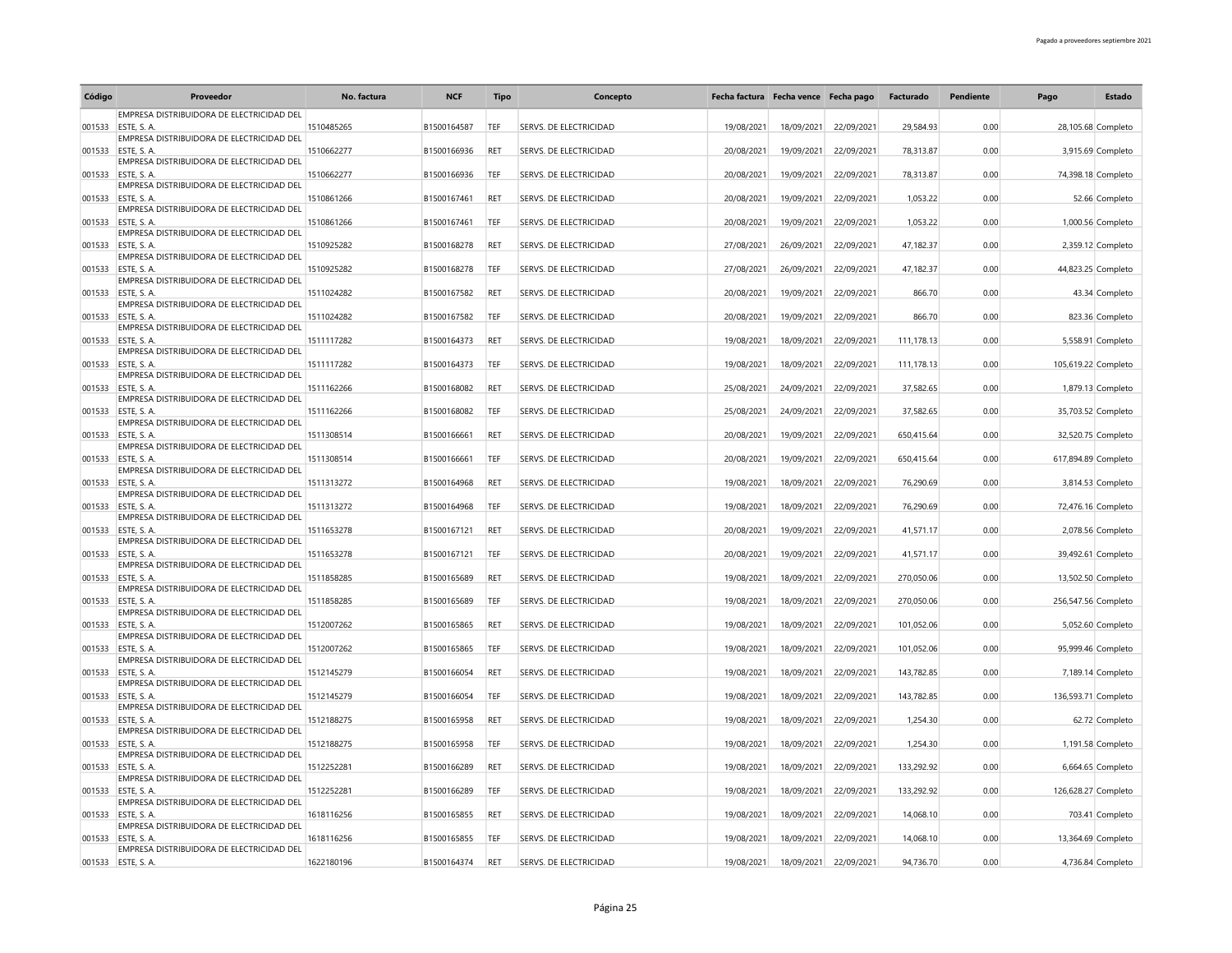| Código | Proveedor                                                       | No. factura | <b>NCF</b>  | <b>Tipo</b> | Concepto               | Fecha factura Fecha vence Fecha pago |            |            | Facturado  | Pendiente | Pago                | Estado             |
|--------|-----------------------------------------------------------------|-------------|-------------|-------------|------------------------|--------------------------------------|------------|------------|------------|-----------|---------------------|--------------------|
|        | EMPRESA DISTRIBUIDORA DE ELECTRICIDAD DEL                       |             |             |             |                        |                                      |            |            |            |           |                     |                    |
| 001533 | ESTE, S.A.<br>EMPRESA DISTRIBUIDORA DE ELECTRICIDAD DEL         | 1510485265  | B1500164587 | TEF         | SERVS. DE ELECTRICIDAD | 19/08/2021                           | 18/09/2021 | 22/09/2021 | 29.584.93  | 0.00      |                     | 28,105.68 Completo |
| 001533 | ESTE, S.A.                                                      | 1510662277  | B1500166936 | RET         | SERVS. DE ELECTRICIDAD | 20/08/2021                           | 19/09/2021 | 22/09/2021 | 78.313.87  | 0.00      |                     | 3,915.69 Completo  |
|        | EMPRESA DISTRIBUIDORA DE ELECTRICIDAD DEL                       |             |             |             |                        |                                      |            |            |            |           |                     |                    |
|        | 001533 ESTE, S. A.<br>EMPRESA DISTRIBUIDORA DE ELECTRICIDAD DEL | 1510662277  | B1500166936 | TEF         | SERVS. DE ELECTRICIDAD | 20/08/2021                           | 19/09/2021 | 22/09/2021 | 78,313.87  | 0.00      | 74,398.18 Completo  |                    |
| 001533 | ESTE, S.A.                                                      | 1510861266  | B1500167461 | <b>RET</b>  | SERVS. DE ELECTRICIDAD | 20/08/2021                           | 19/09/2021 | 22/09/2021 | 1,053.22   | 0.00      |                     | 52.66 Completo     |
|        | EMPRESA DISTRIBUIDORA DE ELECTRICIDAD DEL                       |             |             |             |                        |                                      |            |            |            |           |                     |                    |
| 001533 | FSTE S A<br>EMPRESA DISTRIBUIDORA DE ELECTRICIDAD DEL           | 1510861266  | B1500167461 | TFF         | SERVS. DE ELECTRICIDAD | 20/08/2021                           | 19/09/2021 | 22/09/2021 | 1,053.22   | 0.00      |                     | 1,000.56 Completo  |
| 001533 | ESTE S.A.                                                       | 1510925282  | B1500168278 | RET         | SERVS. DE ELECTRICIDAD | 27/08/2021                           | 26/09/2021 | 22/09/2021 | 47,182.37  | 0.00      |                     | 2,359.12 Completo  |
|        | EMPRESA DISTRIBUIDORA DE ELECTRICIDAD DEL<br>001533 ESTE, S. A. | 1510925282  | B1500168278 | TEF         |                        | 27/08/2021                           | 26/09/2021 | 22/09/2021 | 47,182.37  | 0.00      |                     | 44,823.25 Completo |
|        | EMPRESA DISTRIBUIDORA DE ELECTRICIDAD DEL                       |             |             |             | SERVS. DE ELECTRICIDAD |                                      |            |            |            |           |                     |                    |
| 001533 | ESTE, S. A.                                                     | 1511024282  | B1500167582 | RET         | SERVS. DE ELECTRICIDAD | 20/08/2021                           | 19/09/2021 | 22/09/2021 | 866.70     | 0.00      |                     | 43.34 Completo     |
| 001533 | EMPRESA DISTRIBUIDORA DE ELECTRICIDAD DEL<br>ESTE S.A.          | 1511024282  | B1500167582 | TEF         | SERVS. DE ELECTRICIDAD | 20/08/2021                           | 19/09/2021 | 22/09/2021 | 866.70     | 0.00      |                     | 823.36 Completo    |
|        | EMPRESA DISTRIBUIDORA DE ELECTRICIDAD DEL                       |             |             |             |                        |                                      |            |            |            |           |                     |                    |
| 001533 | ESTE, S.A.                                                      | 1511117282  | B1500164373 | RET         | SERVS. DE ELECTRICIDAD | 19/08/2021                           | 18/09/2021 | 22/09/2021 | 111,178.13 | 0.00      |                     | 5,558.91 Completo  |
| 001533 | EMPRESA DISTRIBUIDORA DE ELECTRICIDAD DEL<br>ESTE S.A.          | 1511117282  | B1500164373 | TEF         | SERVS. DE ELECTRICIDAD | 19/08/2021                           | 18/09/2021 | 22/09/2021 | 111,178.13 | 0.00      | 105,619.22 Completo |                    |
|        | EMPRESA DISTRIBUIDORA DE ELECTRICIDAD DEL                       |             |             |             |                        |                                      |            |            |            |           |                     |                    |
| 001533 | <b>ESTE S.A.</b><br>EMPRESA DISTRIBUIDORA DE ELECTRICIDAD DEL   | 1511162266  | B1500168082 | RET         | SERVS. DE ELECTRICIDAD | 25/08/2021                           | 24/09/2021 | 22/09/2021 | 37,582.65  | 0.00      |                     | 1,879.13 Completo  |
| 001533 | <b>FSTE S A</b>                                                 | 1511162266  | B1500168082 | TEF         | SERVS. DE ELECTRICIDAD | 25/08/2021                           | 24/09/2021 | 22/09/2021 | 37,582.65  | 0.00      | 35,703.52 Completo  |                    |
|        | EMPRESA DISTRIBUIDORA DE ELECTRICIDAD DEL                       |             |             |             |                        |                                      |            |            |            |           |                     |                    |
|        | 001533 ESTE. S. A.<br>EMPRESA DISTRIBUIDORA DE ELECTRICIDAD DEL | 1511308514  | B1500166661 | RET         | SERVS. DE ELECTRICIDAD | 20/08/2021                           | 19/09/2021 | 22/09/2021 | 650,415.64 | 0.00      | 32,520.75 Completo  |                    |
| 001533 | ESTE, S.A.                                                      | 1511308514  | B1500166661 | TEF         | SERVS. DE ELECTRICIDAD | 20/08/2021                           | 19/09/2021 | 22/09/2021 | 650.415.64 | 0.00      | 617.894.89 Completo |                    |
|        | EMPRESA DISTRIBUIDORA DE ELECTRICIDAD DEL                       |             |             |             |                        |                                      |            |            |            |           |                     |                    |
| 001533 | ESTE, S.A.<br>EMPRESA DISTRIBUIDORA DE ELECTRICIDAD DEL         | 1511313272  | B1500164968 | RET         | SERVS. DE ELECTRICIDAD | 19/08/2021                           | 18/09/2021 | 22/09/2021 | 76,290.69  | 0.00      |                     | 3,814.53 Completo  |
| 001533 | <b>ESTE S.A.</b>                                                | 1511313272  | B1500164968 | TEF         | SERVS. DE ELECTRICIDAD | 19/08/2021                           | 18/09/2021 | 22/09/2021 | 76,290.69  | 0.00      | 72,476.16 Completo  |                    |
|        | EMPRESA DISTRIBUIDORA DE ELECTRICIDAD DEL                       |             |             |             |                        |                                      |            |            |            |           |                     |                    |
|        | 001533 ESTE, S. A.<br>EMPRESA DISTRIBUIDORA DE ELECTRICIDAD DEL | 1511653278  | B1500167121 | RET         | SERVS. DE ELECTRICIDAD | 20/08/2021                           | 19/09/2021 | 22/09/2021 | 41,571.17  | 0.00      |                     | 2,078.56 Completo  |
| 001533 | ESTE, S. A.                                                     | 1511653278  | B1500167121 | TEF         | SERVS. DE ELECTRICIDAD | 20/08/2021                           | 19/09/2021 | 22/09/2021 | 41,571.17  | 0.00      | 39,492.61 Completo  |                    |
|        | EMPRESA DISTRIBUIDORA DE ELECTRICIDAD DEL                       |             |             |             |                        |                                      |            |            |            |           |                     |                    |
| 001533 | ESTE, S. A.<br>EMPRESA DISTRIBUIDORA DE ELECTRICIDAD DEL        | 1511858285  | B1500165689 | <b>RFT</b>  | SERVS. DE ELECTRICIDAD | 19/08/2021                           | 18/09/2021 | 22/09/2021 | 270,050.06 | 0.00      |                     | 13,502.50 Completo |
| 001533 | ESTE, S. A.                                                     | 1511858285  | B1500165689 | TEF         | SERVS. DE ELECTRICIDAD | 19/08/2021                           | 18/09/2021 | 22/09/2021 | 270,050.06 | 0.00      | 256,547.56 Completo |                    |
|        | EMPRESA DISTRIBUIDORA DE ELECTRICIDAD DEL                       |             |             |             |                        |                                      |            |            |            |           |                     |                    |
|        | 001533 ESTE, S. A.<br>EMPRESA DISTRIBUIDORA DE ELECTRICIDAD DEL | 1512007262  | B1500165865 | RET         | SERVS. DE ELECTRICIDAD | 19/08/2021                           | 18/09/2021 | 22/09/2021 | 101,052.06 | 0.00      |                     | 5,052.60 Completo  |
| 001533 | ESTE, S. A.                                                     | 1512007262  | B1500165865 | TEF         | SERVS. DE ELECTRICIDAD | 19/08/2021                           | 18/09/2021 | 22/09/2021 | 101,052.06 | 0.00      |                     | 95,999.46 Completo |
| 001533 | EMPRESA DISTRIBUIDORA DE ELECTRICIDAD DEL<br>ESTE, S. A         | 1512145279  | B1500166054 | RET         | SERVS. DE ELECTRICIDAD | 19/08/2021                           | 18/09/2021 | 22/09/2021 | 143,782.85 | 0.00      |                     | 7,189.14 Completo  |
|        | EMPRESA DISTRIBUIDORA DE ELECTRICIDAD DEL                       |             |             |             |                        |                                      |            |            |            |           |                     |                    |
| 001533 | ESTE, S.A.                                                      | 1512145279  | B1500166054 | TEF         | SERVS. DE ELECTRICIDAD | 19/08/2021                           | 18/09/2021 | 22/09/2021 | 143,782.85 | 0.00      | 136,593.71 Completo |                    |
| 001533 | EMPRESA DISTRIBUIDORA DE ELECTRICIDAD DEL<br>ESTE, S. A.        | 1512188275  | B1500165958 | RET         | SERVS. DE ELECTRICIDAD | 19/08/2021                           | 18/09/2021 | 22/09/2021 | 1,254.30   | 0.00      |                     | 62.72 Completo     |
|        | EMPRESA DISTRIBUIDORA DE ELECTRICIDAD DEL                       |             |             |             |                        |                                      |            |            |            |           |                     |                    |
| 001533 | <b>ESTE S.A.</b>                                                | 1512188275  | B1500165958 | TEF         | SERVS. DE ELECTRICIDAD | 19/08/2021                           | 18/09/2021 | 22/09/2021 | 1,254.30   | 0.00      |                     | 1,191.58 Completo  |
|        | EMPRESA DISTRIBUIDORA DE ELECTRICIDAD DEL<br>001533 ESTE, S. A. | 1512252281  | B1500166289 | RET         | SERVS. DE ELECTRICIDAD | 19/08/2021                           | 18/09/2021 | 22/09/2021 | 133,292.92 | 0.00      |                     | 6.664.65 Completo  |
|        | EMPRESA DISTRIBUIDORA DE ELECTRICIDAD DEL                       |             |             |             |                        |                                      |            |            |            |           |                     |                    |
|        | 001533 ESTE, S. A.<br>EMPRESA DISTRIBUIDORA DE ELECTRICIDAD DEL | 1512252281  | B1500166289 | TEF         | SERVS. DE ELECTRICIDAD | 19/08/2021                           | 18/09/2021 | 22/09/2021 | 133,292.92 | 0.00      | 126,628.27 Completo |                    |
| 001533 | ESTE, S. A.                                                     | 1618116256  | B1500165855 | <b>RET</b>  | SERVS. DE ELECTRICIDAD | 19/08/2021                           | 18/09/2021 | 22/09/2021 | 14,068.10  | 0.00      |                     | 703.41 Completo    |
|        | EMPRESA DISTRIBUIDORA DE ELECTRICIDAD DEL                       |             |             |             |                        |                                      |            |            |            |           |                     |                    |
| 001533 | <b>ESTE. S. A.</b><br>EMPRESA DISTRIBUIDORA DE ELECTRICIDAD DEL | 1618116256  | B1500165855 | TFF         | SERVS. DE ELECTRICIDAD | 19/08/2021                           | 18/09/2021 | 22/09/2021 | 14,068.10  | 0.00      |                     | 13,364.69 Completo |
|        | 001533 ESTE, S. A.                                              | 1622180196  | B1500164374 | RET         | SERVS. DE ELECTRICIDAD | 19/08/2021                           | 18/09/2021 | 22/09/2021 | 94.736.70  | 0.00      |                     | 4,736.84 Completo  |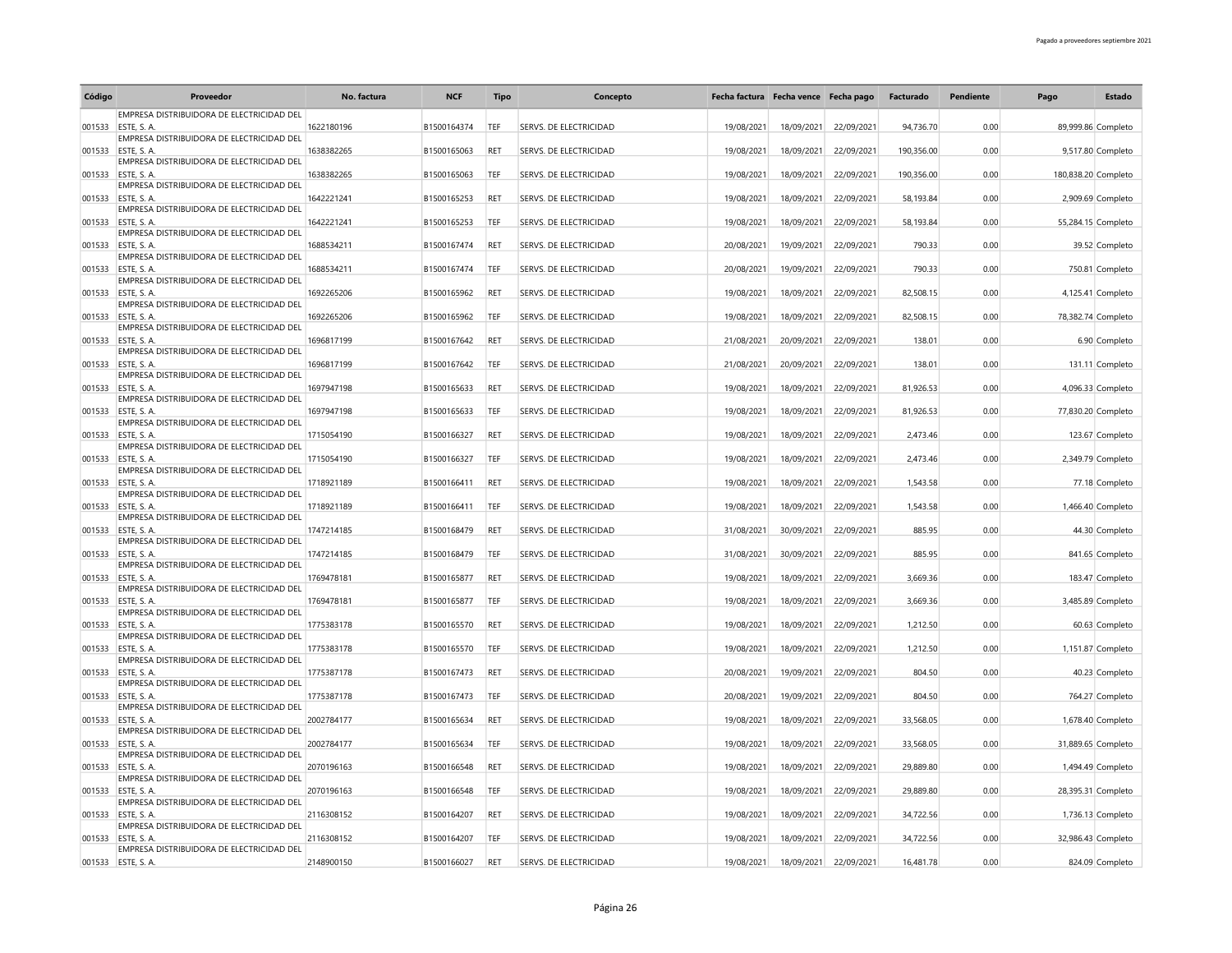| Código | Proveedor                                                       | No. factura | <b>NCF</b>  | <b>Tipo</b> | Concepto                      | Fecha factura Fecha vence Fecha pago |            |            | Facturado  | Pendiente | Pago                | Estado             |
|--------|-----------------------------------------------------------------|-------------|-------------|-------------|-------------------------------|--------------------------------------|------------|------------|------------|-----------|---------------------|--------------------|
|        | EMPRESA DISTRIBUIDORA DE ELECTRICIDAD DEL                       |             |             |             |                               |                                      |            |            |            |           |                     |                    |
| 001533 | ESTE, S.A.<br>EMPRESA DISTRIBUIDORA DE ELECTRICIDAD DEL         | 1622180196  | B1500164374 | TEF         | SERVS. DE ELECTRICIDAD        | 19/08/2021                           | 18/09/2021 | 22/09/2021 | 94.736.70  | 0.00      |                     | 89,999.86 Completo |
| 001533 | ESTE, S. A.                                                     | 1638382265  | B1500165063 | RET         | SERVS. DE ELECTRICIDAD        | 19/08/2021                           | 18/09/2021 | 22/09/2021 | 190.356.00 | 0.00      |                     | 9,517.80 Completo  |
|        | EMPRESA DISTRIBUIDORA DE ELECTRICIDAD DEL                       |             |             |             |                               |                                      |            |            |            |           |                     |                    |
| 001533 | ESTE, S. A.<br>EMPRESA DISTRIBUIDORA DE ELECTRICIDAD DEL        | 1638382265  | B1500165063 | TEF         | SERVS. DE ELECTRICIDAD        | 19/08/2021                           | 18/09/2021 | 22/09/2021 | 190,356.00 | 0.00      | 180,838.20 Completo |                    |
| 001533 | ESTE, S. A.                                                     | 1642221241  | B1500165253 | <b>RET</b>  | SERVS. DE ELECTRICIDAD        | 19/08/2021                           | 18/09/2021 | 22/09/2021 | 58,193.84  | 0.00      |                     | 2,909.69 Completo  |
|        | EMPRESA DISTRIBUIDORA DE ELECTRICIDAD DEL                       |             |             |             |                               |                                      |            |            |            |           |                     |                    |
| 001533 | <b>ESTE S.A.</b><br>EMPRESA DISTRIBUIDORA DE ELECTRICIDAD DEL   | 1642221241  | B1500165253 | TFF         | SERVS. DE ELECTRICIDAD        | 19/08/2021                           | 18/09/2021 | 22/09/2021 | 58,193.84  | 0.00      |                     | 55,284.15 Completo |
| 001533 | <b>ESTE S.A.</b>                                                | 1688534211  | B1500167474 | <b>RET</b>  | SERVS. DE ELECTRICIDAD        | 20/08/2021                           | 19/09/2021 | 22/09/2021 | 790.33     | 0.00      |                     | 39.52 Completo     |
|        | EMPRESA DISTRIBUIDORA DE ELECTRICIDAD DEL                       |             |             |             |                               |                                      |            |            |            |           |                     |                    |
|        | 001533 ESTE, S. A.<br>EMPRESA DISTRIBUIDORA DE ELECTRICIDAD DEL | 1688534211  | B1500167474 | TEF         | SERVS. DE ELECTRICIDAD        | 20/08/2021                           | 19/09/2021 | 22/09/2021 | 790.33     | 0.00      |                     | 750.81 Completo    |
| 001533 | ESTE, S. A.                                                     | 1692265206  | B1500165962 | RET         | SERVS. DE ELECTRICIDAD        | 19/08/2021                           | 18/09/2021 | 22/09/2021 | 82,508.15  | 0.00      |                     | 4,125.41 Completo  |
|        | EMPRESA DISTRIBUIDORA DE ELECTRICIDAD DEL                       |             |             |             |                               |                                      |            |            |            |           |                     |                    |
| 001533 | <b>ESTE S.A.</b><br>EMPRESA DISTRIBUIDORA DE ELECTRICIDAD DEL   | 1692265206  | B1500165962 | TEF         | SERVS. DE ELECTRICIDAD        | 19/08/2021                           | 18/09/2021 | 22/09/2021 | 82,508.15  | 0.00      |                     | 78,382.74 Completo |
| 001533 | ESTE, S.A.                                                      | 1696817199  | B1500167642 | RET         | SERVS. DE ELECTRICIDAD        | 21/08/2021                           | 20/09/2021 | 22/09/2021 | 138.01     | 0.00      |                     | 6.90 Completo      |
|        | EMPRESA DISTRIBUIDORA DE ELECTRICIDAD DEL                       |             |             |             |                               |                                      |            |            |            |           |                     |                    |
| 001533 | <b>ESTE S.A.</b><br>EMPRESA DISTRIBUIDORA DE ELECTRICIDAD DEL   | 1696817199  | B1500167642 | TEF         | SERVS. DE ELECTRICIDAD        | 21/08/2021                           | 20/09/2021 | 22/09/2021 | 138.01     | 0.00      |                     | 131.11 Completo    |
| 001533 | ESTE, S. A.                                                     | 1697947198  | B1500165633 | <b>RET</b>  | SERVS. DE ELECTRICIDAD        | 19/08/2021                           | 18/09/2021 | 22/09/2021 | 81,926.53  | 0.00      |                     | 4,096.33 Completo  |
|        | EMPRESA DISTRIBUIDORA DE ELECTRICIDAD DEL                       |             |             |             |                               |                                      |            |            |            |           |                     |                    |
| 001533 | <b>FSTE S A</b><br>EMPRESA DISTRIBUIDORA DE ELECTRICIDAD DEL    | 1697947198  | B1500165633 | TFF         | SERVS. DE ELECTRICIDAD        | 19/08/2021                           | 18/09/2021 | 22/09/2021 | 81,926.53  | 0.00      |                     | 77,830.20 Completo |
| 001533 | ESTE, S.A.                                                      | 1715054190  | B1500166327 | RET         | SERVS. DE ELECTRICIDAD        | 19/08/2021                           | 18/09/2021 | 22/09/2021 | 2,473.46   | 0.00      |                     | 123.67 Completo    |
|        | EMPRESA DISTRIBUIDORA DE ELECTRICIDAD DEL                       |             |             |             |                               |                                      |            |            |            |           |                     |                    |
| 001533 | ESTE, S.A.<br>EMPRESA DISTRIBUIDORA DE ELECTRICIDAD DEL         | 1715054190  | B1500166327 | TEF         | SERVS. DE ELECTRICIDAD        | 19/08/2021                           | 18/09/2021 | 22/09/2021 | 2.473.46   | 0.00      |                     | 2.349.79 Completo  |
| 001533 | ESTE, S.A.                                                      | 1718921189  | B1500166411 | RET         | SERVS. DE ELECTRICIDAD        | 19/08/2021                           | 18/09/2021 | 22/09/2021 | 1,543.58   | 0.00      |                     | 77.18 Completo     |
|        | EMPRESA DISTRIBUIDORA DE ELECTRICIDAD DEL                       |             |             |             |                               |                                      |            |            |            |           |                     |                    |
| 001533 | ESTE, S. A.<br>EMPRESA DISTRIBUIDORA DE ELECTRICIDAD DEL        | 1718921189  | B1500166411 | <b>TEF</b>  | SERVS. DE ELECTRICIDAD        | 19/08/2021                           | 18/09/2021 | 22/09/2021 | 1,543.58   | 0.00      |                     | 1,466.40 Completo  |
| 001533 | FSTE S A                                                        | 1747214185  | B1500168479 | RET         | SERVS. DE ELECTRICIDAD        | 31/08/2021                           | 30/09/2021 | 22/09/2021 | 885.95     | 0.00      |                     | 44.30 Completo     |
|        | EMPRESA DISTRIBUIDORA DE ELECTRICIDAD DEL<br>ESTE, S. A.        | 1747214185  | B1500168479 | TEF         | SERVS. DE ELECTRICIDAD        |                                      |            | 22/09/2021 | 885.95     | 0.00      |                     |                    |
| 001533 | EMPRESA DISTRIBUIDORA DE ELECTRICIDAD DEL                       |             |             |             |                               | 31/08/2021                           | 30/09/2021 |            |            |           |                     | 841.65 Completo    |
| 001533 | <b>FSTE S A</b>                                                 | 1769478181  | B1500165877 | <b>RET</b>  | SERVS. DE ELECTRICIDAD        | 19/08/2021                           | 18/09/2021 | 22/09/2021 | 3,669.36   | 0.00      |                     | 183.47 Completo    |
| 001533 | EMPRESA DISTRIBUIDORA DE ELECTRICIDAD DEL<br>ESTE, S. A.        | 1769478181  | B1500165877 | TEF         | SERVS. DE ELECTRICIDAD        | 19/08/2021                           | 18/09/2021 | 22/09/2021 | 3,669.36   | 0.00      |                     | 3,485.89 Completo  |
|        | EMPRESA DISTRIBUIDORA DE ELECTRICIDAD DEL                       |             |             |             |                               |                                      |            |            |            |           |                     |                    |
|        | 001533 ESTE, S. A.                                              | 1775383178  | B1500165570 | <b>RET</b>  | SERVS. DE ELECTRICIDAD        | 19/08/2021                           | 18/09/2021 | 22/09/2021 | 1,212.50   | 0.00      |                     | 60.63 Completo     |
| 001533 | EMPRESA DISTRIBUIDORA DE ELECTRICIDAD DEL<br>ESTE, S.A.         | 1775383178  | B1500165570 | TEF         | SERVS. DE ELECTRICIDAD        | 19/08/2021                           | 18/09/2021 | 22/09/2021 | 1,212.50   | 0.00      |                     | 1,151.87 Completo  |
|        | EMPRESA DISTRIBUIDORA DE ELECTRICIDAD DEL                       |             |             |             |                               |                                      |            |            |            |           |                     |                    |
| 001533 | <b>ESTE S.A.</b>                                                | 1775387178  | B1500167473 | <b>RET</b>  | SERVS. DE ELECTRICIDAD        | 20/08/2021                           | 19/09/2021 | 22/09/2021 | 804.50     | 0.00      |                     | 40.23 Completo     |
| 001533 | EMPRESA DISTRIBUIDORA DE ELECTRICIDAD DEL<br>ESTE, S.A.         | 1775387178  | B1500167473 | TEF         | SERVS. DE ELECTRICIDAD        | 20/08/2021                           | 19/09/2021 | 22/09/2021 | 804.50     | 0.00      |                     | 764.27 Completo    |
|        | EMPRESA DISTRIBUIDORA DE ELECTRICIDAD DEL                       |             |             |             |                               |                                      |            |            |            |           |                     |                    |
| 001533 | ESTE, S. A.                                                     | 2002784177  | B1500165634 | RET         | SERVS. DE ELECTRICIDAD        | 19/08/2021                           | 18/09/2021 | 22/09/2021 | 33,568.05  | 0.00      |                     | 1,678.40 Completo  |
| 001533 | EMPRESA DISTRIBUIDORA DE ELECTRICIDAD DEL<br>ESTE S.A.          | 2002784177  | B1500165634 | TEF         | SERVS. DE ELECTRICIDAD        | 19/08/2021                           | 18/09/2021 | 22/09/2021 | 33,568.05  | 0.00      |                     | 31,889.65 Completo |
|        | EMPRESA DISTRIBUIDORA DE ELECTRICIDAD DEL                       |             |             |             |                               |                                      |            |            |            |           |                     |                    |
| 001533 | FSTE S A                                                        | 2070196163  | B1500166548 | RET         | SERVS. DE ELECTRICIDAD        | 19/08/2021                           | 18/09/2021 | 22/09/2021 | 29,889.80  | 0.00      |                     | 1.494.49 Completo  |
| 001533 | EMPRESA DISTRIBUIDORA DE ELECTRICIDAD DEL<br>ESTE, S. A.        | 2070196163  | B1500166548 | TFF         | SERVS. DE ELECTRICIDAD        | 19/08/2021                           | 18/09/2021 | 22/09/2021 | 29,889.80  | 0.00      |                     | 28,395.31 Completo |
|        | EMPRESA DISTRIBUIDORA DE ELECTRICIDAD DEL                       |             |             |             |                               |                                      |            |            |            |           |                     |                    |
| 001533 | ESTE, S. A.                                                     | 2116308152  | B1500164207 | <b>RET</b>  | <b>SERVS. DE ELECTRICIDAD</b> | 19/08/2021                           | 18/09/2021 | 22/09/2021 | 34,722.56  | 0.00      |                     | 1,736.13 Completo  |
| 001533 | EMPRESA DISTRIBUIDORA DE ELECTRICIDAD DEL<br>ESTE. S. A.        | 2116308152  | B1500164207 | TFF         | SERVS. DE ELECTRICIDAD        | 19/08/2021                           | 18/09/2021 | 22/09/2021 | 34,722.56  | 0.00      |                     | 32,986.43 Completo |
|        | EMPRESA DISTRIBUIDORA DE ELECTRICIDAD DEL                       |             |             |             |                               |                                      |            |            |            |           |                     |                    |
|        | 001533 ESTE, S. A.                                              | 2148900150  | B1500166027 | <b>RET</b>  | SERVS. DE ELECTRICIDAD        | 19/08/2021                           | 18/09/2021 | 22/09/2021 | 16.481.78  | 0.00      |                     | 824.09 Completo    |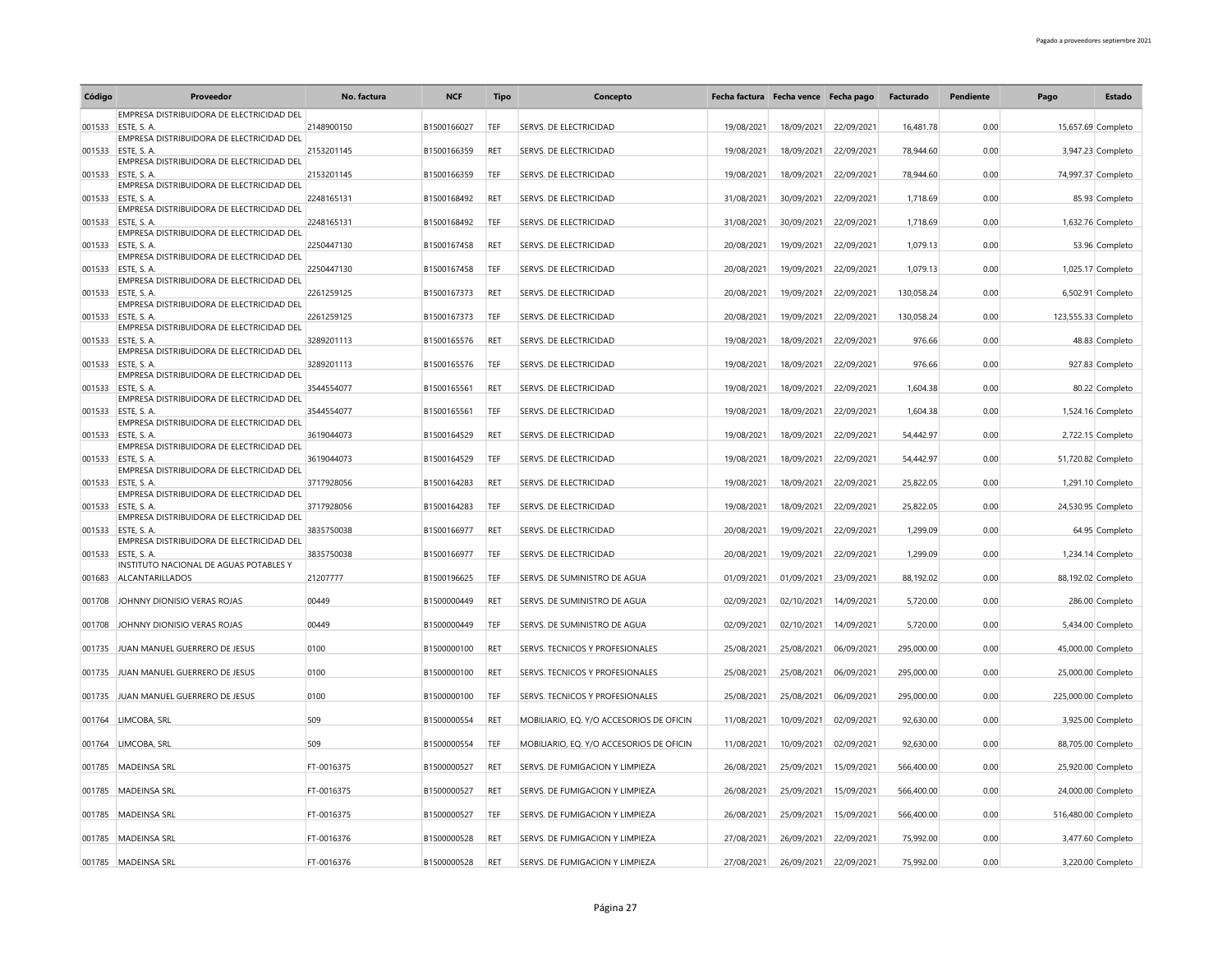| Código | Proveedor                                                        | No. factura | <b>NCF</b>  | <b>Tipo</b> | Concepto                                 | Fecha factura Fecha vence Fecha pago |            |            | Facturado  | Pendiente | Pago                | <b>Estado</b>      |
|--------|------------------------------------------------------------------|-------------|-------------|-------------|------------------------------------------|--------------------------------------|------------|------------|------------|-----------|---------------------|--------------------|
|        | EMPRESA DISTRIBUIDORA DE ELECTRICIDAD DEL                        |             |             |             |                                          |                                      |            |            |            |           |                     |                    |
| 001533 | ESTE, S.A.<br>EMPRESA DISTRIBUIDORA DE ELECTRICIDAD DEL          | 2148900150  | B1500166027 | TEF         | SERVS. DE ELECTRICIDAD                   | 19/08/2021                           | 18/09/2021 | 22/09/2021 | 16.481.78  | 0.00      |                     | 15,657.69 Completo |
| 001533 | ESTE, S. A.                                                      | 2153201145  | B1500166359 | RET         | SERVS. DE ELECTRICIDAD                   | 19/08/2021                           | 18/09/2021 | 22/09/2021 | 78,944.60  | 0.00      |                     | 3,947.23 Completo  |
|        | EMPRESA DISTRIBUIDORA DE ELECTRICIDAD DEL                        |             |             |             |                                          |                                      |            |            |            |           |                     |                    |
|        | 001533 ESTE, S. A.<br>EMPRESA DISTRIBUIDORA DE ELECTRICIDAD DEL  | 2153201145  | B1500166359 | TEF         | <b>SERVS. DE ELECTRICIDAD</b>            | 19/08/2021                           | 18/09/2021 | 22/09/2021 | 78,944.60  | 0.00      |                     | 74,997.37 Completo |
| 001533 | ESTE, S. A.                                                      | 2248165131  | B1500168492 | <b>RET</b>  | SERVS. DE ELECTRICIDAD                   | 31/08/2021                           | 30/09/2021 | 22/09/2021 | 1.718.69   | 0.00      |                     | 85.93 Completo     |
|        | EMPRESA DISTRIBUIDORA DE ELECTRICIDAD DEL<br>ESTE, S. A.         | 2248165131  | B1500168492 | TEF         | SERVS. DE ELECTRICIDAD                   |                                      |            | 22/09/2021 | 1,718.69   | 0.00      |                     |                    |
| 001533 | EMPRESA DISTRIBUIDORA DE ELECTRICIDAD DEL                        |             |             |             |                                          | 31/08/2021                           | 30/09/2021 |            |            |           |                     | 1,632.76 Completo  |
| 001533 | ESTE, S.A.                                                       | 2250447130  | B1500167458 | RET         | SERVS. DE ELECTRICIDAD                   | 20/08/2021                           | 19/09/2021 | 22/09/2021 | 1,079.13   | 0.00      |                     | 53.96 Completo     |
|        | EMPRESA DISTRIBUIDORA DE ELECTRICIDAD DEL<br>001533 ESTE, S. A.  | 2250447130  | B1500167458 | TEF         | <b>SERVS. DE ELECTRICIDAD</b>            | 20/08/2021                           | 19/09/2021 | 22/09/2021 | 1,079.13   | 0.00      |                     | 1,025.17 Completo  |
|        | EMPRESA DISTRIBUIDORA DE ELECTRICIDAD DEL                        |             |             |             |                                          |                                      |            |            |            |           |                     |                    |
| 001533 | ESTE, S. A.                                                      | 2261259125  | B1500167373 | <b>RET</b>  | SERVS. DE ELECTRICIDAD                   | 20/08/2021                           | 19/09/2021 | 22/09/2021 | 130,058.24 | 0.00      |                     | 6,502.91 Completo  |
| 001533 | EMPRESA DISTRIBUIDORA DE ELECTRICIDAD DEL<br><b>FSTE S A</b>     | 2261259125  | B1500167373 | TEF         | SERVS. DE ELECTRICIDAD                   | 20/08/2021                           | 19/09/2021 | 22/09/2021 | 130,058.24 | 0.00      | 123,555.33 Completo |                    |
|        | EMPRESA DISTRIBUIDORA DE ELECTRICIDAD DEL                        |             |             |             |                                          |                                      |            |            |            |           |                     |                    |
| 001533 | ESTE, S. A.<br>EMPRESA DISTRIBUIDORA DE ELECTRICIDAD DEL         | 3289201113  | B1500165576 | <b>RET</b>  | SERVS. DE ELECTRICIDAD                   | 19/08/2021                           | 18/09/2021 | 22/09/2021 | 976.66     | 0.00      |                     | 48.83 Completo     |
| 001533 | ESTE, S. A.                                                      | 3289201113  | B1500165576 | TEF         | SERVS. DE ELECTRICIDAD                   | 19/08/2021                           | 18/09/2021 | 22/09/2021 | 976.66     | 0.00      |                     | 927.83 Completo    |
|        | EMPRESA DISTRIBUIDORA DE ELECTRICIDAD DEL                        |             |             |             |                                          |                                      |            |            |            |           |                     |                    |
| 001533 | ESTE, S. A.<br>EMPRESA DISTRIBUIDORA DE ELECTRICIDAD DEL         | 3544554077  | B1500165561 | RET         | SERVS. DE ELECTRICIDAD                   | 19/08/2021                           | 18/09/2021 | 22/09/2021 | 1,604.38   | 0.00      |                     | 80.22 Completo     |
| 001533 | ESTE, S.A.                                                       | 3544554077  | B1500165561 | TEF         | SERVS. DE ELECTRICIDAD                   | 19/08/2021                           | 18/09/2021 | 22/09/2021 | 1,604.38   | 0.00      |                     | 1,524.16 Completo  |
|        | EMPRESA DISTRIBUIDORA DE ELECTRICIDAD DEL                        |             |             |             |                                          |                                      |            |            |            |           |                     |                    |
| 001533 | ESTE, S. A.<br>EMPRESA DISTRIBUIDORA DE ELECTRICIDAD DEL         | 3619044073  | B1500164529 | <b>RET</b>  | SERVS. DE ELECTRICIDAD                   | 19/08/2021                           | 18/09/2021 | 22/09/2021 | 54,442.97  | 0.00      |                     | 2,722.15 Completo  |
| 001533 | ESTE, S.A.                                                       | 3619044073  | B1500164529 | TEF         | SERVS. DE ELECTRICIDAD                   | 19/08/2021                           | 18/09/2021 | 22/09/2021 | 54,442.97  | 0.00      |                     | 51,720.82 Completo |
| 001533 | EMPRESA DISTRIBUIDORA DE ELECTRICIDAD DEL<br>ESTE, S. A.         | 3717928056  | B1500164283 | RET         | SERVS. DE ELECTRICIDAD                   | 19/08/2021                           | 18/09/2021 | 22/09/2021 | 25,822.05  | 0.00      |                     | 1,291.10 Completo  |
|        | EMPRESA DISTRIBUIDORA DE ELECTRICIDAD DEL                        |             |             |             |                                          |                                      |            |            |            |           |                     |                    |
| 001533 | ESTE, S.A.                                                       | 3717928056  | B1500164283 | TEF         | <b>SERVS. DE ELECTRICIDAD</b>            | 19/08/2021                           | 18/09/2021 | 22/09/2021 | 25.822.05  | 0.00      |                     | 24,530.95 Completo |
| 001533 | EMPRESA DISTRIBUIDORA DE ELECTRICIDAD DEL<br>ESTE, S. A.         | 3835750038  | B1500166977 | RET         | SERVS. DE ELECTRICIDAD                   | 20/08/2021                           | 19/09/2021 | 22/09/2021 | 1,299.09   | 0.00      |                     | 64.95 Completo     |
|        | EMPRESA DISTRIBUIDORA DE ELECTRICIDAD DEL                        |             |             |             |                                          |                                      |            |            |            |           |                     |                    |
| 001533 | ESTE, S.A.                                                       | 3835750038  | B1500166977 | TEF         | <b>SERVS. DE ELECTRICIDAD</b>            | 20/08/2021                           | 19/09/2021 | 22/09/2021 | 1,299.09   | 0.00      |                     | 1,234.14 Completo  |
| 001683 | INSTITUTO NACIONAL DE AGUAS POTABLES Y<br><b>ALCANTARILLADOS</b> | 21207777    | B1500196625 | TEF         | SERVS. DE SUMINISTRO DE AGUA             | 01/09/2021                           | 01/09/2021 | 23/09/2021 | 88,192.02  | 0.00      |                     | 88,192.02 Completo |
|        |                                                                  |             |             |             |                                          |                                      |            |            |            |           |                     |                    |
| 001708 | JOHNNY DIONISIO VERAS ROJAS                                      | 00449       | B1500000449 | RET         | SERVS. DE SUMINISTRO DE AGUA             | 02/09/2021                           | 02/10/2021 | 14/09/2021 | 5,720.00   | 0.00      |                     | 286.00 Completo    |
| 001708 | JOHNNY DIONISIO VERAS ROJAS                                      | 00449       | B1500000449 | TEF         | SERVS. DE SUMINISTRO DE AGUA             | 02/09/2021                           | 02/10/2021 | 14/09/2021 | 5,720.00   | 0.00      |                     | 5,434.00 Completo  |
|        |                                                                  |             |             |             |                                          |                                      |            |            |            |           |                     |                    |
| 001735 | JUAN MANUEL GUERRERO DE JESUS                                    | 0100        | B1500000100 | RET         | SERVS. TECNICOS Y PROFESIONALES          | 25/08/2021                           | 25/08/2021 | 06/09/2021 | 295,000.00 | 0.00      |                     | 45,000.00 Completo |
| 001735 | JUAN MANUEL GUERRERO DE JESUS                                    | 0100        | B1500000100 | <b>RET</b>  | <b>SERVS. TECNICOS Y PROFESIONALES</b>   | 25/08/2021                           | 25/08/2021 | 06/09/2021 | 295,000.00 | 0.00      |                     | 25,000.00 Completo |
| 001735 | JUAN MANUEL GUERRERO DE JESUS                                    | 0100        | B1500000100 | TEF         | SERVS. TECNICOS Y PROFESIONALES          | 25/08/2021                           |            |            | 295,000.00 | 0.00      |                     |                    |
|        |                                                                  |             |             |             |                                          |                                      | 25/08/2021 | 06/09/2021 |            |           | 225,000.00 Completo |                    |
| 001764 | LIMCOBA, SRL                                                     | 509         | B1500000554 | RET         | MOBILIARIO, EQ. Y/O ACCESORIOS DE OFICIN | 11/08/2021                           | 10/09/2021 | 02/09/2021 | 92,630.00  | 0.00      |                     | 3,925.00 Completo  |
| 001764 | LIMCOBA, SRL                                                     | 509         | B1500000554 | TEF         | MOBILIARIO, EQ. Y/O ACCESORIOS DE OFICIN | 11/08/2021                           | 10/09/2021 | 02/09/2021 | 92,630.00  | 0.00      |                     | 88,705.00 Completo |
|        |                                                                  |             |             |             |                                          |                                      |            |            |            |           |                     |                    |
| 001785 | MADEINSA SRL                                                     | FT-0016375  | B1500000527 | RET         | SERVS. DE FUMIGACION Y LIMPIEZA          | 26/08/2021                           | 25/09/2021 | 15/09/2021 | 566,400.00 | 0.00      |                     | 25,920.00 Completo |
| 001785 | <b>MADEINSA SRL</b>                                              | FT-0016375  | B1500000527 | RET         | SERVS. DE FUMIGACION Y LIMPIEZA          | 26/08/2021                           | 25/09/2021 | 15/09/2021 | 566,400.00 | 0.00      |                     | 24,000.00 Completo |
|        |                                                                  |             |             |             |                                          |                                      |            |            |            |           |                     |                    |
| 001785 | <b>MADEINSA SRL</b>                                              | FT-0016375  | B1500000527 | TEF         | SERVS. DE FUMIGACION Y LIMPIEZA          | 26/08/2021                           | 25/09/2021 | 15/09/2021 | 566,400.00 | 0.00      | 516,480.00 Completo |                    |
| 001785 | MADEINSA SRL                                                     | FT-0016376  | B1500000528 | RET         | SERVS. DE FUMIGACION Y LIMPIEZA          | 27/08/2021                           | 26/09/2021 | 22/09/2021 | 75,992.00  | 0.00      |                     | 3,477.60 Completo  |
|        |                                                                  |             |             |             |                                          |                                      |            |            |            |           |                     |                    |
|        | 001785 MADEINSA SRL                                              | FT-0016376  | B1500000528 | RET         | SERVS. DE FUMIGACION Y LIMPIEZA          | 27/08/2021                           | 26/09/2021 | 22/09/2021 | 75,992.00  | 0.00      |                     | 3,220.00 Completo  |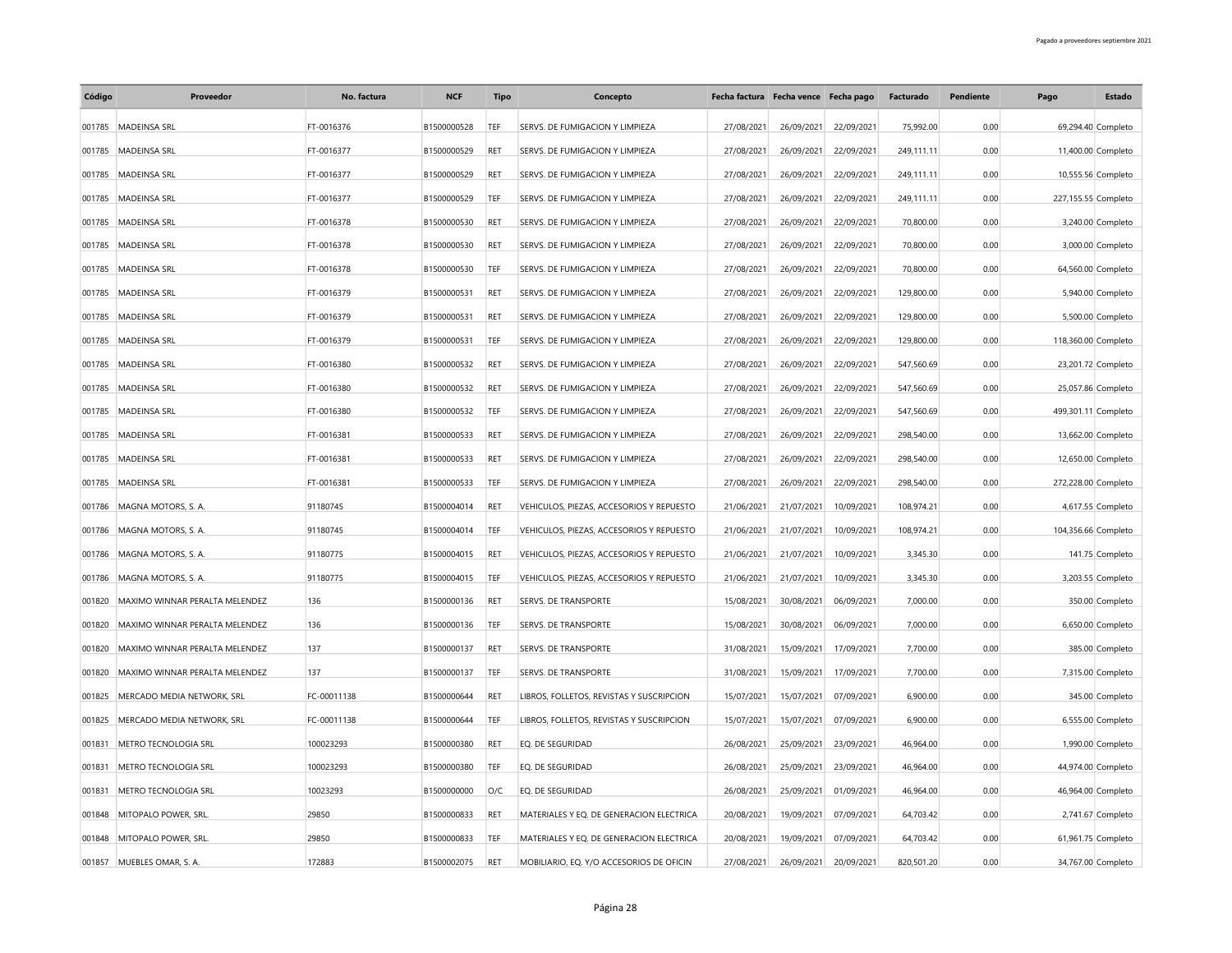| Código | Proveedor                      | No. factura | <b>NCF</b>  | Tipo       | Concepto                                 |            | Fecha factura Fecha vence Fecha pago |            | Facturado  | Pendiente | Pago                | Estado             |
|--------|--------------------------------|-------------|-------------|------------|------------------------------------------|------------|--------------------------------------|------------|------------|-----------|---------------------|--------------------|
| 001785 | MADEINSA SRL                   | FT-0016376  | B1500000528 | TEF        | SERVS. DE FUMIGACION Y LIMPIEZA          | 27/08/2021 | 26/09/2021                           | 22/09/2021 | 75,992.00  | 0.00      |                     | 69,294.40 Completo |
| 001785 | MADEINSA SRL                   | FT-0016377  | B1500000529 | <b>RET</b> | SERVS. DE FUMIGACION Y LIMPIEZA          | 27/08/2021 | 26/09/2021                           | 22/09/2021 | 249,111.11 | 0.00      |                     | 11,400.00 Completo |
| 001785 | MADEINSA SRL                   | FT-0016377  | B1500000529 | RET        | SERVS. DE FUMIGACION Y LIMPIEZA          | 27/08/2021 | 26/09/2021                           | 22/09/2021 | 249,111.11 | 0.00      |                     | 10,555.56 Completo |
| 001785 | MADEINSA SRL                   | FT-0016377  | B1500000529 | TEF        | SERVS. DE FUMIGACION Y LIMPIEZA          | 27/08/2021 | 26/09/2021                           | 22/09/2021 | 249,111.11 | 0.00      | 227,155.55 Completo |                    |
| 001785 | MADEINSA SRL                   | FT-0016378  | B1500000530 | RET        | SERVS. DE FUMIGACION Y LIMPIEZA          | 27/08/2021 | 26/09/2021                           | 22/09/2021 | 70,800.00  | 0.00      |                     | 3,240.00 Completo  |
| 001785 | MADEINSA SRL                   | FT-0016378  | B1500000530 | RET        | SERVS. DE FUMIGACION Y LIMPIEZA          | 27/08/2021 | 26/09/2021                           | 22/09/2021 | 70,800.00  | 0.00      |                     | 3,000.00 Completo  |
| 001785 | MADEINSA SRL                   | FT-0016378  | B1500000530 | TEF        | SERVS. DE FUMIGACION Y LIMPIEZA          | 27/08/2021 | 26/09/2021                           | 22/09/2021 | 70,800.00  | 0.00      |                     | 64,560.00 Completo |
| 001785 | <b>MADEINSA SRL</b>            | FT-0016379  | B1500000531 | RET        | SERVS. DE FUMIGACION Y LIMPIEZA          | 27/08/2021 | 26/09/2021                           | 22/09/2021 | 129,800.00 | 0.00      |                     | 5,940.00 Completo  |
| 001785 | <b>MADEINSA SRL</b>            | FT-0016379  | B1500000531 | RET        | SERVS. DE FUMIGACION Y LIMPIEZA          | 27/08/2021 | 26/09/2021                           | 22/09/2021 | 129,800.00 | 0.00      |                     | 5,500.00 Completo  |
| 001785 | MADEINSA SRL                   | FT-0016379  | B1500000531 | TEF        | SERVS. DE FUMIGACION Y LIMPIEZA          | 27/08/2021 | 26/09/2021                           | 22/09/2021 | 129,800.00 | 0.00      | 118,360.00 Completo |                    |
| 001785 | MADEINSA SRL                   | FT-0016380  | B1500000532 | RET        | SERVS. DE FUMIGACION Y LIMPIEZA          | 27/08/2021 | 26/09/2021                           | 22/09/2021 | 547,560.69 | 0.00      |                     | 23,201.72 Completo |
| 001785 | <b>MADEINSA SRL</b>            | FT-0016380  | B1500000532 | RET        | SERVS. DE FUMIGACION Y LIMPIEZA          | 27/08/2021 | 26/09/2021                           | 22/09/2021 | 547,560.69 | 0.00      |                     | 25,057.86 Completo |
| 001785 | MADEINSA SRL                   | FT-0016380  | B1500000532 | TEF        | SERVS. DE FUMIGACION Y LIMPIEZA          | 27/08/2021 | 26/09/2021                           | 22/09/2021 | 547,560.69 | 0.00      | 499,301.11 Completo |                    |
| 001785 | <b>MADEINSA SRL</b>            | FT-0016381  | B1500000533 | RET        | SERVS. DE FUMIGACION Y LIMPIEZA          | 27/08/2021 | 26/09/2021                           | 22/09/2021 | 298,540.00 | 0.00      |                     | 13,662.00 Completo |
| 001785 | <b>MADEINSA SRL</b>            | FT-0016381  | B1500000533 | RET        | SERVS. DE FUMIGACION Y LIMPIEZA          | 27/08/2021 | 26/09/2021                           | 22/09/2021 | 298.540.00 | 0.00      |                     | 12,650.00 Completo |
| 001785 | MADEINSA SRL                   | FT-0016381  | B1500000533 | TEF        | SERVS. DE FUMIGACION Y LIMPIEZA          | 27/08/2021 | 26/09/2021                           | 22/09/2021 | 298,540.00 | 0.00      | 272,228.00 Completo |                    |
| 001786 | MAGNA MOTORS, S. A.            | 91180745    | B1500004014 | RET        | VEHICULOS, PIEZAS, ACCESORIOS Y REPUESTO | 21/06/2021 | 21/07/2021                           | 10/09/2021 | 108,974.21 | 0.00      |                     | 4,617.55 Completo  |
| 001786 | MAGNA MOTORS, S. A.            | 91180745    | B1500004014 | TEF        | VEHICULOS, PIEZAS, ACCESORIOS Y REPUESTO | 21/06/2021 | 21/07/2021                           | 10/09/2021 | 108,974.21 | 0.00      | 104,356.66 Completo |                    |
| 001786 | MAGNA MOTORS, S. A.            | 91180775    | B1500004015 | RET        | VEHICULOS, PIEZAS, ACCESORIOS Y REPUESTO | 21/06/2021 | 21/07/2021                           | 10/09/2021 | 3,345.30   | 0.00      |                     | 141.75 Completo    |
| 001786 | MAGNA MOTORS, S. A.            | 91180775    | B1500004015 | TEF        | VEHICULOS, PIEZAS, ACCESORIOS Y REPUESTO | 21/06/2021 | 21/07/2021                           | 10/09/2021 | 3,345.30   | 0.00      |                     | 3,203.55 Completo  |
| 001820 | MAXIMO WINNAR PERALTA MELENDEZ | 136         | B1500000136 | RET        | <b>SERVS. DE TRANSPORTE</b>              | 15/08/2021 | 30/08/2021                           | 06/09/2021 | 7,000.00   | 0.00      |                     | 350.00 Completo    |
| 001820 | MAXIMO WINNAR PERALTA MELENDEZ | 136         | B1500000136 | TEF        | SERVS. DE TRANSPORTE                     | 15/08/2021 | 30/08/2021                           | 06/09/2021 | 7,000.00   | 0.00      |                     | 6,650.00 Completo  |
| 001820 | MAXIMO WINNAR PERALTA MELENDEZ | 137         | B1500000137 | RET        | SERVS. DE TRANSPORTE                     | 31/08/2021 | 15/09/2021                           | 17/09/2021 | 7,700.00   | 0.00      |                     | 385.00 Completo    |
| 001820 | MAXIMO WINNAR PERALTA MELENDEZ | 137         | B1500000137 | TEF        | <b>SERVS. DE TRANSPORTE</b>              | 31/08/2021 | 15/09/2021                           | 17/09/2021 | 7,700.00   | 0.00      |                     | 7,315.00 Completo  |
| 001825 | MERCADO MEDIA NETWORK, SRL     | FC-00011138 | B1500000644 | RET        | LIBROS, FOLLETOS, REVISTAS Y SUSCRIPCION | 15/07/2021 | 15/07/2021                           | 07/09/2021 | 6,900.00   | 0.00      |                     | 345.00 Completo    |
| 001825 | MERCADO MEDIA NETWORK, SRL     | FC-00011138 | B1500000644 | TEF        | LIBROS, FOLLETOS, REVISTAS Y SUSCRIPCION | 15/07/2021 | 15/07/2021                           | 07/09/2021 | 6,900.00   | 0.00      |                     | 6,555.00 Completo  |
| 001831 | METRO TECNOLOGIA SRL           | 100023293   | B1500000380 | RET        | EQ. DE SEGURIDAD                         | 26/08/2021 | 25/09/2021                           | 23/09/2021 | 46,964.00  | 0.00      |                     | 1,990.00 Completo  |
| 001831 | METRO TECNOLOGIA SRL           | 100023293   | B1500000380 | TEF        | EQ. DE SEGURIDAD                         | 26/08/2021 | 25/09/2021                           | 23/09/2021 | 46,964.00  | 0.00      |                     | 44,974.00 Completo |
| 001831 | METRO TECNOLOGIA SRL           | 10023293    | B1500000000 | O/C        | EQ. DE SEGURIDAD                         | 26/08/2021 | 25/09/2021                           | 01/09/2021 | 46,964.00  | 0.00      |                     | 46,964.00 Completo |
| 001848 | MITOPALO POWER, SRL.           | 29850       | B1500000833 | RET        | MATERIALES Y EQ. DE GENERACION ELECTRICA | 20/08/2021 | 19/09/2021                           | 07/09/2021 | 64,703.42  | 0.00      |                     | 2,741.67 Completo  |
| 001848 | MITOPALO POWER, SRL            | 29850       | B1500000833 | TFF        | MATERIALES Y EQ. DE GENERACION ELECTRICA | 20/08/2021 | 19/09/2021                           | 07/09/2021 | 64,703.42  | 0.00      |                     | 61,961.75 Completo |
|        | 001857 MUEBLES OMAR, S. A.     | 172883      | B1500002075 | RET        | MOBILIARIO, EQ. Y/O ACCESORIOS DE OFICIN | 27/08/2021 | 26/09/2021                           | 20/09/2021 | 820.501.20 | 0.00      |                     | 34,767.00 Completo |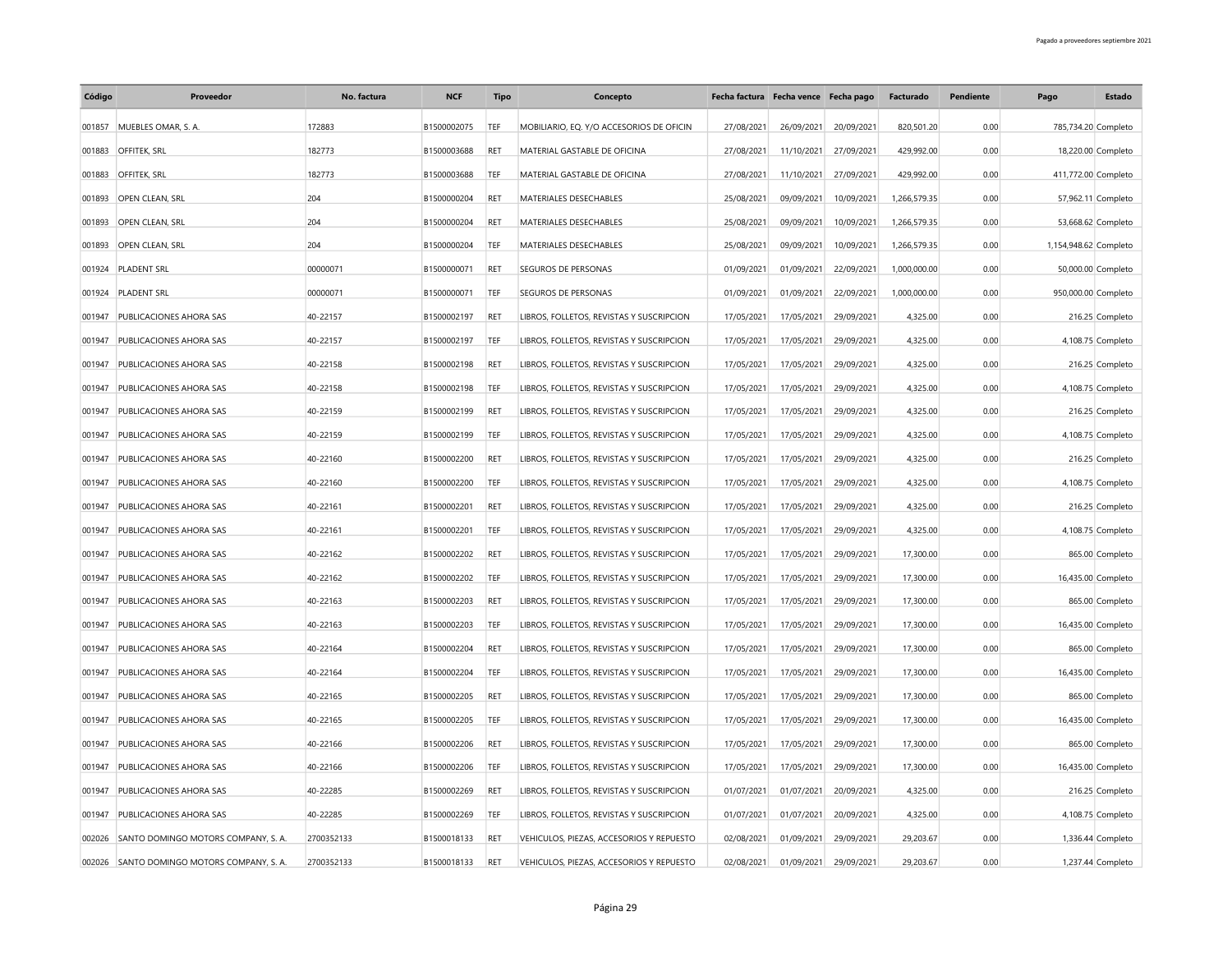| Código | Proveedor                                  | No. factura | <b>NCF</b>  | <b>Tipo</b> | Concepto                                 | Fecha factura Fecha vence Fecha pago |            |            | Facturado    | Pendiente | Pago                  | Estado              |
|--------|--------------------------------------------|-------------|-------------|-------------|------------------------------------------|--------------------------------------|------------|------------|--------------|-----------|-----------------------|---------------------|
| 001857 | MUEBLES OMAR, S. A.                        | 172883      | B1500002075 | TEF         | MOBILIARIO, EQ. Y/O ACCESORIOS DE OFICIN | 27/08/2021                           | 26/09/2021 | 20/09/2021 | 820,501.20   | 0.00      |                       | 785,734.20 Completo |
|        | 001883 OFFITEK, SRL                        | 182773      | B1500003688 | RET         | MATERIAL GASTABLE DE OFICINA             | 27/08/2021                           | 11/10/2021 | 27/09/2021 | 429,992.00   | 0.00      |                       | 18,220.00 Completo  |
| 001883 | <b>OFFITEK, SRL</b>                        | 182773      | B1500003688 | TEF         | MATERIAL GASTABLE DE OFICINA             | 27/08/2021                           | 11/10/2021 | 27/09/2021 | 429,992.00   | 0.00      | 411,772.00 Completo   |                     |
| 001893 | OPEN CLEAN, SRL                            | 204         | B1500000204 | RET         | MATERIALES DESECHABLES                   | 25/08/2021                           | 09/09/2021 | 10/09/2021 | 1,266,579.35 | 0.00      |                       | 57,962.11 Completo  |
|        | 001893 OPEN CLEAN, SRL                     | 204         | B1500000204 | <b>RET</b>  | MATERIALES DESECHABLES                   | 25/08/2021                           | 09/09/2021 | 10/09/2021 | 1,266,579.35 | 0.00      |                       | 53,668.62 Completo  |
| 001893 | OPEN CLEAN, SRL                            | 204         | B1500000204 | TEF         | MATERIALES DESECHABLES                   | 25/08/2021                           | 09/09/2021 | 10/09/2021 | 1,266,579.35 | 0.00      | 1,154,948.62 Completo |                     |
| 001924 | PLADENT SRL                                | 00000071    | B1500000071 | RET         | SEGUROS DE PERSONAS                      | 01/09/2021                           | 01/09/2021 | 22/09/2021 | 1,000,000.00 | 0.00      |                       | 50,000.00 Completo  |
| 001924 | <b>PLADENT SRL</b>                         | 00000071    | B1500000071 | TEF         | SEGUROS DE PERSONAS                      | 01/09/2021                           | 01/09/2021 | 22/09/2021 | 1,000,000.00 | 0.00      |                       | 950,000.00 Completo |
| 001947 | PUBLICACIONES AHORA SAS                    | 40-22157    | B1500002197 | RET         | LIBROS, FOLLETOS, REVISTAS Y SUSCRIPCION | 17/05/2021                           | 17/05/2021 | 29/09/2021 | 4,325.00     | 0.00      |                       | 216.25 Completo     |
| 001947 | PUBLICACIONES AHORA SAS                    | 40-22157    | B1500002197 | TEF         | LIBROS, FOLLETOS, REVISTAS Y SUSCRIPCION | 17/05/2021                           | 17/05/2021 | 29/09/2021 | 4,325.00     | 0.00      |                       | 4,108.75 Completo   |
| 001947 | PUBLICACIONES AHORA SAS                    | 40-22158    | B1500002198 | RET         | LIBROS, FOLLETOS, REVISTAS Y SUSCRIPCION | 17/05/2021                           | 17/05/2021 | 29/09/2021 | 4,325.00     | 0.00      |                       | 216.25 Completo     |
| 001947 | PUBLICACIONES AHORA SAS                    | 40-22158    | B1500002198 | TEF         | LIBROS, FOLLETOS, REVISTAS Y SUSCRIPCION | 17/05/2021                           | 17/05/2021 | 29/09/2021 | 4,325.00     | 0.00      |                       | 4,108.75 Completo   |
| 001947 | PUBLICACIONES AHORA SAS                    | 40-22159    | B1500002199 | RET         | LIBROS, FOLLETOS, REVISTAS Y SUSCRIPCION | 17/05/2021                           | 17/05/2021 | 29/09/2021 | 4,325.00     | 0.00      |                       | 216.25 Completo     |
| 001947 | PUBLICACIONES AHORA SAS                    | 40-22159    | B1500002199 | TEF         | LIBROS, FOLLETOS, REVISTAS Y SUSCRIPCION | 17/05/2021                           | 17/05/2021 | 29/09/2021 | 4,325.00     | 0.00      |                       | 4,108.75 Completo   |
| 001947 | PUBLICACIONES AHORA SAS                    | 40-22160    | B1500002200 | <b>RET</b>  | LIBROS, FOLLETOS, REVISTAS Y SUSCRIPCION | 17/05/2021                           | 17/05/2021 | 29/09/2021 | 4,325.00     | 0.00      |                       | 216.25 Completo     |
|        | 001947 PUBLICACIONES AHORA SAS             | 40-22160    | B1500002200 | TEF         | LIBROS, FOLLETOS, REVISTAS Y SUSCRIPCION | 17/05/2021                           | 17/05/2021 | 29/09/2021 | 4,325.00     | 0.00      |                       | 4,108.75 Completo   |
| 001947 | PUBLICACIONES AHORA SAS                    | 40-22161    | B1500002201 | RET         | LIBROS, FOLLETOS, REVISTAS Y SUSCRIPCION | 17/05/2021                           | 17/05/2021 | 29/09/2021 | 4,325.00     | 0.00      |                       | 216.25 Completo     |
| 001947 | <b>PUBLICACIONES AHORA SAS</b>             | 40-22161    | B1500002201 | TEF         | LIBROS, FOLLETOS, REVISTAS Y SUSCRIPCION | 17/05/2021                           | 17/05/2021 | 29/09/2021 | 4,325.00     | 0.00      |                       | 4,108.75 Completo   |
| 001947 | PUBLICACIONES AHORA SAS                    | 40-22162    | B1500002202 | RET         | LIBROS, FOLLETOS, REVISTAS Y SUSCRIPCION | 17/05/2021                           | 17/05/2021 | 29/09/2021 | 17,300.00    | 0.00      |                       | 865.00 Completo     |
| 001947 | PUBLICACIONES AHORA SAS                    | 40-22162    | B1500002202 | TEF         | LIBROS, FOLLETOS, REVISTAS Y SUSCRIPCION | 17/05/2021                           | 17/05/2021 | 29/09/2021 | 17,300.00    | 0.00      |                       | 16,435.00 Completo  |
| 001947 | PUBLICACIONES AHORA SAS                    | 40-22163    | B1500002203 | RET         | LIBROS, FOLLETOS, REVISTAS Y SUSCRIPCION | 17/05/2021                           | 17/05/2021 | 29/09/2021 | 17,300.00    | 0.00      |                       | 865.00 Completo     |
| 001947 | PUBLICACIONES AHORA SAS                    | 40-22163    | B1500002203 | TEF         | LIBROS, FOLLETOS, REVISTAS Y SUSCRIPCION | 17/05/2021                           | 17/05/2021 | 29/09/2021 | 17,300.00    | 0.00      |                       | 16,435.00 Completo  |
| 001947 | PUBLICACIONES AHORA SAS                    | 40-22164    | B1500002204 | RET         | LIBROS, FOLLETOS, REVISTAS Y SUSCRIPCION | 17/05/2021                           | 17/05/2021 | 29/09/2021 | 17,300.00    | 0.00      |                       | 865.00 Completo     |
| 001947 | PUBLICACIONES AHORA SAS                    | 40-22164    | B1500002204 | TEF         | LIBROS, FOLLETOS, REVISTAS Y SUSCRIPCION | 17/05/2021                           | 17/05/2021 | 29/09/2021 | 17,300.00    | 0.00      |                       | 16,435.00 Completo  |
| 001947 | PUBLICACIONES AHORA SAS                    | 40-22165    | B1500002205 | RET         | LIBROS, FOLLETOS, REVISTAS Y SUSCRIPCION | 17/05/2021                           | 17/05/2021 | 29/09/2021 | 17,300.00    | 0.00      |                       | 865.00 Completo     |
| 001947 | PUBLICACIONES AHORA SAS                    | 40-22165    | B1500002205 | TEF         | LIBROS, FOLLETOS, REVISTAS Y SUSCRIPCION | 17/05/2021                           | 17/05/2021 | 29/09/2021 | 17,300.00    | 0.00      |                       | 16,435.00 Completo  |
| 001947 | PUBLICACIONES AHORA SAS                    | 40-22166    | B1500002206 | <b>RET</b>  | LIBROS, FOLLETOS, REVISTAS Y SUSCRIPCION | 17/05/2021                           | 17/05/2021 | 29/09/2021 | 17,300.00    | 0.00      |                       | 865.00 Completo     |
| 001947 | PUBLICACIONES AHORA SAS                    | 40-22166    | B1500002206 | TEF         | LIBROS, FOLLETOS, REVISTAS Y SUSCRIPCION | 17/05/2021                           | 17/05/2021 | 29/09/2021 | 17,300.00    | 0.00      |                       | 16,435.00 Completo  |
| 001947 | PUBLICACIONES AHORA SAS                    | 40-22285    | B1500002269 | RET         | LIBROS, FOLLETOS, REVISTAS Y SUSCRIPCION | 01/07/2021                           | 01/07/2021 | 20/09/2021 | 4,325.00     | 0.00      |                       | 216.25 Completo     |
| 001947 | PUBLICACIONES AHORA SAS                    | 40-22285    | B1500002269 | TEF         | LIBROS, FOLLETOS, REVISTAS Y SUSCRIPCION | 01/07/2021                           | 01/07/2021 | 20/09/2021 | 4,325.00     | 0.00      |                       | 4,108.75 Completo   |
|        | 002026 SANTO DOMINGO MOTORS COMPANY, S. A. | 2700352133  | B1500018133 | RET         | VEHICULOS, PIEZAS, ACCESORIOS Y REPUESTO | 02/08/2021                           | 01/09/2021 | 29/09/2021 | 29,203.67    | 0.00      |                       | 1,336.44 Completo   |
|        | 002026 SANTO DOMINGO MOTORS COMPANY, S. A. | 2700352133  | B1500018133 | RET         | VEHICULOS, PIEZAS, ACCESORIOS Y REPUESTO | 02/08/2021                           | 01/09/2021 | 29/09/2021 | 29,203.67    | 0.00      |                       | 1,237.44 Completo   |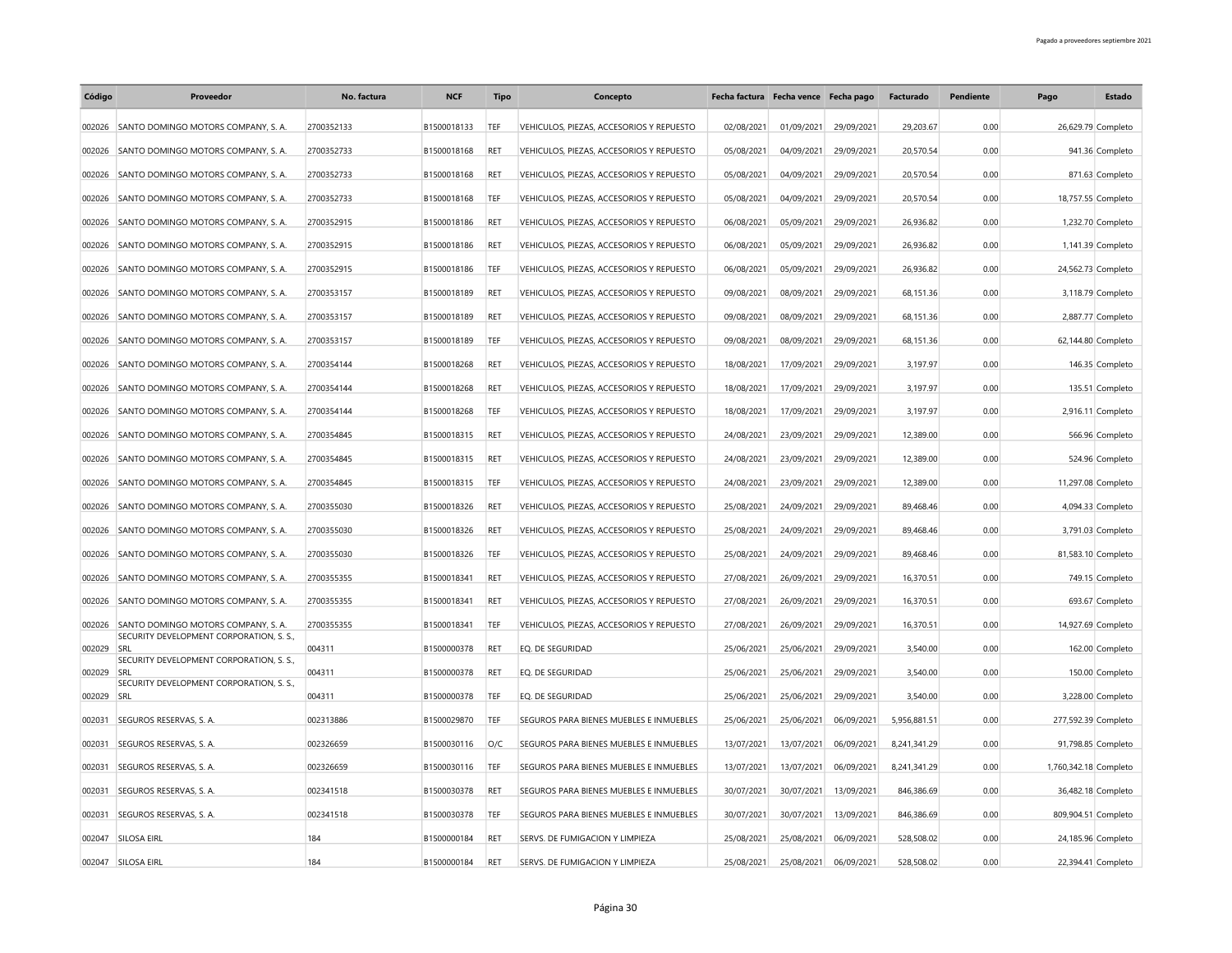| Código | Proveedor                                       | No. factura | <b>NCF</b>  | <b>Tipo</b> | Concepto                                 | Fecha factura Fecha vence Fecha pago |            |            | Facturado    | Pendiente | Pago                  | Estado            |
|--------|-------------------------------------------------|-------------|-------------|-------------|------------------------------------------|--------------------------------------|------------|------------|--------------|-----------|-----------------------|-------------------|
| 002026 | SANTO DOMINGO MOTORS COMPANY, S. A.             | 2700352133  | B1500018133 | TEF         | VEHICULOS, PIEZAS, ACCESORIOS Y REPUESTO | 02/08/2021                           | 01/09/2021 | 29/09/2021 | 29,203.67    | 0.00      | 26,629.79 Completo    |                   |
| 002026 | SANTO DOMINGO MOTORS COMPANY, S. A.             | 2700352733  | B1500018168 | <b>RET</b>  | VEHICULOS, PIEZAS, ACCESORIOS Y REPUESTO | 05/08/2021                           | 04/09/2021 | 29/09/2021 | 20,570.54    | 0.00      |                       | 941.36 Completo   |
| 002026 | SANTO DOMINGO MOTORS COMPANY, S. A.             | 2700352733  | B1500018168 | RET         | VEHICULOS, PIEZAS, ACCESORIOS Y REPUESTO | 05/08/2021                           | 04/09/2021 | 29/09/2021 | 20,570.54    | 0.00      |                       | 871.63 Completo   |
| 002026 | SANTO DOMINGO MOTORS COMPANY, S. A.             | 2700352733  | B1500018168 | TEF         | VEHICULOS, PIEZAS, ACCESORIOS Y REPUESTO | 05/08/2021                           | 04/09/2021 | 29/09/2021 | 20,570.54    | 0.00      | 18,757.55 Completo    |                   |
| 002026 | SANTO DOMINGO MOTORS COMPANY, S. A.             | 2700352915  | B1500018186 | RET         | VEHICULOS, PIEZAS, ACCESORIOS Y REPUESTO | 06/08/2021                           | 05/09/2021 | 29/09/2021 | 26,936.82    | 0.00      |                       | 1,232.70 Completo |
| 002026 | SANTO DOMINGO MOTORS COMPANY, S. A.             | 2700352915  | B1500018186 | <b>RET</b>  | VEHICULOS, PIEZAS, ACCESORIOS Y REPUESTO | 06/08/2021                           | 05/09/2021 | 29/09/2021 | 26,936.82    | 0.00      |                       | 1,141.39 Completo |
| 002026 | SANTO DOMINGO MOTORS COMPANY, S. A.             | 2700352915  | B1500018186 | TEF         | VEHICULOS, PIEZAS, ACCESORIOS Y REPUESTO | 06/08/2021                           | 05/09/2021 | 29/09/2021 | 26.936.82    | 0.00      | 24,562.73 Completo    |                   |
| 002026 | SANTO DOMINGO MOTORS COMPANY, S. A.             | 2700353157  | B1500018189 | RET         | VEHICULOS, PIEZAS, ACCESORIOS Y REPUESTO | 09/08/2021                           | 08/09/2021 | 29/09/2021 | 68,151.36    | 0.00      |                       | 3,118.79 Completo |
| 002026 | SANTO DOMINGO MOTORS COMPANY, S. A.             | 2700353157  | B1500018189 | <b>RET</b>  | VEHICULOS, PIEZAS, ACCESORIOS Y REPUESTO | 09/08/2021                           | 08/09/2021 | 29/09/2021 | 68,151.36    | 0.00      |                       | 2,887.77 Completo |
|        |                                                 |             |             |             |                                          |                                      |            |            |              |           |                       |                   |
| 002026 | SANTO DOMINGO MOTORS COMPANY, S. A.             | 2700353157  | B1500018189 | TEF         | VEHICULOS, PIEZAS, ACCESORIOS Y REPUESTO | 09/08/2021                           | 08/09/2021 | 29/09/2021 | 68,151.36    | 0.00      | 62,144.80 Completo    |                   |
| 002026 | SANTO DOMINGO MOTORS COMPANY, S. A.             | 2700354144  | B1500018268 | <b>RET</b>  | VEHICULOS, PIEZAS, ACCESORIOS Y REPUESTO | 18/08/2021                           | 17/09/2021 | 29/09/2021 | 3,197.97     | 0.00      |                       | 146.35 Completo   |
| 002026 | SANTO DOMINGO MOTORS COMPANY, S. A.             | 2700354144  | B1500018268 | <b>RET</b>  | VEHICULOS, PIEZAS, ACCESORIOS Y REPUESTO | 18/08/2021                           | 17/09/2021 | 29/09/2021 | 3,197.97     | 0.00      |                       | 135.51 Completo   |
| 002026 | SANTO DOMINGO MOTORS COMPANY, S. A.             | 2700354144  | B1500018268 | TEF         | VEHICULOS, PIEZAS, ACCESORIOS Y REPUESTO | 18/08/2021                           | 17/09/2021 | 29/09/2021 | 3,197.97     | 0.00      |                       | 2,916.11 Completo |
| 002026 | SANTO DOMINGO MOTORS COMPANY, S. A.             | 2700354845  | B1500018315 | RET         | VEHICULOS, PIEZAS, ACCESORIOS Y REPUESTO | 24/08/2021                           | 23/09/2021 | 29/09/2021 | 12,389.00    | 0.00      |                       | 566.96 Completo   |
| 002026 | SANTO DOMINGO MOTORS COMPANY, S. A.             | 2700354845  | B1500018315 | RET         | VEHICULOS, PIEZAS, ACCESORIOS Y REPUESTO | 24/08/2021                           | 23/09/2021 | 29/09/2021 | 12,389.00    | 0.00      |                       | 524.96 Completo   |
| 002026 | SANTO DOMINGO MOTORS COMPANY, S. A.             | 2700354845  | B1500018315 | TEF         | VEHICULOS, PIEZAS, ACCESORIOS Y REPUESTO | 24/08/2021                           | 23/09/2021 | 29/09/2021 | 12,389.00    | 0.00      | 11,297.08 Completo    |                   |
| 002026 | SANTO DOMINGO MOTORS COMPANY, S. A.             | 2700355030  | B1500018326 | <b>RET</b>  | VEHICULOS, PIEZAS, ACCESORIOS Y REPUESTO | 25/08/2021                           | 24/09/2021 | 29/09/2021 | 89,468.46    | 0.00      |                       | 4,094.33 Completo |
| 002026 | SANTO DOMINGO MOTORS COMPANY, S. A.             | 2700355030  | B1500018326 | RET         | VEHICULOS, PIEZAS, ACCESORIOS Y REPUESTO | 25/08/2021                           | 24/09/2021 | 29/09/2021 | 89,468.46    | 0.00      |                       | 3,791.03 Completo |
| 002026 | SANTO DOMINGO MOTORS COMPANY, S. A.             | 2700355030  | B1500018326 | TEF         | VEHICULOS, PIEZAS, ACCESORIOS Y REPUESTO | 25/08/2021                           | 24/09/2021 | 29/09/2021 | 89,468.46    | 0.00      | 81,583.10 Completo    |                   |
| 002026 | SANTO DOMINGO MOTORS COMPANY, S. A.             | 2700355355  | B1500018341 | RET         | VEHICULOS, PIEZAS, ACCESORIOS Y REPUESTO | 27/08/2021                           | 26/09/2021 | 29/09/2021 | 16,370.51    | 0.00      |                       | 749.15 Completo   |
| 002026 | SANTO DOMINGO MOTORS COMPANY, S. A.             | 2700355355  | B1500018341 | RET         | VEHICULOS, PIEZAS, ACCESORIOS Y REPUESTO | 27/08/2021                           | 26/09/2021 | 29/09/2021 | 16,370.51    | 0.00      |                       | 693.67 Completo   |
| 002026 | SANTO DOMINGO MOTORS COMPANY, S. A.             | 2700355355  | B1500018341 | TEF         | VEHICULOS, PIEZAS, ACCESORIOS Y REPUESTO | 27/08/2021                           | 26/09/2021 | 29/09/2021 | 16,370.51    | 0.00      | 14,927.69 Completo    |                   |
| 002029 | SECURITY DEVELOPMENT CORPORATION, S. S.,<br>SRL | 004311      | B1500000378 | <b>RET</b>  | EQ. DE SEGURIDAD                         | 25/06/2021                           | 25/06/2021 | 29/09/2021 | 3,540.00     | 0.00      |                       | 162.00 Completo   |
| 002029 | SECURITY DEVELOPMENT CORPORATION, S. S.,<br>SRI | 004311      | B1500000378 | <b>RET</b>  | EO. DE SEGURIDAD                         | 25/06/2021                           | 25/06/2021 | 29/09/2021 | 3.540.00     | 0.00      |                       | 150.00 Completo   |
| 002029 | SECURITY DEVELOPMENT CORPORATION, S. S.,<br>SRL | 004311      | B1500000378 | TEF         | EQ. DE SEGURIDAD                         | 25/06/2021                           | 25/06/2021 | 29/09/2021 | 3,540.00     | 0.00      |                       | 3,228.00 Completo |
| 002031 | SEGUROS RESERVAS, S. A.                         | 002313886   | B1500029870 | TEF         | SEGUROS PARA BIENES MUEBLES E INMUEBLES  | 25/06/2021                           | 25/06/2021 | 06/09/2021 | 5,956,881.51 | 0.00      | 277,592.39 Completo   |                   |
|        |                                                 |             |             |             |                                          |                                      |            |            |              |           |                       |                   |
| 002031 | SEGUROS RESERVAS, S. A.                         | 002326659   | B1500030116 | O/C         | SEGUROS PARA BIENES MUEBLES E INMUEBLES  | 13/07/2021                           | 13/07/2021 | 06/09/2021 | 8,241,341.29 | 0.00      | 91,798.85 Completo    |                   |
| 002031 | SEGUROS RESERVAS, S. A.                         | 002326659   | B1500030116 | TEF         | SEGUROS PARA BIENES MUEBLES E INMUEBLES  | 13/07/2021                           | 13/07/2021 | 06/09/2021 | 8,241,341.29 | 0.00      | 1,760,342.18 Completo |                   |
| 002031 | SEGUROS RESERVAS, S. A.                         | 002341518   | B1500030378 | <b>RET</b>  | SEGUROS PARA BIENES MUEBLES E INMUEBLES  | 30/07/2021                           | 30/07/2021 | 13/09/2021 | 846,386.69   | 0.00      | 36,482.18 Completo    |                   |
| 002031 | SEGUROS RESERVAS, S. A.                         | 002341518   | B1500030378 | TEF         | SEGUROS PARA BIENES MUEBLES E INMUEBLES  | 30/07/2021                           | 30/07/2021 | 13/09/2021 | 846,386.69   | 0.00      | 809,904.51 Completo   |                   |
| 002047 | SILOSA EIRL                                     | 184         | B1500000184 | RET         | SERVS. DE FUMIGACION Y LIMPIEZA          | 25/08/2021                           | 25/08/2021 | 06/09/2021 | 528,508.02   | 0.00      | 24,185.96 Completo    |                   |
|        | 002047 SILOSA EIRL                              | 184         | B1500000184 | RET         | SERVS. DE FUMIGACION Y LIMPIEZA          | 25/08/2021                           | 25/08/2021 | 06/09/2021 | 528,508.02   | 0.00      | 22,394.41 Completo    |                   |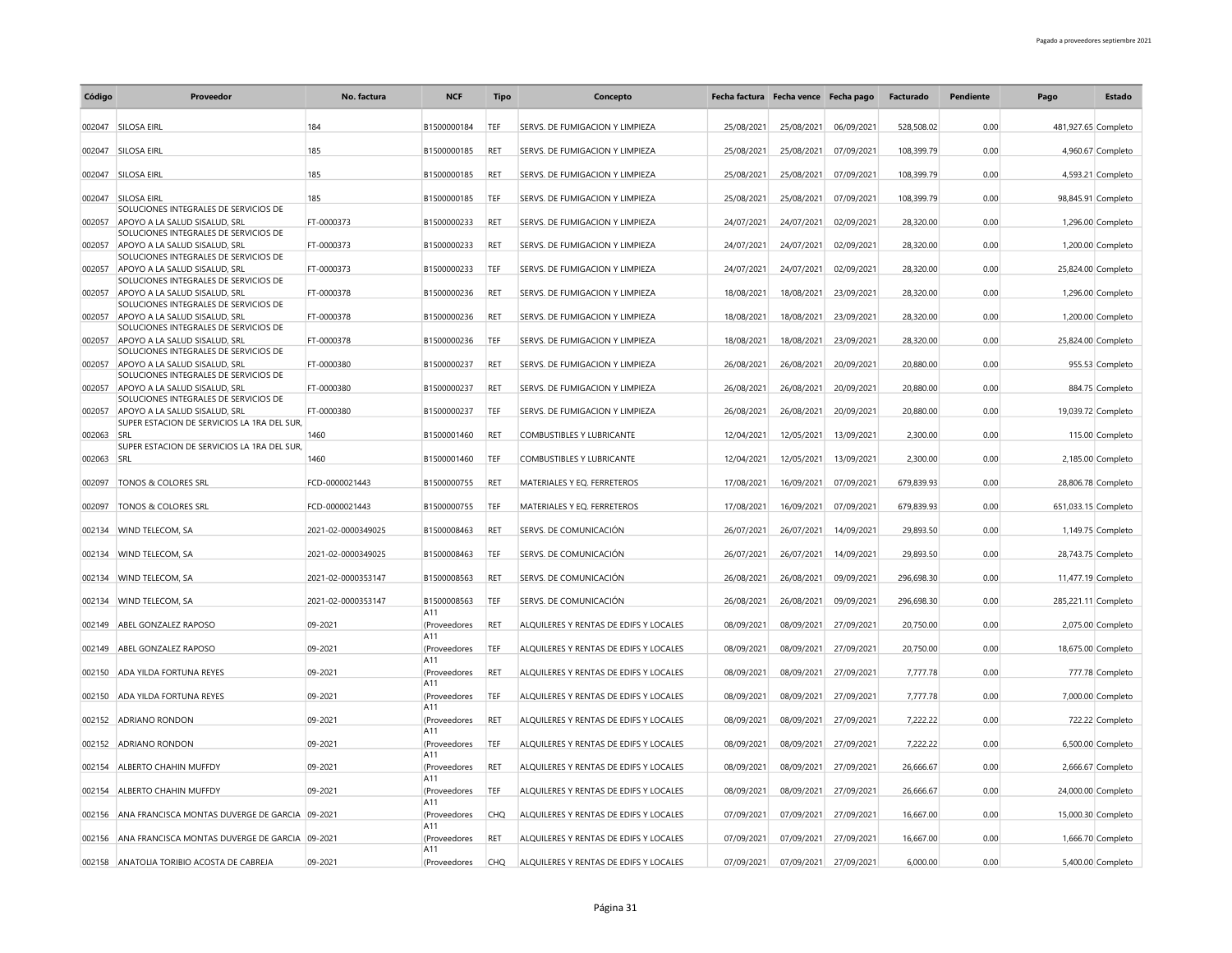| Código | Proveedor                                                              | No. factura        | <b>NCF</b>          | <b>Tipo</b> | Concepto                               | Fecha factura Fecha vence Fecha pago |            |            | Facturado  | Pendiente | Pago                | <b>Estado</b>      |
|--------|------------------------------------------------------------------------|--------------------|---------------------|-------------|----------------------------------------|--------------------------------------|------------|------------|------------|-----------|---------------------|--------------------|
| 002047 | SILOSA EIRL                                                            | 184                | B1500000184         | TEF         | SERVS. DE FUMIGACION Y LIMPIEZA        | 25/08/2021                           | 25/08/2021 | 06/09/2021 | 528.508.02 | 0.00      | 481,927.65 Completo |                    |
| 002047 | SILOSA EIRL                                                            | 185                | B1500000185         | RET         | SERVS. DE FUMIGACION Y LIMPIEZA        | 25/08/2021                           | 25/08/2021 | 07/09/2021 | 108,399.79 | 0.00      |                     | 4,960.67 Completo  |
| 002047 | SILOSA EIRL                                                            | 185                | B1500000185         | <b>RET</b>  | SERVS. DE FUMIGACION Y LIMPIEZA        | 25/08/2021                           | 25/08/2021 | 07/09/2021 | 108,399.79 | 0.00      |                     | 4,593.21 Completo  |
| 002047 | SILOSA FIRL                                                            | 185                | B1500000185         | TEF         | SERVS. DE FUMIGACION Y LIMPIEZA        | 25/08/2021                           | 25/08/2021 | 07/09/2021 | 108,399.79 | 0.00      |                     | 98,845.91 Completo |
| 002057 | SOLUCIONES INTEGRALES DE SERVICIOS DE<br>APOYO A LA SALUD SISALUD, SRL | FT-0000373         | B1500000233         | RET         | SERVS. DE FUMIGACION Y LIMPIEZA        | 24/07/2021                           | 24/07/2021 | 02/09/2021 | 28,320.00  | 0.00      |                     | 1,296.00 Completo  |
| 002057 | SOLUCIONES INTEGRALES DE SERVICIOS DE<br>APOYO A LA SALUD SISALUD, SRL | FT-0000373         | B1500000233         | RET         | SERVS. DE FUMIGACION Y LIMPIEZA        | 24/07/2021                           | 24/07/2021 | 02/09/2021 | 28,320.00  | 0.00      |                     | 1,200.00 Completo  |
| 002057 | SOLUCIONES INTEGRALES DE SERVICIOS DE<br>APOYO A LA SALUD SISALUD, SRL | FT-0000373         | B1500000233         | TEF         | SERVS. DE FUMIGACION Y LIMPIEZA        | 24/07/2021                           | 24/07/2021 | 02/09/2021 | 28,320.00  | 0.00      |                     | 25,824.00 Completo |
| 002057 | SOLUCIONES INTEGRALES DE SERVICIOS DE<br>APOYO A LA SALUD SISALUD, SRL | FT-0000378         | B1500000236         | <b>RET</b>  | SERVS. DE FUMIGACION Y LIMPIEZA        | 18/08/2021                           | 18/08/2021 | 23/09/2021 | 28,320.00  | 0.00      |                     | 1,296.00 Completo  |
| 002057 | SOLUCIONES INTEGRALES DE SERVICIOS DE<br>APOYO A LA SALUD SISALUD, SRL | FT-0000378         | B1500000236         | RET         | SERVS. DE FUMIGACION Y LIMPIEZA        | 18/08/2021                           | 18/08/2021 | 23/09/2021 | 28,320.00  | 0.00      |                     | 1,200.00 Completo  |
| 002057 | SOLUCIONES INTEGRALES DE SERVICIOS DE<br>APOYO A LA SALUD SISALUD, SRL | FT-0000378         | B1500000236         | TEF         | SERVS. DE FUMIGACION Y LIMPIEZA        | 18/08/2021                           | 18/08/2021 | 23/09/2021 | 28,320.00  | 0.00      |                     | 25,824.00 Completo |
| 002057 | SOLUCIONES INTEGRALES DE SERVICIOS DE<br>APOYO A LA SALUD SISALUD, SRL | FT-0000380         | B1500000237         | RET         | SERVS. DE FUMIGACION Y LIMPIEZA        | 26/08/2021                           | 26/08/2021 | 20/09/2021 | 20,880.00  | 0.00      |                     | 955.53 Completo    |
| 002057 | SOLUCIONES INTEGRALES DE SERVICIOS DE<br>APOYO A LA SALUD SISALUD, SRL | FT-0000380         | B1500000237         | <b>RET</b>  | SERVS. DE FUMIGACION Y LIMPIEZA        | 26/08/2021                           | 26/08/2021 | 20/09/2021 | 20,880.00  | 0.00      |                     | 884.75 Completo    |
| 002057 | SOLUCIONES INTEGRALES DE SERVICIOS DE<br>APOYO A LA SALUD SISALUD. SRL | FT-0000380         | B1500000237         | TEF         | SERVS. DE FUMIGACION Y LIMPIEZA        | 26/08/2021                           | 26/08/2021 | 20/09/2021 | 20,880.00  | 0.00      |                     | 19,039.72 Completo |
| 002063 | SUPER ESTACION DE SERVICIOS LA 1RA DEL SUR.<br>SRL                     | 1460               | B1500001460         | <b>RET</b>  | <b>COMBUSTIBLES Y LUBRICANTE</b>       | 12/04/2021                           | 12/05/2021 | 13/09/2021 | 2,300.00   | 0.00      |                     | 115.00 Completo    |
| 002063 | SUPER ESTACION DE SERVICIOS LA 1RA DEL SUR,<br>SRL                     | 1460               | B1500001460         | TEF         | COMBUSTIBLES Y LUBRICANTE              | 12/04/2021                           | 12/05/2021 | 13/09/2021 | 2,300.00   | 0.00      |                     | 2,185.00 Completo  |
| 002097 | TONOS & COLORES SRL                                                    | FCD-0000021443     | B1500000755         | RET         | MATERIALES Y EQ. FERRETEROS            | 17/08/2021                           | 16/09/2021 | 07/09/2021 | 679,839.93 | 0.00      |                     | 28,806.78 Completo |
| 002097 | <b>TONOS &amp; COLORES SRL</b>                                         | FCD-0000021443     | B1500000755         | TEF         | MATERIALES Y EO. FERRETEROS            | 17/08/2021                           | 16/09/2021 | 07/09/2021 | 679,839.93 | 0.00      | 651,033.15 Completo |                    |
| 002134 | WIND TELECOM, SA                                                       | 2021-02-0000349025 | B1500008463         | RET         | SERVS. DE COMUNICACIÓN                 | 26/07/2021                           | 26/07/2021 | 14/09/2021 | 29,893.50  | 0.00      |                     | 1,149.75 Completo  |
| 002134 | WIND TELECOM, SA                                                       | 2021-02-0000349025 | B1500008463         | TEF         | SERVS. DE COMUNICACIÓN                 | 26/07/2021                           | 26/07/2021 | 14/09/2021 | 29,893.50  | 0.00      |                     | 28,743.75 Completo |
|        | 002134 WIND TELECOM, SA                                                | 2021-02-0000353147 | B1500008563         | RET         | SERVS. DE COMUNICACIÓN                 | 26/08/2021                           | 26/08/2021 | 09/09/2021 | 296,698.30 | 0.00      |                     | 11,477.19 Completo |
| 002134 | WIND TELECOM, SA                                                       | 2021-02-0000353147 | B1500008563         | <b>TEF</b>  | SERVS. DE COMUNICACIÓN                 | 26/08/2021                           | 26/08/2021 | 09/09/2021 | 296,698.30 | 0.00      | 285,221.11 Completo |                    |
| 002149 | ABEL GONZALEZ RAPOSO                                                   | 09-2021            | A11<br>(Proveedores | RET         | ALOUILERES Y RENTAS DE EDIFS Y LOCALES | 08/09/2021                           | 08/09/2021 | 27/09/2021 | 20,750.00  | 0.00      |                     | 2,075.00 Completo  |
| 002149 | ABEL GONZALEZ RAPOSO                                                   | 09-2021            | A11<br>(Proveedores | TEF         | ALQUILERES Y RENTAS DE EDIFS Y LOCALES | 08/09/2021                           | 08/09/2021 | 27/09/2021 | 20,750.00  | 0.00      |                     | 18,675.00 Completo |
| 002150 | <b>ADA YILDA FORTUNA REYES</b>                                         | 09-2021            | A11<br>(Proveedores | RET         | ALQUILERES Y RENTAS DE EDIFS Y LOCALES | 08/09/2021                           | 08/09/2021 | 27/09/2021 | 7,777.78   | 0.00      |                     | 777.78 Completo    |
| 002150 | ADA YILDA FORTUNA REYES                                                | 09-2021            | A11<br>(Proveedores | TEF         | ALQUILERES Y RENTAS DE EDIFS Y LOCALES | 08/09/2021                           | 08/09/2021 | 27/09/2021 | 7,777.78   | 0.00      |                     | 7,000.00 Completo  |
| 002152 | <b>ADRIANO RONDON</b>                                                  | 09-2021            | A11<br>(Proveedores | RET         | ALQUILERES Y RENTAS DE EDIFS Y LOCALES | 08/09/2021                           | 08/09/2021 | 27/09/2021 | 7,222.22   | 0.00      |                     | 722.22 Completo    |
| 002152 | <b>ADRIANO RONDON</b>                                                  | 09-2021            | A11<br>(Proveedores | TEF         | ALQUILERES Y RENTAS DE EDIFS Y LOCALES | 08/09/2021                           | 08/09/2021 | 27/09/2021 | 7,222.22   | 0.00      |                     | 6,500.00 Completo  |
| 002154 | <b>ALBERTO CHAHIN MUFFDY</b>                                           | 09-2021            | A11<br>(Proveedores | RET         | ALQUILERES Y RENTAS DE EDIFS Y LOCALES | 08/09/2021                           | 08/09/2021 | 27/09/2021 | 26,666.67  | 0.00      |                     | 2,666.67 Completo  |
| 002154 | ALBERTO CHAHIN MUFFDY                                                  | 09-2021            | A11<br>(Proveedores | TEF         | ALQUILERES Y RENTAS DE EDIFS Y LOCALES | 08/09/2021                           | 08/09/2021 | 27/09/2021 | 26,666.67  | 0.00      |                     | 24,000.00 Completo |
| 002156 | ANA FRANCISCA MONTAS DUVERGE DE GARCIA 09-2021                         |                    | A11<br>(Proveedores | <b>CHQ</b>  | ALQUILERES Y RENTAS DE EDIFS Y LOCALES | 07/09/2021                           | 07/09/2021 | 27/09/2021 | 16,667.00  | 0.00      |                     | 15,000.30 Completo |
|        | 002156 ANA FRANCISCA MONTAS DUVERGE DE GARCIA 09-2021                  |                    | A11<br>(Proveedores | RET         | ALQUILERES Y RENTAS DE EDIFS Y LOCALES | 07/09/2021                           | 07/09/2021 | 27/09/2021 | 16,667.00  | 0.00      |                     | 1,666.70 Completo  |
|        | 002158 ANATOLIA TORIBIO ACOSTA DE CABREJA                              | 09-2021            | A11<br>(Proveedores | <b>CHQ</b>  | ALQUILERES Y RENTAS DE EDIFS Y LOCALES | 07/09/2021                           | 07/09/2021 | 27/09/2021 | 6,000.00   | 0.00      |                     | 5,400.00 Completo  |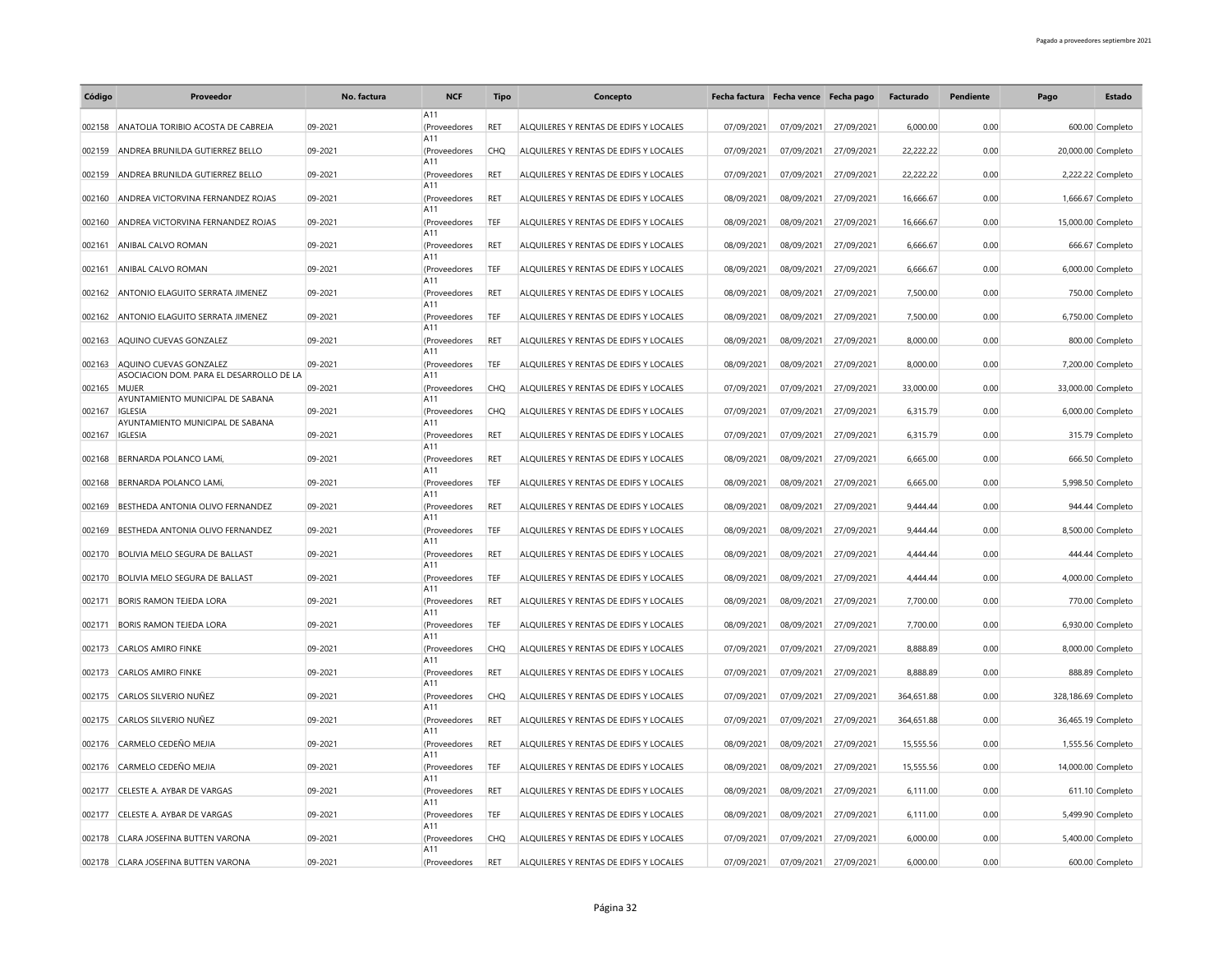| Código | Proveedor                                 | No. factura | <b>NCF</b>          | <b>Tipo</b> | Concepto                               | Fecha factura Fecha vence Fecha pago |            |            | Facturado  | Pendiente | Pago                | Estado             |
|--------|-------------------------------------------|-------------|---------------------|-------------|----------------------------------------|--------------------------------------|------------|------------|------------|-----------|---------------------|--------------------|
|        |                                           |             | A11                 |             |                                        |                                      |            |            |            |           |                     |                    |
| 002158 | ANATOLIA TORIBIO ACOSTA DE CABREJA        | 09-2021     | (Proveedores<br>A11 | RET         | ALQUILERES Y RENTAS DE EDIFS Y LOCALES | 07/09/2021                           | 07/09/2021 | 27/09/2021 | 6,000.00   | 0.00      |                     | 600.00 Completo    |
| 002159 | ANDREA BRUNILDA GUTIERREZ BELLO           | 09-2021     | (Proveedores        | CHQ         | ALQUILERES Y RENTAS DE EDIFS Y LOCALES | 07/09/2021                           | 07/09/2021 | 27/09/2021 | 22,222.22  | 0.00      |                     | 20,000.00 Completo |
| 002159 | ANDREA BRUNILDA GUTIERREZ BELLO           | 09-2021     | A11<br>(Proveedores | RET         | ALQUILERES Y RENTAS DE EDIFS Y LOCALES | 07/09/2021                           | 07/09/2021 | 27/09/2021 | 22,222.22  | 0.00      |                     | 2,222.22 Completo  |
|        |                                           |             | A11                 |             |                                        |                                      |            |            |            |           |                     |                    |
| 002160 | ANDREA VICTORVINA FERNANDEZ ROJAS         | 09-2021     | (Proveedores<br>A11 | RET         | ALQUILERES Y RENTAS DE EDIFS Y LOCALES | 08/09/2021                           | 08/09/2021 | 27/09/2021 | 16,666.67  | 0.00      |                     | 1,666.67 Completo  |
| 002160 | ANDREA VICTORVINA FERNANDEZ ROJAS         | 09-2021     | (Proveedores        | TEF         | ALOUILERES Y RENTAS DE EDIFS Y LOCALES | 08/09/2021                           | 08/09/2021 | 27/09/2021 | 16,666.67  | 0.00      |                     | 15,000.00 Completo |
| 002161 | ANIBAL CALVO ROMAN                        | 09-2021     | A11<br>(Proveedores | RET         | ALQUILERES Y RENTAS DE EDIFS Y LOCALES | 08/09/2021                           | 08/09/2021 | 27/09/2021 | 6,666.67   | 0.00      |                     | 666.67 Completo    |
| 002161 | ANIBAL CALVO ROMAN                        | 09-2021     | A11<br>(Proveedores | TEF         | ALQUILERES Y RENTAS DE EDIFS Y LOCALES | 08/09/2021                           | 08/09/2021 | 27/09/2021 | 6,666.67   | 0.00      |                     | 6,000.00 Completo  |
|        |                                           |             | A11                 |             |                                        |                                      |            |            |            |           |                     |                    |
| 002162 | ANTONIO ELAGUITO SERRATA JIMENEZ          | 09-2021     | (Proveedores<br>A11 | RET         | ALQUILERES Y RENTAS DE EDIFS Y LOCALES | 08/09/2021                           | 08/09/2021 | 27/09/2021 | 7,500.00   | 0.00      |                     | 750.00 Completo    |
| 002162 | ANTONIO ELAGUITO SERRATA JIMENEZ          | 09-2021     | (Proveedores<br>A11 | TEF         | ALQUILERES Y RENTAS DE EDIFS Y LOCALES | 08/09/2021                           | 08/09/2021 | 27/09/2021 | 7,500.00   | 0.00      |                     | 6,750.00 Completo  |
| 002163 | AQUINO CUEVAS GONZALEZ                    | 09-2021     | (Proveedores        | RET         | ALQUILERES Y RENTAS DE EDIFS Y LOCALES | 08/09/2021                           | 08/09/2021 | 27/09/2021 | 8,000.00   | 0.00      |                     | 800.00 Completo    |
| 002163 | AQUINO CUEVAS GONZALEZ                    | 09-2021     | A11<br>(Proveedores | TEF         | ALQUILERES Y RENTAS DE EDIFS Y LOCALES | 08/09/2021                           | 08/09/2021 | 27/09/2021 | 8,000.00   | 0.00      |                     | 7,200.00 Completo  |
|        | ASOCIACION DOM. PARA EL DESARROLLO DE LA  |             | A11                 |             |                                        |                                      |            |            |            |           |                     |                    |
| 002165 | MUJER<br>AYUNTAMIENTO MUNICIPAL DE SABANA | 09-2021     | (Proveedores        | <b>CHQ</b>  | ALQUILERES Y RENTAS DE EDIFS Y LOCALES | 07/09/2021                           | 07/09/2021 | 27/09/2021 | 33,000.00  | 0.00      |                     | 33,000.00 Completo |
| 002167 | <b>IGLESIA</b>                            | 09-2021     | A11<br>(Proveedores | <b>CHQ</b>  | ALQUILERES Y RENTAS DE EDIFS Y LOCALES | 07/09/2021                           | 07/09/2021 | 27/09/2021 | 6,315.79   | 0.00      |                     | 6,000.00 Completo  |
|        | AYUNTAMIENTO MUNICIPAL DE SABANA          |             | A11                 |             |                                        |                                      |            |            |            |           |                     |                    |
| 002167 | <b>IGLESIA</b>                            | 09-2021     | (Proveedores<br>A11 | RET         | ALQUILERES Y RENTAS DE EDIFS Y LOCALES | 07/09/2021                           | 07/09/2021 | 27/09/2021 | 6,315.79   | 0.00      |                     | 315.79 Completo    |
| 002168 | BERNARDA POLANCO LAMÍ,                    | 09-2021     | (Proveedores        | RET         | ALQUILERES Y RENTAS DE EDIFS Y LOCALES | 08/09/2021                           | 08/09/2021 | 27/09/2021 | 6,665.00   | 0.00      |                     | 666.50 Completo    |
| 002168 | BERNARDA POLANCO LAMÍ,                    | 09-2021     | A11<br>(Proveedores | TEF         | ALQUILERES Y RENTAS DE EDIFS Y LOCALES | 08/09/2021                           | 08/09/2021 | 27/09/2021 | 6,665.00   | 0.00      |                     | 5,998.50 Completo  |
| 002169 | BESTHEDA ANTONIA OLIVO FERNANDEZ          | 09-2021     | A11<br>(Proveedores | RET         | ALQUILERES Y RENTAS DE EDIFS Y LOCALES | 08/09/2021                           | 08/09/2021 | 27/09/2021 | 9,444.44   | 0.00      |                     | 944.44 Completo    |
|        |                                           |             | A11                 |             |                                        |                                      |            |            |            |           |                     |                    |
| 002169 | BESTHEDA ANTONIA OLIVO FERNANDEZ          | 09-2021     | (Proveedores<br>A11 | TEF         | ALQUILERES Y RENTAS DE EDIFS Y LOCALES | 08/09/2021                           | 08/09/2021 | 27/09/2021 | 9,444.44   | 0.00      |                     | 8,500.00 Completo  |
| 002170 | <b>BOLIVIA MELO SEGURA DE BALLAST</b>     | 09-2021     | (Proveedores<br>A11 | RET         | ALQUILERES Y RENTAS DE EDIFS Y LOCALES | 08/09/2021                           | 08/09/2021 | 27/09/2021 | 4,444.44   | 0.00      |                     | 444.44 Completo    |
| 002170 | <b>BOLIVIA MELO SEGURA DE BALLAST</b>     | 09-2021     | (Proveedores        | TEF         | ALOUILERES Y RENTAS DE EDIFS Y LOCALES | 08/09/2021                           | 08/09/2021 | 27/09/2021 | 4.444.44   | 0.00      |                     | 4,000.00 Completo  |
| 002171 | <b>BORIS RAMON TEJEDA LORA</b>            | 09-2021     | A11<br>(Proveedores | <b>RET</b>  | ALOUILERES Y RENTAS DE EDIFS Y LOCALES | 08/09/2021                           | 08/09/2021 | 27/09/2021 | 7.700.00   | 0.00      |                     | 770.00 Completo    |
|        |                                           |             | A11                 |             |                                        |                                      |            |            |            |           |                     |                    |
| 002171 | <b>BORIS RAMON TEJEDA LORA</b>            | 09-2021     | (Proveedores<br>A11 | TEF         | ALQUILERES Y RENTAS DE EDIFS Y LOCALES | 08/09/2021                           | 08/09/2021 | 27/09/2021 | 7,700.00   | 0.00      |                     | 6,930.00 Completo  |
| 002173 | <b>CARLOS AMIRO FINKE</b>                 | 09-2021     | (Proveedores        | CHO         | ALOUILERES Y RENTAS DE EDIFS Y LOCALES | 07/09/2021                           | 07/09/2021 | 27/09/2021 | 8,888.89   | 0.00      |                     | 8,000.00 Completo  |
| 002173 | <b>CARLOS AMIRO FINKE</b>                 | 09-2021     | A11<br>(Proveedores | RET         | ALQUILERES Y RENTAS DE EDIFS Y LOCALES | 07/09/2021                           | 07/09/2021 | 27/09/2021 | 8,888.89   | 0.00      |                     | 888.89 Completo    |
| 002175 | CARLOS SILVERIO NUÑEZ                     | 09-2021     | A11<br>(Proveedores | <b>CHQ</b>  | ALQUILERES Y RENTAS DE EDIFS Y LOCALES | 07/09/2021                           | 07/09/2021 | 27/09/2021 | 364,651.88 | 0.00      | 328,186.69 Completo |                    |
|        |                                           |             | A11                 |             |                                        |                                      |            |            |            |           |                     |                    |
|        | 002175 CARLOS SILVERIO NUÑEZ              | 09-2021     | (Proveedores<br>A11 | RET         | ALOUILERES Y RENTAS DE EDIFS Y LOCALES | 07/09/2021                           | 07/09/2021 | 27/09/2021 | 364,651.88 | 0.00      |                     | 36,465.19 Completo |
|        | 002176 CARMELO CEDEÑO MEJIA               | 09-2021     | (Proveedores<br>A11 | RET         | ALQUILERES Y RENTAS DE EDIFS Y LOCALES | 08/09/2021                           | 08/09/2021 | 27/09/2021 | 15,555.56  | 0.00      |                     | 1,555.56 Completo  |
|        | 002176 CARMELO CEDEÑO MEJIA               | 09-2021     | (Proveedores        | TEF         | ALQUILERES Y RENTAS DE EDIFS Y LOCALES | 08/09/2021                           | 08/09/2021 | 27/09/2021 | 15,555.56  | 0.00      |                     | 14,000.00 Completo |
| 002177 | CELESTE A. AYBAR DE VARGAS                | 09-2021     | A11<br>(Proveedores | RET         | ALQUILERES Y RENTAS DE EDIFS Y LOCALES | 08/09/2021                           | 08/09/2021 | 27/09/2021 | 6,111.00   | 0.00      |                     | 611.10 Completo    |
|        |                                           |             | A11                 |             |                                        |                                      |            |            |            |           |                     |                    |
| 002177 | CELESTE A. AYBAR DE VARGAS                | 09-2021     | (Proveedores<br>A11 | TEF         | ALQUILERES Y RENTAS DE EDIFS Y LOCALES | 08/09/2021                           | 08/09/2021 | 27/09/2021 | 6,111.00   | 0.00      |                     | 5,499.90 Completo  |
|        | 002178 CLARA JOSEFINA BUTTEN VARONA       | 09-2021     | (Proveedores<br>A11 | CHO         | ALQUILERES Y RENTAS DE EDIFS Y LOCALES | 07/09/2021                           | 07/09/2021 | 27/09/2021 | 6,000.00   | 0.00      |                     | 5,400.00 Completo  |
|        | 002178 CLARA JOSEFINA BUTTEN VARONA       | 09-2021     | (Proveedores        | RET         | ALQUILERES Y RENTAS DE EDIFS Y LOCALES | 07/09/2021                           | 07/09/2021 | 27/09/2021 | 6,000.00   | 0.00      |                     | 600.00 Completo    |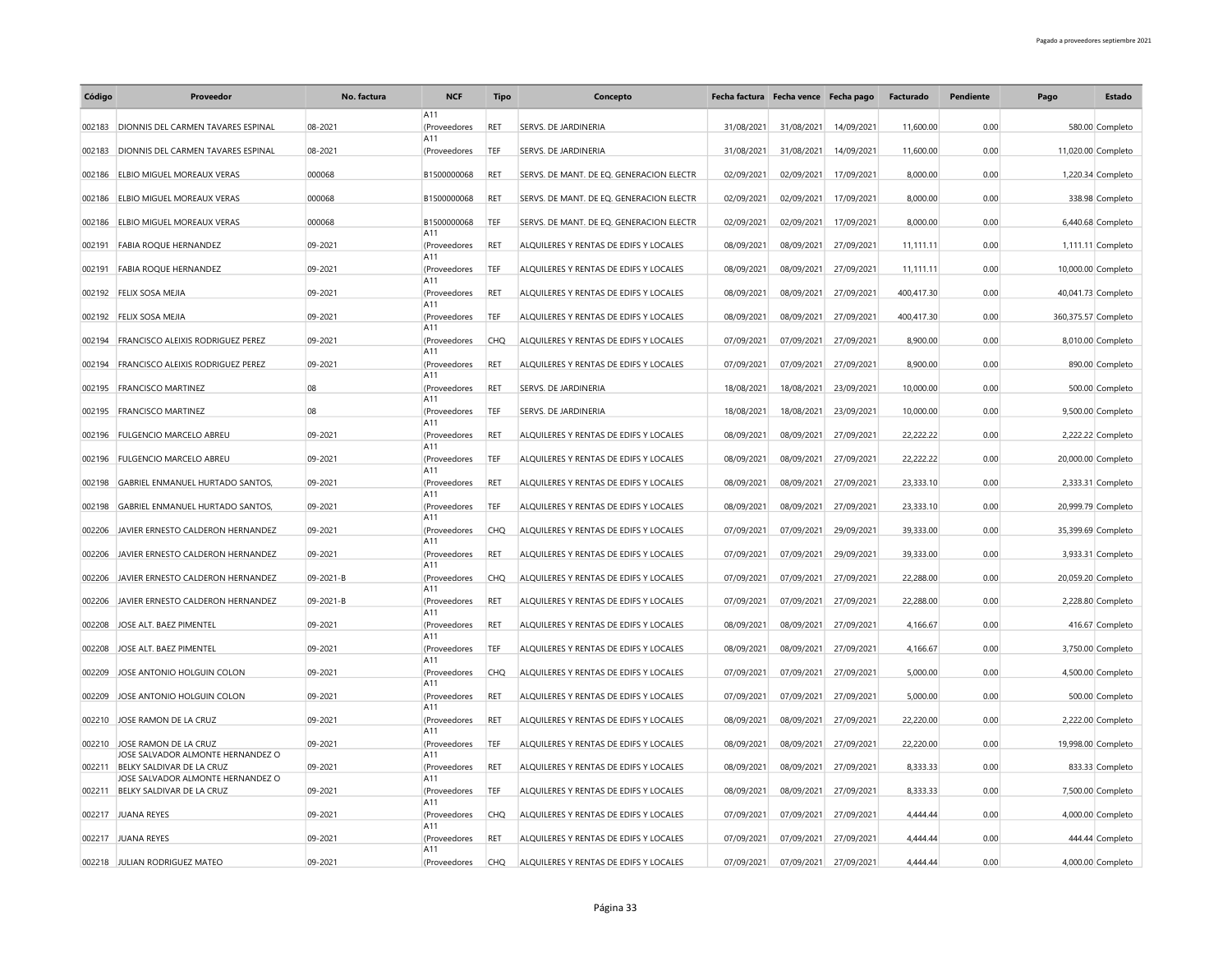| Código | Proveedor                                                      | No. factura | <b>NCF</b>          | Tipo       | Concepto                                 | Fecha factura Fecha vence Fecha pago |            |                       | Facturado  | Pendiente | Pago                | Estado            |
|--------|----------------------------------------------------------------|-------------|---------------------|------------|------------------------------------------|--------------------------------------|------------|-----------------------|------------|-----------|---------------------|-------------------|
|        | DIONNIS DEL CARMEN TAVARES ESPINAL                             | 08-2021     | A11                 |            | SERVS. DE JARDINERIA                     | 31/08/2021                           |            | 14/09/2021            | 11,600.00  | 0.00      |                     | 580.00 Completo   |
| 002183 |                                                                |             | (Proveedores<br>A11 | RET        |                                          |                                      | 31/08/2021 |                       |            |           |                     |                   |
| 002183 | <b>DIONNIS DEL CARMEN TAVARES ESPINAL</b>                      | 08-2021     | (Proveedores        | TEF        | SERVS. DE JARDINERIA                     | 31/08/2021                           | 31/08/2021 | 14/09/2021            | 11,600.00  | 0.00      | 11,020.00 Completo  |                   |
| 002186 | <b>ELBIO MIGUEL MOREAUX VERAS</b>                              | 000068      | B1500000068         | RET        | SERVS. DE MANT. DE EQ. GENERACION ELECTR | 02/09/2021                           | 02/09/2021 | 17/09/2021            | 8,000.00   | 0.00      |                     | 1,220.34 Completo |
| 002186 | <b>ELBIO MIGUEL MOREAUX VERAS</b>                              | 000068      | B1500000068         | <b>RET</b> | SERVS. DE MANT. DE EQ. GENERACION ELECTR | 02/09/2021                           | 02/09/2021 | 17/09/2021            | 8.000.00   | 0.00      |                     | 338.98 Completo   |
|        | 002186 ELBIO MIGUEL MOREAUX VERAS                              | 000068      | B1500000068         | TEF        | SERVS. DE MANT. DE EO. GENERACION ELECTR | 02/09/2021                           | 02/09/2021 | 17/09/2021            | 8.000.00   | 0.00      |                     | 6,440.68 Completo |
| 002191 | <b>FABIA ROQUE HERNANDEZ</b>                                   | 09-2021     | A11<br>(Proveedores | RET        | ALQUILERES Y RENTAS DE EDIFS Y LOCALES   | 08/09/2021                           | 08/09/2021 | 27/09/2021            | 11,111.11  | 0.00      |                     | 1,111.11 Completo |
| 002191 | <b>FABIA ROOUE HERNANDEZ</b>                                   | 09-2021     | A11<br>(Proveedores | TEF        | ALQUILERES Y RENTAS DE EDIFS Y LOCALES   | 08/09/2021                           | 08/09/2021 | 27/09/2021            | 11,111.11  | 0.00      | 10,000.00 Completo  |                   |
| 002192 | FELIX SOSA MEJIA                                               | 09-2021     | A11<br>(Proveedores | RET        | ALQUILERES Y RENTAS DE EDIFS Y LOCALES   | 08/09/2021                           | 08/09/2021 | 27/09/2021            | 400,417.30 | 0.00      | 40,041.73 Completo  |                   |
| 002192 | <b>FELIX SOSA MEJIA</b>                                        | 09-2021     | A11<br>(Proveedores | TEF        | ALQUILERES Y RENTAS DE EDIFS Y LOCALES   | 08/09/2021                           | 08/09/2021 | 27/09/2021            | 400,417.30 | 0.00      | 360,375.57 Completo |                   |
| 002194 | <b>FRANCISCO ALEIXIS RODRIGUEZ PEREZ</b>                       | 09-2021     | A11<br>(Proveedores | CHO        | ALQUILERES Y RENTAS DE EDIFS Y LOCALES   | 07/09/2021                           | 07/09/2021 | 27/09/2021            | 8,900.00   | 0.00      |                     | 8,010.00 Completo |
|        |                                                                |             | A11                 |            |                                          |                                      |            |                       |            |           |                     |                   |
| 002194 | FRANCISCO ALEIXIS RODRIGUEZ PEREZ                              | 09-2021     | (Proveedores<br>A11 | RET        | ALQUILERES Y RENTAS DE EDIFS Y LOCALES   | 07/09/2021                           | 07/09/2021 | 27/09/2021            | 8,900.00   | 0.00      |                     | 890.00 Completo   |
| 002195 | <b>FRANCISCO MARTINEZ</b>                                      | 08          | (Proveedores<br>A11 | <b>RET</b> | SERVS. DE JARDINERIA                     | 18/08/2021                           | 18/08/2021 | 23/09/2021            | 10,000.00  | 0.00      |                     | 500.00 Completo   |
| 002195 | <b>FRANCISCO MARTINEZ</b>                                      | 08          | (Proveedores<br>A11 | TEF        | SERVS. DE JARDINERIA                     | 18/08/2021                           | 18/08/2021 | 23/09/2021            | 10,000.00  | 0.00      |                     | 9,500.00 Completo |
| 002196 | <b>FULGENCIO MARCELO ABREU</b>                                 | 09-2021     | (Proveedores        | RET        | ALQUILERES Y RENTAS DE EDIFS Y LOCALES   | 08/09/2021                           | 08/09/2021 | 27/09/2021            | 22,222.22  | 0.00      |                     | 2,222.22 Completo |
| 002196 | <b>FULGENCIO MARCELO ABREU</b>                                 | 09-2021     | A11<br>(Proveedores | TEF        | ALQUILERES Y RENTAS DE EDIFS Y LOCALES   | 08/09/2021                           | 08/09/2021 | 27/09/2021            | 22,222,22  | 0.00      | 20,000.00 Completo  |                   |
| 002198 | <b>GABRIEL ENMANUEL HURTADO SANTOS,</b>                        | 09-2021     | A11<br>(Proveedores | RET        | ALQUILERES Y RENTAS DE EDIFS Y LOCALES   | 08/09/2021                           | 08/09/2021 | 27/09/2021            | 23,333.10  | 0.00      |                     | 2,333.31 Completo |
| 002198 | <b>GABRIEL ENMANUEL HURTADO SANTOS.</b>                        | 09-2021     | A11<br>(Proveedores | TEF        | ALOUILERES Y RENTAS DE EDIFS Y LOCALES   | 08/09/2021                           | 08/09/2021 | 27/09/2021            | 23,333.10  | 0.00      | 20,999.79 Completo  |                   |
| 002206 | JAVIER ERNESTO CALDERON HERNANDEZ                              | 09-2021     | A11<br>(Proveedores | CHO        | ALOUILERES Y RENTAS DE EDIFS Y LOCALES   | 07/09/2021                           | 07/09/2021 | 29/09/2021            | 39.333.00  | 0.00      | 35,399.69 Completo  |                   |
|        | JAVIER ERNESTO CALDERON HERNANDEZ                              | 09-2021     | A11                 | RET        | ALOUILERES Y RENTAS DE EDIFS Y LOCALES   | 07/09/2021                           | 07/09/2021 | 29/09/2021            | 39,333.00  | 0.00      |                     |                   |
| 002206 |                                                                |             | (Proveedores<br>A11 |            |                                          |                                      |            |                       |            |           |                     | 3,933.31 Completo |
| 002206 | JAVIER ERNESTO CALDERON HERNANDEZ                              | 09-2021-B   | (Proveedores<br>A11 | CHO        | ALQUILERES Y RENTAS DE EDIFS Y LOCALES   | 07/09/2021                           | 07/09/2021 | 27/09/2021            | 22,288.00  | 0.00      | 20,059.20 Completo  |                   |
| 002206 | JAVIER ERNESTO CALDERON HERNANDEZ                              | 09-2021-B   | (Proveedores<br>A11 | RET        | ALQUILERES Y RENTAS DE EDIFS Y LOCALES   | 07/09/2021                           | 07/09/2021 | 27/09/2021            | 22,288.00  | 0.00      |                     | 2,228.80 Completo |
| 002208 | JOSE ALT. BAEZ PIMENTEL                                        | 09-2021     | (Proveedores<br>A11 | <b>RET</b> | ALQUILERES Y RENTAS DE EDIFS Y LOCALES   | 08/09/2021                           |            | 08/09/2021 27/09/2021 | 4,166.67   | 0.00      |                     | 416.67 Completo   |
| 002208 | JOSE ALT. BAEZ PIMENTEL                                        | 09-2021     | (Proveedores        | TEF        | ALOUILERES Y RENTAS DE EDIFS Y LOCALES   | 08/09/2021                           | 08/09/2021 | 27/09/2021            | 4,166.67   | 0.00      |                     | 3,750.00 Completo |
| 002209 | JOSE ANTONIO HOLGUIN COLON                                     | 09-2021     | A11<br>(Proveedores | <b>CHQ</b> | ALQUILERES Y RENTAS DE EDIFS Y LOCALES   | 07/09/2021                           | 07/09/2021 | 27/09/2021            | 5,000.00   | 0.00      |                     | 4,500.00 Completo |
| 002209 | JOSE ANTONIO HOLGUIN COLON                                     | 09-2021     | A11<br>(Proveedores | <b>RET</b> | ALQUILERES Y RENTAS DE EDIFS Y LOCALES   | 07/09/2021                           | 07/09/2021 | 27/09/2021            | 5,000.00   | 0.00      |                     | 500.00 Completo   |
| 002210 | JOSE RAMON DE LA CRUZ                                          | 09-2021     | A11<br>(Proveedores | <b>RET</b> | ALQUILERES Y RENTAS DE EDIFS Y LOCALES   | 08/09/2021                           | 08/09/2021 | 27/09/2021            | 22,220.00  | 0.00      |                     | 2,222.00 Completo |
|        |                                                                |             | A11                 |            |                                          |                                      |            |                       | 22,220.00  |           |                     |                   |
| 002210 | JOSE RAMON DE LA CRUZ<br>JOSE SALVADOR ALMONTE HERNANDEZ O     | 09-2021     | (Proveedores<br>A11 | TEF        | ALQUILERES Y RENTAS DE EDIFS Y LOCALES   | 08/09/2021                           | 08/09/2021 | 27/09/2021            |            | 0.00      | 19,998.00 Completo  |                   |
| 002211 | BELKY SALDIVAR DE LA CRUZ<br>JOSE SALVADOR ALMONTE HERNANDEZ O | 09-2021     | (Proveedores<br>A11 | RET        | ALQUILERES Y RENTAS DE EDIFS Y LOCALES   | 08/09/2021                           | 08/09/2021 | 27/09/2021            | 8,333.33   | 0.00      |                     | 833.33 Completo   |
| 002211 | BELKY SALDIVAR DE LA CRUZ                                      | 09-2021     | (Proveedores<br>A11 | TEF        | ALQUILERES Y RENTAS DE EDIFS Y LOCALES   | 08/09/2021                           | 08/09/2021 | 27/09/2021            | 8,333.33   | 0.00      |                     | 7,500.00 Completo |
| 002217 | JUANA REYES                                                    | 09-2021     | (Proveedores<br>A11 | <b>CHQ</b> | ALQUILERES Y RENTAS DE EDIFS Y LOCALES   | 07/09/2021                           | 07/09/2021 | 27/09/2021            | 4,444.44   | 0.00      |                     | 4,000.00 Completo |
|        | 002217 JUANA REYES                                             | 09-2021     | (Proveedores        | <b>RET</b> | ALOUILERES Y RENTAS DE EDIFS Y LOCALES   | 07/09/2021                           | 07/09/2021 | 27/09/2021            | 4.444.44   | 0.00      |                     | 444.44 Completo   |
|        | 002218 JULIAN RODRIGUEZ MATEO                                  | 09-2021     | A11<br>(Proveedores | <b>CHQ</b> | ALQUILERES Y RENTAS DE EDIFS Y LOCALES   | 07/09/2021                           | 07/09/2021 | 27/09/2021            | 4.444.44   | 0.00      |                     | 4,000.00 Completo |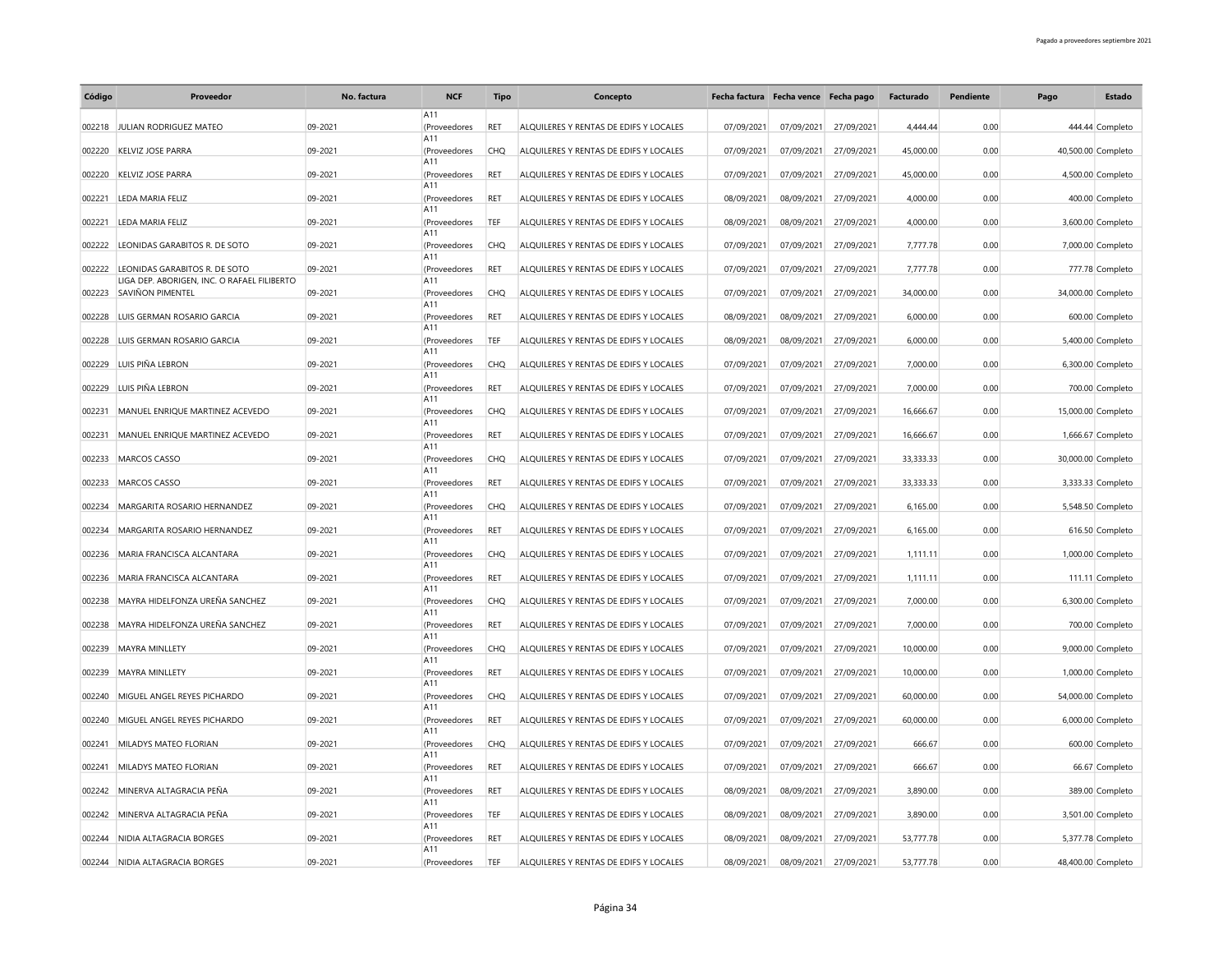| Código | Proveedor                                   | No. factura | <b>NCF</b>          | Tipo       | Concepto                               | Fecha factura Fecha vence Fecha pago |            |            | Facturado | Pendiente | Pago | Estado             |
|--------|---------------------------------------------|-------------|---------------------|------------|----------------------------------------|--------------------------------------|------------|------------|-----------|-----------|------|--------------------|
| 002218 | JULIAN RODRIGUEZ MATEO                      | 09-2021     | A11<br>(Proveedores | RET        | ALQUILERES Y RENTAS DE EDIFS Y LOCALES | 07/09/2021                           | 07/09/2021 | 27/09/2021 | 4,444.44  | 0.00      |      | 444.44 Completo    |
|        |                                             |             | A11                 |            |                                        |                                      |            |            |           |           |      |                    |
| 002220 | <b>KELVIZ JOSE PARRA</b>                    | 09-2021     | (Proveedores<br>A11 | CHO        | ALOUILERES Y RENTAS DE EDIFS Y LOCALES | 07/09/2021                           | 07/09/2021 | 27/09/2021 | 45,000.00 | 0.00      |      | 40,500.00 Completo |
| 002220 | <b>KELVIZ JOSE PARRA</b>                    | 09-2021     | (Proveedores<br>A11 | RET        | ALQUILERES Y RENTAS DE EDIFS Y LOCALES | 07/09/2021                           | 07/09/2021 | 27/09/2021 | 45,000.00 | 0.00      |      | 4,500.00 Completo  |
| 002221 | LEDA MARIA FELIZ                            | 09-2021     | (Proveedores<br>A11 | <b>RET</b> | ALOUILERES Y RENTAS DE EDIFS Y LOCALES | 08/09/2021                           | 08/09/2021 | 27/09/2021 | 4,000.00  | 0.00      |      | 400.00 Completo    |
| 002221 | LEDA MARIA FELIZ                            | 09-2021     | (Proveedores        | TEF        | ALQUILERES Y RENTAS DE EDIFS Y LOCALES | 08/09/2021                           | 08/09/2021 | 27/09/2021 | 4,000.00  | 0.00      |      | 3,600.00 Completo  |
| 002222 | LEONIDAS GARABITOS R. DE SOTO               | 09-2021     | A11<br>(Proveedores | <b>CHQ</b> | ALQUILERES Y RENTAS DE EDIFS Y LOCALES | 07/09/2021                           | 07/09/2021 | 27/09/2021 | 7,777.78  | 0.00      |      | 7,000.00 Completo  |
| 002222 | LEONIDAS GARABITOS R. DE SOTO               | 09-2021     | A11<br>(Proveedores | <b>RET</b> | ALOUILERES Y RENTAS DE EDIFS Y LOCALES | 07/09/2021                           | 07/09/2021 | 27/09/2021 | 7,777.78  | 0.00      |      | 777.78 Completo    |
|        | LIGA DEP. ABORIGEN, INC. O RAFAEL FILIBERTO |             | A11                 |            |                                        |                                      |            |            |           |           |      |                    |
| 002223 | <b>SAVIÑON PIMENTEL</b>                     | 09-2021     | (Proveedores<br>A11 | <b>CHQ</b> | ALQUILERES Y RENTAS DE EDIFS Y LOCALES | 07/09/2021                           | 07/09/2021 | 27/09/2021 | 34,000.00 | 0.00      |      | 34,000.00 Completo |
| 002228 | LUIS GERMAN ROSARIO GARCIA                  | 09-2021     | (Proveedores<br>A11 | <b>RET</b> | ALOUILERES Y RENTAS DE EDIFS Y LOCALES | 08/09/2021                           | 08/09/2021 | 27/09/2021 | 6,000.00  | 0.00      |      | 600.00 Completo    |
| 002228 | LUIS GERMAN ROSARIO GARCIA                  | 09-2021     | (Proveedores        | TEF        | ALQUILERES Y RENTAS DE EDIFS Y LOCALES | 08/09/2021                           | 08/09/2021 | 27/09/2021 | 6,000.00  | 0.00      |      | 5,400.00 Completo  |
| 002229 | LUIS PIÑA LEBRON                            | 09-2021     | A11<br>(Proveedores | <b>CHQ</b> | ALQUILERES Y RENTAS DE EDIFS Y LOCALES | 07/09/2021                           | 07/09/2021 | 27/09/2021 | 7,000.00  | 0.00      |      | 6,300.00 Completo  |
| 002229 | LUIS PIÑA LEBRON                            | 09-2021     | A11<br>(Proveedores | <b>RET</b> | ALOUILERES Y RENTAS DE EDIFS Y LOCALES | 07/09/2021                           | 07/09/2021 | 27/09/2021 | 7,000.00  | 0.00      |      | 700.00 Completo    |
| 002231 | MANUEL ENRIQUE MARTINEZ ACEVEDO             | 09-2021     | A11<br>(Proveedores | <b>CHQ</b> | ALQUILERES Y RENTAS DE EDIFS Y LOCALES | 07/09/2021                           | 07/09/2021 | 27/09/2021 | 16,666.67 | 0.00      |      | 15,000.00 Completo |
|        |                                             |             | A11                 |            |                                        |                                      |            |            |           |           |      |                    |
| 002231 | MANUEL ENRIQUE MARTINEZ ACEVEDO             | 09-2021     | (Proveedores<br>A11 | <b>RET</b> | ALQUILERES Y RENTAS DE EDIFS Y LOCALES | 07/09/2021                           | 07/09/2021 | 27/09/2021 | 16,666.67 | 0.00      |      | 1,666.67 Completo  |
| 002233 | MARCOS CASSO                                | 09-2021     | (Proveedores<br>A11 | <b>CHQ</b> | ALQUILERES Y RENTAS DE EDIFS Y LOCALES | 07/09/2021                           | 07/09/2021 | 27/09/2021 | 33,333.33 | 0.00      |      | 30,000.00 Completo |
| 002233 | <b>MARCOS CASSO</b>                         | 09-2021     | (Proveedores<br>A11 | RET        | ALQUILERES Y RENTAS DE EDIFS Y LOCALES | 07/09/2021                           | 07/09/2021 | 27/09/2021 | 33,333.33 | 0.00      |      | 3,333.33 Completo  |
| 002234 | MARGARITA ROSARIO HERNANDEZ                 | 09-2021     | (Proveedores        | <b>CHQ</b> | ALQUILERES Y RENTAS DE EDIFS Y LOCALES | 07/09/2021                           | 07/09/2021 | 27/09/2021 | 6,165.00  | 0.00      |      | 5,548.50 Completo  |
| 002234 | MARGARITA ROSARIO HERNANDEZ                 | 09-2021     | A11<br>(Proveedores | <b>RET</b> | ALQUILERES Y RENTAS DE EDIFS Y LOCALES | 07/09/2021                           | 07/09/2021 | 27/09/2021 | 6,165.00  | 0.00      |      | 616.50 Completo    |
| 002236 | MARIA FRANCISCA ALCANTARA                   | 09-2021     | A11<br>(Proveedores | CHO        | ALOUILERES Y RENTAS DE EDIFS Y LOCALES | 07/09/2021                           | 07/09/2021 | 27/09/2021 | 1,111.11  | 0.00      |      | 1,000.00 Completo  |
|        |                                             |             | A11                 |            |                                        |                                      |            |            |           |           |      |                    |
| 002236 | MARIA FRANCISCA ALCANTARA                   | 09-2021     | (Proveedores<br>A11 | RET        | ALQUILERES Y RENTAS DE EDIFS Y LOCALES | 07/09/2021                           | 07/09/2021 | 27/09/2021 | 1,111.11  | 0.00      |      | 111.11 Completo    |
| 002238 | MAYRA HIDELFONZA UREÑA SANCHEZ              | 09-2021     | (Proveedores<br>A11 | CHO        | ALOUILERES Y RENTAS DE EDIFS Y LOCALES | 07/09/2021                           | 07/09/2021 | 27/09/2021 | 7,000.00  | 0.00      |      | 6,300.00 Completo  |
| 002238 | MAYRA HIDELFONZA UREÑA SANCHEZ              | 09-2021     | (Proveedores        | RET        | ALQUILERES Y RENTAS DE EDIFS Y LOCALES | 07/09/2021                           | 07/09/2021 | 27/09/2021 | 7,000.00  | 0.00      |      | 700.00 Completo    |
| 002239 | MAYRA MINLLETY                              | 09-2021     | A11<br>(Proveedores | CHO        | ALQUILERES Y RENTAS DE EDIFS Y LOCALES | 07/09/2021                           | 07/09/2021 | 27/09/2021 | 10,000.00 | 0.00      |      | 9,000.00 Completo  |
| 002239 | MAYRA MINLLETY                              | 09-2021     | A11<br>(Proveedores | <b>RET</b> | ALOUILERES Y RENTAS DE EDIFS Y LOCALES | 07/09/2021                           | 07/09/2021 | 27/09/2021 | 10,000.00 | 0.00      |      | 1,000.00 Completo  |
| 002240 | MIGUEL ANGEL REYES PICHARDO                 | 09-2021     | A11<br>(Proveedores | <b>CHQ</b> | ALQUILERES Y RENTAS DE EDIFS Y LOCALES | 07/09/2021                           | 07/09/2021 | 27/09/2021 | 60,000.00 | 0.00      |      | 54,000.00 Completo |
|        |                                             |             | A11                 |            |                                        |                                      |            |            |           |           |      |                    |
| 002240 | MIGUEL ANGEL REYES PICHARDO                 | 09-2021     | (Proveedores<br>A11 | RET        | ALQUILERES Y RENTAS DE EDIFS Y LOCALES | 07/09/2021                           | 07/09/2021 | 27/09/2021 | 60,000.00 | 0.00      |      | 6,000.00 Completo  |
| 002241 | MILADYS MATEO FLORIAN                       | 09-2021     | (Proveedores<br>A11 | <b>CHQ</b> | ALQUILERES Y RENTAS DE EDIFS Y LOCALES | 07/09/2021                           | 07/09/2021 | 27/09/2021 | 666.67    | 0.00      |      | 600.00 Completo    |
| 002241 | MILADYS MATEO FLORIAN                       | 09-2021     | (Proveedores<br>A11 | <b>RET</b> | ALQUILERES Y RENTAS DE EDIFS Y LOCALES | 07/09/2021                           | 07/09/2021 | 27/09/2021 | 666.67    | 0.00      |      | 66.67 Completo     |
| 002242 | MINERVA ALTAGRACIA PEÑA                     | 09-2021     | (Proveedores        | <b>RET</b> | ALQUILERES Y RENTAS DE EDIFS Y LOCALES | 08/09/2021                           | 08/09/2021 | 27/09/2021 | 3,890.00  | 0.00      |      | 389.00 Completo    |
| 002242 | MINERVA ALTAGRACIA PEÑA                     | 09-2021     | A11<br>(Proveedores | TEF        | ALQUILERES Y RENTAS DE EDIFS Y LOCALES | 08/09/2021                           | 08/09/2021 | 27/09/2021 | 3,890.00  | 0.00      |      | 3,501.00 Completo  |
| 002244 | NIDIA ALTAGRACIA BORGES                     | 09-2021     | A11<br>(Proveedores | RET        | ALQUILERES Y RENTAS DE EDIFS Y LOCALES | 08/09/2021                           | 08/09/2021 | 27/09/2021 | 53,777.78 | 0.00      |      | 5,377.78 Completo  |
|        |                                             |             | A11                 |            |                                        |                                      |            |            |           |           |      |                    |
|        | 002244 NIDIA ALTAGRACIA BORGES              | 09-2021     | (Proveedores        | TEF        | ALQUILERES Y RENTAS DE EDIFS Y LOCALES | 08/09/2021                           | 08/09/2021 | 27/09/2021 | 53,777.78 | 0.00      |      | 48,400.00 Completo |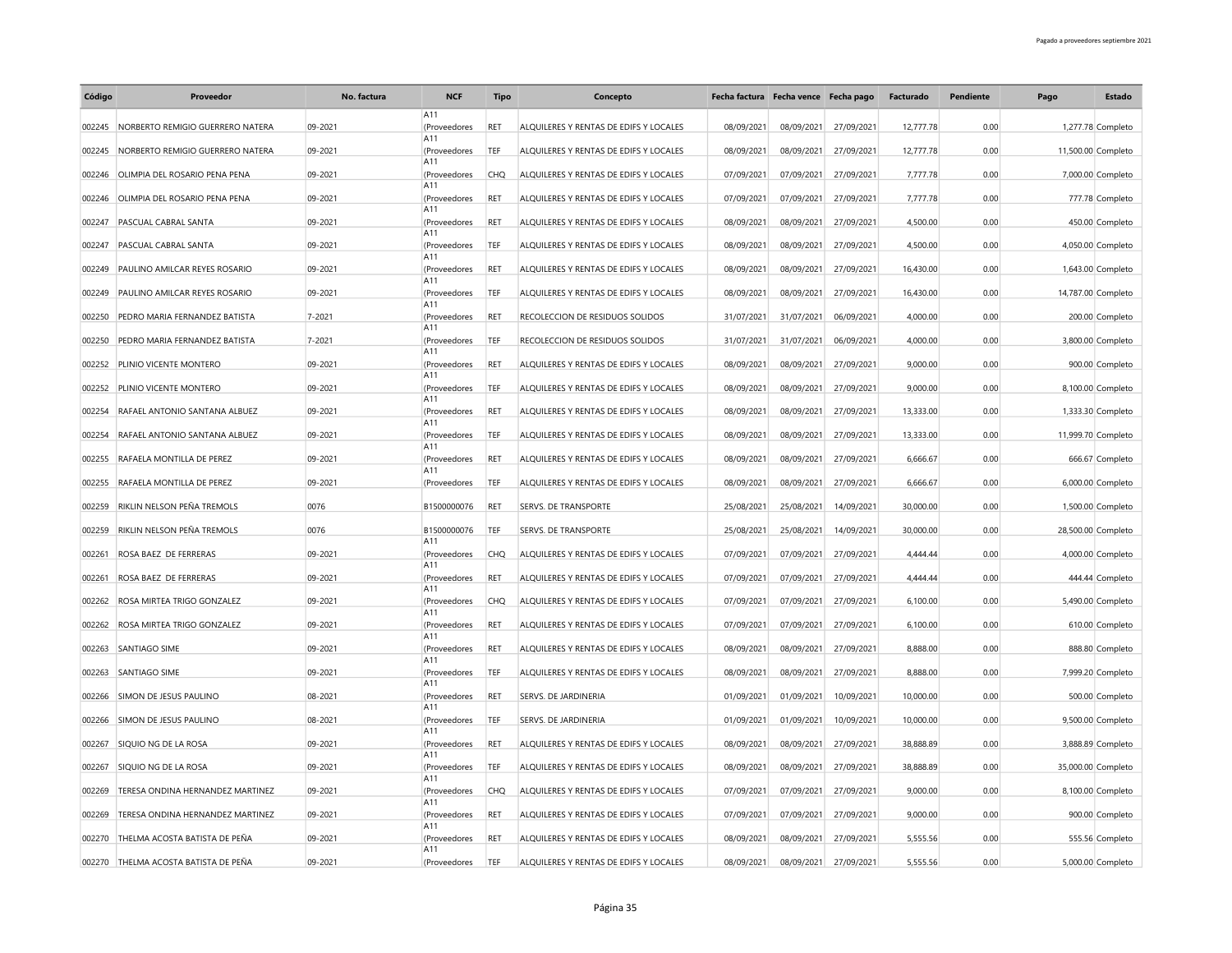| Código | Proveedor                            | No. factura | <b>NCF</b>          | <b>Tipo</b> | Concepto                               |            | Fecha factura Fecha vence Fecha pago |                       | Facturado | <b>Pendiente</b> | Pago | Estado             |
|--------|--------------------------------------|-------------|---------------------|-------------|----------------------------------------|------------|--------------------------------------|-----------------------|-----------|------------------|------|--------------------|
| 002245 | NORBERTO REMIGIO GUERRERO NATERA     | 09-2021     | A11<br>(Proveedores | RET         | ALQUILERES Y RENTAS DE EDIFS Y LOCALES | 08/09/2021 | 08/09/2021                           | 27/09/2021            | 12,777.78 | 0.00             |      | 1,277.78 Completo  |
| 002245 | NORBERTO REMIGIO GUERRERO NATERA     | 09-2021     | A11<br>(Proveedores | TEF         | ALOUILERES Y RENTAS DE EDIFS Y LOCALES | 08/09/2021 | 08/09/2021                           | 27/09/2021            | 12,777,78 | 0.00             |      | 11,500.00 Completo |
|        |                                      |             | A11                 |             |                                        |            |                                      |                       |           |                  |      |                    |
| 002246 | OLIMPIA DEL ROSARIO PENA PENA        | 09-2021     | (Proveedores<br>A11 | <b>CHQ</b>  | ALQUILERES Y RENTAS DE EDIFS Y LOCALES | 07/09/2021 | 07/09/2021                           | 27/09/2021            | 7,777.78  | 0.00             |      | 7,000.00 Completo  |
| 002246 | OLIMPIA DEL ROSARIO PENA PENA        | 09-2021     | (Proveedores<br>A11 | <b>RET</b>  | ALOUILERES Y RENTAS DE EDIFS Y LOCALES | 07/09/2021 | 07/09/2021                           | 27/09/2021            | 7,777.78  | 0.00             |      | 777.78 Completo    |
| 002247 | <b>PASCUAL CABRAL SANTA</b>          | 09-2021     | (Proveedores<br>A11 | <b>RET</b>  | ALOUILERES Y RENTAS DE EDIFS Y LOCALES | 08/09/2021 |                                      | 08/09/2021 27/09/2021 | 4,500.00  | 0.00             |      | 450.00 Completo    |
| 002247 | PASCUAL CABRAL SANTA                 | 09-2021     | (Proveedores        | TEF         | ALQUILERES Y RENTAS DE EDIFS Y LOCALES | 08/09/2021 | 08/09/2021                           | 27/09/2021            | 4,500.00  | 0.00             |      | 4,050.00 Completo  |
| 002249 | PAULINO AMILCAR REYES ROSARIO        | 09-2021     | A11<br>(Proveedores | RET         | ALQUILERES Y RENTAS DE EDIFS Y LOCALES | 08/09/2021 | 08/09/2021                           | 27/09/2021            | 16,430.00 | 0.00             |      | 1,643.00 Completo  |
| 002249 | PAULINO AMILCAR REYES ROSARIO        | 09-2021     | A11<br>(Proveedores | TEF         | ALQUILERES Y RENTAS DE EDIFS Y LOCALES | 08/09/2021 | 08/09/2021                           | 27/09/2021            | 16,430.00 | 0.00             |      | 14,787.00 Completo |
| 002250 | PEDRO MARIA FERNANDEZ BATISTA        | 7-2021      | A11<br>(Proveedores | RET         | RECOLECCION DE RESIDUOS SOLIDOS        | 31/07/2021 | 31/07/2021                           | 06/09/2021            | 4,000.00  | 0.00             |      | 200.00 Completo    |
|        |                                      |             | A11                 |             |                                        |            |                                      |                       |           |                  |      |                    |
| 002250 | PEDRO MARIA FERNANDEZ BATISTA        | 7-2021      | (Proveedores<br>A11 | TEF         | RECOLECCION DE RESIDUOS SOLIDOS        | 31/07/2021 | 31/07/2021                           | 06/09/2021            | 4,000.00  | 0.00             |      | 3,800.00 Completo  |
| 002252 | PLINIO VICENTE MONTERO               | 09-2021     | (Proveedores<br>A11 | <b>RET</b>  | ALQUILERES Y RENTAS DE EDIFS Y LOCALES | 08/09/2021 | 08/09/2021                           | 27/09/2021            | 9,000.00  | 0.00             |      | 900.00 Completo    |
| 002252 | PLINIO VICENTE MONTERO               | 09-2021     | (Proveedores<br>A11 | TEF         | ALQUILERES Y RENTAS DE EDIFS Y LOCALES | 08/09/2021 | 08/09/2021                           | 27/09/2021            | 9,000.00  | 0.00             |      | 8,100.00 Completo  |
| 002254 | RAFAEL ANTONIO SANTANA ALBUEZ        | 09-2021     | (Proveedores        | <b>RET</b>  | ALQUILERES Y RENTAS DE EDIFS Y LOCALES | 08/09/2021 | 08/09/2021                           | 27/09/2021            | 13,333.00 | 0.00             |      | 1,333.30 Completo  |
| 002254 | RAFAEL ANTONIO SANTANA ALBUEZ        | 09-2021     | A11<br>(Proveedores | TEF         | ALQUILERES Y RENTAS DE EDIFS Y LOCALES | 08/09/2021 | 08/09/2021                           | 27/09/2021            | 13,333.00 | 0.00             |      | 11,999.70 Completo |
| 002255 | RAFAELA MONTILLA DE PEREZ            | 09-2021     | A11<br>(Proveedores | <b>RET</b>  | ALQUILERES Y RENTAS DE EDIFS Y LOCALES | 08/09/2021 | 08/09/2021                           | 27/09/2021            | 6,666.67  | 0.00             |      | 666.67 Completo    |
| 002255 | RAFAELA MONTILLA DE PEREZ            | 09-2021     | A11<br>(Proveedores | TEF         | ALOUILERES Y RENTAS DE EDIFS Y LOCALES | 08/09/2021 | 08/09/2021                           | 27/09/2021            | 6,666.67  | 0.00             |      | 6,000.00 Completo  |
|        |                                      |             |                     |             |                                        |            |                                      |                       |           |                  |      |                    |
| 002259 | RIKLIN NELSON PEÑA TREMOLS           | 0076        | B1500000076         | RET         | SERVS. DE TRANSPORTE                   | 25/08/2021 | 25/08/2021                           | 14/09/2021            | 30,000.00 | 0.00             |      | 1,500.00 Completo  |
| 002259 | RIKLIN NELSON PEÑA TREMOLS           | 0076        | B1500000076<br>A11  | TEF         | <b>SERVS. DE TRANSPORTE</b>            | 25/08/2021 | 25/08/2021                           | 14/09/2021            | 30,000.00 | 0.00             |      | 28,500.00 Completo |
| 002261 | ROSA BAEZ DE FERRERAS                | 09-2021     | (Proveedores<br>A11 | <b>CHQ</b>  | ALQUILERES Y RENTAS DE EDIFS Y LOCALES | 07/09/2021 | 07/09/2021                           | 27/09/2021            | 4,444.44  | 0.00             |      | 4,000.00 Completo  |
| 002261 | ROSA BAEZ DE FERRERAS                | 09-2021     | (Proveedores        | RET         | ALQUILERES Y RENTAS DE EDIFS Y LOCALES | 07/09/2021 | 07/09/2021                           | 27/09/2021            | 4,444.44  | 0.00             |      | 444.44 Completo    |
| 002262 | ROSA MIRTEA TRIGO GONZALEZ           | 09-2021     | A11<br>(Proveedores | <b>CHQ</b>  | ALQUILERES Y RENTAS DE EDIFS Y LOCALES | 07/09/2021 | 07/09/2021                           | 27/09/2021            | 6,100.00  | 0.00             |      | 5,490.00 Completo  |
| 002262 | ROSA MIRTEA TRIGO GONZALEZ           | 09-2021     | A11<br>(Proveedores | <b>RET</b>  | ALQUILERES Y RENTAS DE EDIFS Y LOCALES | 07/09/2021 | 07/09/2021                           | 27/09/2021            | 6,100.00  | 0.00             |      | 610.00 Completo    |
| 002263 | SANTIAGO SIME                        | 09-2021     | A11<br>(Proveedores | RET         | ALQUILERES Y RENTAS DE EDIFS Y LOCALES | 08/09/2021 | 08/09/2021                           | 27/09/2021            | 8,888.00  | 0.00             |      | 888.80 Completo    |
|        |                                      |             | A11                 |             |                                        |            |                                      |                       |           |                  |      |                    |
| 002263 | SANTIAGO SIME                        | 09-2021     | (Proveedores<br>A11 | TEF         | ALQUILERES Y RENTAS DE EDIFS Y LOCALES | 08/09/2021 | 08/09/2021                           | 27/09/2021            | 8,888.00  | 0.00             |      | 7,999.20 Completo  |
| 002266 | SIMON DE JESUS PAULINO               | 08-2021     | (Proveedores<br>A11 | <b>RET</b>  | SERVS. DE JARDINERIA                   | 01/09/2021 | 01/09/2021                           | 10/09/2021            | 10,000.00 | 0.00             |      | 500.00 Completo    |
| 002266 | SIMON DE JESUS PAULINO               | 08-2021     | (Proveedores<br>A11 | TEF         | SERVS. DE JARDINERIA                   | 01/09/2021 | 01/09/2021                           | 10/09/2021            | 10,000.00 | 0.00             |      | 9,500.00 Completo  |
| 002267 | SIQUIO NG DE LA ROSA                 | 09-2021     | (Proveedores<br>A11 | RET         | ALQUILERES Y RENTAS DE EDIFS Y LOCALES | 08/09/2021 | 08/09/2021                           | 27/09/2021            | 38,888.89 | 0.00             |      | 3,888.89 Completo  |
| 002267 | SIQUIO NG DE LA ROSA                 | 09-2021     | (Proveedores        | TEF         | ALQUILERES Y RENTAS DE EDIFS Y LOCALES | 08/09/2021 | 08/09/2021                           | 27/09/2021            | 38,888.89 | 0.00             |      | 35,000.00 Completo |
| 002269 | TERESA ONDINA HERNANDEZ MARTINEZ     | 09-2021     | A11<br>(Proveedores | <b>CHQ</b>  | ALQUILERES Y RENTAS DE EDIFS Y LOCALES | 07/09/2021 | 07/09/2021                           | 27/09/2021            | 9,000.00  | 0.00             |      | 8,100.00 Completo  |
| 002269 | TERESA ONDINA HERNANDEZ MARTINEZ     | 09-2021     | A11<br>(Proveedores | <b>RET</b>  | ALQUILERES Y RENTAS DE EDIFS Y LOCALES | 07/09/2021 | 07/09/2021                           | 27/09/2021            | 9,000.00  | 0.00             |      | 900.00 Completo    |
| 002270 | THELMA ACOSTA BATISTA DE PEÑA        | 09-2021     | A11                 | RET         | ALQUILERES Y RENTAS DE EDIFS Y LOCALES | 08/09/2021 | 08/09/2021                           | 27/09/2021            | 5,555.56  | 0.00             |      | 555.56 Completo    |
|        |                                      |             | (Proveedores<br>A11 |             |                                        |            |                                      |                       |           |                  |      |                    |
|        | 002270 THELMA ACOSTA BATISTA DE PEÑA | 09-2021     | (Proveedores        | TEF         | ALOUILERES Y RENTAS DE EDIFS Y LOCALES | 08/09/2021 | 08/09/2021                           | 27/09/2021            | 5.555.56  | 0.00             |      | 5,000.00 Completo  |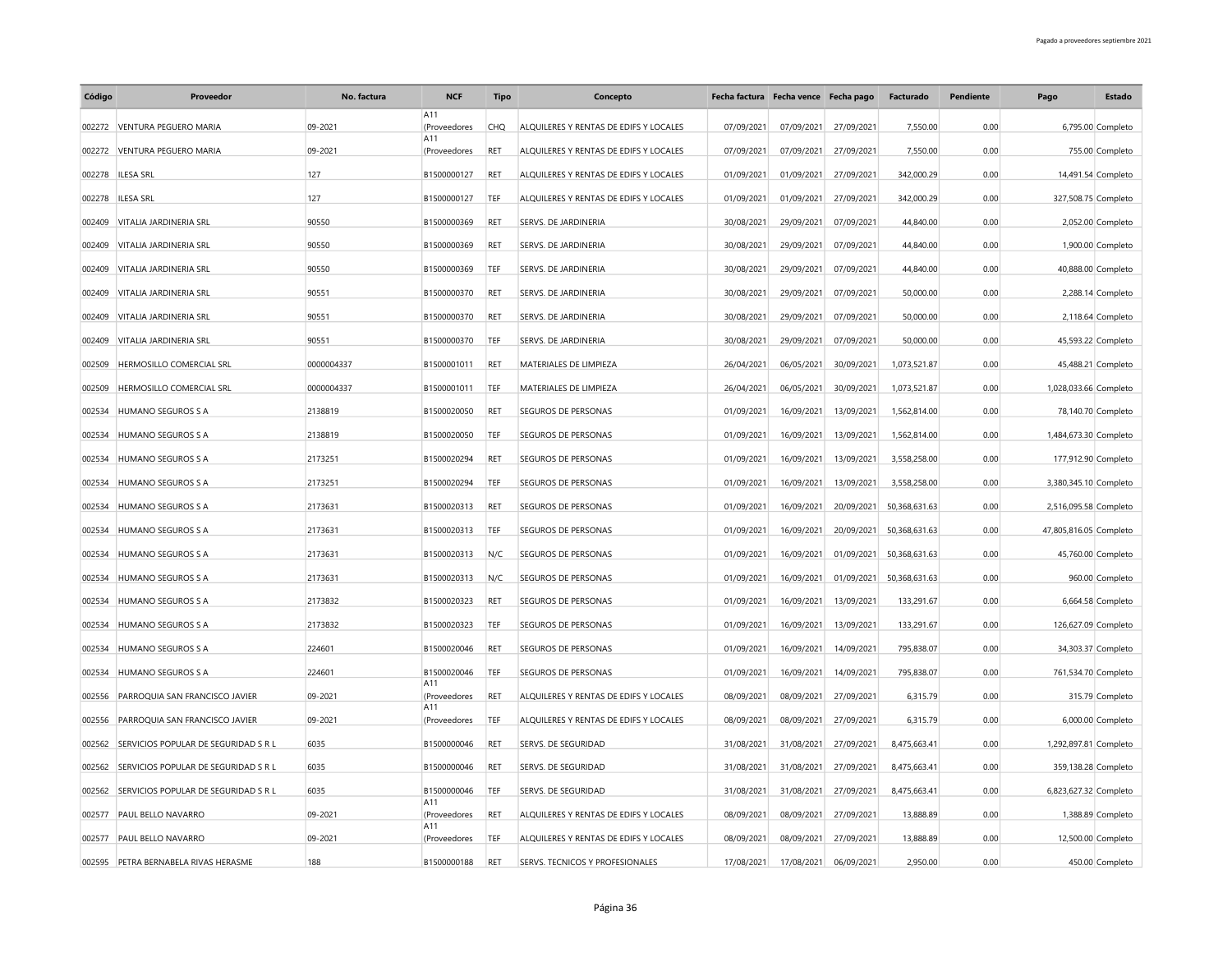| Código | Proveedor                            | No. factura | <b>NCF</b>          | <b>Tipo</b> | Concepto                               | Fecha factura Fecha vence Fecha pago |            |            | Facturado     | Pendiente | Pago                   | <b>Estado</b>      |
|--------|--------------------------------------|-------------|---------------------|-------------|----------------------------------------|--------------------------------------|------------|------------|---------------|-----------|------------------------|--------------------|
|        | 002272 VENTURA PEGUERO MARIA         | 09-2021     | A11<br>(Proveedores | CHO         | ALOUILERES Y RENTAS DE EDIFS Y LOCALES | 07/09/2021                           | 07/09/2021 | 27/09/2021 | 7,550,00      | 0.00      |                        | 6,795.00 Completo  |
| 002272 | VENTURA PEGUERO MARIA                | 09-2021     | A11<br>(Proveedores | RET         | ALQUILERES Y RENTAS DE EDIFS Y LOCALES | 07/09/2021                           | 07/09/2021 | 27/09/2021 | 7,550.00      | 0.00      |                        | 755.00 Completo    |
|        | 002278 ILESA SRL                     | 127         | B1500000127         | RET         | ALQUILERES Y RENTAS DE EDIFS Y LOCALES | 01/09/2021                           | 01/09/2021 | 27/09/2021 | 342,000.29    | 0.00      |                        | 14,491.54 Completo |
| 002278 | <b>ILESA SRL</b>                     | 127         | B1500000127         | TEF         | ALQUILERES Y RENTAS DE EDIFS Y LOCALES | 01/09/2021                           | 01/09/2021 | 27/09/2021 | 342,000.29    | 0.00      | 327,508.75 Completo    |                    |
| 002409 | VITALIA JARDINERIA SRL               | 90550       | B1500000369         | RET         | SERVS. DE JARDINERIA                   | 30/08/2021                           | 29/09/2021 | 07/09/2021 | 44,840.00     | 0.00      |                        | 2,052.00 Completo  |
| 002409 | VITALIA JARDINERIA SRL               | 90550       | B1500000369         | RET         | SERVS. DE JARDINERIA                   | 30/08/2021                           | 29/09/2021 | 07/09/2021 | 44,840.00     | 0.00      |                        | 1,900.00 Completo  |
| 002409 | VITALIA JARDINERIA SRL               | 90550       | B1500000369         | TEF         | SERVS. DE JARDINERIA                   | 30/08/2021                           | 29/09/2021 | 07/09/2021 | 44,840.00     | 0.00      |                        | 40,888.00 Completo |
| 002409 | VITALIA JARDINERIA SRL               | 90551       | B1500000370         | RET         | SERVS. DE JARDINERIA                   | 30/08/2021                           | 29/09/2021 | 07/09/2021 | 50,000.00     | 0.00      |                        | 2,288.14 Completo  |
| 002409 | VITALIA JARDINERIA SRL               | 90551       | B1500000370         | RET         | SERVS. DE JARDINERIA                   | 30/08/2021                           | 29/09/2021 | 07/09/2021 | 50,000.00     | 0.00      |                        | 2,118.64 Completo  |
| 002409 | VITALIA JARDINERIA SRL               | 90551       | B1500000370         | TEF         | SERVS. DE JARDINERIA                   | 30/08/2021                           | 29/09/2021 | 07/09/2021 | 50,000.00     | 0.00      |                        | 45,593.22 Completo |
| 002509 | HERMOSILLO COMERCIAL SRL             |             |                     | RET         | MATERIALES DE LIMPIEZA                 |                                      |            |            |               |           |                        |                    |
|        |                                      | 0000004337  | B1500001011         |             |                                        | 26/04/2021                           | 06/05/2021 | 30/09/2021 | 1,073,521.87  | 0.00      |                        | 45,488.21 Completo |
| 002509 | HERMOSILLO COMERCIAL SRL             | 0000004337  | B1500001011         | TEF         | MATERIALES DE LIMPIEZA                 | 26/04/2021                           | 06/05/2021 | 30/09/2021 | 1,073,521.87  | 0.00      | 1,028,033.66 Completo  |                    |
| 002534 | HUMANO SEGUROS S A                   | 2138819     | B1500020050         | <b>RET</b>  | SEGUROS DE PERSONAS                    | 01/09/2021                           | 16/09/2021 | 13/09/2021 | 1,562,814.00  | 0.00      |                        | 78,140.70 Completo |
| 002534 | HUMANO SEGUROS S A                   | 2138819     | B1500020050         | TEF         | SEGUROS DE PERSONAS                    | 01/09/2021                           | 16/09/2021 | 13/09/2021 | 1,562,814.00  | 0.00      | 1,484,673.30 Completo  |                    |
| 002534 | HUMANO SEGUROS S A                   | 2173251     | B1500020294         | RET         | SEGUROS DE PERSONAS                    | 01/09/2021                           | 16/09/2021 | 13/09/2021 | 3,558,258.00  | 0.00      | 177,912.90 Completo    |                    |
| 002534 | HUMANO SEGUROS S A                   | 2173251     | B1500020294         | TEF         | SEGUROS DE PERSONAS                    | 01/09/2021                           | 16/09/2021 | 13/09/2021 | 3,558,258.00  | 0.00      | 3,380,345.10 Completo  |                    |
| 002534 | <b>HUMANO SEGUROS S A</b>            | 2173631     | B1500020313         | RET         | SEGUROS DE PERSONAS                    | 01/09/2021                           | 16/09/2021 | 20/09/2021 | 50,368,631.63 | 0.00      | 2,516,095.58 Completo  |                    |
| 002534 | HUMANO SEGUROS S A                   | 2173631     | B1500020313         | TEF         | SEGUROS DE PERSONAS                    | 01/09/2021                           | 16/09/2021 | 20/09/2021 | 50,368,631.63 | 0.00      | 47,805,816.05 Completo |                    |
| 002534 | <b>HUMANO SEGUROS S A</b>            | 2173631     | B1500020313         | N/C         | <b>SEGUROS DE PERSONAS</b>             | 01/09/2021                           | 16/09/2021 | 01/09/2021 | 50,368,631.63 | 0.00      |                        | 45,760.00 Completo |
| 002534 | <b>HUMANO SEGUROS S A</b>            | 2173631     | B1500020313         | N/C         | SEGUROS DE PERSONAS                    | 01/09/2021                           | 16/09/2021 | 01/09/2021 | 50,368,631.63 | 0.00      |                        | 960.00 Completo    |
| 002534 | HUMANO SEGUROS S A                   | 2173832     | B1500020323         | RET         | SEGUROS DE PERSONAS                    | 01/09/2021                           | 16/09/2021 | 13/09/2021 | 133,291.67    | 0.00      |                        | 6,664.58 Completo  |
| 002534 | HUMANO SEGUROS S A                   | 2173832     | B1500020323         | TEF         | SEGUROS DE PERSONAS                    | 01/09/2021                           | 16/09/2021 | 13/09/2021 | 133,291.67    | 0.00      | 126,627.09 Completo    |                    |
| 002534 | HUMANO SEGUROS S A                   | 224601      | B1500020046         | RET         | SEGUROS DE PERSONAS                    | 01/09/2021                           | 16/09/2021 | 14/09/2021 | 795,838.07    | 0.00      |                        | 34,303.37 Completo |
| 002534 | HUMANO SEGUROS S A                   | 224601      | B1500020046         | TEF         | SEGUROS DE PERSONAS                    | 01/09/2021                           | 16/09/2021 | 14/09/2021 | 795,838.07    | 0.00      | 761,534.70 Completo    |                    |
| 002556 | PARROQUIA SAN FRANCISCO JAVIER       | 09-2021     | A11<br>(Proveedores | RET         | ALQUILERES Y RENTAS DE EDIFS Y LOCALES | 08/09/2021                           | 08/09/2021 | 27/09/2021 | 6,315.79      | 0.00      |                        | 315.79 Completo    |
| 002556 | PARROQUIA SAN FRANCISCO JAVIER       | 09-2021     | A11<br>(Proveedores | TEF         | ALQUILERES Y RENTAS DE EDIFS Y LOCALES | 08/09/2021                           | 08/09/2021 | 27/09/2021 | 6,315.79      | 0.00      |                        | 6,000.00 Completo  |
| 002562 | SERVICIOS POPULAR DE SEGURIDAD S R L | 6035        | B1500000046         | RET         | SERVS. DE SEGURIDAD                    | 31/08/2021                           | 31/08/2021 | 27/09/2021 | 8,475,663.41  | 0.00      | 1,292,897.81 Completo  |                    |
| 002562 | SERVICIOS POPULAR DE SEGURIDAD S R L | 6035        | B1500000046         | RET         | SERVS. DE SEGURIDAD                    | 31/08/2021                           | 31/08/2021 | 27/09/2021 | 8,475,663.41  | 0.00      | 359,138.28 Completo    |                    |
| 002562 | SERVICIOS POPULAR DE SEGURIDAD S R L | 6035        | B1500000046         | TEF         | SERVS. DE SEGURIDAD                    | 31/08/2021                           | 31/08/2021 | 27/09/2021 | 8,475,663.41  | 0.00      | 6,823,627.32 Completo  |                    |
|        |                                      |             | A11                 |             |                                        |                                      |            |            |               |           |                        |                    |
| 002577 | PAUL BELLO NAVARRO                   | 09-2021     | (Proveedores<br>A11 | RET         | ALQUILERES Y RENTAS DE EDIFS Y LOCALES | 08/09/2021                           | 08/09/2021 | 27/09/2021 | 13,888.89     | 0.00      |                        | 1,388.89 Completo  |
| 002577 | PAUL BELLO NAVARRO                   | 09-2021     | (Proveedores        | TEF         | ALQUILERES Y RENTAS DE EDIFS Y LOCALES | 08/09/2021                           | 08/09/2021 | 27/09/2021 | 13,888.89     | 0.00      |                        | 12,500.00 Completo |
|        | 002595 PETRA BERNABELA RIVAS HERASME | 188         | B1500000188         | RET         | SERVS. TECNICOS Y PROFESIONALES        | 17/08/2021                           | 17/08/2021 | 06/09/2021 | 2,950.00      | 0.00      |                        | 450.00 Completo    |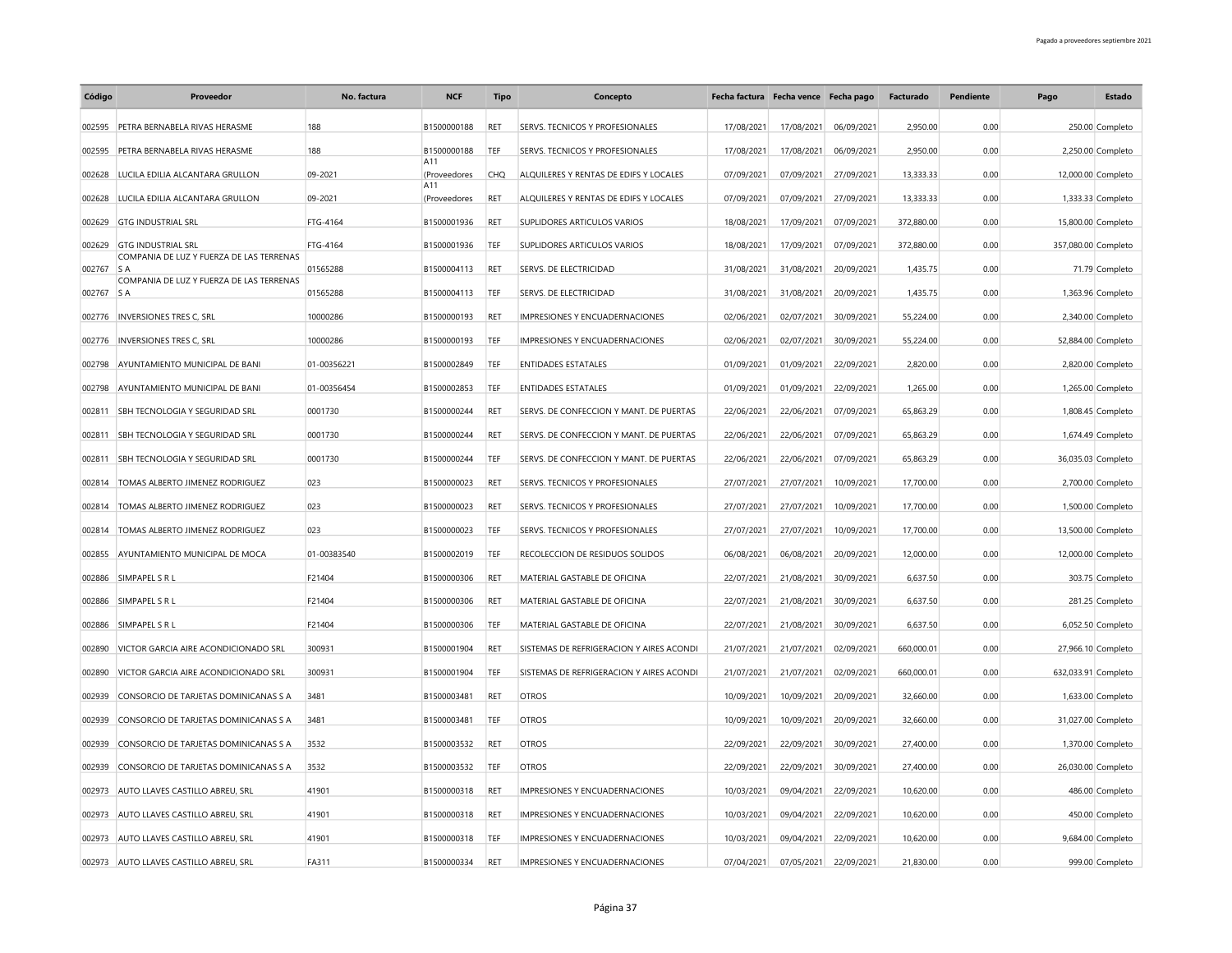| Código    | Proveedor                                       | No. factura | <b>NCF</b>          | <b>Tipo</b> | Concepto                                 | Fecha factura Fecha vence Fecha pago |            |            | Facturado  | Pendiente | Pago                | <b>Estado</b>     |
|-----------|-------------------------------------------------|-------------|---------------------|-------------|------------------------------------------|--------------------------------------|------------|------------|------------|-----------|---------------------|-------------------|
| 002595    | PETRA BERNABELA RIVAS HERASME                   | 188         | B1500000188         | <b>RET</b>  | SERVS. TECNICOS Y PROFESIONALES          | 17/08/2021                           | 17/08/2021 | 06/09/2021 | 2.950.00   | 0.00      |                     | 250.00 Completo   |
| 002595    | PETRA BERNABELA RIVAS HERASME                   | 188         | B1500000188         | TEF         | SERVS. TECNICOS Y PROFESIONALES          | 17/08/2021                           | 17/08/2021 | 06/09/2021 | 2,950.00   | 0.00      |                     | 2,250.00 Completo |
| 002628    | LUCILA EDILIA ALCANTARA GRULLON                 | 09-2021     | A11<br>(Proveedores | <b>CHQ</b>  | ALQUILERES Y RENTAS DE EDIFS Y LOCALES   | 07/09/2021                           | 07/09/2021 | 27/09/2021 | 13,333.33  | 0.00      | 12,000.00 Completo  |                   |
| 002628    | LUCILA EDILIA ALCANTARA GRULLON                 | 09-2021     | A11<br>(Proveedores | RET         | ALOUILERES Y RENTAS DE EDIFS Y LOCALES   | 07/09/2021                           | 07/09/2021 | 27/09/2021 | 13,333.33  | 0.00      |                     | 1,333.33 Completo |
|           | 002629 GTG INDUSTRIAL SRL                       | FTG-4164    | B1500001936         | RET         | SUPLIDORES ARTICULOS VARIOS              | 18/08/2021                           | 17/09/2021 | 07/09/2021 | 372,880.00 | 0.00      | 15,800.00 Completo  |                   |
| 002629    | <b>GTG INDUSTRIAL SRL</b>                       | FTG-4164    | B1500001936         | TEF         | SUPLIDORES ARTICULOS VARIOS              | 18/08/2021                           | 17/09/2021 | 07/09/2021 | 372,880.00 | 0.00      | 357,080.00 Completo |                   |
| 002767 SA | COMPANIA DE LUZ Y FUERZA DE LAS TERRENAS        | 01565288    | B1500004113         | <b>RFT</b>  | SERVS. DE ELECTRICIDAD                   | 31/08/2021                           | 31/08/2021 | 20/09/2021 | 1,435.75   | 0.00      |                     | 71.79 Completo    |
| 002767    | COMPANIA DE LUZ Y FUERZA DE LAS TERRENAS<br>S A | 01565288    | B1500004113         | TEF         | SERVS. DE ELECTRICIDAD                   | 31/08/2021                           | 31/08/2021 | 20/09/2021 | 1,435.75   | 0.00      |                     | 1,363.96 Completo |
| 002776    | <b>INVERSIONES TRES C, SRL</b>                  | 10000286    | B1500000193         | <b>RET</b>  | IMPRESIONES Y ENCUADERNACIONES           | 02/06/2021                           | 02/07/2021 | 30/09/2021 | 55,224.00  | 0.00      |                     | 2,340.00 Completo |
| 002776    | INVERSIONES TRES C, SRL                         | 10000286    | B1500000193         | TEF         | IMPRESIONES Y ENCUADERNACIONES           | 02/06/2021                           | 02/07/2021 | 30/09/2021 | 55,224.00  | 0.00      | 52,884.00 Completo  |                   |
| 002798    | AYUNTAMIENTO MUNICIPAL DE BANI                  | 01-00356221 | B1500002849         | TEF         | <b>ENTIDADES ESTATALES</b>               | 01/09/2021                           | 01/09/2021 | 22/09/2021 | 2,820.00   | 0.00      |                     | 2,820.00 Completo |
| 002798    | AYUNTAMIENTO MUNICIPAL DE BANI                  | 01-00356454 | B1500002853         | TEF         | <b>ENTIDADES ESTATALES</b>               | 01/09/2021                           | 01/09/2021 | 22/09/2021 | 1,265.00   | 0.00      |                     | 1,265.00 Completo |
| 002811    | SBH TECNOLOGIA Y SEGURIDAD SRL                  | 0001730     | B1500000244         | RET         | SERVS. DE CONFECCION Y MANT. DE PUERTAS  | 22/06/2021                           | 22/06/2021 | 07/09/2021 | 65,863.29  | 0.00      |                     | 1,808.45 Completo |
| 002811    | SBH TECNOLOGIA Y SEGURIDAD SRL                  | 0001730     | B1500000244         | <b>RET</b>  | SERVS. DE CONFECCION Y MANT. DE PUERTAS  | 22/06/2021                           | 22/06/2021 | 07/09/2021 | 65,863.29  | 0.00      |                     | 1,674.49 Completo |
| 002811    | SBH TECNOLOGIA Y SEGURIDAD SRL                  | 0001730     | B1500000244         | TEF         | SERVS. DE CONFECCION Y MANT. DE PUERTAS  | 22/06/2021                           | 22/06/2021 | 07/09/2021 | 65.863.29  | 0.00      | 36,035.03 Completo  |                   |
| 002814    | TOMAS ALBERTO JIMENEZ RODRIGUEZ                 | 023         | B1500000023         | RET         | SERVS. TECNICOS Y PROFESIONALES          | 27/07/2021                           | 27/07/2021 | 10/09/2021 | 17,700.00  | 0.00      |                     | 2,700.00 Completo |
| 002814    | TOMAS ALBERTO JIMENEZ RODRIGUEZ                 | 023         | B1500000023         | RET         | SERVS. TECNICOS Y PROFESIONALES          | 27/07/2021                           | 27/07/2021 | 10/09/2021 | 17,700.00  | 0.00      |                     | 1,500.00 Completo |
| 002814    | TOMAS ALBERTO JIMENEZ RODRIGUEZ                 | 023         | B1500000023         | TEF         | SERVS. TECNICOS Y PROFESIONALES          | 27/07/2021                           | 27/07/2021 | 10/09/2021 | 17,700.00  | 0.00      | 13,500.00 Completo  |                   |
| 002855    | AYUNTAMIENTO MUNICIPAL DE MOCA                  | 01-00383540 | B1500002019         | TEF         | RECOLECCION DE RESIDUOS SOLIDOS          | 06/08/2021                           | 06/08/2021 | 20/09/2021 | 12,000.00  | 0.00      | 12,000.00 Completo  |                   |
| 002886    | SIMPAPEL S R L                                  | F21404      | B1500000306         | <b>RET</b>  | MATERIAL GASTABLE DE OFICINA             | 22/07/2021                           | 21/08/2021 | 30/09/2021 | 6,637.50   | 0.00      |                     | 303.75 Completo   |
| 002886    | SIMPAPEL S R L                                  | F21404      | B1500000306         | RET         | MATERIAL GASTABLE DE OFICINA             | 22/07/2021                           | 21/08/2021 | 30/09/2021 | 6,637.50   | 0.00      |                     | 281.25 Completo   |
|           |                                                 | F21404      |                     |             |                                          |                                      |            |            | 6,637.50   |           |                     |                   |
| 002886    | SIMPAPEL S R L                                  | 300931      | B1500000306         | TEF         | MATERIAL GASTABLE DE OFICINA             | 22/07/2021                           | 21/08/2021 | 30/09/2021 |            | 0.00      |                     | 6,052.50 Completo |
| 002890    | VICTOR GARCIA AIRE ACONDICIONADO SRL            |             | B1500001904         | RET         | SISTEMAS DE REFRIGERACION Y AIRES ACONDI | 21/07/2021                           | 21/07/2021 | 02/09/2021 | 660,000.01 | 0.00      | 27,966.10 Completo  |                   |
| 002890    | VICTOR GARCIA AIRE ACONDICIONADO SRL            | 300931      | B1500001904         | TEF         | SISTEMAS DE REFRIGERACION Y AIRES ACONDI | 21/07/2021                           | 21/07/2021 | 02/09/2021 | 660,000.01 | 0.00      | 632,033.91 Completo |                   |
| 002939    | CONSORCIO DE TARJETAS DOMINICANAS S A           | 3481        | B1500003481         | RET         | <b>OTROS</b>                             | 10/09/2021                           | 10/09/2021 | 20/09/2021 | 32,660.00  | 0.00      |                     | 1,633.00 Completo |
| 002939    | CONSORCIO DE TARJETAS DOMINICANAS S A           | 3481        | B1500003481         | TEF         | <b>OTROS</b>                             | 10/09/2021                           | 10/09/2021 | 20/09/2021 | 32,660.00  | 0.00      | 31,027.00 Completo  |                   |
| 002939    | CONSORCIO DE TARJETAS DOMINICANAS S A           | 3532        | B1500003532         | RET         | <b>OTROS</b>                             | 22/09/2021                           | 22/09/2021 | 30/09/2021 | 27,400.00  | 0.00      |                     | 1,370.00 Completo |
| 002939    | CONSORCIO DE TARJETAS DOMINICANAS S A           | 3532        | B1500003532         | TEF         | <b>OTROS</b>                             | 22/09/2021                           | 22/09/2021 | 30/09/2021 | 27,400.00  | 0.00      | 26,030.00 Completo  |                   |
| 002973    | AUTO LLAVES CASTILLO ABREU, SRL                 | 41901       | B1500000318         | RET         | IMPRESIONES Y ENCUADERNACIONES           | 10/03/2021                           | 09/04/2021 | 22/09/2021 | 10,620.00  | 0.00      |                     | 486.00 Completo   |
| 002973    | AUTO LLAVES CASTILLO ABREU, SRL                 | 41901       | B1500000318         | RET         | IMPRESIONES Y ENCUADERNACIONES           | 10/03/2021                           | 09/04/2021 | 22/09/2021 | 10,620.00  | 0.00      |                     | 450.00 Completo   |
| 002973    | AUTO LLAVES CASTILLO ABREU, SRL                 | 41901       | B1500000318         | TEF         | IMPRESIONES Y ENCUADERNACIONES           | 10/03/2021                           | 09/04/2021 | 22/09/2021 | 10,620.00  | 0.00      |                     | 9,684.00 Completo |
|           | 002973 AUTO LLAVES CASTILLO ABREU. SRL          | FA311       | B1500000334         | RET         | IMPRESIONES Y ENCUADERNACIONES           | 07/04/2021                           | 07/05/2021 | 22/09/2021 | 21.830.00  | 0.00      |                     | 999.00 Completo   |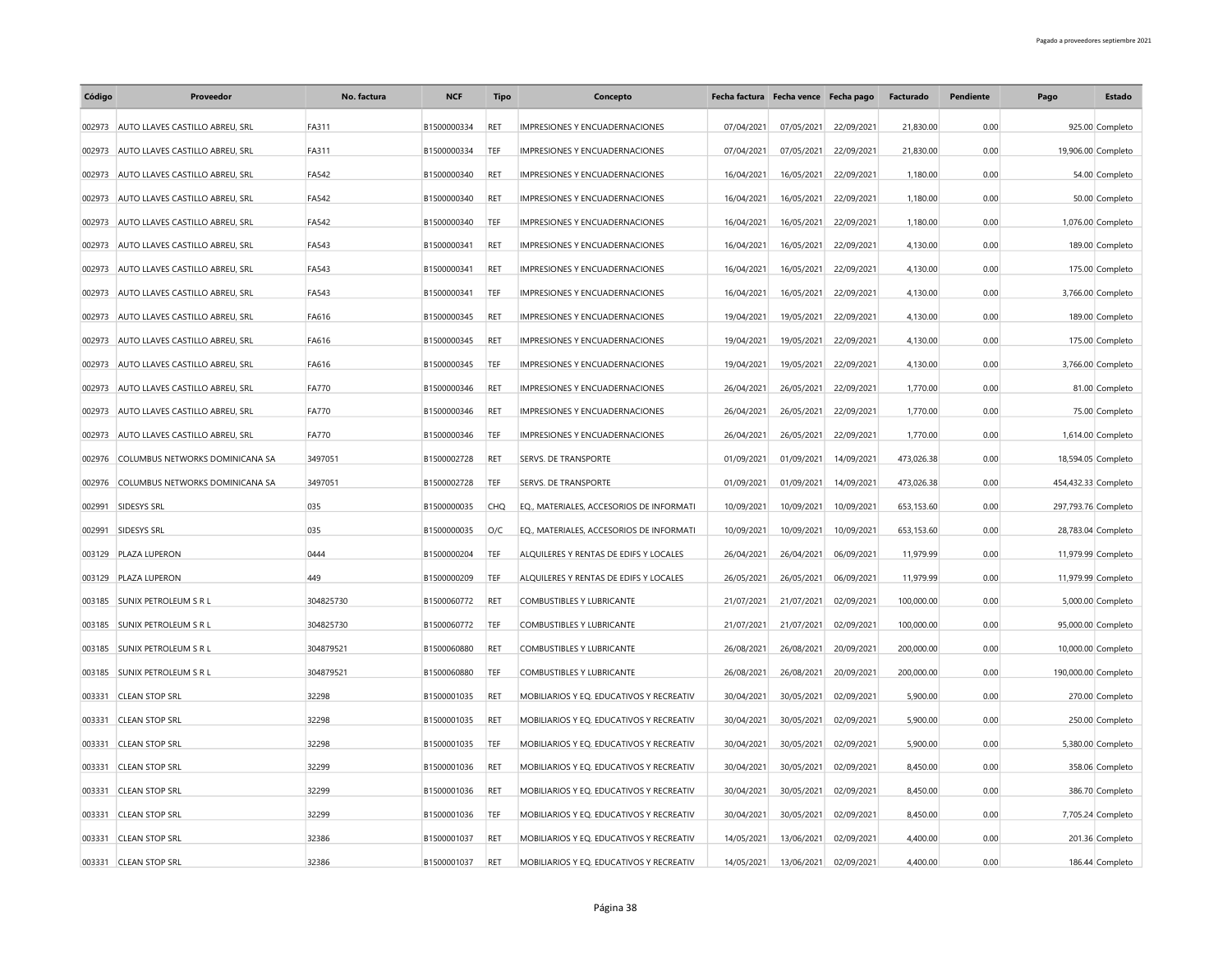| Código | Proveedor                       | No. factura  | <b>NCF</b>  | <b>Tipo</b> | Concepto                                 |            | Fecha factura Fecha vence Fecha pago |            | Facturado  | Pendiente | Pago                | Estado             |
|--------|---------------------------------|--------------|-------------|-------------|------------------------------------------|------------|--------------------------------------|------------|------------|-----------|---------------------|--------------------|
| 002973 | AUTO LLAVES CASTILLO ABREU, SRL | FA311        | B1500000334 | RET         | IMPRESIONES Y ENCUADERNACIONES           | 07/04/2021 | 07/05/2021                           | 22/09/2021 | 21,830.00  | 0.00      |                     | 925.00 Completo    |
| 002973 | AUTO LLAVES CASTILLO ABREU. SRL | FA311        | B1500000334 | TEF         | IMPRESIONES Y ENCUADERNACIONES           | 07/04/2021 | 07/05/2021                           | 22/09/2021 | 21.830.00  | 0.00      |                     | 19,906.00 Completo |
| 002973 | AUTO LLAVES CASTILLO ABREU, SRL | FA542        | B1500000340 | RET         | IMPRESIONES Y ENCUADERNACIONES           | 16/04/2021 | 16/05/2021                           | 22/09/2021 | 1,180.00   | 0.00      |                     | 54.00 Completo     |
| 002973 | AUTO LLAVES CASTILLO ABREU, SRL | FA542        | B1500000340 | RET         | IMPRESIONES Y ENCUADERNACIONES           | 16/04/2021 | 16/05/2021                           | 22/09/2021 | 1,180.00   | 0.00      |                     | 50.00 Completo     |
| 002973 | AUTO LLAVES CASTILLO ABREU. SRL | FA542        | B1500000340 | TEF         | IMPRESIONES Y ENCUADERNACIONES           | 16/04/2021 | 16/05/2021                           | 22/09/2021 | 1,180.00   | 0.00      |                     | 1,076.00 Completo  |
| 002973 | AUTO LLAVES CASTILLO ABREU, SRL | FA543        | B1500000341 | RET         | IMPRESIONES Y ENCUADERNACIONES           | 16/04/2021 | 16/05/2021                           | 22/09/2021 | 4,130.00   | 0.00      |                     | 189.00 Completo    |
| 002973 | AUTO LLAVES CASTILLO ABREU, SRL | FA543        | B1500000341 | RET         | IMPRESIONES Y ENCUADERNACIONES           | 16/04/2021 | 16/05/2021                           | 22/09/2021 | 4,130.00   | 0.00      |                     | 175.00 Completo    |
| 002973 | AUTO LLAVES CASTILLO ABREU, SRL | FA543        | B1500000341 | TEF         | IMPRESIONES Y ENCUADERNACIONES           | 16/04/2021 | 16/05/2021                           | 22/09/2021 | 4,130.00   | 0.00      |                     | 3,766.00 Completo  |
| 002973 | AUTO LLAVES CASTILLO ABREU, SRL | FA616        | B1500000345 | RET         | IMPRESIONES Y ENCUADERNACIONES           | 19/04/2021 | 19/05/2021                           | 22/09/2021 | 4,130.00   | 0.00      |                     | 189.00 Completo    |
| 002973 | AUTO LLAVES CASTILLO ABREU, SRL | FA616        | B1500000345 | RET         | IMPRESIONES Y ENCUADERNACIONES           | 19/04/2021 | 19/05/2021                           | 22/09/2021 | 4,130.00   | 0.00      |                     | 175.00 Completo    |
| 002973 | AUTO LLAVES CASTILLO ABREU, SRL | FA616        | B1500000345 | TEF         | IMPRESIONES Y ENCUADERNACIONES           | 19/04/2021 | 19/05/2021                           | 22/09/2021 | 4,130.00   | 0.00      |                     | 3,766.00 Completo  |
| 002973 | AUTO LLAVES CASTILLO ABREU, SRL | <b>FA770</b> | B1500000346 | RET         | IMPRESIONES Y ENCUADERNACIONES           | 26/04/2021 | 26/05/2021                           | 22/09/2021 | 1,770.00   | 0.00      |                     | 81.00 Completo     |
| 002973 | AUTO LLAVES CASTILLO ABREU, SRL | <b>FA770</b> | B1500000346 | RET         | IMPRESIONES Y ENCUADERNACIONES           | 26/04/2021 | 26/05/2021                           | 22/09/2021 | 1,770.00   | 0.00      |                     | 75.00 Completo     |
| 002973 | AUTO LLAVES CASTILLO ABREU, SRL | <b>FA770</b> | B1500000346 | TEF         | IMPRESIONES Y ENCUADERNACIONES           | 26/04/2021 | 26/05/2021                           | 22/09/2021 | 1,770.00   | 0.00      |                     | 1,614.00 Completo  |
| 002976 | COLUMBUS NETWORKS DOMINICANA SA | 3497051      | B1500002728 | RET         | <b>SERVS. DE TRANSPORTE</b>              | 01/09/2021 | 01/09/2021                           | 14/09/2021 | 473,026.38 | 0.00      |                     | 18,594.05 Completo |
| 002976 | COLUMBUS NETWORKS DOMINICANA SA | 3497051      | B1500002728 | TEF         | SERVS. DE TRANSPORTE                     | 01/09/2021 | 01/09/2021                           | 14/09/2021 | 473,026.38 | 0.00      | 454,432.33 Completo |                    |
| 002991 | SIDESYS SRL                     | 035          | B1500000035 | CHO         | EO., MATERIALES, ACCESORIOS DE INFORMATI | 10/09/2021 | 10/09/2021                           | 10/09/2021 | 653,153.60 | 0.00      | 297,793.76 Completo |                    |
| 002991 | <b>SIDESYS SRL</b>              | 035          | B1500000035 | O/C         | EO., MATERIALES, ACCESORIOS DE INFORMATI | 10/09/2021 | 10/09/2021                           | 10/09/2021 | 653.153.60 | 0.00      |                     | 28,783.04 Completo |
| 003129 | PLAZA LUPERON                   | 0444         | B1500000204 | TEF         | ALQUILERES Y RENTAS DE EDIFS Y LOCALES   | 26/04/2021 | 26/04/2021                           | 06/09/2021 | 11,979.99  | 0.00      |                     | 11,979.99 Completo |
|        | 003129 PLAZA LUPERON            | 449          | B1500000209 | TEF         | ALQUILERES Y RENTAS DE EDIFS Y LOCALES   | 26/05/2021 | 26/05/2021                           | 06/09/2021 | 11,979.99  | 0.00      |                     | 11,979.99 Completo |
| 003185 | SUNIX PETROLEUM S R L           | 304825730    | B1500060772 | RET         | COMBUSTIBLES Y LUBRICANTE                | 21/07/2021 | 21/07/2021                           | 02/09/2021 | 100,000.00 | 0.00      |                     | 5,000.00 Completo  |
| 003185 | <b>SUNIX PETROLEUM S R L</b>    | 304825730    | B1500060772 | TEF         | COMBUSTIBLES Y LUBRICANTE                | 21/07/2021 | 21/07/2021                           | 02/09/2021 | 100,000.00 | 0.00      |                     | 95,000.00 Completo |
| 003185 | <b>SUNIX PETROLEUM S R L</b>    | 304879521    | B1500060880 | RET         | <b>COMBUSTIBLES Y LUBRICANTE</b>         | 26/08/2021 | 26/08/2021                           | 20/09/2021 | 200,000.00 | 0.00      |                     | 10,000.00 Completo |
|        | 003185 SUNIX PETROLEUM S R L    | 304879521    | B1500060880 | TEF         | COMBUSTIBLES Y LUBRICANTE                | 26/08/2021 | 26/08/2021                           | 20/09/2021 | 200,000.00 | 0.00      | 190,000.00 Completo |                    |
| 003331 | <b>CLEAN STOP SRL</b>           | 32298        | B1500001035 | <b>RET</b>  | MOBILIARIOS Y EQ. EDUCATIVOS Y RECREATIV | 30/04/2021 | 30/05/2021                           | 02/09/2021 | 5,900.00   | 0.00      |                     | 270.00 Completo    |
| 003331 | <b>CLEAN STOP SRL</b>           | 32298        | B1500001035 | <b>RET</b>  | MOBILIARIOS Y EQ. EDUCATIVOS Y RECREATIV | 30/04/2021 | 30/05/2021                           | 02/09/2021 | 5,900.00   | 0.00      |                     | 250.00 Completo    |
| 003331 | <b>CLEAN STOP SRL</b>           | 32298        | B1500001035 | TEF         | MOBILIARIOS Y EQ. EDUCATIVOS Y RECREATIV | 30/04/2021 | 30/05/2021                           | 02/09/2021 | 5,900.00   | 0.00      |                     | 5,380.00 Completo  |
| 003331 | <b>CLEAN STOP SRL</b>           | 32299        | B1500001036 | RET         | MOBILIARIOS Y EQ. EDUCATIVOS Y RECREATIV | 30/04/2021 | 30/05/2021                           | 02/09/2021 | 8,450.00   | 0.00      |                     | 358.06 Completo    |
| 003331 | <b>CLEAN STOP SRL</b>           | 32299        | B1500001036 | RET         | MOBILIARIOS Y EQ. EDUCATIVOS Y RECREATIV | 30/04/2021 | 30/05/2021                           | 02/09/2021 | 8,450.00   | 0.00      |                     | 386.70 Completo    |
| 003331 | <b>CLEAN STOP SRL</b>           | 32299        | B1500001036 | TEF         | MOBILIARIOS Y EQ. EDUCATIVOS Y RECREATIV | 30/04/2021 | 30/05/2021                           | 02/09/2021 | 8,450.00   | 0.00      |                     | 7,705.24 Completo  |
| 003331 | <b>CLEAN STOP SRL</b>           | 32386        | B1500001037 | RET         | MOBILIARIOS Y EO. EDUCATIVOS Y RECREATIV | 14/05/2021 | 13/06/2021                           | 02/09/2021 | 4.400.00   | 0.00      |                     | 201.36 Completo    |
|        | 003331 CLEAN STOP SRL           | 32386        | B1500001037 | RFT         | MOBILIARIOS Y EQ. EDUCATIVOS Y RECREATIV | 14/05/2021 | 13/06/2021                           | 02/09/2021 | 4,400.00   | 0.00      |                     | 186.44 Completo    |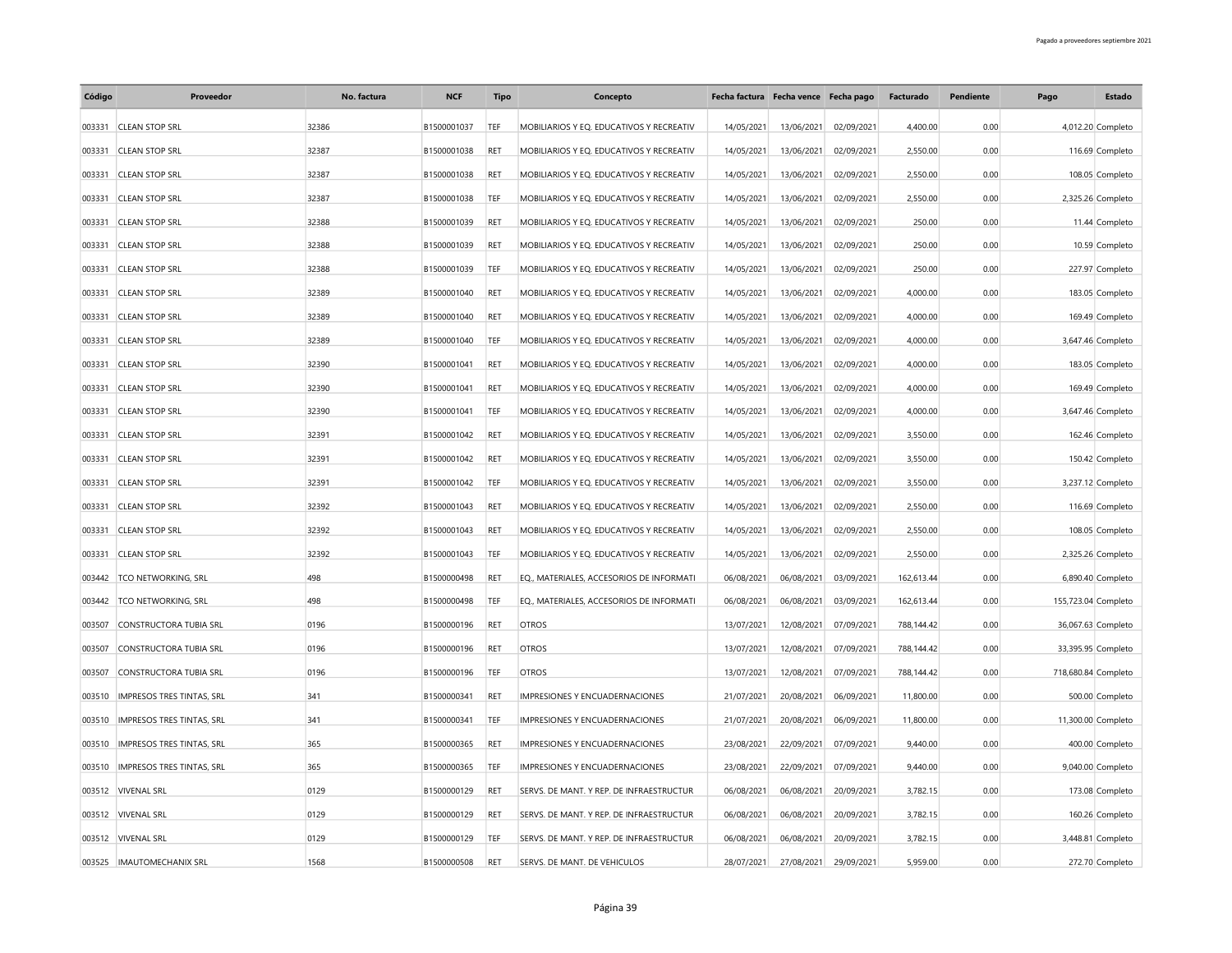| Código | Proveedor                     | No. factura | <b>NCF</b>  | <b>Tipo</b> | Concepto                                 | Fecha factura Fecha vence Fecha pago |            |            | Facturado  | Pendiente | Pago                | <b>Estado</b>      |
|--------|-------------------------------|-------------|-------------|-------------|------------------------------------------|--------------------------------------|------------|------------|------------|-----------|---------------------|--------------------|
| 003331 | <b>CLEAN STOP SRL</b>         | 32386       | B1500001037 | TEF         | MOBILIARIOS Y EQ. EDUCATIVOS Y RECREATIV | 14/05/2021                           | 13/06/2021 | 02/09/2021 | 4,400.00   | 0.00      |                     | 4,012.20 Completo  |
| 003331 | <b>CLEAN STOP SRL</b>         | 32387       | B1500001038 | <b>RET</b>  | MOBILIARIOS Y EO. EDUCATIVOS Y RECREATIV | 14/05/2021                           | 13/06/2021 | 02/09/2021 | 2,550.00   | 0.00      |                     | 116.69 Completo    |
| 003331 | <b>CLEAN STOP SRL</b>         | 32387       | B1500001038 | RET         | MOBILIARIOS Y EQ. EDUCATIVOS Y RECREATIV | 14/05/2021                           | 13/06/2021 | 02/09/2021 | 2,550.00   | 0.00      |                     | 108.05 Completo    |
| 003331 | <b>CLEAN STOP SRL</b>         | 32387       | B1500001038 | TEF         | MOBILIARIOS Y EQ. EDUCATIVOS Y RECREATIV | 14/05/2021                           | 13/06/2021 | 02/09/2021 | 2,550.00   | 0.00      |                     | 2,325.26 Completo  |
| 003331 | <b>CLEAN STOP SRL</b>         | 32388       | B1500001039 | RET         | MOBILIARIOS Y EO. EDUCATIVOS Y RECREATIV | 14/05/2021                           | 13/06/2021 | 02/09/2021 | 250.00     | 0.00      |                     | 11.44 Completo     |
| 003331 | <b>CLEAN STOP SRL</b>         | 32388       | B1500001039 | RET         | MOBILIARIOS Y EQ. EDUCATIVOS Y RECREATIV | 14/05/2021                           | 13/06/2021 | 02/09/2021 | 250.00     | 0.00      |                     | 10.59 Completo     |
| 003331 | <b>CLEAN STOP SRL</b>         | 32388       | B1500001039 | TEF         | MOBILIARIOS Y EQ. EDUCATIVOS Y RECREATIV | 14/05/2021                           | 13/06/2021 | 02/09/2021 | 250.00     | 0.00      |                     | 227.97 Completo    |
| 003331 | <b>CLEAN STOP SRL</b>         | 32389       | B1500001040 | RET         | MOBILIARIOS Y EQ. EDUCATIVOS Y RECREATIV | 14/05/2021                           | 13/06/2021 | 02/09/2021 | 4,000.00   | 0.00      |                     | 183.05 Completo    |
| 003331 | <b>CLEAN STOP SRL</b>         | 32389       | B1500001040 | <b>RET</b>  | MOBILIARIOS Y EQ. EDUCATIVOS Y RECREATIV | 14/05/2021                           | 13/06/2021 | 02/09/2021 | 4,000.00   | 0.00      |                     | 169.49 Completo    |
| 003331 | <b>CLEAN STOP SRL</b>         | 32389       | B1500001040 | TEF         | MOBILIARIOS Y EQ. EDUCATIVOS Y RECREATIV | 14/05/2021                           | 13/06/2021 | 02/09/2021 | 4,000.00   | 0.00      |                     | 3,647.46 Completo  |
| 003331 | <b>CLEAN STOP SRL</b>         | 32390       | B1500001041 | RET         | MOBILIARIOS Y EQ. EDUCATIVOS Y RECREATIV | 14/05/2021                           | 13/06/2021 | 02/09/2021 | 4,000.00   | 0.00      |                     | 183.05 Completo    |
| 003331 | <b>CLEAN STOP SRL</b>         | 32390       | B1500001041 | <b>RET</b>  | MOBILIARIOS Y EQ. EDUCATIVOS Y RECREATIV | 14/05/2021                           | 13/06/2021 | 02/09/2021 | 4,000.00   | 0.00      |                     | 169.49 Completo    |
| 003331 | <b>CLEAN STOP SRL</b>         | 32390       | B1500001041 | TEF         | MOBILIARIOS Y EQ. EDUCATIVOS Y RECREATIV | 14/05/2021                           | 13/06/2021 | 02/09/2021 | 4,000.00   | 0.00      |                     | 3,647.46 Completo  |
| 003331 | <b>CLEAN STOP SRL</b>         | 32391       | B1500001042 | RET         | MOBILIARIOS Y EQ. EDUCATIVOS Y RECREATIV | 14/05/2021                           | 13/06/2021 | 02/09/2021 | 3,550.00   | 0.00      |                     | 162.46 Completo    |
| 003331 | <b>CLEAN STOP SRL</b>         | 32391       | B1500001042 | RET         | MOBILIARIOS Y EQ. EDUCATIVOS Y RECREATIV | 14/05/2021                           | 13/06/2021 | 02/09/2021 | 3,550.00   | 0.00      |                     | 150.42 Completo    |
| 003331 | <b>CLEAN STOP SRL</b>         | 32391       | B1500001042 | TEF         | MOBILIARIOS Y EQ. EDUCATIVOS Y RECREATIV | 14/05/2021                           | 13/06/2021 | 02/09/2021 | 3,550.00   | 0.00      |                     | 3,237.12 Completo  |
| 003331 | <b>CLEAN STOP SRL</b>         | 32392       | B1500001043 | <b>RET</b>  | MOBILIARIOS Y EQ. EDUCATIVOS Y RECREATIV | 14/05/2021                           | 13/06/2021 | 02/09/2021 | 2,550.00   | 0.00      |                     | 116.69 Completo    |
| 003331 | <b>CLEAN STOP SRL</b>         | 32392       | B1500001043 | <b>RET</b>  | MOBILIARIOS Y EQ. EDUCATIVOS Y RECREATIV | 14/05/2021                           | 13/06/2021 | 02/09/2021 | 2,550.00   | 0.00      |                     | 108.05 Completo    |
| 003331 | <b>CLEAN STOP SRL</b>         | 32392       | B1500001043 | TEF         | MOBILIARIOS Y EQ. EDUCATIVOS Y RECREATIV | 14/05/2021                           | 13/06/2021 | 02/09/2021 | 2,550.00   | 0.00      |                     | 2,325.26 Completo  |
| 003442 | <b>TCO NETWORKING, SRL</b>    | 498         | B1500000498 | <b>RET</b>  | EQ., MATERIALES, ACCESORIOS DE INFORMATI | 06/08/2021                           | 06/08/2021 | 03/09/2021 | 162,613.44 | 0.00      |                     | 6,890.40 Completo  |
| 003442 | <b>TCO NETWORKING, SRL</b>    | 498         | B1500000498 | TEF         | EQ., MATERIALES, ACCESORIOS DE INFORMATI | 06/08/2021                           | 06/08/2021 | 03/09/2021 | 162,613.44 | 0.00      | 155,723.04 Completo |                    |
| 003507 | CONSTRUCTORA TUBIA SRL        | 0196        | B1500000196 | <b>RET</b>  | <b>OTROS</b>                             | 13/07/2021                           | 12/08/2021 | 07/09/2021 | 788,144.42 | 0.00      |                     | 36,067.63 Completo |
| 003507 | <b>CONSTRUCTORA TUBIA SRL</b> | 0196        | B1500000196 | RET         | <b>OTROS</b>                             | 13/07/2021                           | 12/08/2021 | 07/09/2021 | 788,144.42 | 0.00      |                     | 33,395.95 Completo |
| 003507 | CONSTRUCTORA TUBIA SRL        | 0196        | B1500000196 | TEF         | <b>OTROS</b>                             | 13/07/2021                           | 12/08/2021 | 07/09/2021 | 788,144.42 | 0.00      | 718,680.84 Completo |                    |
| 003510 | IMPRESOS TRES TINTAS, SRL     | 341         | B1500000341 | RET         | IMPRESIONES Y ENCUADERNACIONES           | 21/07/2021                           | 20/08/2021 | 06/09/2021 | 11,800.00  | 0.00      |                     | 500.00 Completo    |
| 003510 | IMPRESOS TRES TINTAS, SRL     | 341         | B1500000341 | TEF         | IMPRESIONES Y ENCUADERNACIONES           | 21/07/2021                           | 20/08/2021 | 06/09/2021 | 11,800.00  | 0.00      |                     | 11,300.00 Completo |
| 003510 | IMPRESOS TRES TINTAS, SRL     | 365         | B1500000365 | <b>RET</b>  | IMPRESIONES Y ENCUADERNACIONES           | 23/08/2021                           | 22/09/2021 | 07/09/2021 | 9,440.00   | 0.00      |                     | 400.00 Completo    |
| 003510 | IMPRESOS TRES TINTAS, SRL     | 365         | B1500000365 | TEF         | IMPRESIONES Y ENCUADERNACIONES           | 23/08/2021                           | 22/09/2021 | 07/09/2021 | 9,440.00   | 0.00      |                     | 9,040.00 Completo  |
| 003512 | <b>VIVENAL SRL</b>            | 0129        | B1500000129 | RET         | SERVS. DE MANT. Y REP. DE INFRAESTRUCTUR | 06/08/2021                           | 06/08/2021 | 20/09/2021 | 3,782.15   | 0.00      |                     | 173.08 Completo    |
|        | 003512 VIVENAL SRL            | 0129        | B1500000129 | <b>RET</b>  | SERVS. DE MANT. Y REP. DE INFRAESTRUCTUR | 06/08/2021                           | 06/08/2021 | 20/09/2021 | 3,782.15   | 0.00      |                     | 160.26 Completo    |
|        | 003512 VIVENAL SRL            | 0129        | B1500000129 | TEF         | SERVS. DE MANT. Y REP. DE INFRAESTRUCTUR | 06/08/2021                           | 06/08/2021 | 20/09/2021 | 3,782.15   | 0.00      |                     | 3,448.81 Completo  |
|        | 003525 IMAUTOMECHANIX SRL     | 1568        | B1500000508 | RFT         | SERVS. DE MANT. DE VEHICULOS             | 28/07/2021                           | 27/08/2021 | 29/09/2021 | 5,959.00   | 0.00      |                     | 272.70 Completo    |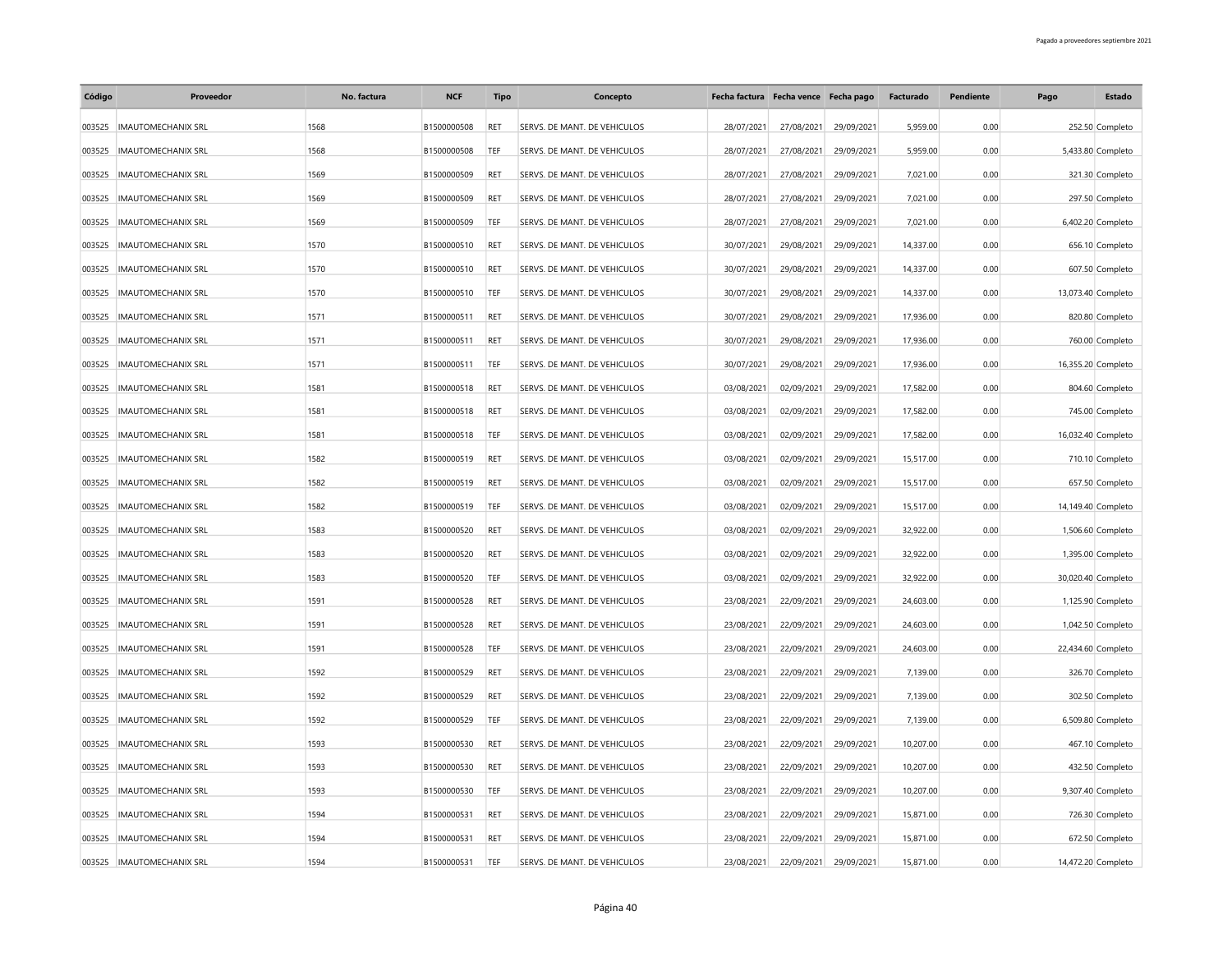| Código | Proveedor                 | No. factura | <b>NCF</b>  | <b>Tipo</b> | Concepto                     | Fecha factura Fecha vence Fecha pago |            |            | Facturado | Pendiente | Pago | <b>Estado</b>      |
|--------|---------------------------|-------------|-------------|-------------|------------------------------|--------------------------------------|------------|------------|-----------|-----------|------|--------------------|
| 003525 | <b>IMAUTOMECHANIX SRL</b> | 1568        | B1500000508 | <b>RET</b>  | SERVS. DE MANT. DE VEHICULOS | 28/07/2021                           | 27/08/2021 | 29/09/2021 | 5,959.00  | 0.00      |      | 252.50 Completo    |
| 003525 | <b>IMAUTOMECHANIX SRL</b> | 1568        | B1500000508 | TEF         | SERVS. DE MANT. DE VEHICULOS | 28/07/2021                           | 27/08/2021 | 29/09/2021 | 5,959.00  | 0.00      |      | 5,433.80 Completo  |
| 003525 | <b>IMAUTOMECHANIX SRL</b> | 1569        | B1500000509 | RET         | SERVS. DE MANT. DE VEHICULOS | 28/07/2021                           | 27/08/2021 | 29/09/2021 | 7,021.00  | 0.00      |      | 321.30 Completo    |
| 003525 | <b>IMAUTOMECHANIX SRL</b> | 1569        | B1500000509 | RET         | SERVS. DE MANT. DE VEHICULOS | 28/07/2021                           | 27/08/2021 | 29/09/2021 | 7,021.00  | 0.00      |      | 297.50 Completo    |
| 003525 | <b>IMAUTOMECHANIX SRL</b> | 1569        | B1500000509 | TEF         | SERVS. DE MANT. DE VEHICULOS | 28/07/2021                           | 27/08/2021 | 29/09/2021 | 7,021.00  | 0.00      |      | 6,402.20 Completo  |
| 003525 | <b>IMAUTOMECHANIX SRL</b> | 1570        | B1500000510 | RET         | SERVS. DE MANT. DE VEHICULOS | 30/07/2021                           | 29/08/2021 | 29/09/2021 | 14,337.00 | 0.00      |      | 656.10 Completo    |
| 003525 | <b>IMAUTOMECHANIX SRL</b> | 1570        | B1500000510 | RET         | SERVS. DE MANT. DE VEHICULOS | 30/07/2021                           | 29/08/2021 | 29/09/2021 | 14,337.00 | 0.00      |      | 607.50 Completo    |
| 003525 | <b>IMAUTOMECHANIX SRL</b> | 1570        | B1500000510 | TEF         | SERVS. DE MANT. DE VEHICULOS | 30/07/2021                           | 29/08/2021 | 29/09/2021 | 14,337.00 | 0.00      |      | 13,073.40 Completo |
| 003525 | <b>IMAUTOMECHANIX SRL</b> | 1571        | B1500000511 | RET         | SERVS. DE MANT. DE VEHICULOS | 30/07/2021                           | 29/08/2021 | 29/09/2021 | 17,936.00 | 0.00      |      | 820.80 Completo    |
| 003525 | <b>IMAUTOMECHANIX SRL</b> | 1571        | B1500000511 | <b>RET</b>  | SERVS. DE MANT. DE VEHICULOS | 30/07/2021                           | 29/08/2021 | 29/09/2021 | 17,936.00 | 0.00      |      | 760.00 Completo    |
| 003525 | <b>IMAUTOMECHANIX SRL</b> | 1571        | B1500000511 | TEF         | SERVS. DE MANT. DE VEHICULOS | 30/07/2021                           | 29/08/2021 | 29/09/2021 | 17,936.00 | 0.00      |      | 16,355.20 Completo |
| 003525 | <b>IMAUTOMECHANIX SRL</b> | 1581        | B1500000518 | RET         | SERVS. DE MANT. DE VEHICULOS | 03/08/2021                           | 02/09/2021 | 29/09/2021 | 17,582.00 | 0.00      |      | 804.60 Completo    |
| 003525 | <b>IMAUTOMECHANIX SRL</b> | 1581        | B1500000518 | RET         | SERVS. DE MANT. DE VEHICULOS | 03/08/2021                           | 02/09/2021 | 29/09/2021 | 17,582.00 | 0.00      |      | 745.00 Completo    |
| 003525 | <b>IMAUTOMECHANIX SRL</b> | 1581        | B1500000518 | TEF         | SERVS. DE MANT. DE VEHICULOS | 03/08/2021                           | 02/09/2021 | 29/09/2021 | 17,582.00 | 0.00      |      | 16,032.40 Completo |
| 003525 | <b>IMAUTOMECHANIX SRL</b> | 1582        | B1500000519 | RET         | SERVS. DE MANT. DE VEHICULOS | 03/08/2021                           | 02/09/2021 | 29/09/2021 | 15,517.00 | 0.00      |      | 710.10 Completo    |
| 003525 | <b>IMAUTOMECHANIX SRL</b> | 1582        | B1500000519 | RET         | SERVS. DE MANT. DE VEHICULOS | 03/08/2021                           | 02/09/2021 | 29/09/2021 | 15,517.00 | 0.00      |      | 657.50 Completo    |
| 003525 | <b>IMAUTOMECHANIX SRL</b> | 1582        | B1500000519 | TEF         | SERVS. DE MANT. DE VEHICULOS | 03/08/2021                           | 02/09/2021 | 29/09/2021 | 15,517.00 | 0.00      |      | 14,149.40 Completo |
| 003525 | <b>IMAUTOMECHANIX SRL</b> | 1583        | B1500000520 | RET         | SERVS. DE MANT. DE VEHICULOS | 03/08/2021                           | 02/09/2021 | 29/09/2021 | 32,922.00 | 0.00      |      | 1,506.60 Completo  |
| 003525 | <b>IMAUTOMECHANIX SRL</b> | 1583        | B1500000520 | RET         | SERVS. DE MANT. DE VEHICULOS | 03/08/2021                           | 02/09/2021 | 29/09/2021 | 32,922.00 | 0.00      |      | 1,395.00 Completo  |
| 003525 | <b>IMAUTOMECHANIX SRL</b> | 1583        | B1500000520 | TFF         | SERVS. DE MANT. DE VEHICULOS | 03/08/2021                           | 02/09/2021 | 29/09/2021 | 32,922.00 | 0.00      |      | 30,020.40 Completo |
| 003525 | <b>IMAUTOMECHANIX SRL</b> | 1591        | B1500000528 | RET         | SERVS. DE MANT. DE VEHICULOS | 23/08/2021                           | 22/09/2021 | 29/09/2021 | 24,603.00 | 0.00      |      | 1,125.90 Completo  |
| 003525 | <b>IMAUTOMECHANIX SRL</b> | 1591        | B1500000528 | RET         | SERVS. DE MANT. DE VEHICULOS | 23/08/2021                           | 22/09/2021 | 29/09/2021 | 24,603.00 | 0.00      |      | 1,042.50 Completo  |
| 003525 | <b>IMAUTOMECHANIX SRL</b> | 1591        | B1500000528 | TEF         | SERVS. DE MANT. DE VEHICULOS | 23/08/2021                           | 22/09/2021 | 29/09/2021 | 24,603.00 | 0.00      |      | 22,434.60 Completo |
| 003525 | <b>IMAUTOMECHANIX SRL</b> | 1592        | B1500000529 | RET         | SERVS. DE MANT. DE VEHICULOS | 23/08/2021                           | 22/09/2021 | 29/09/2021 | 7,139.00  | 0.00      |      | 326.70 Completo    |
| 003525 | <b>IMAUTOMECHANIX SRL</b> | 1592        | B1500000529 | RET         | SERVS. DE MANT. DE VEHICULOS | 23/08/2021                           | 22/09/2021 | 29/09/2021 | 7,139.00  | 0.00      |      | 302.50 Completo    |
| 003525 | <b>IMAUTOMECHANIX SRL</b> | 1592        | B1500000529 | TEF         | SERVS. DE MANT. DE VEHICULOS | 23/08/2021                           | 22/09/2021 | 29/09/2021 | 7,139.00  | 0.00      |      | 6,509.80 Completo  |
| 003525 | <b>IMAUTOMECHANIX SRL</b> | 1593        | B1500000530 | RET         | SERVS. DE MANT. DE VEHICULOS | 23/08/2021                           | 22/09/2021 | 29/09/2021 | 10,207.00 | 0.00      |      | 467.10 Completo    |
| 003525 | <b>IMAUTOMECHANIX SRL</b> | 1593        | B1500000530 | <b>RET</b>  | SERVS. DE MANT. DE VEHICULOS | 23/08/2021                           | 22/09/2021 | 29/09/2021 | 10,207.00 | 0.00      |      | 432.50 Completo    |
| 003525 | <b>IMAUTOMECHANIX SRL</b> | 1593        | B1500000530 | TEF         | SERVS. DE MANT. DE VEHICULOS | 23/08/2021                           | 22/09/2021 | 29/09/2021 | 10,207.00 | 0.00      |      | 9,307.40 Completo  |
| 003525 | <b>IMAUTOMECHANIX SRL</b> | 1594        | B1500000531 | RET         | SERVS. DE MANT. DE VEHICULOS | 23/08/2021                           | 22/09/2021 | 29/09/2021 | 15,871.00 | 0.00      |      | 726.30 Completo    |
| 003525 | <b>IMAUTOMECHANIX SRL</b> | 1594        | B1500000531 | RET         | SERVS. DE MANT. DE VEHICULOS | 23/08/2021                           | 22/09/2021 | 29/09/2021 | 15,871.00 | 0.00      |      | 672.50 Completo    |
|        | 003525 IMAUTOMECHANIX SRL | 1594        | B1500000531 | TEF         | SERVS. DE MANT. DE VEHICULOS | 23/08/2021                           | 22/09/2021 | 29/09/2021 | 15.871.00 | 0.00      |      | 14,472.20 Completo |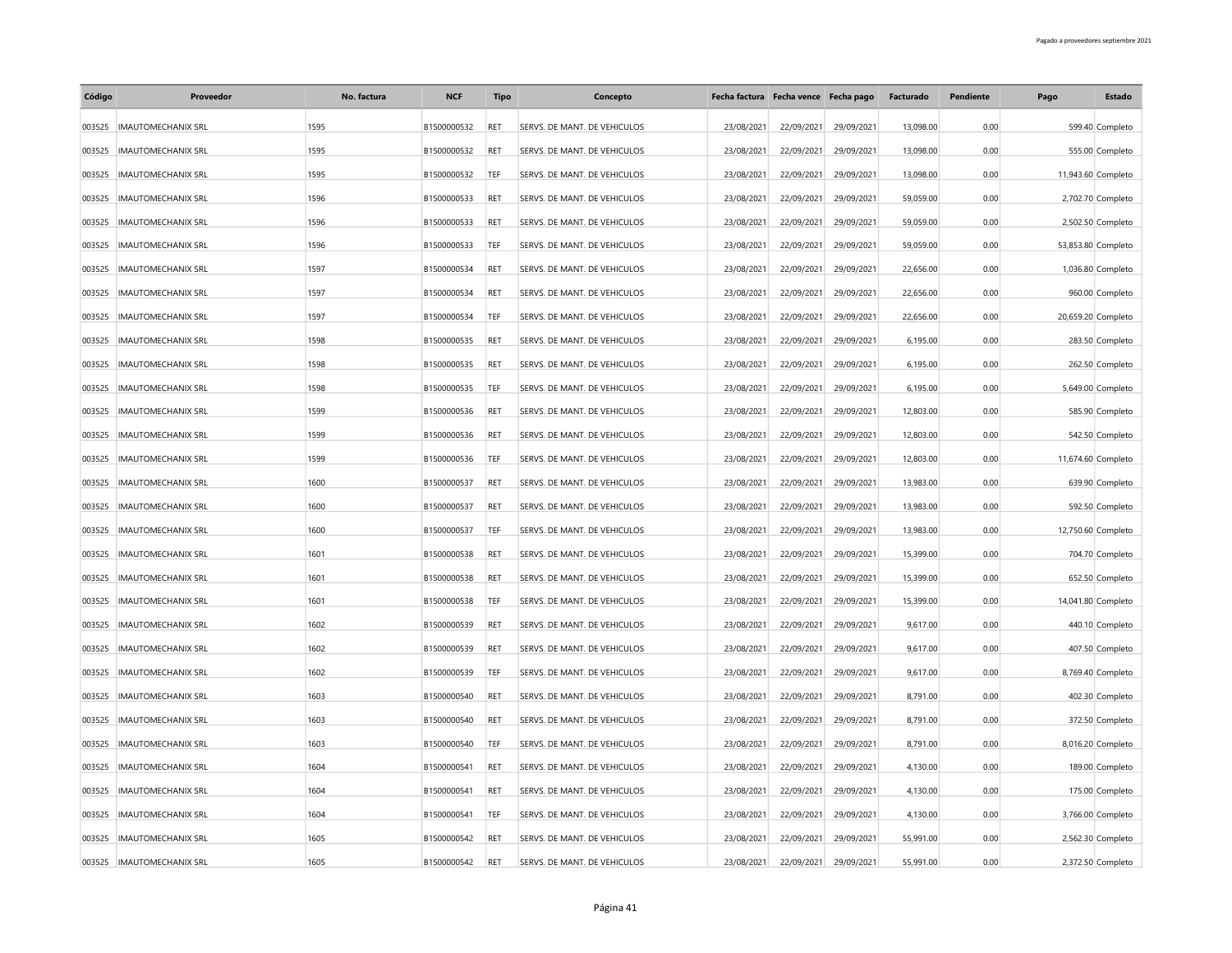| Código | Proveedor                 | No. factura | <b>NCF</b>  | <b>Tipo</b> | Concepto                     |            | Fecha factura Fecha vence Fecha pago |            | Facturado | Pendiente | Pago | <b>Estado</b>      |
|--------|---------------------------|-------------|-------------|-------------|------------------------------|------------|--------------------------------------|------------|-----------|-----------|------|--------------------|
| 003525 | <b>IMAUTOMECHANIX SRL</b> | 1595        | B1500000532 | <b>RET</b>  | SERVS. DE MANT. DE VEHICULOS | 23/08/2021 | 22/09/2021                           | 29/09/2021 | 13,098.00 | 0.00      |      | 599.40 Completo    |
| 003525 | <b>IMAUTOMECHANIX SRL</b> | 1595        | B1500000532 | RET         | SERVS. DE MANT. DE VEHICULOS | 23/08/2021 | 22/09/2021                           | 29/09/2021 | 13,098.00 | 0.00      |      | 555.00 Completo    |
| 003525 | <b>IMAUTOMECHANIX SRL</b> | 1595        | B1500000532 | TEF         | SERVS. DE MANT. DE VEHICULOS | 23/08/2021 | 22/09/2021                           | 29/09/2021 | 13,098.00 | 0.00      |      | 11,943.60 Completo |
| 003525 | <b>IMAUTOMECHANIX SRL</b> | 1596        | B1500000533 | RET         | SERVS. DE MANT. DE VEHICULOS | 23/08/2021 | 22/09/2021                           | 29/09/2021 | 59,059.00 | 0.00      |      | 2,702.70 Completo  |
| 003525 | <b>IMAUTOMECHANIX SRL</b> | 1596        | B1500000533 | RET         | SERVS. DE MANT. DE VEHICULOS | 23/08/2021 | 22/09/2021                           | 29/09/2021 | 59,059.00 | 0.00      |      | 2,502.50 Completo  |
| 003525 | <b>IMAUTOMECHANIX SRL</b> | 1596        | B1500000533 | TEF         | SERVS. DE MANT. DE VEHICULOS | 23/08/2021 | 22/09/2021                           | 29/09/2021 | 59,059.00 | 0.00      |      | 53,853.80 Completo |
| 003525 | <b>IMAUTOMECHANIX SRL</b> | 1597        | B1500000534 | RET         | SERVS. DE MANT. DE VEHICULOS | 23/08/2021 | 22/09/2021                           | 29/09/2021 | 22,656.00 | 0.00      |      | 1,036.80 Completo  |
| 003525 | <b>IMAUTOMECHANIX SRL</b> | 1597        | B1500000534 | RET         | SERVS. DE MANT. DE VEHICULOS | 23/08/2021 | 22/09/2021                           | 29/09/2021 | 22,656.00 | 0.00      |      | 960.00 Completo    |
| 003525 | <b>IMAUTOMECHANIX SRL</b> | 1597        | B1500000534 | TEF         | SERVS. DE MANT. DE VEHICULOS | 23/08/2021 | 22/09/2021                           | 29/09/2021 | 22,656.00 | 0.00      |      | 20,659.20 Completo |
| 003525 | <b>IMAUTOMECHANIX SRL</b> | 1598        | B1500000535 | <b>RET</b>  | SERVS. DE MANT. DE VEHICULOS | 23/08/2021 | 22/09/2021                           | 29/09/2021 | 6,195.00  | 0.00      |      | 283.50 Completo    |
| 003525 | <b>IMAUTOMECHANIX SRL</b> | 1598        | B1500000535 | RET         | SERVS. DE MANT. DE VEHICULOS | 23/08/2021 | 22/09/2021                           | 29/09/2021 | 6,195.00  | 0.00      |      | 262.50 Completo    |
| 003525 | <b>IMAUTOMECHANIX SRL</b> | 1598        | B1500000535 | TEF         | SERVS. DE MANT. DE VEHICULOS | 23/08/2021 | 22/09/2021                           | 29/09/2021 | 6,195.00  | 0.00      |      | 5,649.00 Completo  |
| 003525 | <b>IMAUTOMECHANIX SRL</b> | 1599        | B1500000536 | RET         | SERVS. DE MANT. DE VEHICULOS | 23/08/2021 | 22/09/2021                           | 29/09/2021 | 12,803.00 | 0.00      |      | 585.90 Completo    |
| 003525 | <b>IMAUTOMECHANIX SRL</b> | 1599        | B1500000536 | RET         | SERVS. DE MANT. DE VEHICULOS | 23/08/2021 | 22/09/2021                           | 29/09/2021 | 12,803.00 | 0.00      |      | 542.50 Completo    |
| 003525 | <b>IMAUTOMECHANIX SRL</b> | 1599        | B1500000536 | TEF         | SERVS. DE MANT. DE VEHICULOS | 23/08/2021 | 22/09/2021                           | 29/09/2021 | 12,803.00 | 0.00      |      | 11,674.60 Completo |
| 003525 | <b>IMAUTOMECHANIX SRL</b> | 1600        | B1500000537 | RET         | SERVS. DE MANT. DE VEHICULOS | 23/08/2021 | 22/09/2021                           | 29/09/2021 | 13,983.00 | 0.00      |      | 639.90 Completo    |
| 003525 | <b>IMAUTOMECHANIX SRL</b> | 1600        | B1500000537 | RET         | SERVS. DE MANT. DE VEHICULOS | 23/08/2021 | 22/09/2021                           | 29/09/2021 | 13,983.00 | 0.00      |      | 592.50 Completo    |
| 003525 | <b>IMAUTOMECHANIX SRL</b> | 1600        | B1500000537 | TEF         | SERVS. DE MANT. DE VEHICULOS | 23/08/2021 | 22/09/2021                           | 29/09/2021 | 13,983.00 | 0.00      |      | 12,750.60 Completo |
| 003525 | <b>IMAUTOMECHANIX SRL</b> | 1601        | B1500000538 | RET         | SERVS. DE MANT. DE VEHICULOS | 23/08/2021 | 22/09/2021                           | 29/09/2021 | 15,399.00 | 0.00      |      | 704.70 Completo    |
| 003525 | <b>IMAUTOMECHANIX SRL</b> | 1601        | B1500000538 | RET         | SERVS. DE MANT. DE VEHICULOS | 23/08/2021 | 22/09/2021                           | 29/09/2021 | 15,399.00 | 0.00      |      | 652.50 Completo    |
| 003525 | <b>IMAUTOMECHANIX SRL</b> | 1601        | B1500000538 | TEF         | SERVS. DE MANT. DE VEHICULOS | 23/08/2021 | 22/09/2021                           | 29/09/2021 | 15,399.00 | 0.00      |      | 14,041.80 Completo |
| 003525 | <b>IMAUTOMECHANIX SRL</b> | 1602        | B1500000539 | RET         | SERVS. DE MANT. DE VEHICULOS | 23/08/2021 | 22/09/2021                           | 29/09/2021 | 9,617.00  | 0.00      |      | 440.10 Completo    |
| 003525 | <b>IMAUTOMECHANIX SRL</b> | 1602        | B1500000539 | RET         | SERVS. DE MANT. DE VEHICULOS | 23/08/2021 | 22/09/2021                           | 29/09/2021 | 9,617.00  | 0.00      |      | 407.50 Completo    |
| 003525 | <b>IMAUTOMECHANIX SRL</b> | 1602        | B1500000539 | TEF         | SERVS. DE MANT. DE VEHICULOS | 23/08/2021 | 22/09/2021                           | 29/09/2021 | 9,617.00  | 0.00      |      | 8,769.40 Completo  |
| 003525 | <b>IMAUTOMECHANIX SRL</b> | 1603        | B1500000540 | RET         | SERVS. DE MANT. DE VEHICULOS | 23/08/2021 | 22/09/2021                           | 29/09/2021 | 8,791.00  | 0.00      |      | 402.30 Completo    |
| 003525 | <b>IMAUTOMECHANIX SRL</b> | 1603        | B1500000540 | RET         | SERVS. DE MANT. DE VEHICULOS | 23/08/2021 | 22/09/2021                           | 29/09/2021 | 8,791.00  | 0.00      |      | 372.50 Completo    |
| 003525 | <b>IMAUTOMECHANIX SRL</b> | 1603        | B1500000540 | TEF         | SERVS. DE MANT. DE VEHICULOS | 23/08/2021 | 22/09/2021                           | 29/09/2021 | 8,791.00  | 0.00      |      | 8,016.20 Completo  |
| 003525 | <b>IMAUTOMECHANIX SRL</b> | 1604        | B1500000541 | <b>RET</b>  | SERVS. DE MANT. DE VEHICULOS | 23/08/2021 | 22/09/2021                           | 29/09/2021 | 4,130.00  | 0.00      |      | 189.00 Completo    |
| 003525 | <b>IMAUTOMECHANIX SRL</b> | 1604        | B1500000541 | RET         | SERVS. DE MANT. DE VEHICULOS | 23/08/2021 | 22/09/2021                           | 29/09/2021 | 4,130.00  | 0.00      |      | 175.00 Completo    |
| 003525 | <b>IMAUTOMECHANIX SRL</b> | 1604        | B1500000541 | TEF         | SERVS. DE MANT. DE VEHICULOS | 23/08/2021 | 22/09/2021                           | 29/09/2021 | 4,130.00  | 0.00      |      | 3,766.00 Completo  |
| 003525 | <b>IMAUTOMECHANIX SRL</b> | 1605        | B1500000542 | RET         | SERVS. DE MANT. DE VEHICULOS | 23/08/2021 | 22/09/2021                           | 29/09/2021 | 55,991.00 | 0.00      |      | 2,562.30 Completo  |
|        | 003525 IMAUTOMECHANIX SRL | 1605        | B1500000542 | RET         | SERVS. DE MANT. DE VEHICULOS | 23/08/2021 | 22/09/2021                           | 29/09/2021 | 55.991.00 | 0.00      |      | 2,372.50 Completo  |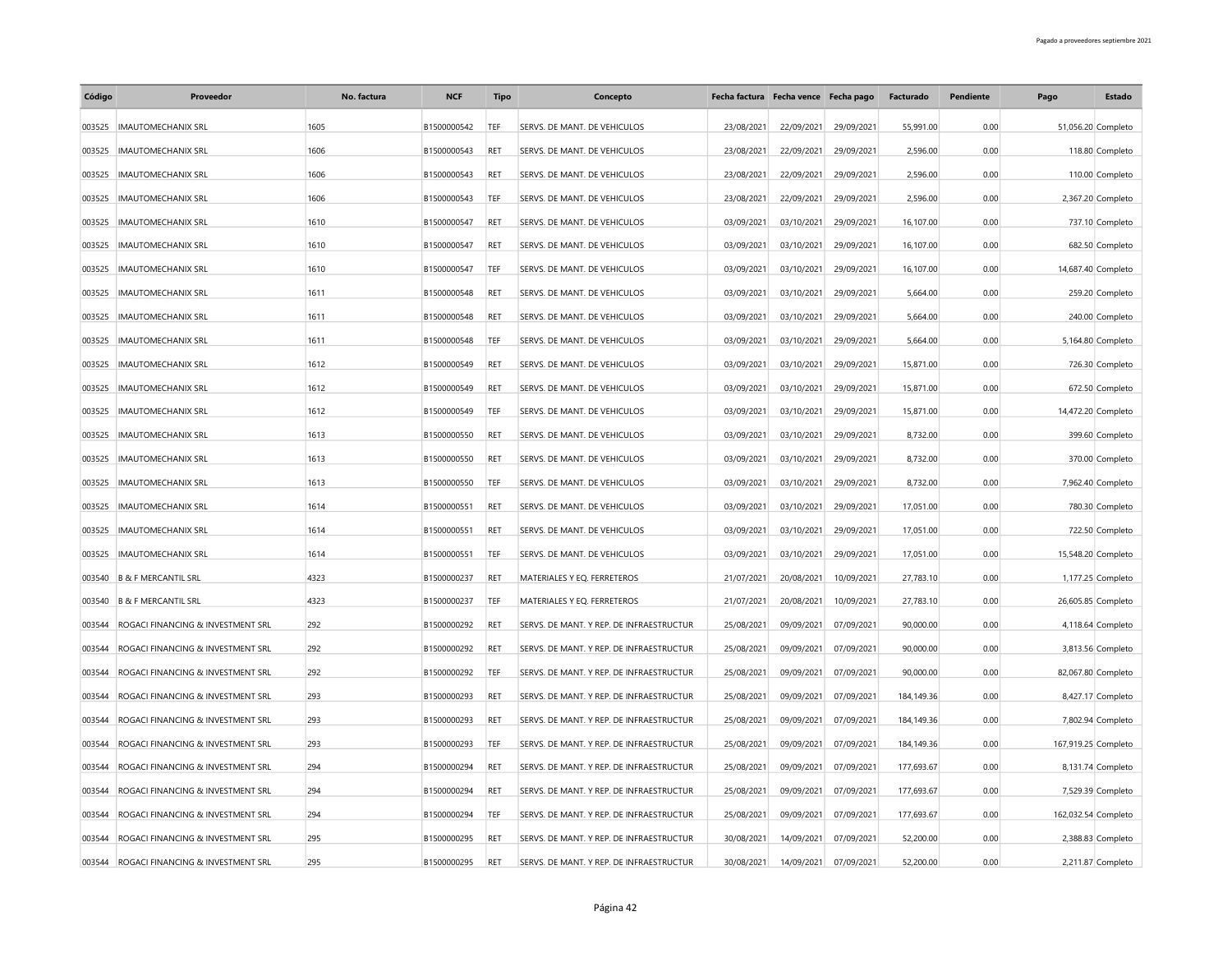| Código | Proveedor                                | No. factura | <b>NCF</b>  | <b>Tipo</b> | Concepto                                 | Fecha factura Fecha vence Fecha pago |            |            | Facturado    | Pendiente | Pago                | <b>Estado</b>      |
|--------|------------------------------------------|-------------|-------------|-------------|------------------------------------------|--------------------------------------|------------|------------|--------------|-----------|---------------------|--------------------|
| 003525 | <b>IMAUTOMECHANIX SRL</b>                | 1605        | B1500000542 | TEF         | SERVS. DE MANT. DE VEHICULOS             | 23/08/2021                           | 22/09/2021 | 29/09/2021 | 55,991.00    | 0.00      |                     | 51,056.20 Completo |
| 003525 | <b>IMAUTOMECHANIX SRL</b>                | 1606        | B1500000543 | RET         | SERVS. DE MANT. DE VEHICULOS             | 23/08/2021                           | 22/09/2021 | 29/09/2021 | 2,596.00     | 0.00      |                     | 118.80 Completo    |
| 003525 | <b>IMAUTOMECHANIX SRL</b>                | 1606        | B1500000543 | RET         | SERVS. DE MANT. DE VEHICULOS             | 23/08/2021                           | 22/09/2021 | 29/09/2021 | 2,596.00     | 0.00      |                     | 110.00 Completo    |
| 003525 | <b>IMAUTOMECHANIX SRL</b>                | 1606        | B1500000543 | TEF         | SERVS. DE MANT. DE VEHICULOS             | 23/08/2021                           | 22/09/2021 | 29/09/2021 | 2,596.00     | 0.00      |                     | 2,367.20 Completo  |
| 003525 | <b>IMAUTOMECHANIX SRL</b>                | 1610        | B1500000547 | RET         | SERVS. DE MANT. DE VEHICULOS             | 03/09/2021                           | 03/10/2021 | 29/09/2021 | 16,107.00    | 0.00      |                     | 737.10 Completo    |
| 003525 | <b>IMAUTOMECHANIX SRL</b>                | 1610        | B1500000547 | RET         | SERVS. DE MANT. DE VEHICULOS             | 03/09/2021                           | 03/10/2021 | 29/09/2021 | 16,107.00    | 0.00      |                     | 682.50 Completo    |
| 003525 | <b>IMAUTOMECHANIX SRL</b>                | 1610        | B1500000547 | TEF         | SERVS. DE MANT. DE VEHICULOS             | 03/09/2021                           | 03/10/2021 | 29/09/2021 | 16,107.00    | 0.00      |                     | 14,687.40 Completo |
| 003525 | <b>IMAUTOMECHANIX SRL</b>                | 1611        | B1500000548 | RET         | SERVS. DE MANT. DE VEHICULOS             | 03/09/2021                           | 03/10/2021 | 29/09/2021 | 5,664.00     | 0.00      |                     | 259.20 Completo    |
| 003525 | <b>IMAUTOMECHANIX SRL</b>                | 1611        | B1500000548 | RET         | SERVS. DE MANT. DE VEHICULOS             | 03/09/2021                           | 03/10/2021 | 29/09/2021 | 5,664.00     | 0.00      |                     | 240.00 Completo    |
| 003525 | <b>IMAUTOMECHANIX SRL</b>                | 1611        | B1500000548 | TEF         | SERVS. DE MANT. DE VEHICULOS             | 03/09/2021                           | 03/10/2021 | 29/09/2021 | 5,664.00     | 0.00      |                     | 5,164.80 Completo  |
| 003525 | <b>IMAUTOMECHANIX SRL</b>                | 1612        | B1500000549 | RET         | SERVS. DE MANT. DE VEHICULOS             | 03/09/2021                           | 03/10/2021 | 29/09/2021 | 15,871.00    | 0.00      |                     | 726.30 Completo    |
| 003525 | <b>IMAUTOMECHANIX SRL</b>                | 1612        | B1500000549 | RET         | SERVS. DE MANT. DE VEHICULOS             | 03/09/2021                           | 03/10/2021 | 29/09/2021 | 15,871.00    | 0.00      |                     | 672.50 Completo    |
| 003525 | <b>IMAUTOMECHANIX SRL</b>                | 1612        | B1500000549 | TEF         | SERVS. DE MANT. DE VEHICULOS             | 03/09/2021                           | 03/10/2021 | 29/09/2021 | 15,871.00    | 0.00      |                     | 14,472.20 Completo |
| 003525 | <b>IMAUTOMECHANIX SRL</b>                | 1613        | B1500000550 | <b>RET</b>  | SERVS. DE MANT. DE VEHICULOS             | 03/09/2021                           | 03/10/2021 | 29/09/2021 | 8,732.00     | 0.00      |                     | 399.60 Completo    |
| 003525 | <b>IMAUTOMECHANIX SRL</b>                | 1613        | B1500000550 | RET         | SERVS. DE MANT. DE VEHICULOS             | 03/09/2021                           | 03/10/2021 | 29/09/2021 | 8,732.00     | 0.00      |                     | 370.00 Completo    |
| 003525 | <b>IMAUTOMECHANIX SRL</b>                | 1613        | B1500000550 | TEF         | SERVS. DE MANT. DE VEHICULOS             | 03/09/2021                           | 03/10/2021 | 29/09/2021 | 8,732.00     | 0.00      |                     | 7,962.40 Completo  |
| 003525 | <b>IMAUTOMECHANIX SRL</b>                | 1614        | B1500000551 | RET         | SERVS. DE MANT. DE VEHICULOS             | 03/09/2021                           | 03/10/2021 | 29/09/2021 | 17,051.00    | 0.00      |                     | 780.30 Completo    |
| 003525 | <b>IMAUTOMECHANIX SRL</b>                | 1614        | B1500000551 | RET         | SERVS. DE MANT. DE VEHICULOS             | 03/09/2021                           | 03/10/2021 | 29/09/2021 | 17,051.00    | 0.00      |                     | 722.50 Completo    |
| 003525 | <b>IMAUTOMECHANIX SRL</b>                | 1614        | B1500000551 | TEF         | SERVS. DE MANT. DE VEHICULOS             | 03/09/2021                           | 03/10/2021 | 29/09/2021 | 17,051.00    | 0.00      |                     | 15,548.20 Completo |
|        | 003540 B & F MERCANTIL SRL               | 4323        | B1500000237 | RET         | MATERIALES Y EQ. FERRETEROS              | 21/07/2021                           | 20/08/2021 | 10/09/2021 | 27,783.10    | 0.00      |                     | 1,177.25 Completo  |
|        | 003540 B & F MERCANTIL SRL               | 4323        | B1500000237 | TEF         | MATERIALES Y EQ. FERRETEROS              | 21/07/2021                           | 20/08/2021 | 10/09/2021 | 27,783.10    | 0.00      |                     | 26,605.85 Completo |
| 003544 | ROGACI FINANCING & INVESTMENT SRL        | 292         | B1500000292 | RET         | SERVS. DE MANT. Y REP. DE INFRAESTRUCTUR | 25/08/2021                           | 09/09/2021 | 07/09/2021 | 90,000.00    | 0.00      |                     | 4,118.64 Completo  |
| 003544 | ROGACI FINANCING & INVESTMENT SRL        | 292         | B1500000292 | RET         | SERVS. DE MANT. Y REP. DE INFRAESTRUCTUR | 25/08/2021                           | 09/09/2021 | 07/09/2021 | 90,000.00    | 0.00      |                     | 3,813.56 Completo  |
| 003544 | ROGACI FINANCING & INVESTMENT SRL        | 292         | B1500000292 | TEF         | SERVS. DE MANT. Y REP. DE INFRAESTRUCTUR | 25/08/2021                           | 09/09/2021 | 07/09/2021 | 90,000.00    | 0.00      |                     | 82,067.80 Completo |
| 003544 | ROGACI FINANCING & INVESTMENT SRL        | 293         | B1500000293 | RET         | SERVS. DE MANT. Y REP. DE INFRAESTRUCTUR | 25/08/2021                           | 09/09/2021 | 07/09/2021 | 184, 149. 36 | 0.00      |                     | 8,427.17 Completo  |
| 003544 | ROGACI FINANCING & INVESTMENT SRL        | 293         | B1500000293 | RET         | SERVS. DE MANT. Y REP. DE INFRAESTRUCTUR | 25/08/2021                           | 09/09/2021 | 07/09/2021 | 184, 149. 36 | 0.00      |                     | 7,802.94 Completo  |
| 003544 | ROGACI FINANCING & INVESTMENT SRL        | 293         | B1500000293 | TEF         | SERVS. DE MANT. Y REP. DE INFRAESTRUCTUR | 25/08/2021                           | 09/09/2021 | 07/09/2021 | 184, 149. 36 | 0.00      | 167,919.25 Completo |                    |
| 003544 | ROGACI FINANCING & INVESTMENT SRL        | 294         | B1500000294 | <b>RET</b>  | SERVS. DE MANT. Y REP. DE INFRAESTRUCTUR | 25/08/2021                           | 09/09/2021 | 07/09/2021 | 177,693.67   | 0.00      |                     | 8,131.74 Completo  |
| 003544 | ROGACI FINANCING & INVESTMENT SRL        | 294         | B1500000294 | RET         | SERVS. DE MANT. Y REP. DE INFRAESTRUCTUR | 25/08/2021                           | 09/09/2021 | 07/09/2021 | 177,693.67   | 0.00      |                     | 7,529.39 Completo  |
| 003544 | ROGACI FINANCING & INVESTMENT SRL        | 294         | B1500000294 | TEF         | SERVS. DE MANT. Y REP. DE INFRAESTRUCTUR | 25/08/2021                           | 09/09/2021 | 07/09/2021 | 177,693.67   | 0.00      | 162,032.54 Completo |                    |
| 003544 | ROGACI FINANCING & INVESTMENT SRL        | 295         | B1500000295 | RET         | SERVS. DE MANT. Y REP. DE INFRAESTRUCTUR | 30/08/2021                           | 14/09/2021 | 07/09/2021 | 52,200.00    | 0.00      |                     | 2,388.83 Completo  |
|        | 003544 ROGACI FINANCING & INVESTMENT SRL | 295         | B1500000295 | RET         | SERVS. DE MANT. Y REP. DE INFRAESTRUCTUR | 30/08/2021                           | 14/09/2021 | 07/09/2021 | 52,200.00    | 0.00      |                     | 2,211.87 Completo  |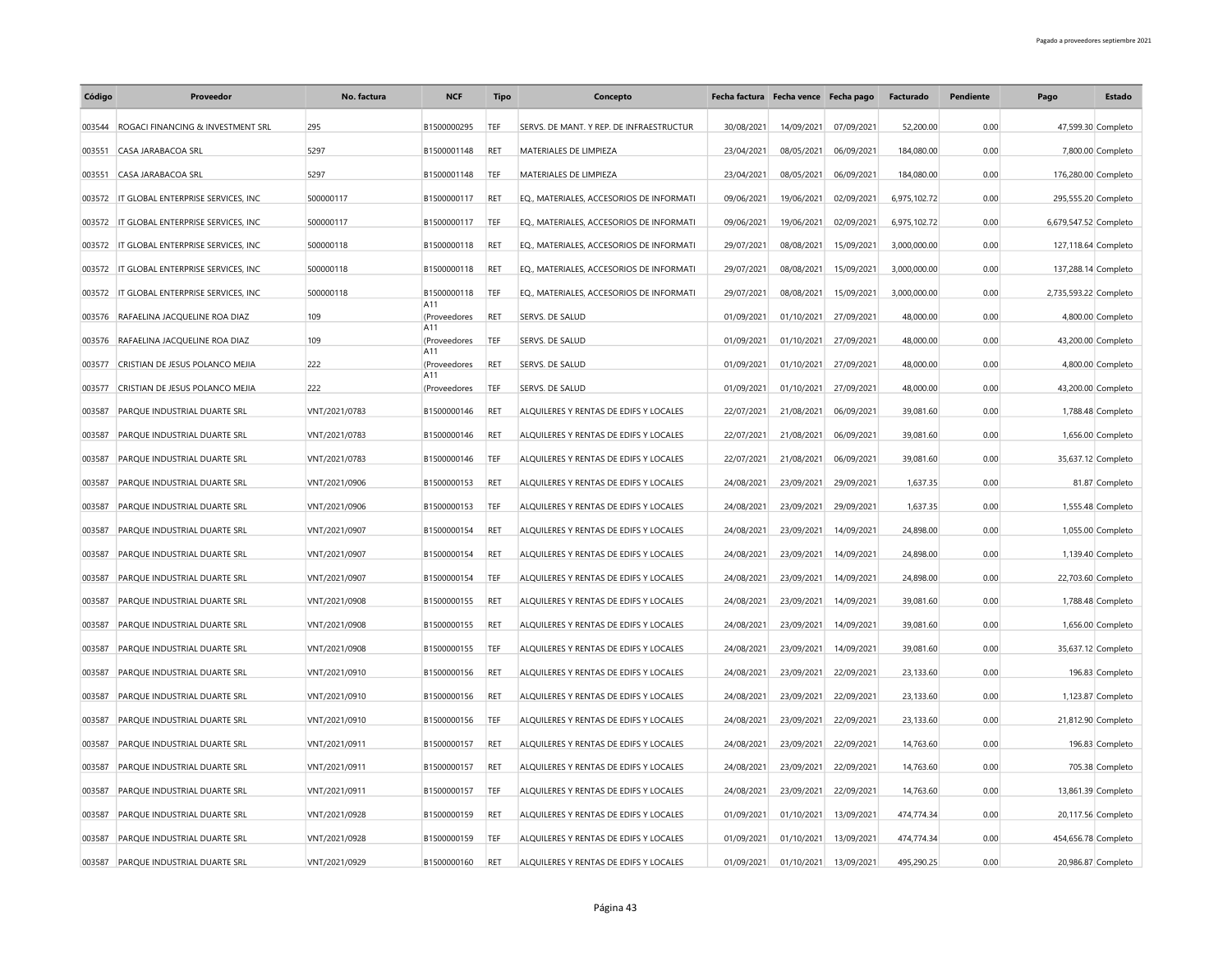| Código | Proveedor                           | No. factura   | <b>NCF</b>          | <b>Tipo</b> | Concepto                                 |            | Fecha factura Fecha vence Fecha pago |            | Facturado    | Pendiente | Pago                  | Estado             |
|--------|-------------------------------------|---------------|---------------------|-------------|------------------------------------------|------------|--------------------------------------|------------|--------------|-----------|-----------------------|--------------------|
| 003544 | ROGACI FINANCING & INVESTMENT SRL   | 295           | B1500000295         | TEF         | SERVS. DE MANT. Y REP. DE INFRAESTRUCTUR | 30/08/2021 | 14/09/2021                           | 07/09/2021 | 52,200.00    | 0.00      |                       | 47,599.30 Completo |
| 003551 | CASA JARABACOA SRL                  | 5297          | B1500001148         | RET         | MATERIALES DE LIMPIEZA                   | 23/04/2021 | 08/05/2021                           | 06/09/2021 | 184,080.00   | 0.00      |                       | 7,800.00 Completo  |
| 003551 | CASA JARABACOA SRL                  | 5297          | B1500001148         | TEF         | MATERIALES DE LIMPIEZA                   | 23/04/2021 | 08/05/2021                           | 06/09/2021 | 184,080.00   | 0.00      | 176,280.00 Completo   |                    |
| 003572 | IT GLOBAL ENTERPRISE SERVICES. INC. | 500000117     | B1500000117         | RET         | EQ., MATERIALES, ACCESORIOS DE INFORMATI | 09/06/2021 | 19/06/2021                           | 02/09/2021 | 6,975,102.72 | 0.00      | 295,555.20 Completo   |                    |
| 003572 | IT GLOBAL ENTERPRISE SERVICES. INC. | 500000117     | B1500000117         | TEF         | EQ., MATERIALES, ACCESORIOS DE INFORMATI | 09/06/2021 | 19/06/2021                           | 02/09/2021 | 6,975,102.72 | 0.00      | 6,679,547.52 Completo |                    |
| 003572 | IT GLOBAL ENTERPRISE SERVICES, INC. | 500000118     | B1500000118         | RET         | EQ., MATERIALES, ACCESORIOS DE INFORMATI | 29/07/2021 | 08/08/2021                           | 15/09/2021 | 3,000,000.00 | 0.00      | 127,118.64 Completo   |                    |
| 003572 | IT GLOBAL ENTERPRISE SERVICES, INC. | 500000118     | B1500000118         | RET         | EQ., MATERIALES, ACCESORIOS DE INFORMATI | 29/07/2021 | 08/08/2021                           | 15/09/2021 | 3,000,000.00 | 0.00      | 137,288.14 Completo   |                    |
| 003572 | IT GLOBAL ENTERPRISE SERVICES, INC  | 500000118     | B1500000118         | TEF         | EQ., MATERIALES, ACCESORIOS DE INFORMATI | 29/07/2021 | 08/08/2021                           | 15/09/2021 | 3,000,000.00 | 0.00      | 2,735,593.22 Completo |                    |
| 003576 | RAFAELINA JACQUELINE ROA DIAZ       | 109           | A11<br>(Proveedores | RET         | SERVS. DE SALUD                          | 01/09/2021 | 01/10/2021                           | 27/09/2021 | 48,000.00    | 0.00      |                       | 4,800.00 Completo  |
| 003576 | RAFAELINA JACQUELINE ROA DIAZ       | 109           | A11<br>(Proveedores | TEF         | SERVS. DE SALUD                          | 01/09/2021 | 01/10/2021                           | 27/09/2021 | 48,000.00    | 0.00      |                       | 43,200.00 Completo |
| 003577 | CRISTIAN DE JESUS POLANCO MEJIA     | 222           | A11<br>(Proveedores | RET         | SERVS. DE SALUD                          | 01/09/2021 | 01/10/2021                           | 27/09/2021 | 48,000.00    | 0.00      |                       | 4,800.00 Completo  |
| 003577 | CRISTIAN DE JESUS POLANCO MEJIA     | 222           | A11<br>(Proveedores | TEF         | SERVS. DE SALUD                          | 01/09/2021 | 01/10/2021                           | 27/09/2021 | 48,000.00    | 0.00      |                       | 43,200.00 Completo |
| 003587 | PARQUE INDUSTRIAL DUARTE SRL        | VNT/2021/0783 | B1500000146         | RET         | ALQUILERES Y RENTAS DE EDIFS Y LOCALES   | 22/07/2021 | 21/08/2021                           | 06/09/2021 | 39,081.60    | 0.00      |                       | 1,788.48 Completo  |
| 003587 | PARQUE INDUSTRIAL DUARTE SRL        | VNT/2021/0783 | B1500000146         | RET         | ALQUILERES Y RENTAS DE EDIFS Y LOCALES   | 22/07/2021 | 21/08/2021                           | 06/09/2021 | 39,081.60    | 0.00      |                       | 1,656.00 Completo  |
| 003587 | PARQUE INDUSTRIAL DUARTE SRL        | VNT/2021/0783 | B1500000146         | TEF         | ALQUILERES Y RENTAS DE EDIFS Y LOCALES   | 22/07/2021 | 21/08/2021                           | 06/09/2021 | 39,081.60    | 0.00      |                       | 35,637.12 Completo |
| 003587 | PARQUE INDUSTRIAL DUARTE SRL        | VNT/2021/0906 | B1500000153         | <b>RET</b>  | ALQUILERES Y RENTAS DE EDIFS Y LOCALES   | 24/08/2021 | 23/09/2021                           | 29/09/2021 | 1,637.35     | 0.00      |                       | 81.87 Completo     |
| 003587 | PARQUE INDUSTRIAL DUARTE SRL        | VNT/2021/0906 | B1500000153         | TEF         | ALQUILERES Y RENTAS DE EDIFS Y LOCALES   | 24/08/2021 | 23/09/2021                           | 29/09/2021 | 1,637.35     | 0.00      |                       | 1,555.48 Completo  |
| 003587 | PARQUE INDUSTRIAL DUARTE SRL        | VNT/2021/0907 | B1500000154         | RET         | ALQUILERES Y RENTAS DE EDIFS Y LOCALES   | 24/08/2021 | 23/09/2021                           | 14/09/2021 | 24,898.00    | 0.00      |                       | 1,055.00 Completo  |
| 003587 | PARQUE INDUSTRIAL DUARTE SRL        | VNT/2021/0907 | B1500000154         | RET         | ALQUILERES Y RENTAS DE EDIFS Y LOCALES   | 24/08/2021 | 23/09/2021                           | 14/09/2021 | 24,898.00    | 0.00      |                       | 1,139.40 Completo  |
| 003587 | PARQUE INDUSTRIAL DUARTE SRL        | VNT/2021/0907 | B1500000154         | TEF         | ALQUILERES Y RENTAS DE EDIFS Y LOCALES   | 24/08/2021 | 23/09/2021                           | 14/09/2021 | 24,898.00    | 0.00      |                       | 22,703.60 Completo |
| 003587 | PARQUE INDUSTRIAL DUARTE SRL        | VNT/2021/0908 | B1500000155         | RET         | ALQUILERES Y RENTAS DE EDIFS Y LOCALES   | 24/08/2021 | 23/09/2021                           | 14/09/2021 | 39,081.60    | 0.00      |                       | 1,788.48 Completo  |
| 003587 | PARQUE INDUSTRIAL DUARTE SRL        | VNT/2021/0908 | B1500000155         | RET         | ALQUILERES Y RENTAS DE EDIFS Y LOCALES   | 24/08/2021 | 23/09/2021                           | 14/09/2021 | 39,081.60    | 0.00      |                       | 1,656.00 Completo  |
| 003587 | PARQUE INDUSTRIAL DUARTE SRL        | VNT/2021/0908 | B1500000155         | TEF         | ALQUILERES Y RENTAS DE EDIFS Y LOCALES   | 24/08/2021 | 23/09/2021                           | 14/09/2021 | 39,081.60    | 0.00      |                       | 35,637.12 Completo |
| 003587 | PARQUE INDUSTRIAL DUARTE SRL        | VNT/2021/0910 | B1500000156         | RET         | ALQUILERES Y RENTAS DE EDIFS Y LOCALES   | 24/08/2021 | 23/09/2021                           | 22/09/2021 | 23,133.60    | 0.00      |                       | 196.83 Completo    |
| 003587 | PARQUE INDUSTRIAL DUARTE SRL        | VNT/2021/0910 | B1500000156         | RET         | ALQUILERES Y RENTAS DE EDIFS Y LOCALES   | 24/08/2021 | 23/09/2021                           | 22/09/2021 | 23,133.60    | 0.00      |                       | 1,123.87 Completo  |
| 003587 | PARQUE INDUSTRIAL DUARTE SRL        | VNT/2021/0910 | B1500000156         | TEF         | ALQUILERES Y RENTAS DE EDIFS Y LOCALES   | 24/08/2021 | 23/09/2021                           | 22/09/2021 | 23,133.60    | 0.00      |                       | 21,812.90 Completo |
| 003587 | PARQUE INDUSTRIAL DUARTE SRL        | VNT/2021/0911 | B1500000157         | RET         | ALQUILERES Y RENTAS DE EDIFS Y LOCALES   | 24/08/2021 | 23/09/2021                           | 22/09/2021 | 14,763.60    | 0.00      |                       | 196.83 Completo    |
| 003587 | PAROUE INDUSTRIAL DUARTE SRL        | VNT/2021/0911 | B1500000157         | RET         | ALQUILERES Y RENTAS DE EDIFS Y LOCALES   | 24/08/2021 | 23/09/2021                           | 22/09/2021 | 14,763.60    | 0.00      |                       | 705.38 Completo    |
| 003587 | PARQUE INDUSTRIAL DUARTE SRL        | VNT/2021/0911 | B1500000157         | TEF         | ALQUILERES Y RENTAS DE EDIFS Y LOCALES   | 24/08/2021 | 23/09/2021                           | 22/09/2021 | 14,763.60    | 0.00      |                       | 13,861.39 Completo |
| 003587 | PARQUE INDUSTRIAL DUARTE SRL        | VNT/2021/0928 | B1500000159         | RET         | ALQUILERES Y RENTAS DE EDIFS Y LOCALES   | 01/09/2021 | 01/10/2021                           | 13/09/2021 | 474,774.34   | 0.00      |                       | 20,117.56 Completo |
| 003587 | PARQUE INDUSTRIAL DUARTE SRL        | VNT/2021/0928 | B1500000159         | TEF         | ALQUILERES Y RENTAS DE EDIFS Y LOCALES   | 01/09/2021 | 01/10/2021                           | 13/09/2021 | 474,774.34   | 0.00      | 454,656.78 Completo   |                    |
|        | 003587 PAROUE INDUSTRIAL DUARTE SRL | VNT/2021/0929 | B1500000160         | RET         | ALOUILERES Y RENTAS DE EDIFS Y LOCALES   | 01/09/2021 | 01/10/2021                           | 13/09/2021 | 495.290.25   | 0.00      |                       | 20,986.87 Completo |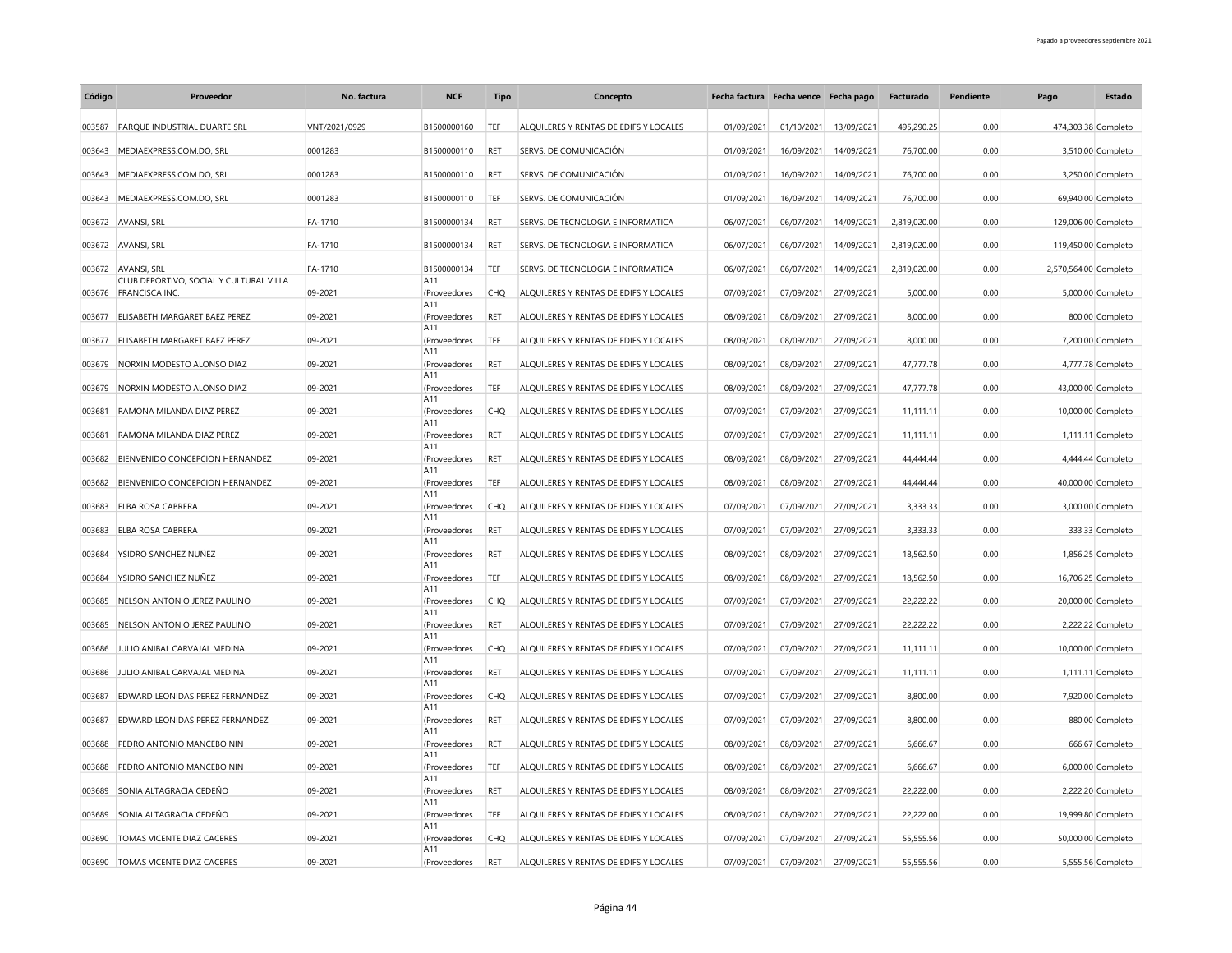| Código | Proveedor                                                        | No. factura   | <b>NCF</b>          | <b>Tipo</b> | Concepto                               |            | Fecha factura Fecha vence Fecha pago |            | Facturado    | Pendiente | Pago                  | Estado             |
|--------|------------------------------------------------------------------|---------------|---------------------|-------------|----------------------------------------|------------|--------------------------------------|------------|--------------|-----------|-----------------------|--------------------|
| 003587 | <b>PAROUE INDUSTRIAL DUARTE SRL</b>                              | VNT/2021/0929 | B1500000160         | TEF         | ALOUILERES Y RENTAS DE EDIFS Y LOCALES | 01/09/2021 | 01/10/2021                           | 13/09/2021 | 495.290.25   | 0.00      | 474,303.38 Completo   |                    |
| 003643 | MEDIAEXPRESS.COM.DO, SRL                                         | 0001283       | B1500000110         | RET         | SERVS. DE COMUNICACIÓN                 | 01/09/2021 | 16/09/2021                           | 14/09/2021 | 76,700.00    | 0.00      |                       | 3,510.00 Completo  |
| 003643 | MEDIAEXPRESS.COM.DO, SRL                                         | 0001283       | B1500000110         | <b>RFT</b>  | SERVS. DE COMUNICACIÓN                 | 01/09/2021 | 16/09/2021                           | 14/09/2021 | 76,700.00    | 0.00      |                       | 3,250.00 Completo  |
| 003643 | MEDIAEXPRESS.COM.DO, SRL                                         | 0001283       | B1500000110         | TEF         | SERVS. DE COMUNICACIÓN                 | 01/09/2021 | 16/09/2021                           | 14/09/2021 | 76,700.00    | 0.00      |                       | 69,940.00 Completo |
|        | 003672 AVANSI, SRL                                               | FA-1710       | B1500000134         | <b>RET</b>  | SERVS. DE TECNOLOGIA E INFORMATICA     | 06/07/2021 | 06/07/2021                           | 14/09/2021 | 2,819,020.00 | 0.00      | 129,006.00 Completo   |                    |
|        | 003672 AVANSI, SRL                                               | FA-1710       | B1500000134         | <b>RET</b>  | SERVS. DE TECNOLOGIA E INFORMATICA     | 06/07/2021 | 06/07/2021                           | 14/09/2021 | 2,819,020.00 | 0.00      | 119,450.00 Completo   |                    |
| 003672 | AVANSI, SRL                                                      | FA-1710       | B1500000134         | TEF         | SERVS. DE TECNOLOGIA E INFORMATICA     | 06/07/2021 | 06/07/2021                           | 14/09/2021 | 2,819,020.00 | 0.00      | 2,570,564.00 Completo |                    |
|        | CLUB DEPORTIVO, SOCIAL Y CULTURAL VILLA<br>003676 FRANCISCA INC. | 09-2021       | A11<br>(Proveedores | CHO         | ALQUILERES Y RENTAS DE EDIFS Y LOCALES | 07/09/2021 | 07/09/2021                           | 27/09/2021 | 5,000.00     | 0.00      |                       | 5,000.00 Completo  |
| 003677 | ELISABETH MARGARET BAEZ PEREZ                                    | 09-2021       | A11<br>(Proveedores | RET         | ALQUILERES Y RENTAS DE EDIFS Y LOCALES | 08/09/2021 | 08/09/2021                           | 27/09/2021 | 8,000.00     | 0.00      |                       | 800.00 Completo    |
| 003677 | ELISABETH MARGARET BAEZ PEREZ                                    | 09-2021       | A11<br>(Proveedores | TEF         | ALQUILERES Y RENTAS DE EDIFS Y LOCALES | 08/09/2021 | 08/09/2021                           | 27/09/2021 | 8,000.00     | 0.00      |                       | 7,200.00 Completo  |
| 003679 | NORXIN MODESTO ALONSO DIAZ                                       | 09-2021       | A11<br>(Proveedores | RET         | ALQUILERES Y RENTAS DE EDIFS Y LOCALES | 08/09/2021 | 08/09/2021                           | 27/09/2021 | 47,777.78    | 0.00      |                       | 4,777.78 Completo  |
| 003679 | NORXIN MODESTO ALONSO DIAZ                                       | 09-2021       | A11<br>(Proveedores | TEF         | ALQUILERES Y RENTAS DE EDIFS Y LOCALES | 08/09/2021 | 08/09/2021                           | 27/09/2021 | 47,777.78    | 0.00      |                       | 43,000.00 Completo |
| 003681 | RAMONA MILANDA DIAZ PEREZ                                        | 09-2021       | A11<br>(Proveedores | CHO         | ALOUILERES Y RENTAS DE EDIFS Y LOCALES | 07/09/2021 | 07/09/2021                           | 27/09/2021 | 11,111.11    | 0.00      |                       | 10,000.00 Completo |
| 003681 | RAMONA MILANDA DIAZ PEREZ                                        | 09-2021       | A11<br>(Proveedores | <b>RET</b>  | ALQUILERES Y RENTAS DE EDIFS Y LOCALES | 07/09/2021 | 07/09/2021                           | 27/09/2021 | 11,111.11    | 0.00      |                       | 1,111.11 Completo  |
| 003682 | <b>BIENVENIDO CONCEPCION HERNANDEZ</b>                           | 09-2021       | A11<br>(Proveedores | <b>RET</b>  | ALOUILERES Y RENTAS DE EDIFS Y LOCALES | 08/09/2021 | 08/09/2021                           | 27/09/2021 | 44.444.44    | 0.00      |                       | 4,444.44 Completo  |
| 003682 | BIENVENIDO CONCEPCION HERNANDEZ                                  | 09-2021       | A11<br>(Proveedores | TEF         | ALQUILERES Y RENTAS DE EDIFS Y LOCALES | 08/09/2021 | 08/09/2021                           | 27/09/2021 | 44,444.44    | 0.00      |                       | 40,000.00 Completo |
| 003683 | <b>ELBA ROSA CABRERA</b>                                         | 09-2021       | A11<br>(Proveedores | <b>CHQ</b>  | ALQUILERES Y RENTAS DE EDIFS Y LOCALES | 07/09/2021 | 07/09/2021                           | 27/09/2021 | 3,333.33     | 0.00      |                       | 3,000.00 Completo  |
| 003683 | <b>ELBA ROSA CABRERA</b>                                         | 09-2021       | A11<br>(Proveedores | RET         | ALQUILERES Y RENTAS DE EDIFS Y LOCALES | 07/09/2021 | 07/09/2021                           | 27/09/2021 | 3,333.33     | 0.00      |                       | 333.33 Completo    |
|        | YSIDRO SANCHEZ NUÑEZ                                             | 09-2021       | A11                 |             | ALQUILERES Y RENTAS DE EDIFS Y LOCALES |            |                                      |            | 18,562.50    | 0.00      |                       |                    |
| 003684 |                                                                  |               | (Proveedores<br>A11 | <b>RET</b>  |                                        | 08/09/2021 | 08/09/2021                           | 27/09/2021 |              |           |                       | 1,856.25 Completo  |
| 003684 | YSIDRO SANCHEZ NUÑEZ                                             | 09-2021       | (Proveedores<br>A11 | TEF         | ALQUILERES Y RENTAS DE EDIFS Y LOCALES | 08/09/2021 | 08/09/2021                           | 27/09/2021 | 18,562.50    | 0.00      |                       | 16,706.25 Completo |
| 003685 | NELSON ANTONIO JEREZ PAULINO                                     | 09-2021       | (Proveedores<br>A11 | <b>CHQ</b>  | ALQUILERES Y RENTAS DE EDIFS Y LOCALES | 07/09/2021 | 07/09/2021                           | 27/09/2021 | 22,222.22    | 0.00      |                       | 20,000.00 Completo |
| 003685 | NELSON ANTONIO JEREZ PAULINO                                     | 09-2021       | (Proveedores<br>A11 | <b>RET</b>  | ALQUILERES Y RENTAS DE EDIFS Y LOCALES | 07/09/2021 | 07/09/2021                           | 27/09/2021 | 22,222.22    | 0.00      |                       | 2,222.22 Completo  |
| 003686 | JULIO ANIBAL CARVAJAL MEDINA                                     | 09-2021       | (Proveedores<br>A11 | <b>CHQ</b>  | ALQUILERES Y RENTAS DE EDIFS Y LOCALES | 07/09/2021 | 07/09/2021                           | 27/09/2021 | 11,111.11    | 0.00      |                       | 10,000.00 Completo |
| 003686 | JULIO ANIBAL CARVAJAL MEDINA                                     | 09-2021       | (Proveedores<br>A11 | <b>RET</b>  | ALQUILERES Y RENTAS DE EDIFS Y LOCALES | 07/09/2021 | 07/09/2021                           | 27/09/2021 | 11,111.11    | 0.00      |                       | 1,111.11 Completo  |
| 003687 | EDWARD LEONIDAS PEREZ FERNANDEZ                                  | 09-2021       | (Proveedores<br>A11 | CHQ         | ALQUILERES Y RENTAS DE EDIFS Y LOCALES | 07/09/2021 | 07/09/2021                           | 27/09/2021 | 8,800.00     | 0.00      |                       | 7,920.00 Completo  |
| 003687 | EDWARD LEONIDAS PEREZ FERNANDEZ                                  | 09-2021       | (Proveedores<br>A11 | <b>RET</b>  | ALQUILERES Y RENTAS DE EDIFS Y LOCALES | 07/09/2021 | 07/09/2021                           | 27/09/2021 | 8,800.00     | 0.00      |                       | 880.00 Completo    |
| 003688 | PEDRO ANTONIO MANCEBO NIN                                        | 09-2021       | (Proveedores<br>A11 | RET         | ALQUILERES Y RENTAS DE EDIFS Y LOCALES | 08/09/2021 | 08/09/2021                           | 27/09/2021 | 6,666.67     | 0.00      |                       | 666.67 Completo    |
| 003688 | PEDRO ANTONIO MANCEBO NIN                                        | 09-2021       | (Proveedores<br>A11 | TEF         | ALQUILERES Y RENTAS DE EDIFS Y LOCALES | 08/09/2021 | 08/09/2021                           | 27/09/2021 | 6,666.67     | 0.00      |                       | 6,000.00 Completo  |
| 003689 | SONIA ALTAGRACIA CEDEÑO                                          | 09-2021       | (Proveedores        | <b>RET</b>  | ALQUILERES Y RENTAS DE EDIFS Y LOCALES | 08/09/2021 | 08/09/2021                           | 27/09/2021 | 22,222.00    | 0.00      |                       | 2,222.20 Completo  |
| 003689 | SONIA ALTAGRACIA CEDEÑO                                          | 09-2021       | A11<br>(Proveedores | TEF         | ALQUILERES Y RENTAS DE EDIFS Y LOCALES | 08/09/2021 | 08/09/2021                           | 27/09/2021 | 22,222.00    | 0.00      |                       | 19,999.80 Completo |
| 003690 | <b>TOMAS VICENTE DIAZ CACERES</b>                                | 09-2021       | A11<br>(Proveedores | CHO         | ALOUILERES Y RENTAS DE EDIFS Y LOCALES | 07/09/2021 | 07/09/2021                           | 27/09/2021 | 55,555.56    | 0.00      |                       | 50,000.00 Completo |
|        | 003690 TOMAS VICENTE DIAZ CACERES                                | 09-2021       | A11<br>(Proveedores | RFT         | ALQUILERES Y RENTAS DE EDIFS Y LOCALES | 07/09/2021 | 07/09/2021                           | 27/09/2021 | 55,555.56    | 0.00      |                       | 5,555.56 Completo  |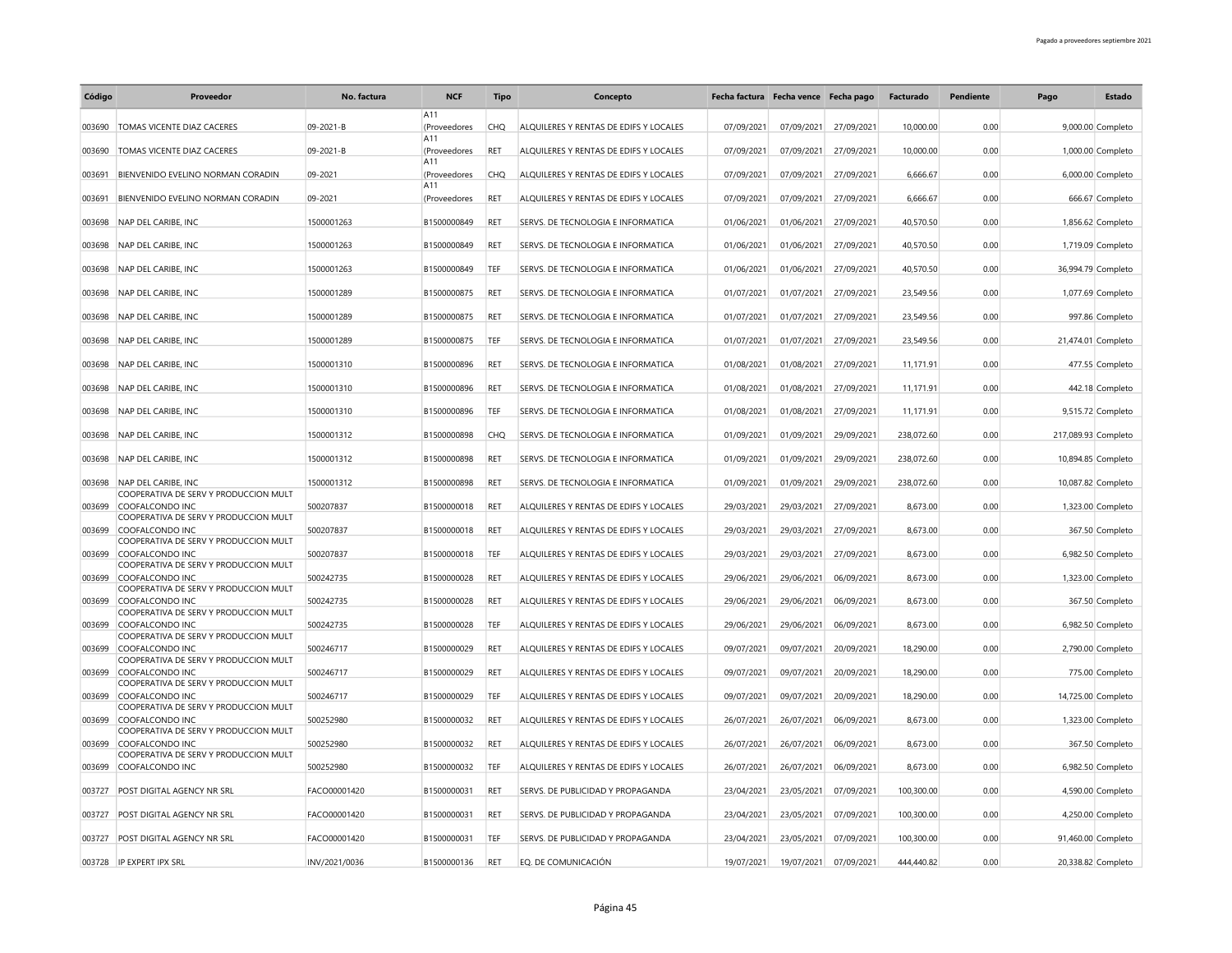| Código | Proveedor                                                | No. factura   | <b>NCF</b>          | Tipo       | Concepto                               | Fecha factura Fecha vence Fecha pago |            |            | Facturado  | Pendiente | Pago                | Estado             |
|--------|----------------------------------------------------------|---------------|---------------------|------------|----------------------------------------|--------------------------------------|------------|------------|------------|-----------|---------------------|--------------------|
|        |                                                          |               | A11                 |            |                                        |                                      |            |            |            |           |                     |                    |
| 003690 | TOMAS VICENTE DIAZ CACERES                               | 09-2021-B     | (Proveedores        | <b>CHQ</b> | ALQUILERES Y RENTAS DE EDIFS Y LOCALES | 07/09/2021                           | 07/09/2021 | 27/09/2021 | 10,000.00  | 0.00      |                     | 9,000.00 Completo  |
|        |                                                          |               | A11                 |            |                                        |                                      |            |            |            |           |                     |                    |
| 003690 | TOMAS VICENTE DIAZ CACERES                               | 09-2021-B     | (Proveedores<br>A11 | <b>RET</b> | ALQUILERES Y RENTAS DE EDIFS Y LOCALES | 07/09/2021                           | 07/09/2021 | 27/09/2021 | 10,000.00  | 0.00      |                     | 1,000.00 Completo  |
| 003691 | <b>BIENVENIDO EVELINO NORMAN CORADIN</b>                 | 09-2021       | (Proveedores        | CHO        | ALOUILERES Y RENTAS DE EDIFS Y LOCALES | 07/09/2021                           | 07/09/2021 | 27/09/2021 | 6.666.67   | 0.00      |                     | 6,000.00 Completo  |
|        |                                                          |               | A11                 |            |                                        |                                      |            |            |            |           |                     |                    |
| 003691 | BIENVENIDO EVELINO NORMAN CORADIN                        | 09-2021       | (Proveedores        | RET        | ALQUILERES Y RENTAS DE EDIFS Y LOCALES | 07/09/2021                           | 07/09/2021 | 27/09/2021 | 6,666.67   | 0.00      |                     | 666.67 Completo    |
| 003698 | NAP DEL CARIBE. INC                                      | 1500001263    | B1500000849         | <b>RET</b> | SERVS. DE TECNOLOGIA E INFORMATICA     | 01/06/2021                           | 01/06/2021 | 27/09/2021 | 40,570.50  | 0.00      |                     | 1,856.62 Completo  |
|        |                                                          |               |                     |            |                                        |                                      |            |            |            |           |                     |                    |
| 003698 | NAP DEL CARIBE, INC                                      | 1500001263    | B1500000849         | RET        | SERVS. DE TECNOLOGIA E INFORMATICA     | 01/06/2021                           | 01/06/2021 | 27/09/2021 | 40,570.50  | 0.00      |                     | 1,719.09 Completo  |
|        |                                                          |               |                     |            |                                        |                                      |            |            |            |           |                     |                    |
| 003698 | NAP DEL CARIBE, INC                                      | 1500001263    | B1500000849         | TEF        | SERVS. DE TECNOLOGIA E INFORMATICA     | 01/06/2021                           | 01/06/2021 | 27/09/2021 | 40,570.50  | 0.00      |                     | 36,994.79 Completo |
| 003698 | NAP DEL CARIBE, INC                                      | 1500001289    | B1500000875         | RET        | SERVS. DE TECNOLOGIA E INFORMATICA     | 01/07/2021                           | 01/07/2021 | 27/09/2021 | 23,549.56  | 0.00      |                     | 1,077.69 Completo  |
|        |                                                          |               |                     |            |                                        |                                      |            |            |            |           |                     |                    |
| 003698 | NAP DEL CARIBE. INC                                      | 1500001289    | B1500000875         | <b>RET</b> | SERVS. DE TECNOLOGIA E INFORMATICA     | 01/07/2021                           | 01/07/2021 | 27/09/2021 | 23.549.56  | 0.00      |                     | 997.86 Completo    |
| 003698 | NAP DEL CARIBE, INC                                      | 1500001289    | B1500000875         | TEF        | SERVS. DE TECNOLOGIA E INFORMATICA     | 01/07/2021                           | 01/07/2021 | 27/09/2021 | 23,549.56  | 0.00      |                     | 21,474.01 Completo |
|        |                                                          |               |                     |            |                                        |                                      |            |            |            |           |                     |                    |
| 003698 | NAP DEL CARIBE, INC                                      | 1500001310    | B1500000896         | <b>RET</b> | SERVS. DE TECNOLOGIA E INFORMATICA     | 01/08/2021                           | 01/08/2021 | 27/09/2021 | 11,171.91  | 0.00      |                     | 477.55 Completo    |
|        |                                                          |               |                     |            |                                        |                                      |            |            |            |           |                     |                    |
| 003698 | NAP DEL CARIBE, INC                                      | 1500001310    | B1500000896         | <b>RET</b> | SERVS. DE TECNOLOGIA E INFORMATICA     | 01/08/2021                           | 01/08/2021 | 27/09/2021 | 11,171.91  | 0.00      |                     | 442.18 Completo    |
| 003698 | NAP DEL CARIBE, INC                                      | 1500001310    | B1500000896         | TEF        | SERVS. DE TECNOLOGIA E INFORMATICA     | 01/08/2021                           | 01/08/2021 | 27/09/2021 | 11,171.91  | 0.00      |                     | 9,515.72 Completo  |
|        |                                                          |               |                     |            |                                        |                                      |            |            |            |           |                     |                    |
| 003698 | NAP DEL CARIBE, INC                                      | 1500001312    | B1500000898         | <b>CHQ</b> | SERVS. DE TECNOLOGIA E INFORMATICA     | 01/09/2021                           | 01/09/2021 | 29/09/2021 | 238,072.60 | 0.00      | 217,089.93 Completo |                    |
| 003698 | NAP DEL CARIBE, INC                                      | 1500001312    | B1500000898         | <b>RET</b> | SERVS. DE TECNOLOGIA E INFORMATICA     | 01/09/2021                           | 01/09/2021 | 29/09/2021 | 238,072.60 | 0.00      |                     | 10,894.85 Completo |
|        |                                                          |               |                     |            |                                        |                                      |            |            |            |           |                     |                    |
| 003698 | NAP DEL CARIBE, INC                                      | 1500001312    | B1500000898         | RET        | SERVS. DE TECNOLOGIA E INFORMATICA     | 01/09/2021                           | 01/09/2021 | 29/09/2021 | 238,072.60 | 0.00      |                     | 10,087.82 Completo |
| 003699 | COOPERATIVA DE SERV Y PRODUCCION MULT<br>COOFALCONDO INC | 500207837     | B1500000018         | <b>RET</b> | ALOUILERES Y RENTAS DE EDIFS Y LOCALES | 29/03/2021                           | 29/03/2021 | 27/09/2021 | 8,673.00   | 0.00      |                     | 1,323.00 Completo  |
|        | COOPERATIVA DE SERV Y PRODUCCION MULT                    |               |                     |            |                                        |                                      |            |            |            |           |                     |                    |
| 003699 | COOFALCONDO INC                                          | 500207837     | B1500000018         | <b>RET</b> | ALOUILERES Y RENTAS DE EDIFS Y LOCALES | 29/03/2021                           | 29/03/2021 | 27/09/2021 | 8.673.00   | 0.00      |                     | 367.50 Completo    |
|        | COOPERATIVA DE SERV Y PRODUCCION MULT                    |               |                     |            |                                        |                                      |            |            |            |           |                     |                    |
| 003699 | COOFALCONDO INC<br>COOPERATIVA DE SERV Y PRODUCCION MULT | 500207837     | B1500000018         | TEF        | ALQUILERES Y RENTAS DE EDIFS Y LOCALES | 29/03/2021                           | 29/03/2021 | 27/09/2021 | 8,673.00   | 0.00      |                     | 6,982.50 Completo  |
| 003699 | COOFALCONDO INC                                          | 500242735     | B1500000028         | RET        | ALQUILERES Y RENTAS DE EDIFS Y LOCALES | 29/06/2021                           | 29/06/2021 | 06/09/2021 | 8,673.00   | 0.00      |                     | 1,323.00 Completo  |
|        | COOPERATIVA DE SERV Y PRODUCCION MULT                    |               |                     |            |                                        |                                      |            |            |            |           |                     |                    |
| 003699 | COOFALCONDO INC<br>COOPERATIVA DE SERV Y PRODUCCION MULT | 500242735     | B1500000028         | <b>RET</b> | ALQUILERES Y RENTAS DE EDIFS Y LOCALES | 29/06/2021                           | 29/06/2021 | 06/09/2021 | 8,673.00   | 0.00      |                     | 367.50 Completo    |
| 003699 | COOFALCONDO INC                                          | 500242735     | B1500000028         | TEF        | ALQUILERES Y RENTAS DE EDIFS Y LOCALES | 29/06/2021                           | 29/06/2021 | 06/09/2021 | 8,673.00   | 0.00      |                     | 6,982.50 Completo  |
|        | COOPERATIVA DE SERV Y PRODUCCION MULT                    |               |                     |            |                                        |                                      |            |            |            |           |                     |                    |
| 003699 | COOFALCONDO INC                                          | 500246717     | B1500000029         | <b>RET</b> | ALQUILERES Y RENTAS DE EDIFS Y LOCALES | 09/07/2021                           | 09/07/2021 | 20/09/2021 | 18,290.00  | 0.00      |                     | 2,790.00 Completo  |
| 003699 | COOPERATIVA DE SERV Y PRODUCCION MULT<br>COOFALCONDO INC | 500246717     | B1500000029         | <b>RET</b> | ALQUILERES Y RENTAS DE EDIFS Y LOCALES | 09/07/2021                           | 09/07/2021 | 20/09/2021 | 18,290.00  | 0.00      |                     | 775.00 Completo    |
|        | COOPERATIVA DE SERV Y PRODUCCION MULT                    |               |                     |            |                                        |                                      |            |            |            |           |                     |                    |
| 003699 | COOFALCONDO INC                                          | 500246717     | B1500000029         | TEF        | ALQUILERES Y RENTAS DE EDIFS Y LOCALES | 09/07/2021                           | 09/07/2021 | 20/09/2021 | 18,290.00  | 0.00      |                     | 14,725.00 Completo |
|        | COOPERATIVA DE SERV Y PRODUCCION MULT                    |               |                     |            |                                        |                                      |            |            |            |           |                     |                    |
| 003699 | COOFALCONDO INC<br>COOPERATIVA DE SERV Y PRODUCCION MULT | 500252980     | B1500000032         | <b>RET</b> | ALQUILERES Y RENTAS DE EDIFS Y LOCALES | 26/07/2021                           | 26/07/2021 | 06/09/2021 | 8,673.00   | 0.00      |                     | 1,323.00 Completo  |
| 003699 | COOFALCONDO INC                                          | 500252980     | B1500000032         | RET        | ALQUILERES Y RENTAS DE EDIFS Y LOCALES | 26/07/2021                           | 26/07/2021 | 06/09/2021 | 8,673.00   | 0.00      |                     | 367.50 Completo    |
|        | COOPERATIVA DE SERV Y PRODUCCION MULT                    |               |                     |            |                                        |                                      |            |            |            |           |                     |                    |
| 003699 | COOFALCONDO INC                                          | 500252980     | B1500000032         | TEF        | ALQUILERES Y RENTAS DE EDIFS Y LOCALES | 26/07/2021                           | 26/07/2021 | 06/09/2021 | 8,673.00   | 0.00      |                     | 6,982.50 Completo  |
| 003727 | POST DIGITAL AGENCY NR SRL                               | FACO00001420  | B1500000031         | RET        | SERVS. DE PUBLICIDAD Y PROPAGANDA      | 23/04/2021                           | 23/05/2021 | 07/09/2021 | 100,300.00 | 0.00      |                     | 4,590.00 Completo  |
|        |                                                          |               |                     |            |                                        |                                      |            |            |            |           |                     |                    |
| 003727 | <b>POST DIGITAL AGENCY NR SRL</b>                        | FACO00001420  | B1500000031         | <b>RET</b> | SERVS. DE PUBLICIDAD Y PROPAGANDA      | 23/04/2021                           | 23/05/2021 | 07/09/2021 | 100.300.00 | 0.00      |                     | 4,250.00 Completo  |
|        | 003727 POST DIGITAL AGENCY NR SRL                        | FACO00001420  | B1500000031         | TEF        | SERVS. DE PUBLICIDAD Y PROPAGANDA      |                                      |            |            | 100,300.00 | 0.00      |                     |                    |
|        |                                                          |               |                     |            |                                        | 23/04/2021                           | 23/05/2021 | 07/09/2021 |            |           |                     | 91,460.00 Completo |
|        | 003728 IP EXPERT IPX SRL                                 | INV/2021/0036 | B1500000136         | RET        | EO. DE COMUNICACIÓN                    | 19/07/2021                           | 19/07/2021 | 07/09/2021 | 444.440.82 | 0.00      |                     | 20,338.82 Completo |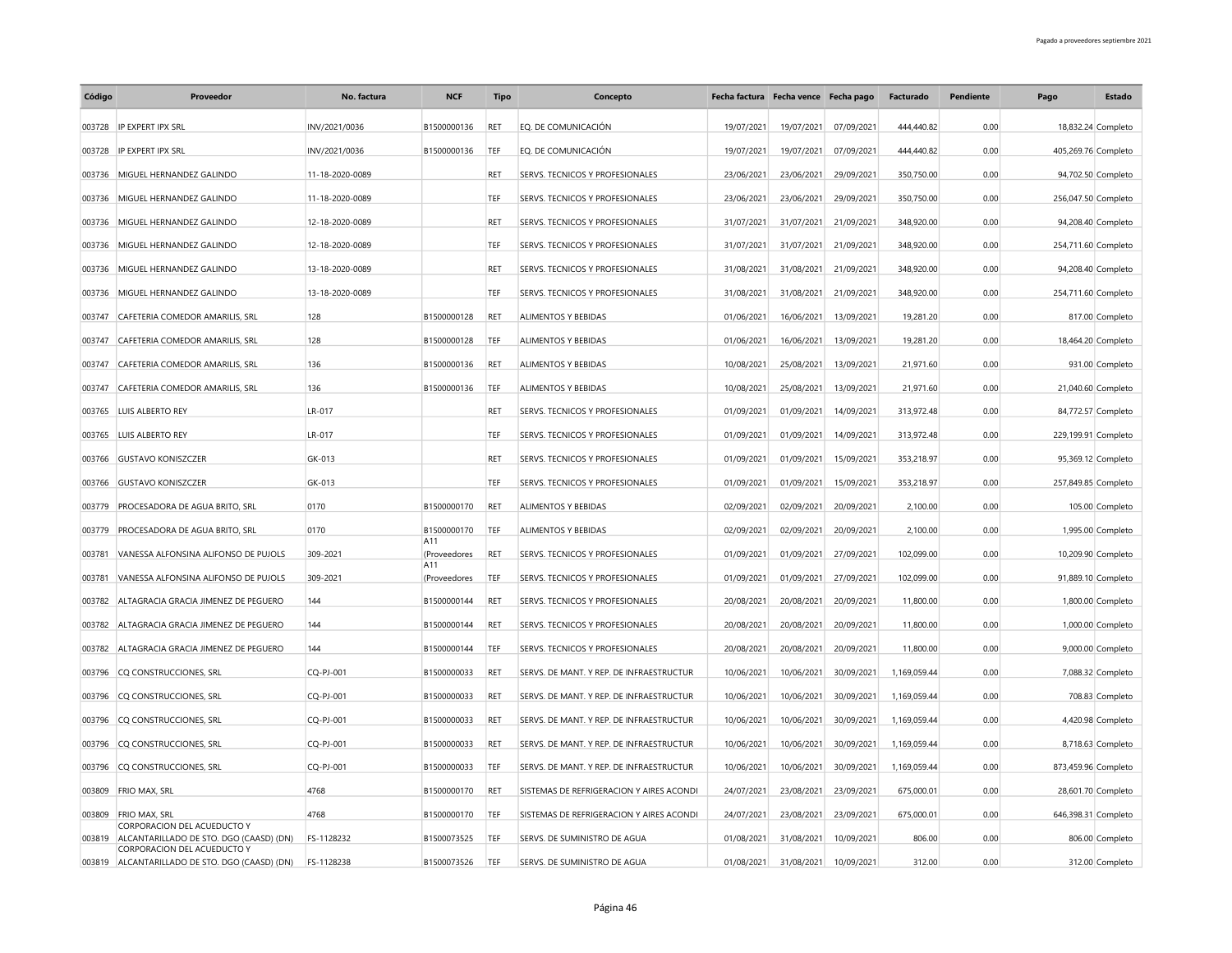| Código | Proveedor                                                              | No. factura     | <b>NCF</b>          | Tipo       | Concepto                                 | Fecha factura Fecha vence Fecha pago |            |            | Facturado    | Pendiente | Pago                | Estado             |
|--------|------------------------------------------------------------------------|-----------------|---------------------|------------|------------------------------------------|--------------------------------------|------------|------------|--------------|-----------|---------------------|--------------------|
| 003728 | IP EXPERT IPX SRL                                                      | INV/2021/0036   | B1500000136         | RET        | EQ. DE COMUNICACIÓN                      | 19/07/2021                           | 19/07/2021 | 07/09/2021 | 444,440.82   | 0.00      |                     | 18,832.24 Completo |
| 003728 | IP EXPERT IPX SRL                                                      | INV/2021/0036   | B1500000136         | TEF        | EO. DE COMUNICACIÓN                      | 19/07/2021                           | 19/07/2021 | 07/09/2021 | 444.440.82   | 0.00      | 405,269.76 Completo |                    |
| 003736 | MIGUEL HERNANDEZ GALINDO                                               | 11-18-2020-0089 |                     | RFT        | SERVS. TECNICOS Y PROFESIONALES          | 23/06/2021                           | 23/06/2021 | 29/09/2021 | 350,750.00   | 0.00      |                     | 94,702.50 Completo |
| 003736 | MIGUEL HERNANDEZ GALINDO                                               | 11-18-2020-0089 |                     | TEF        | SERVS. TECNICOS Y PROFESIONALES          | 23/06/2021                           | 23/06/2021 | 29/09/2021 | 350,750.00   | 0.00      | 256,047.50 Completo |                    |
| 003736 | MIGUEL HERNANDEZ GALINDO                                               | 12-18-2020-0089 |                     | RFT        | SERVS. TECNICOS Y PROFESIONALES          | 31/07/2021                           | 31/07/2021 | 21/09/2021 | 348,920.00   | 0.00      |                     | 94,208.40 Completo |
| 003736 | MIGUEL HERNANDEZ GALINDO                                               | 12-18-2020-0089 |                     | TEF        | SERVS. TECNICOS Y PROFESIONALES          | 31/07/2021                           | 31/07/2021 | 21/09/2021 | 348,920.00   | 0.00      | 254,711.60 Completo |                    |
| 003736 | MIGUEL HERNANDEZ GALINDO                                               | 13-18-2020-0089 |                     | <b>RFT</b> | SERVS. TECNICOS Y PROFESIONALES          | 31/08/2021                           | 31/08/2021 | 21/09/2021 | 348,920.00   | 0.00      |                     | 94,208.40 Completo |
| 003736 | MIGUEL HERNANDEZ GALINDO                                               | 13-18-2020-0089 |                     | TEF        | SERVS. TECNICOS Y PROFESIONALES          | 31/08/2021                           | 31/08/2021 | 21/09/2021 | 348,920.00   | 0.00      | 254,711.60 Completo |                    |
| 003747 | CAFETERIA COMEDOR AMARILIS, SRL                                        | 128             | B1500000128         | <b>RET</b> | ALIMENTOS Y BEBIDAS                      | 01/06/2021                           | 16/06/2021 | 13/09/2021 | 19,281.20    | 0.00      |                     | 817.00 Completo    |
| 003747 | CAFETERIA COMEDOR AMARILIS, SRL                                        | 128             | B1500000128         | TEF        | <b>ALIMENTOS Y BEBIDAS</b>               | 01/06/2021                           | 16/06/2021 | 13/09/2021 | 19,281.20    | 0.00      |                     | 18,464.20 Completo |
| 003747 | CAFETERIA COMEDOR AMARILIS, SRL                                        | 136             | B1500000136         | <b>RET</b> | <b>ALIMENTOS Y BEBIDAS</b>               | 10/08/2021                           | 25/08/2021 | 13/09/2021 | 21,971.60    | 0.00      |                     | 931.00 Completo    |
| 003747 | CAFETERIA COMEDOR AMARILIS, SRL                                        | 136             | B1500000136         | TEF        | ALIMENTOS Y BEBIDAS                      | 10/08/2021                           | 25/08/2021 | 13/09/2021 | 21,971.60    | 0.00      |                     | 21,040.60 Completo |
| 003765 | LUIS ALBERTO REY                                                       | LR-017          |                     | RET        | SERVS. TECNICOS Y PROFESIONALES          | 01/09/2021                           | 01/09/2021 | 14/09/2021 | 313,972.48   | 0.00      |                     | 84,772.57 Completo |
| 003765 | LUIS ALBERTO REY                                                       | LR-017          |                     | TEF        | SERVS. TECNICOS Y PROFESIONALES          | 01/09/2021                           | 01/09/2021 | 14/09/2021 | 313,972.48   | 0.00      | 229,199.91 Completo |                    |
| 003766 | <b>GUSTAVO KONISZCZER</b>                                              | GK-013          |                     | <b>RET</b> | SERVS. TECNICOS Y PROFESIONALES          | 01/09/2021                           | 01/09/2021 | 15/09/2021 | 353.218.97   | 0.00      |                     | 95,369.12 Completo |
| 003766 | <b>GUSTAVO KONISZCZER</b>                                              | GK-013          |                     | TEF        | SERVS. TECNICOS Y PROFESIONALES          | 01/09/2021                           | 01/09/2021 | 15/09/2021 | 353,218.97   | 0.00      | 257,849.85 Completo |                    |
| 003779 | PROCESADORA DE AGUA BRITO, SRL                                         | 0170            | B1500000170         | <b>RET</b> | ALIMENTOS Y BEBIDAS                      | 02/09/2021                           | 02/09/2021 | 20/09/2021 | 2,100.00     | 0.00      |                     | 105.00 Completo    |
| 003779 | PROCESADORA DE AGUA BRITO, SRL                                         | 0170            | B1500000170         | TEF        | <b>ALIMENTOS Y BEBIDAS</b>               | 02/09/2021                           | 02/09/2021 | 20/09/2021 | 2,100.00     | 0.00      |                     | 1,995.00 Completo  |
| 003781 | VANESSA ALFONSINA ALIFONSO DE PUJOLS                                   | 309-2021        | A11<br>(Proveedores | RET        | SERVS. TECNICOS Y PROFESIONALES          | 01/09/2021                           | 01/09/2021 | 27/09/2021 | 102,099.00   | 0.00      |                     | 10,209.90 Completo |
| 003781 | VANESSA ALFONSINA ALIFONSO DE PUJOLS                                   | 309-2021        | A11<br>(Proveedores | TEF        | SERVS. TECNICOS Y PROFESIONALES          | 01/09/2021                           | 01/09/2021 | 27/09/2021 | 102,099.00   | 0.00      |                     | 91,889.10 Completo |
| 003782 | ALTAGRACIA GRACIA JIMENEZ DE PEGUERO                                   | 144             | B1500000144         | <b>RET</b> | SERVS. TECNICOS Y PROFESIONALES          | 20/08/2021                           | 20/08/2021 | 20/09/2021 | 11,800.00    | 0.00      |                     | 1,800.00 Completo  |
| 003782 | ALTAGRACIA GRACIA JIMENEZ DE PEGUERO                                   | 144             | B1500000144         | RET        | SERVS. TECNICOS Y PROFESIONALES          | 20/08/2021                           | 20/08/2021 | 20/09/2021 | 11,800.00    | 0.00      |                     | 1,000.00 Completo  |
| 003782 | ALTAGRACIA GRACIA JIMENEZ DE PEGUERO                                   | 144             | B1500000144         | TEF        | SERVS. TECNICOS Y PROFESIONALES          | 20/08/2021                           | 20/08/2021 | 20/09/2021 | 11,800.00    | 0.00      |                     | 9,000.00 Completo  |
| 003796 | CQ CONSTRUCCIONES, SRL                                                 | CQ-PJ-001       | B1500000033         | RET        | SERVS. DE MANT. Y REP. DE INFRAESTRUCTUR | 10/06/2021                           | 10/06/2021 | 30/09/2021 | 1,169,059.44 | 0.00      |                     | 7,088.32 Completo  |
| 003796 | CQ CONSTRUCCIONES, SRL                                                 | CQ-PJ-001       | B1500000033         | RET        | SERVS. DE MANT. Y REP. DE INFRAESTRUCTUR | 10/06/2021                           | 10/06/2021 | 30/09/2021 | 1,169,059.44 | 0.00      |                     | 708.83 Completo    |
| 003796 | CQ CONSTRUCCIONES, SRL                                                 | CQ-PJ-001       | B1500000033         | RET        | SERVS. DE MANT. Y REP. DE INFRAESTRUCTUR | 10/06/2021                           | 10/06/2021 | 30/09/2021 | 1,169,059.44 | 0.00      |                     | 4,420.98 Completo  |
|        | 003796 CQ CONSTRUCCIONES, SRL                                          | CQ-PJ-001       | B1500000033         | <b>RET</b> | SERVS. DE MANT. Y REP. DE INFRAESTRUCTUR | 10/06/2021                           | 10/06/2021 | 30/09/2021 | 1,169,059.44 | 0.00      |                     | 8,718.63 Completo  |
| 003796 | CQ CONSTRUCCIONES, SRL                                                 | CQ-PJ-001       | B1500000033         | TEF        | SERVS. DE MANT. Y REP. DE INFRAESTRUCTUR | 10/06/2021                           | 10/06/2021 | 30/09/2021 | 1,169,059.44 | 0.00      | 873,459.96 Completo |                    |
| 003809 | FRIO MAX, SRL                                                          | 4768            | B1500000170         | <b>RET</b> | SISTEMAS DE REFRIGERACION Y AIRES ACONDI | 24/07/2021                           | 23/08/2021 | 23/09/2021 | 675,000.01   | 0.00      |                     | 28,601.70 Completo |
| 003809 | <b>FRIO MAX, SRL</b>                                                   | 4768            | B1500000170         | TEF        | SISTEMAS DE REFRIGERACION Y AIRES ACONDI | 24/07/2021                           | 23/08/2021 | 23/09/2021 | 675.000.01   | 0.00      | 646,398.31 Completo |                    |
| 003819 | CORPORACION DEL ACUEDUCTO Y<br>ALCANTARILLADO DE STO. DGO (CAASD) (DN) | FS-1128232      | B1500073525         | TFF        | SERVS. DE SUMINISTRO DE AGUA             | 01/08/2021                           | 31/08/2021 | 10/09/2021 | 806.00       | 0.00      |                     | 806.00 Completo    |
| 003819 | CORPORACION DEL ACUEDUCTO Y<br>ALCANTARILLADO DE STO. DGO (CAASD) (DN) | FS-1128238      | B1500073526         | TEF        | SERVS. DE SUMINISTRO DE AGUA             | 01/08/2021                           | 31/08/2021 | 10/09/2021 | 312.00       | 0.00      |                     | 312.00 Completo    |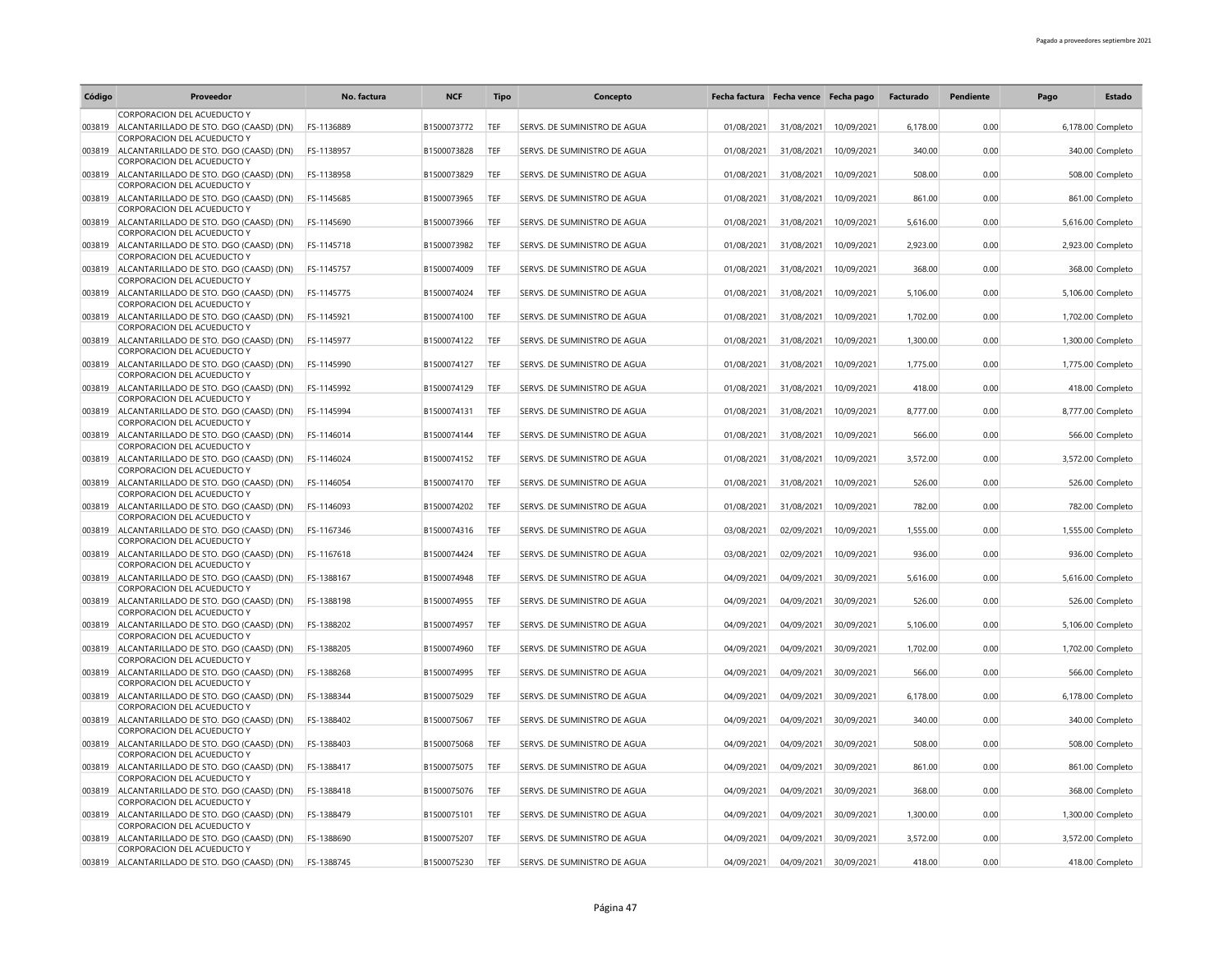| Código | Proveedor                                                                     | No. factura | <b>NCF</b>  | <b>Tipo</b> | Concepto                     | Fecha factura Fecha vence Fecha pago |            |            | Facturado | <b>Pendiente</b> | Pago | Estado            |
|--------|-------------------------------------------------------------------------------|-------------|-------------|-------------|------------------------------|--------------------------------------|------------|------------|-----------|------------------|------|-------------------|
|        | CORPORACION DEL ACUEDUCTO Y                                                   |             |             |             |                              |                                      |            |            |           |                  |      |                   |
| 003819 | ALCANTARILLADO DE STO. DGO (CAASD) (DN)<br>CORPORACION DEL ACUEDUCTO Y        | FS-1136889  | B1500073772 | TEF         | SERVS. DE SUMINISTRO DE AGUA | 01/08/2021                           | 31/08/2021 | 10/09/2021 | 6,178.00  | 0.00             |      | 6,178.00 Completo |
|        | 003819 ALCANTARILLADO DE STO. DGO (CAASD) (DN)                                | FS-1138957  | B1500073828 | TEF         | SERVS. DE SUMINISTRO DE AGUA | 01/08/2021                           | 31/08/2021 | 10/09/2021 | 340.00    | 0.00             |      | 340.00 Completo   |
|        | CORPORACION DEL ACUEDUCTO Y<br>003819 ALCANTARILLADO DE STO. DGO (CAASD) (DN) | FS-1138958  | B1500073829 | TEF         | SERVS. DE SUMINISTRO DE AGUA | 01/08/2021                           | 31/08/2021 | 10/09/2021 | 508.00    | 0.00             |      | 508.00 Completo   |
| 003819 | CORPORACION DEL ACUEDUCTO Y<br>ALCANTARILLADO DE STO. DGO (CAASD) (DN)        | FS-1145685  | B1500073965 | TEF         | SERVS. DE SUMINISTRO DE AGUA | 01/08/2021                           | 31/08/2021 | 10/09/2021 | 861.00    | 0.00             |      | 861.00 Completo   |
|        | CORPORACION DEL ACUEDUCTO Y                                                   |             |             |             |                              |                                      |            |            |           |                  |      |                   |
| 003819 | ALCANTARILLADO DE STO. DGO (CAASD) (DN)<br>CORPORACION DEL ACUEDUCTO Y        | FS-1145690  | B1500073966 | TEF         | SERVS. DE SUMINISTRO DE AGUA | 01/08/2021                           | 31/08/2021 | 10/09/2021 | 5,616.00  | 0.00             |      | 5,616.00 Completo |
| 003819 | ALCANTARILLADO DE STO. DGO (CAASD) (DN)<br>CORPORACION DEL ACUEDUCTO Y        | FS-1145718  | B1500073982 | TEF         | SERVS. DE SUMINISTRO DE AGUA | 01/08/2021                           | 31/08/2021 | 10/09/2021 | 2,923.00  | 0.00             |      | 2,923.00 Completo |
|        | 003819 ALCANTARILLADO DE STO. DGO (CAASD) (DN)<br>CORPORACION DEL ACUEDUCTO Y | FS-1145757  | B1500074009 | TEF         | SERVS. DE SUMINISTRO DE AGUA | 01/08/2021                           | 31/08/2021 | 10/09/2021 | 368.00    | 0.00             |      | 368.00 Completo   |
| 003819 | ALCANTARILLADO DE STO. DGO (CAASD) (DN)                                       | FS-1145775  | B1500074024 | TEF         | SERVS. DE SUMINISTRO DE AGUA | 01/08/2021                           | 31/08/2021 | 10/09/2021 | 5,106.00  | 0.00             |      | 5,106.00 Completo |
| 003819 | CORPORACION DEL ACUEDUCTO Y<br>ALCANTARILLADO DE STO. DGO (CAASD) (DN)        | FS-1145921  | B1500074100 | TEF         | SERVS. DE SUMINISTRO DE AGUA | 01/08/2021                           | 31/08/2021 | 10/09/2021 | 1,702.00  | 0.00             |      | 1,702.00 Completo |
| 003819 | CORPORACION DEL ACUEDUCTO Y<br>ALCANTARILLADO DE STO. DGO (CAASD) (DN)        | FS-1145977  | B1500074122 | TEF         | SERVS. DE SUMINISTRO DE AGUA | 01/08/2021                           | 31/08/2021 | 10/09/2021 | 1,300.00  | 0.00             |      | 1,300.00 Completo |
| 003819 | CORPORACION DEL ACUEDUCTO Y<br>ALCANTARILLADO DE STO. DGO (CAASD) (DN)        | FS-1145990  | B1500074127 | TEF         | SERVS. DE SUMINISTRO DE AGUA | 01/08/2021                           | 31/08/2021 | 10/09/2021 | 1,775.00  | 0.00             |      | 1,775.00 Completo |
| 003819 | CORPORACION DEL ACUEDUCTO Y<br>ALCANTARILLADO DE STO. DGO (CAASD) (DN)        | FS-1145992  | B1500074129 | TEF         | SERVS. DE SUMINISTRO DE AGUA | 01/08/2021                           | 31/08/2021 | 10/09/2021 | 418.00    | 0.00             |      | 418.00 Completo   |
|        | CORPORACION DEL ACUEDUCTO Y                                                   |             |             |             |                              |                                      |            |            |           |                  |      |                   |
| 003819 | ALCANTARILLADO DE STO. DGO (CAASD) (DN)<br>CORPORACION DEL ACUEDUCTO Y        | FS-1145994  | B1500074131 | TEF         | SERVS. DE SUMINISTRO DE AGUA | 01/08/2021                           | 31/08/2021 | 10/09/2021 | 8,777.00  | 0.00             |      | 8,777.00 Completo |
|        | 003819 ALCANTARILLADO DE STO. DGO (CAASD) (DN)<br>CORPORACION DEL ACUEDUCTO Y | FS-1146014  | B1500074144 | TEF         | SERVS. DE SUMINISTRO DE AGUA | 01/08/2021                           | 31/08/2021 | 10/09/2021 | 566.00    | 0.00             |      | 566.00 Completo   |
| 003819 | ALCANTARILLADO DE STO. DGO (CAASD) (DN)<br>CORPORACION DEL ACUEDUCTO Y        | FS-1146024  | B1500074152 | TEF         | SERVS. DE SUMINISTRO DE AGUA | 01/08/2021                           | 31/08/2021 | 10/09/2021 | 3,572.00  | 0.00             |      | 3,572.00 Completo |
| 003819 | ALCANTARILLADO DE STO. DGO (CAASD) (DN)                                       | FS-1146054  | B1500074170 | TEF         | SERVS. DE SUMINISTRO DE AGUA | 01/08/2021                           | 31/08/2021 | 10/09/2021 | 526.00    | 0.00             |      | 526.00 Completo   |
| 003819 | CORPORACION DEL ACUEDUCTO Y<br>ALCANTARILLADO DE STO. DGO (CAASD) (DN)        | FS-1146093  | B1500074202 | TEF         | SERVS. DE SUMINISTRO DE AGUA | 01/08/2021                           | 31/08/2021 | 10/09/202  | 782.00    | 0.00             |      | 782.00 Completo   |
| 003819 | CORPORACION DEL ACUEDUCTO Y<br>ALCANTARILLADO DE STO. DGO (CAASD) (DN)        | FS-1167346  | B1500074316 | TEF         | SERVS. DE SUMINISTRO DE AGUA | 03/08/2021                           | 02/09/2021 | 10/09/2021 | 1,555.00  | 0.00             |      | 1,555.00 Completo |
| 003819 | CORPORACION DEL ACUEDUCTO Y<br>ALCANTARILLADO DE STO. DGO (CAASD) (DN)        | FS-1167618  | B1500074424 | TEF         | SERVS. DE SUMINISTRO DE AGUA | 03/08/2021                           | 02/09/2021 | 10/09/2021 | 936.00    | 0.00             |      | 936.00 Completo   |
|        | CORPORACION DEL ACUEDUCTO Y                                                   |             |             |             |                              |                                      |            |            |           |                  |      |                   |
| 003819 | ALCANTARILLADO DE STO. DGO (CAASD) (DN)<br>CORPORACION DEL ACUEDUCTO Y        | FS-1388167  | B1500074948 | TEF         | SERVS. DE SUMINISTRO DE AGUA | 04/09/2021                           | 04/09/2021 | 30/09/2021 | 5,616.00  | 0.00             |      | 5,616.00 Completo |
| 003819 | ALCANTARILLADO DE STO. DGO (CAASD) (DN)<br>CORPORACION DEL ACUEDUCTO Y        | FS-1388198  | B1500074955 | TEF         | SERVS. DE SUMINISTRO DE AGUA | 04/09/2021                           | 04/09/2021 | 30/09/2021 | 526.00    | 0.00             |      | 526.00 Completo   |
|        | 003819 ALCANTARILLADO DE STO. DGO (CAASD) (DN)<br>CORPORACION DEL ACUEDUCTO Y | FS-1388202  | B1500074957 | TEF         | SERVS. DE SUMINISTRO DE AGUA | 04/09/2021                           | 04/09/2021 | 30/09/2021 | 5,106.00  | 0.00             |      | 5,106.00 Completo |
| 003819 | ALCANTARILLADO DE STO. DGO (CAASD) (DN)<br>CORPORACION DEL ACUEDUCTO Y        | FS-1388205  | B1500074960 | TEF         | SERVS. DE SUMINISTRO DE AGUA | 04/09/2021                           | 04/09/2021 | 30/09/2021 | 1,702.00  | 0.00             |      | 1,702.00 Completo |
| 003819 | ALCANTARILLADO DE STO. DGO (CAASD) (DN)                                       | FS-1388268  | B1500074995 | TEF         | SERVS. DE SUMINISTRO DE AGUA | 04/09/2021                           | 04/09/2021 | 30/09/2021 | 566.00    | 0.00             |      | 566.00 Completo   |
| 003819 | CORPORACION DEL ACUEDUCTO Y<br>ALCANTARILLADO DE STO. DGO (CAASD) (DN)        | FS-1388344  | B1500075029 | TEF         | SERVS. DE SUMINISTRO DE AGUA | 04/09/2021                           | 04/09/2021 | 30/09/202  | 6,178.00  | 0.00             |      | 6,178.00 Completo |
| 003819 | CORPORACION DEL ACUEDUCTO Y<br>ALCANTARILLADO DE STO. DGO (CAASD) (DN)        | FS-1388402  | B1500075067 | TEF         | SERVS. DE SUMINISTRO DE AGUA | 04/09/2021                           | 04/09/2021 | 30/09/2021 | 340.00    | 0.00             |      | 340.00 Completo   |
| 003819 | CORPORACION DEL ACUEDUCTO Y<br>ALCANTARILLADO DE STO. DGO (CAASD) (DN)        | FS-1388403  | B1500075068 | TEF         | SERVS. DE SUMINISTRO DE AGUA | 04/09/2021                           | 04/09/2021 | 30/09/2021 | 508.00    | 0.00             |      | 508.00 Completo   |
|        | CORPORACION DEL ACUEDUCTO Y                                                   |             |             |             |                              |                                      |            |            |           |                  |      |                   |
| 003819 | ALCANTARILLADO DE STO, DGO (CAASD) (DN)<br>CORPORACION DEL ACUEDUCTO Y        | FS-1388417  | B1500075075 | TEF         | SERVS. DE SUMINISTRO DE AGUA | 04/09/2021                           | 04/09/2021 | 30/09/202  | 861.00    | 0.00             |      | 861.00 Completo   |
|        | 003819 ALCANTARILLADO DE STO. DGO (CAASD) (DN)<br>CORPORACION DEL ACUEDUCTO Y | FS-1388418  | B1500075076 | TEF         | SERVS. DE SUMINISTRO DE AGUA | 04/09/2021                           | 04/09/2021 | 30/09/2021 | 368.00    | 0.00             |      | 368.00 Completo   |
| 003819 | ALCANTARILLADO DE STO, DGO (CAASD) (DN)<br>CORPORACION DEL ACUEDUCTO Y        | FS-1388479  | B1500075101 | TEF         | SERVS. DE SUMINISTRO DE AGUA | 04/09/2021                           | 04/09/2021 | 30/09/2021 | 1,300.00  | 0.00             |      | 1,300.00 Completo |
| 003819 | ALCANTARILLADO DE STO. DGO (CAASD) (DN)<br>CORPORACION DEL ACUEDUCTO Y        | FS-1388690  | B1500075207 | TEF         | SERVS. DE SUMINISTRO DE AGUA | 04/09/2021                           | 04/09/2021 | 30/09/2021 | 3,572.00  | 0.00             |      | 3,572.00 Completo |
|        | 003819 ALCANTARILLADO DE STO. DGO (CAASD) (DN)                                | FS-1388745  | B1500075230 | <b>TEF</b>  | SERVS. DE SUMINISTRO DE AGUA | 04/09/2021                           | 04/09/2021 | 30/09/2021 | 418.00    | 0.00             |      | 418.00 Completo   |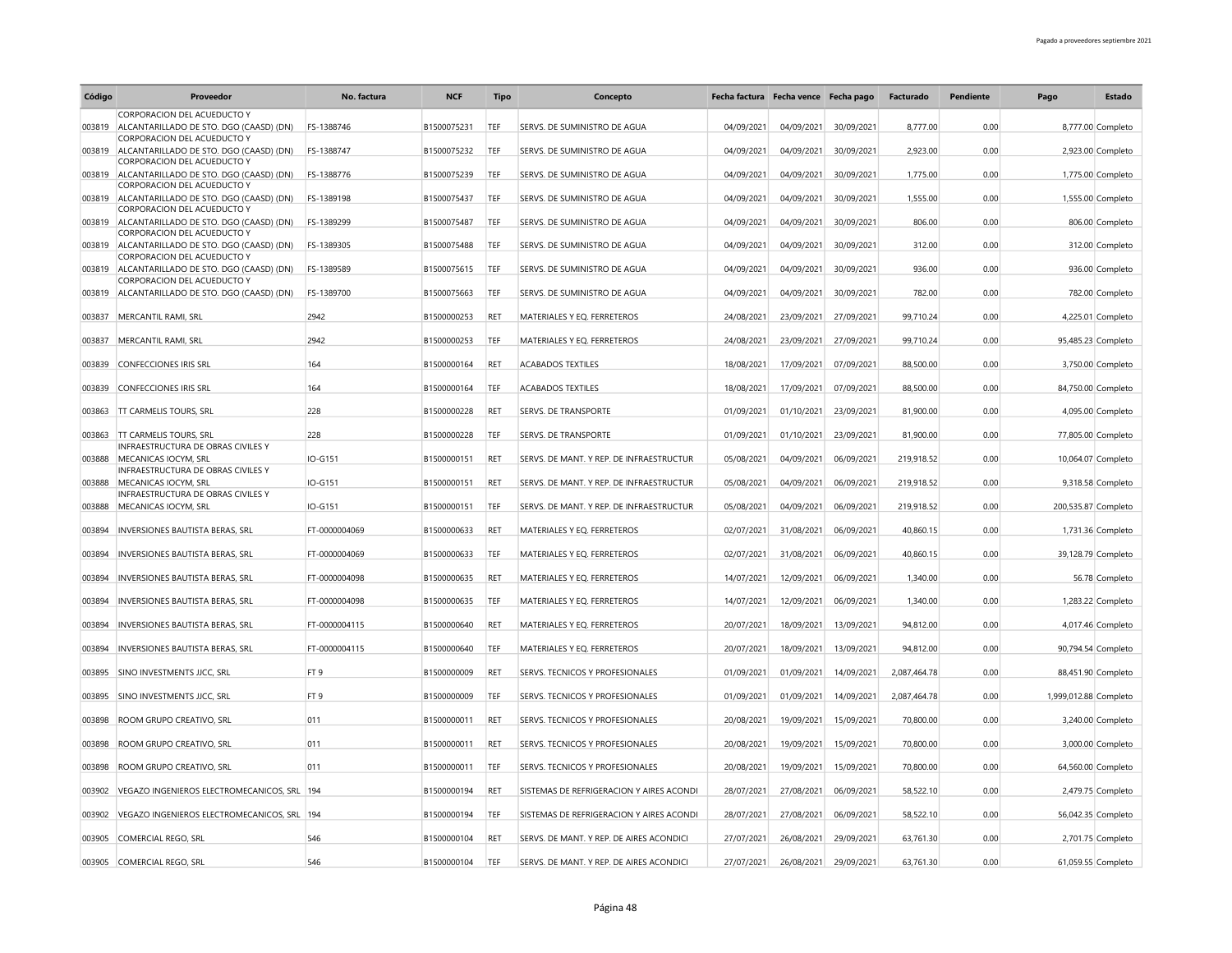| Código | Proveedor                                                              | No. factura     | <b>NCF</b>  | <b>Tipo</b> | Concepto                                 | Fecha factura Fecha vence Fecha pago |            |            | Facturado    | Pendiente | Pago                  | <b>Estado</b>      |
|--------|------------------------------------------------------------------------|-----------------|-------------|-------------|------------------------------------------|--------------------------------------|------------|------------|--------------|-----------|-----------------------|--------------------|
|        | CORPORACION DEL ACUEDUCTO Y                                            |                 |             |             |                                          |                                      |            |            |              |           |                       |                    |
| 003819 | ALCANTARILLADO DE STO. DGO (CAASD) (DN)<br>CORPORACION DEL ACUEDUCTO Y | FS-1388746      | B1500075231 | TEF         | SERVS. DE SUMINISTRO DE AGUA             | 04/09/2021                           | 04/09/2021 | 30/09/2021 | 8.777.00     | 0.00      |                       | 8,777.00 Completo  |
| 003819 | ALCANTARILLADO DE STO. DGO (CAASD) (DN)                                | FS-1388747      | B1500075232 | TEF         | SERVS. DE SUMINISTRO DE AGUA             | 04/09/2021                           | 04/09/2021 | 30/09/2021 | 2,923.00     | 0.00      |                       | 2,923.00 Completo  |
| 003819 | CORPORACION DEL ACUEDUCTO Y<br>ALCANTARILLADO DE STO. DGO (CAASD) (DN) | FS-1388776      | B1500075239 | TEF         | SERVS. DE SUMINISTRO DE AGUA             | 04/09/2021                           | 04/09/2021 | 30/09/2021 | 1,775.00     | 0.00      |                       | 1,775.00 Completo  |
| 003819 | CORPORACION DEL ACUEDUCTO Y<br>ALCANTARILLADO DE STO. DGO (CAASD) (DN) | FS-1389198      | B1500075437 | TEF         | SERVS. DE SUMINISTRO DE AGUA             | 04/09/2021                           | 04/09/2021 | 30/09/2021 | 1,555.00     | 0.00      |                       | 1,555.00 Completo  |
| 003819 | CORPORACION DEL ACUEDUCTO Y<br>ALCANTARILLADO DE STO. DGO (CAASD) (DN) | FS-1389299      | B1500075487 | <b>TEF</b>  | SERVS. DE SUMINISTRO DE AGUA             | 04/09/2021                           | 04/09/2021 | 30/09/2021 | 806.00       | 0.00      |                       | 806.00 Completo    |
| 003819 | CORPORACION DEL ACUEDUCTO Y<br>ALCANTARILLADO DE STO. DGO (CAASD) (DN) | FS-1389305      | B1500075488 | TEF         | SERVS. DE SUMINISTRO DE AGUA             | 04/09/2021                           | 04/09/2021 | 30/09/2021 | 312.00       | 0.00      |                       | 312.00 Completo    |
| 003819 | CORPORACION DEL ACUEDUCTO Y<br>ALCANTARILLADO DE STO. DGO (CAASD) (DN) | FS-1389589      | B1500075615 | TEF         | SERVS. DE SUMINISTRO DE AGUA             | 04/09/2021                           | 04/09/2021 | 30/09/2021 | 936.00       | 0.00      |                       | 936.00 Completo    |
| 003819 | CORPORACION DEL ACUEDUCTO Y<br>ALCANTARILLADO DE STO. DGO (CAASD) (DN) | FS-1389700      | B1500075663 | TEF         | SERVS. DE SUMINISTRO DE AGUA             |                                      | 04/09/2021 | 30/09/2021 | 782.00       | 0.00      |                       | 782.00 Completo    |
|        |                                                                        |                 |             |             |                                          | 04/09/2021                           |            |            |              |           |                       |                    |
| 003837 | MERCANTIL RAMI, SRL                                                    | 2942            | B1500000253 | <b>RFT</b>  | MATERIALES Y EQ. FERRETEROS              | 24/08/2021                           | 23/09/2021 | 27/09/2021 | 99,710.24    | 0.00      |                       | 4,225.01 Completo  |
| 003837 | MERCANTIL RAMI, SRL                                                    | 2942            | B1500000253 | TEF         | MATERIALES Y EQ. FERRETEROS              | 24/08/2021                           | 23/09/2021 | 27/09/2021 | 99,710.24    | 0.00      |                       | 95,485.23 Completo |
| 003839 | <b>CONFECCIONES IRIS SRL</b>                                           | 164             | B1500000164 | RET         | <b>ACABADOS TEXTILES</b>                 | 18/08/2021                           | 17/09/2021 | 07/09/2021 | 88,500.00    | 0.00      |                       | 3,750.00 Completo  |
| 003839 | <b>CONFECCIONES IRIS SRL</b>                                           | 164             | B1500000164 | TEF         | <b>ACABADOS TEXTILES</b>                 | 18/08/2021                           | 17/09/2021 | 07/09/2021 | 88,500.00    | 0.00      |                       | 84,750.00 Completo |
|        | 003863 TT CARMELIS TOURS, SRL                                          | 228             | B1500000228 | RET         | <b>SERVS. DE TRANSPORTE</b>              | 01/09/2021                           | 01/10/2021 | 23/09/2021 | 81,900.00    | 0.00      |                       | 4,095.00 Completo  |
| 003863 | <b>TT CARMELIS TOURS, SRL</b>                                          | 228             | B1500000228 | TEF         | <b>SERVS. DE TRANSPORTE</b>              | 01/09/2021                           | 01/10/2021 | 23/09/2021 | 81,900.00    | 0.00      |                       | 77,805.00 Completo |
| 003888 | INFRAESTRUCTURA DE OBRAS CIVILES Y<br>MECANICAS IOCYM, SRL             | IO-G151         | B1500000151 | RET         | SERVS. DE MANT. Y REP. DE INFRAESTRUCTUR | 05/08/2021                           | 04/09/2021 | 06/09/2021 | 219,918.52   | 0.00      |                       | 10,064.07 Completo |
|        | INFRAESTRUCTURA DE OBRAS CIVILES Y                                     |                 |             |             |                                          |                                      |            |            |              |           |                       |                    |
| 003888 | MECANICAS IOCYM, SRL<br>INFRAESTRUCTURA DE OBRAS CIVILES Y             | IO-G151         | B1500000151 | RET         | SERVS. DE MANT. Y REP. DE INFRAESTRUCTUR | 05/08/2021                           | 04/09/2021 | 06/09/2021 | 219,918.52   | 0.00      |                       | 9,318.58 Completo  |
| 003888 | MECANICAS IOCYM, SRL                                                   | IO-G151         | B1500000151 | TEF         | SERVS. DE MANT. Y REP. DE INFRAESTRUCTUR | 05/08/2021                           | 04/09/2021 | 06/09/2021 | 219,918.52   | 0.00      | 200,535.87 Completo   |                    |
| 003894 | INVERSIONES BAUTISTA BERAS, SRL                                        | FT-0000004069   | B1500000633 | RET         | MATERIALES Y EQ. FERRETEROS              | 02/07/2021                           | 31/08/2021 | 06/09/2021 | 40,860.15    | 0.00      |                       | 1,731.36 Completo  |
| 003894 | INVERSIONES BAUTISTA BERAS, SRL                                        | FT-0000004069   | B1500000633 | TEF         | MATERIALES Y EO. FERRETEROS              | 02/07/2021                           | 31/08/2021 | 06/09/2021 | 40,860.15    | 0.00      |                       | 39,128.79 Completo |
| 003894 | <b>INVERSIONES BAUTISTA BERAS, SRL</b>                                 | FT-0000004098   | B1500000635 | <b>RET</b>  | MATERIALES Y EO. FERRETEROS              | 14/07/2021                           | 12/09/2021 | 06/09/2021 | 1,340.00     | 0.00      |                       | 56.78 Completo     |
| 003894 | INVERSIONES BAUTISTA BERAS, SRL                                        | FT-0000004098   | B1500000635 | TEF         | MATERIALES Y EQ. FERRETEROS              | 14/07/2021                           | 12/09/2021 | 06/09/2021 | 1.340.00     | 0.00      |                       | 1,283.22 Completo  |
| 003894 | <b>INVERSIONES BAUTISTA BERAS, SRL</b>                                 | FT-0000004115   | B1500000640 | <b>RFT</b>  | MATERIALES Y EQ. FERRETEROS              | 20/07/2021                           | 18/09/2021 | 13/09/2021 | 94,812.00    | 0.00      |                       | 4,017.46 Completo  |
| 003894 | INVERSIONES BAUTISTA BERAS, SRL                                        | FT-0000004115   | B1500000640 | TEF         | MATERIALES Y EQ. FERRETEROS              | 20/07/2021                           | 18/09/2021 | 13/09/2021 | 94,812.00    | 0.00      |                       | 90,794.54 Completo |
| 003895 | SINO INVESTMENTS JJCC, SRL                                             | FT <sub>9</sub> | B1500000009 | <b>RFT</b>  | <b>SERVS. TECNICOS Y PROFESIONALES</b>   | 01/09/2021                           | 01/09/2021 | 14/09/2021 | 2,087,464.78 | 0.00      |                       | 88,451.90 Completo |
|        |                                                                        | FT <sub>9</sub> | B1500000009 | TEF         | SERVS. TECNICOS Y PROFESIONALES          |                                      |            |            |              |           |                       |                    |
| 003895 | SINO INVESTMENTS JJCC, SRL                                             |                 |             |             |                                          | 01/09/2021                           | 01/09/2021 | 14/09/2021 | 2,087,464.78 | 0.00      | 1,999,012.88 Completo |                    |
| 003898 | ROOM GRUPO CREATIVO, SRL                                               | 011             | B1500000011 | RET         | SERVS. TECNICOS Y PROFESIONALES          | 20/08/2021                           | 19/09/2021 | 15/09/2021 | 70,800.00    | 0.00      |                       | 3,240.00 Completo  |
| 003898 | ROOM GRUPO CREATIVO, SRL                                               | 011             | B1500000011 | RET         | <b>SERVS. TECNICOS Y PROFESIONALES</b>   | 20/08/2021                           | 19/09/2021 | 15/09/2021 | 70,800.00    | 0.00      |                       | 3,000.00 Completo  |
| 003898 | ROOM GRUPO CREATIVO, SRL                                               | 011             | B1500000011 | TEF         | SERVS. TECNICOS Y PROFESIONALES          | 20/08/2021                           | 19/09/2021 | 15/09/2021 | 70,800.00    | 0.00      |                       | 64,560.00 Completo |
| 003902 | VEGAZO INGENIEROS ELECTROMECANICOS, SRL 194                            |                 | B1500000194 | RET         | SISTEMAS DE REFRIGERACION Y AIRES ACONDI | 28/07/2021                           | 27/08/2021 | 06/09/2021 | 58,522.10    | 0.00      |                       | 2,479.75 Completo  |
| 003902 | VEGAZO INGENIEROS ELECTROMECANICOS, SRL 194                            |                 | B1500000194 | TEF         | SISTEMAS DE REFRIGERACION Y AIRES ACONDI | 28/07/2021                           | 27/08/2021 | 06/09/2021 | 58,522.10    | 0.00      |                       | 56,042.35 Completo |
|        | 003905 COMERCIAL REGO, SRL                                             | 546             | B1500000104 | <b>RFT</b>  | SERVS. DE MANT. Y REP. DE AIRES ACONDICI | 27/07/2021                           | 26/08/2021 | 29/09/2021 | 63,761.30    | 0.00      |                       | 2,701.75 Completo  |
|        | 003905 COMERCIAL REGO, SRL                                             | 546             | B1500000104 | TEF         | SERVS. DE MANT. Y REP. DE AIRES ACONDICI | 27/07/2021                           | 26/08/2021 | 29/09/2021 | 63,761.30    | 0.00      |                       | 61,059.55 Completo |